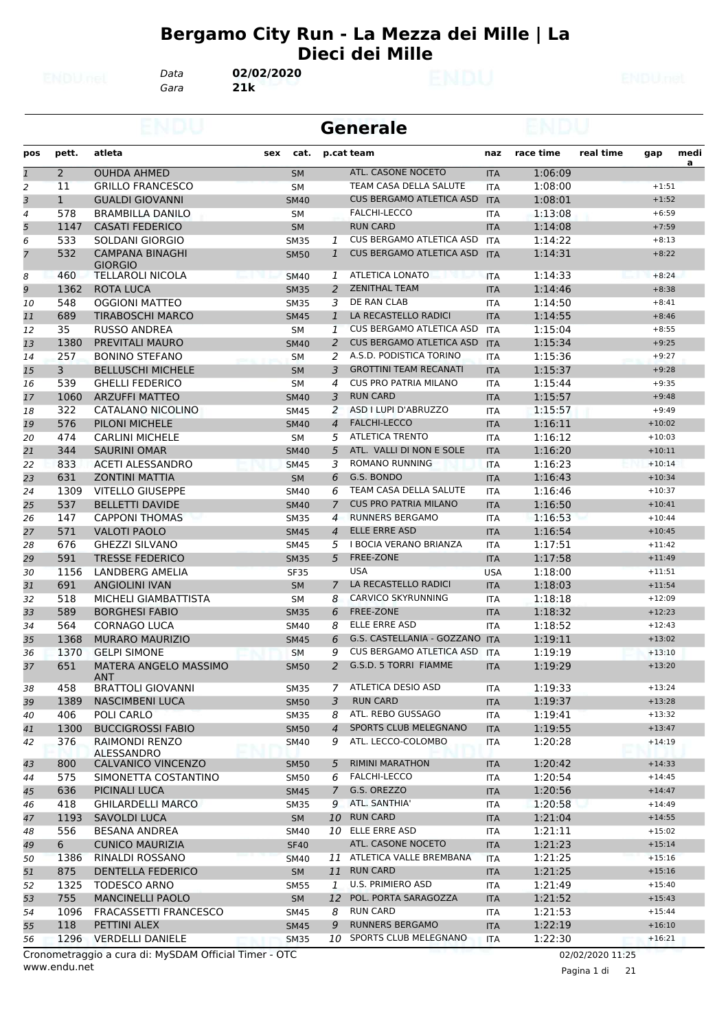#### **Bergamo City Run - La Mezza dei Mille | La Dieci dei Mille**

*Gara* **21k** *Data* **02/02/2020**

|                |                |                                                  |     | <b>Generale</b>          |                |                                                    |                          |                    |           |                      |      |  |  |
|----------------|----------------|--------------------------------------------------|-----|--------------------------|----------------|----------------------------------------------------|--------------------------|--------------------|-----------|----------------------|------|--|--|
| pos            | pett.          | atleta                                           | sex | cat.                     |                | p.cat team                                         | naz                      | race time          | real time | gap                  | medi |  |  |
| $\mathbf{1}$   | $\overline{2}$ | <b>OUHDA AHMED</b>                               |     | <b>SM</b>                |                | ATL. CASONE NOCETO                                 | <b>ITA</b>               | 1:06:09            |           |                      | a    |  |  |
| 2              | 11             | <b>GRILLO FRANCESCO</b>                          |     | <b>SM</b>                |                | TEAM CASA DELLA SALUTE                             | <b>ITA</b>               | 1:08:00            |           | $+1:51$              |      |  |  |
| 3              | $\mathbf{1}$   | <b>GUALDI GIOVANNI</b>                           |     | <b>SM40</b>              |                | <b>CUS BERGAMO ATLETICA ASD</b>                    | <b>ITA</b>               | 1:08:01            |           | $+1:52$              |      |  |  |
| 4              | 578            | <b>BRAMBILLA DANILO</b>                          |     | <b>SM</b>                |                | <b>FALCHI-LECCO</b>                                | <b>ITA</b>               | 1:13:08            |           | $+6:59$              |      |  |  |
| 5              | 1147           | <b>CASATI FEDERICO</b>                           |     | <b>SM</b>                |                | <b>RUN CARD</b>                                    | <b>ITA</b>               | 1:14:08            |           | $+7:59$              |      |  |  |
| 6              | 533            | SOLDANI GIORGIO                                  |     | <b>SM35</b>              | 1              | CUS BERGAMO ATLETICA ASD                           | <b>ITA</b>               | 1:14:22            |           | $+8:13$              |      |  |  |
| $\overline{7}$ | 532            | <b>CAMPANA BINAGHI</b><br><b>GIORGIO</b>         |     | <b>SM50</b>              | $\mathbf{1}$   | <b>CUS BERGAMO ATLETICA ASD</b>                    | <b>ITA</b>               | 1:14:31            |           | $+8:22$              |      |  |  |
| 8              | 460            | <b>TELLAROLI NICOLA</b>                          |     | <b>SM40</b>              | 1              | <b>ATLETICA LONATO</b>                             | <b>ITA</b>               | 1:14:33            |           | $+8:24$              |      |  |  |
| 9              | 1362           | ROTA LUCA                                        |     | <b>SM35</b>              | $\overline{2}$ | <b>ZENITHAL TEAM</b>                               | <b>ITA</b>               | 1:14:46            |           | $+8:38$              |      |  |  |
| 10             | 548            | <b>OGGIONI MATTEO</b>                            |     | <b>SM35</b>              | 3              | DE RAN CLAB                                        | <b>ITA</b>               | 1:14:50            |           | $+8:41$              |      |  |  |
| 11             | 689            | <b>TIRABOSCHI MARCO</b>                          |     | <b>SM45</b>              | $\mathbf{1}$   | LA RECASTELLO RADICI                               | <b>ITA</b>               | 1:14:55            |           | $+8:46$              |      |  |  |
| 12             | 35             | <b>RUSSO ANDREA</b>                              |     | SM                       | 1              | <b>CUS BERGAMO ATLETICA ASD</b>                    | <b>ITA</b>               | 1:15:04            |           | $+8:55$              |      |  |  |
| 13             | 1380           | PREVITALI MAURO                                  |     | <b>SM40</b>              | $\overline{2}$ | <b>CUS BERGAMO ATLETICA ASD</b>                    | <b>ITA</b>               | 1:15:34            |           | $+9:25$              |      |  |  |
| 14             | 257            | <b>BONINO STEFANO</b>                            |     | <b>SM</b>                | 2              | A.S.D. PODISTICA TORINO                            | <b>ITA</b>               | 1:15:36            |           | $+9:27$              |      |  |  |
| 15             | 3              | <b>BELLUSCHI MICHELE</b>                         |     | <b>SM</b>                | 3              | <b>GROTTINI TEAM RECANATI</b>                      | <b>ITA</b>               | 1:15:37            |           | $+9:28$              |      |  |  |
| 16             | 539            | <b>GHELLI FEDERICO</b>                           |     | SΜ                       | 4              | <b>CUS PRO PATRIA MILANO</b>                       | ITA                      | 1:15:44            |           | $+9:35$              |      |  |  |
| 17             | 1060           | <b>ARZUFFI MATTEO</b>                            |     | <b>SM40</b>              | 3              | <b>RUN CARD</b>                                    | <b>ITA</b>               | 1:15:57            |           | $+9:48$              |      |  |  |
| 18             | 322            | CATALANO NICOLINO                                |     | <b>SM45</b>              | 2              | ASD I LUPI D'ABRUZZO                               | <b>ITA</b>               | 1:15:57            |           | $+9:49$              |      |  |  |
| 19             | 576            | PILONI MICHELE                                   |     | <b>SM40</b>              | $\overline{4}$ | <b>FALCHI-LECCO</b>                                | <b>ITA</b>               | 1:16:11            |           | $+10:02$             |      |  |  |
| 20             | 474            | <b>CARLINI MICHELE</b>                           |     | <b>SM</b>                | 5<br>5         | <b>ATLETICA TRENTO</b><br>ATL. VALLI DI NON E SOLE | <b>ITA</b>               | 1:16:12            |           | $+10:03$             |      |  |  |
| 21             | 344<br>833     | <b>SAURINI OMAR</b>                              |     | <b>SM40</b>              | 3              | <b>ROMANO RUNNING</b>                              | <b>ITA</b>               | 1:16:20<br>1:16:23 |           | $+10:11$<br>$+10:14$ |      |  |  |
| 22<br>23       | 631            | <b>ACETI ALESSANDRO</b><br><b>ZONTINI MATTIA</b> |     | <b>SM45</b><br><b>SM</b> | 6              | G.S. BONDO                                         | ITA                      | 1:16:43            |           | $+10:34$             |      |  |  |
| 24             | 1309           | <b>VITELLO GIUSEPPE</b>                          |     | <b>SM40</b>              | 6              | TEAM CASA DELLA SALUTE                             | <b>ITA</b><br><b>ITA</b> | 1:16:46            |           | $+10:37$             |      |  |  |
| 25             | 537            | <b>BELLETTI DAVIDE</b>                           |     | <b>SM40</b>              | $\overline{7}$ | <b>CUS PRO PATRIA MILANO</b>                       | <b>ITA</b>               | 1:16:50            |           | $+10:41$             |      |  |  |
| 26             | 147            | <b>CAPPONI THOMAS</b>                            |     | <b>SM35</b>              | $\overline{4}$ | <b>RUNNERS BERGAMO</b>                             | <b>ITA</b>               | 1:16:53            |           | $+10:44$             |      |  |  |
| 27             | 571            | <b>VALOTI PAOLO</b>                              |     | <b>SM45</b>              | $\overline{4}$ | ELLE ERRE ASD                                      | <b>ITA</b>               | 1:16:54            |           | $+10:45$             |      |  |  |
| 28             | 676            | <b>GHEZZI SILVANO</b>                            |     | SM45                     | 5              | I BOCIA VERANO BRIANZA                             | ITA                      | 1:17:51            |           | $+11:42$             |      |  |  |
| 29             | 591            | <b>TRESSE FEDERICO</b>                           |     | <b>SM35</b>              | 5              | <b>FREE-ZONE</b>                                   | <b>ITA</b>               | 1:17:58            |           | $+11:49$             |      |  |  |
| 30             | 1156           | <b>LANDBERG AMELIA</b>                           |     | <b>SF35</b>              |                | <b>USA</b>                                         | <b>USA</b>               | 1:18:00            |           | $+11:51$             |      |  |  |
| 31             | 691            | <b>ANGIOLINI IVAN</b>                            |     | <b>SM</b>                | $\overline{7}$ | LA RECASTELLO RADICI                               | <b>ITA</b>               | 1:18:03            |           | $+11:54$             |      |  |  |
| 32             | 518            | MICHELI GIAMBATTISTA                             |     | <b>SM</b>                | 8              | <b>CARVICO SKYRUNNING</b>                          | <b>ITA</b>               | 1:18:18            |           | $+12:09$             |      |  |  |
| 33             | 589            | <b>BORGHESI FABIO</b>                            |     | <b>SM35</b>              | 6              | <b>FREE-ZONE</b>                                   | <b>ITA</b>               | 1:18:32            |           | $+12:23$             |      |  |  |
| 34             | 564            | <b>CORNAGO LUCA</b>                              |     | <b>SM40</b>              | 8              | <b>ELLE ERRE ASD</b>                               | <b>ITA</b>               | 1:18:52            |           | $+12:43$             |      |  |  |
| 35             | 1368           | <b>MURARO MAURIZIO</b>                           |     | <b>SM45</b>              | 6              | G.S. CASTELLANIA - GOZZANO ITA                     |                          | 1:19:11            |           | $+13:02$             |      |  |  |
| 36             | 1370           | <b>GELPI SIMONE</b>                              |     | <b>SM</b>                | 9              | <b>CUS BERGAMO ATLETICA ASD</b>                    | <b>ITA</b>               | 1:19:19            |           | $+13:10$             |      |  |  |
| 37             | 651            | <b>MATERA ANGELO MASSIMO</b><br><b>ANT</b>       |     | <b>SM50</b>              | $\overline{a}$ | G.S.D. 5 TORRI FIAMME                              | <b>ITA</b>               | 1:19:29            |           | $+13:20$             |      |  |  |
| 38             | 458            | <b>BRATTOLI GIOVANNI</b>                         |     | SM35                     | 7              | ATLETICA DESIO ASD                                 | ITA                      | 1:19:33            |           | $+13:24$             |      |  |  |
| 39             | 1389           | NASCIMBENI LUCA                                  |     | <b>SM50</b>              | 3              | <b>RUN CARD</b>                                    | <b>ITA</b>               | 1:19:37            |           | $+13:28$             |      |  |  |
| 40             | 406            | POLI CARLO                                       |     | SM35                     | 8              | ATL. REBO GUSSAGO                                  | ITA                      | 1:19:41            |           | $+13:32$             |      |  |  |
| 41             | 1300           | <b>BUCCIGROSSI FABIO</b>                         |     | <b>SM50</b>              | 4              | <b>SPORTS CLUB MELEGNANO</b>                       | <b>ITA</b>               | 1:19:55            |           | $+13:47$             |      |  |  |
| 42             | 376            | RAIMONDI RENZO<br>ALESSANDRO                     |     | SM40                     | 9              | ATL. LECCO-COLOMBO                                 | ITA                      | 1:20:28            |           | $+14:19$             |      |  |  |
| 43             | 800            | CALVANICO VINCENZO                               |     | <b>SM50</b>              | 5              | <b>RIMINI MARATHON</b>                             | <b>ITA</b>               | 1:20:42            |           | $+14:33$             |      |  |  |
| 44             | 575            | SIMONETTA COSTANTINO                             |     | <b>SM50</b>              | 6              | FALCHI-LECCO                                       | <b>ITA</b>               | 1:20:54            |           | $+14:45$             |      |  |  |
| 45             | 636            | PICINALI LUCA                                    |     | <b>SM45</b>              | 7              | G.S. OREZZO                                        | <b>ITA</b>               | 1:20:56            |           | $+14:47$             |      |  |  |
| 46             | 418            | <b>GHILARDELLI MARCO</b>                         |     | <b>SM35</b>              |                | 9 ATL. SANTHIA'                                    | ITA                      | 1:20:58            |           | $+14:49$             |      |  |  |
| 47             | 1193           | SAVOLDI LUCA                                     |     | <b>SM</b>                |                | 10 RUN CARD                                        | <b>ITA</b>               | 1:21:04            |           | $+14:55$             |      |  |  |
| 48             | 556            | BESANA ANDREA                                    |     | <b>SM40</b>              |                | 10 ELLE ERRE ASD                                   | <b>ITA</b>               | 1:21:11            |           | $+15:02$             |      |  |  |
| 49             | 6              | <b>CUNICO MAURIZIA</b>                           |     | <b>SF40</b>              |                | ATL. CASONE NOCETO                                 | <b>ITA</b>               | 1:21:23            |           | $+15:14$             |      |  |  |
| 50             | 1386           | RINALDI ROSSANO                                  |     | SM40                     |                | 11 ATLETICA VALLE BREMBANA                         | <b>ITA</b>               | 1:21:25            |           | $+15:16$             |      |  |  |
| 51             | 875            | <b>DENTELLA FEDERICO</b>                         |     | <b>SM</b>                |                | 11 RUN CARD                                        | <b>ITA</b>               | 1:21:25            |           | $+15:16$             |      |  |  |
| 52             | 1325           | <b>TODESCO ARNO</b>                              |     | <b>SM55</b>              | 1              | U.S. PRIMIERO ASD                                  | ITA                      | 1:21:49            |           | $+15:40$             |      |  |  |
| 53             | 755            | <b>MANCINELLI PAOLO</b>                          |     | <b>SM</b>                |                | 12 POL. PORTA SARAGOZZA                            | <b>ITA</b>               | 1:21:52            |           | $+15:43$             |      |  |  |
| 54             | 1096           | FRACASSETTI FRANCESCO                            |     | <b>SM45</b>              | 8              | <b>RUN CARD</b>                                    | <b>ITA</b>               | 1:21:53            |           | $+15:44$             |      |  |  |
| 55             | 118            | PETTINI ALEX                                     |     | <b>SM45</b>              | 9              | <b>RUNNERS BERGAMO</b>                             | <b>ITA</b>               | 1:22:19            |           | $+16:10$             |      |  |  |
| 56             | 1296           | <b>VERDELLI DANIELE</b>                          |     | <b>SM35</b>              |                | 10 SPORTS CLUB MELEGNANO                           | ITA                      | 1:22:30            |           | $+16:21$             |      |  |  |

www.endu.net Cronometraggio a cura di: MySDAM Official Timer - OTC 02/02/2020 11:25

Pagina 1 di 21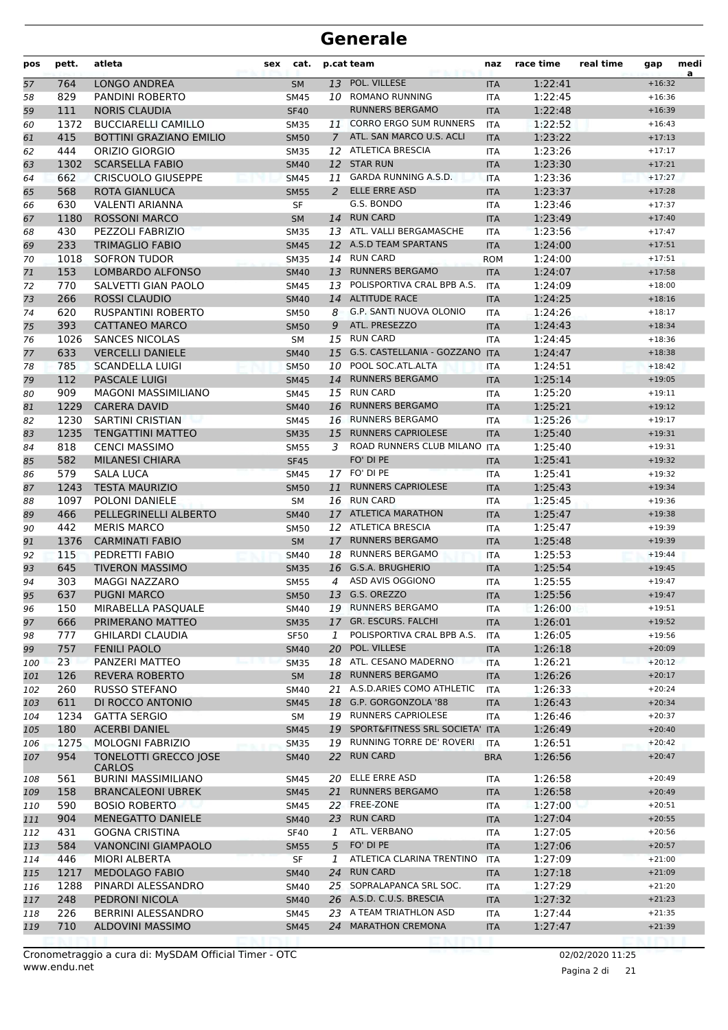| pos | pett. | atleta                                 | sex | cat.        |                | p.cat team                        | naz        | race time | real time | gap      | medi<br>a |
|-----|-------|----------------------------------------|-----|-------------|----------------|-----------------------------------|------------|-----------|-----------|----------|-----------|
| 57  | 764   | <b>LONGO ANDREA</b>                    |     | <b>SM</b>   |                | 13 POL. VILLESE                   | <b>ITA</b> | 1:22:41   |           | $+16:32$ |           |
| 58  | 829   | PANDINI ROBERTO                        |     | SM45        |                | 10 ROMANO RUNNING                 | ITA        | 1:22:45   |           | $+16:36$ |           |
| 59  | 111   | <b>NORIS CLAUDIA</b>                   |     | <b>SF40</b> |                | <b>RUNNERS BERGAMO</b>            | <b>ITA</b> | 1:22:48   |           | $+16:39$ |           |
| 60  | 1372  | <b>BUCCIARELLI CAMILLO</b>             |     | <b>SM35</b> | 11             | <b>CORRO ERGO SUM RUNNERS</b>     | <b>ITA</b> | 1:22:52   |           | $+16:43$ |           |
| 61  | 415   | <b>BOTTINI GRAZIANO EMILIO</b>         |     | <b>SM50</b> | $\overline{7}$ | ATL. SAN MARCO U.S. ACLI          | <b>ITA</b> | 1:23:22   |           | $+17:13$ |           |
| 62  | 444   | ORIZIO GIORGIO                         |     | <b>SM35</b> |                | 12 ATLETICA BRESCIA               | ITA        | 1:23:26   |           | $+17:17$ |           |
| 63  | 1302  | <b>SCARSELLA FABIO</b>                 |     | <b>SM40</b> |                | 12 STAR RUN                       | <b>ITA</b> | 1:23:30   |           | $+17:21$ |           |
| 64  | 662   | <b>CRISCUOLO GIUSEPPE</b>              |     | <b>SM45</b> | 11             | <b>GARDA RUNNING A.S.D.</b>       | <b>ITA</b> | 1:23:36   |           | $+17:27$ |           |
| 65  | 568   | <b>ROTA GIANLUCA</b>                   |     | <b>SM55</b> | 2              | <b>ELLE ERRE ASD</b>              | <b>ITA</b> | 1:23:37   |           | $+17:28$ |           |
| 66  | 630   | <b>VALENTI ARIANNA</b>                 |     | SF          |                | G.S. BONDO                        | <b>ITA</b> | 1:23:46   |           | $+17:37$ |           |
| 67  | 1180  | <b>ROSSONI MARCO</b>                   |     | <b>SM</b>   | 14             | <b>RUN CARD</b>                   | <b>ITA</b> | 1:23:49   |           | $+17:40$ |           |
| 68  | 430   | PEZZOLI FABRIZIO                       |     | <b>SM35</b> |                | 13 ATL. VALLI BERGAMASCHE         | ITA        | 1:23:56   |           | $+17:47$ |           |
| 69  | 233   | <b>TRIMAGLIO FABIO</b>                 |     | <b>SM45</b> |                | 12 A.S.D TEAM SPARTANS            | <b>ITA</b> | 1:24:00   |           | $+17:51$ |           |
| 70  | 1018  | <b>SOFRON TUDOR</b>                    |     | <b>SM35</b> |                | 14 RUN CARD                       | <b>ROM</b> | 1:24:00   |           | $+17:51$ |           |
| 71  | 153   | <b>LOMBARDO ALFONSO</b>                |     | <b>SM40</b> | 13             | <b>RUNNERS BERGAMO</b>            | <b>ITA</b> | 1:24:07   |           | $+17:58$ |           |
| 72  | 770   | SALVETTI GIAN PAOLO                    |     | <b>SM45</b> | 13             | POLISPORTIVA CRAL BPB A.S.        | <b>ITA</b> | 1:24:09   |           | $+18:00$ |           |
| 73  | 266   | <b>ROSSI CLAUDIO</b>                   |     | <b>SM40</b> |                | 14 ALTITUDE RACE                  | <b>ITA</b> | 1:24:25   |           | $+18:16$ |           |
| 74  | 620   | <b>RUSPANTINI ROBERTO</b>              |     | <b>SM50</b> | 8              | G.P. SANTI NUOVA OLONIO           | <b>ITA</b> | 1:24:26   |           | $+18:17$ |           |
| 75  | 393   | <b>CATTANEO MARCO</b>                  |     | <b>SM50</b> | 9              | ATL. PRESEZZO                     | <b>ITA</b> | 1:24:43   |           | $+18:34$ |           |
| 76  | 1026  | <b>SANCES NICOLAS</b>                  |     | <b>SM</b>   |                | 15 RUN CARD                       | ITA        | 1:24:45   |           | $+18:36$ |           |
|     | 633   | <b>VERCELLI DANIELE</b>                |     |             |                | 15 G.S. CASTELLANIA - GOZZANO     |            | 1:24:47   |           | $+18:38$ |           |
| 77  |       | <b>SCANDELLA LUIGI</b>                 |     | <b>SM40</b> |                | POOL SOC.ATL.ALTA                 | <b>ITA</b> |           |           | $+18:42$ |           |
| 78  | 785   |                                        |     | <b>SM50</b> | 10             |                                   | <b>ITA</b> | 1:24:51   |           |          |           |
| 79  | 112   | <b>PASCALE LUIGI</b>                   |     | <b>SM45</b> | 14             | <b>RUNNERS BERGAMO</b>            | <b>ITA</b> | 1:25:14   |           | $+19:05$ |           |
| 80  | 909   | <b>MAGONI MASSIMILIANO</b>             |     | <b>SM45</b> |                | 15 RUN CARD                       | <b>ITA</b> | 1:25:20   |           | $+19:11$ |           |
| 81  | 1229  | <b>CARERA DAVID</b>                    |     | <b>SM40</b> | 16             | <b>RUNNERS BERGAMO</b>            | <b>ITA</b> | 1:25:21   |           | $+19:12$ |           |
| 82  | 1230  | <b>SARTINI CRISTIAN</b>                |     | SM45        |                | 16 RUNNERS BERGAMO                | <b>ITA</b> | 1:25:26   |           | $+19:17$ |           |
| 83  | 1235  | <b>TENGATTINI MATTEO</b>               |     | <b>SM35</b> | 15             | <b>RUNNERS CAPRIOLESE</b>         | <b>ITA</b> | 1:25:40   |           | $+19:31$ |           |
| 84  | 818   | <b>CENCI MASSIMO</b>                   |     | <b>SM55</b> | 3              | ROAD RUNNERS CLUB MILANO          | <b>ITA</b> | 1:25:40   |           | $+19:31$ |           |
| 85  | 582   | <b>MILANESI CHIARA</b>                 |     | <b>SF45</b> |                | FO' DI PE                         | <b>ITA</b> | 1:25:41   |           | $+19:32$ |           |
| 86  | 579   | <b>SALA LUCA</b>                       |     | <b>SM45</b> |                | 17 FO' DI PE                      | <b>ITA</b> | 1:25:41   |           | $+19:32$ |           |
| 87  | 1243  | <b>TESTA MAURIZIO</b>                  |     | <b>SM50</b> | 11             | <b>RUNNERS CAPRIOLESE</b>         | <b>ITA</b> | 1:25:43   |           | $+19:34$ |           |
| 88  | 1097  | POLONI DANIELE                         |     | <b>SM</b>   |                | 16 RUN CARD                       | <b>ITA</b> | 1:25:45   |           | $+19:36$ |           |
| 89  | 466   | PELLEGRINELLI ALBERTO                  |     | <b>SM40</b> |                | 17 ATLETICA MARATHON              | <b>ITA</b> | 1:25:47   |           | $+19:38$ |           |
| 90  | 442   | <b>MERIS MARCO</b>                     |     | <b>SM50</b> | 12             | <b>ATLETICA BRESCIA</b>           | <b>ITA</b> | 1:25:47   |           | $+19:39$ |           |
| 91  | 1376  | <b>CARMINATI FABIO</b>                 |     | <b>SM</b>   | 17             | <b>RUNNERS BERGAMO</b>            | <b>ITA</b> | 1:25:48   |           | $+19:39$ |           |
| 92  | 115   | PEDRETTI FABIO                         |     | <b>SM40</b> | 18             | <b>RUNNERS BERGAMO</b>            | <b>ITA</b> | 1:25:53   |           | $+19:44$ |           |
| 93  | 645   | <b>TIVERON MASSIMO</b>                 |     | <b>SM35</b> |                | 16 G.S.A. BRUGHERIO               | <b>ITA</b> | 1:25:54   |           | $+19:45$ |           |
| 94  | 303   | <b>MAGGI NAZZARO</b>                   |     | <b>SM55</b> | 4              | ASD AVIS OGGIONO                  | ITA        | 1:25:55   |           | $+19:47$ |           |
| 95  | 637   | <b>PUGNI MARCO</b>                     |     | <b>SM50</b> |                | 13 G.S. OREZZO                    | <b>ITA</b> | 1:25:56   |           | $+19:47$ |           |
| 96  | 150   | MIRABELLA PASQUALE                     |     | SM40        |                | 19 RUNNERS BERGAMO                | ITA        | 1:26:00   |           | $+19:51$ |           |
| 97  | 666   | PRIMERANO MATTEO                       |     | <b>SM35</b> |                | 17 GR. ESCURS. FALCHI             | <b>ITA</b> | 1:26:01   |           | $+19:52$ |           |
| 98  | 777   | <b>GHILARDI CLAUDIA</b>                |     | <b>SF50</b> | 1              | POLISPORTIVA CRAL BPB A.S.        | ITA        | 1:26:05   |           | $+19:56$ |           |
| 99  | 757   | <b>FENILI PAOLO</b>                    |     | <b>SM40</b> |                | 20 POL. VILLESE                   | <b>ITA</b> | 1:26:18   |           | $+20:09$ |           |
| 100 | 23    | PANZERI MATTEO                         |     | <b>SM35</b> |                | 18 ATL. CESANO MADERNO            | <b>ITA</b> | 1:26:21   |           | $+20:12$ |           |
| 101 | 126   | <b>REVERA ROBERTO</b>                  |     | <b>SM</b>   | 18             | <b>RUNNERS BERGAMO</b>            | <b>ITA</b> | 1:26:26   |           | $+20:17$ |           |
| 102 | 260   | RUSSO STEFANO                          |     | SM40        | 21             | A.S.D.ARIES COMO ATHLETIC         | <b>ITA</b> | 1:26:33   |           | $+20:24$ |           |
| 103 | 611   | DI ROCCO ANTONIO                       |     | <b>SM45</b> |                | 18 G.P. GORGONZOLA '88            | <b>ITA</b> | 1:26:43   |           | $+20:34$ |           |
| 104 | 1234  | <b>GATTA SERGIO</b>                    |     | SM          |                | 19 RUNNERS CAPRIOLESE             | ITA        | 1:26:46   |           | $+20:37$ |           |
| 105 | 180   | <b>ACERBI DANIEL</b>                   |     | <b>SM45</b> |                | 19 SPORT&FITNESS SRL SOCIETA' ITA |            | 1:26:49   |           | $+20:40$ |           |
| 106 | 1275  | <b>MOLOGNI FABRIZIO</b>                |     | <b>SM35</b> |                | 19 RUNNING TORRE DE' ROVERI       | ITA        | 1:26:51   |           | $+20:42$ |           |
| 107 | 954   | TONELOTTI GRECCO JOSE<br><b>CARLOS</b> |     | <b>SM40</b> | 22             | <b>RUN CARD</b>                   | <b>BRA</b> | 1:26:56   |           | $+20:47$ |           |
| 108 | 561   | <b>BURINI MASSIMILIANO</b>             |     | SM45        | 20             | ELLE ERRE ASD                     | ITA        | 1:26:58   |           | $+20:49$ |           |
| 109 | 158   | <b>BRANCALEONI UBREK</b>               |     | SM45        | 21             | <b>RUNNERS BERGAMO</b>            | <b>ITA</b> | 1:26:58   |           | $+20:49$ |           |
| 110 | 590   | <b>BOSIO ROBERTO</b>                   |     | SM45        |                | 22 FREE-ZONE                      | ITA        | 1:27:00   |           | $+20:51$ |           |
| 111 | 904   | MENEGATTO DANIELE                      |     | <b>SM40</b> |                | 23 RUN CARD                       | <b>ITA</b> | 1:27:04   |           | $+20:55$ |           |
| 112 | 431   | <b>GOGNA CRISTINA</b>                  |     | <b>SF40</b> | 1              | ATL. VERBANO                      | ITA        | 1:27:05   |           | $+20:56$ |           |
| 113 | 584   | <b>VANONCINI GIAMPAOLO</b>             |     | <b>SM55</b> | 5 <sup>5</sup> | FO' DI PE                         | <b>ITA</b> | 1:27:06   |           | $+20:57$ |           |
| 114 | 446   | <b>MIORI ALBERTA</b>                   |     | SF          | 1              | ATLETICA CLARINA TRENTINO         | <b>ITA</b> | 1:27:09   |           | $+21:00$ |           |
| 115 | 1217  | <b>MEDOLAGO FABIO</b>                  |     | <b>SM40</b> | 24             | <b>RUN CARD</b>                   | <b>ITA</b> | 1:27:18   |           | $+21:09$ |           |
| 116 | 1288  | PINARDI ALESSANDRO                     |     | SM40        |                | 25 SOPRALAPANCA SRL SOC.          | ITA        | 1:27:29   |           | $+21:20$ |           |
| 117 | 248   | PEDRONI NICOLA                         |     | <b>SM40</b> |                | 26 A.S.D. C.U.S. BRESCIA          | <b>ITA</b> | 1:27:32   |           | $+21:23$ |           |
| 118 | 226   | BERRINI ALESSANDRO                     |     | SM45        |                | 23 A TEAM TRIATHLON ASD           | ITA        | 1:27:44   |           | $+21:35$ |           |
| 119 | 710   | <b>ALDOVINI MASSIMO</b>                |     | <b>SM45</b> |                | 24 MARATHON CREMONA               | <b>ITA</b> | 1:27:47   |           | $+21:39$ |           |
|     |       |                                        |     |             |                |                                   |            |           |           |          |           |

Pagina 2 di 21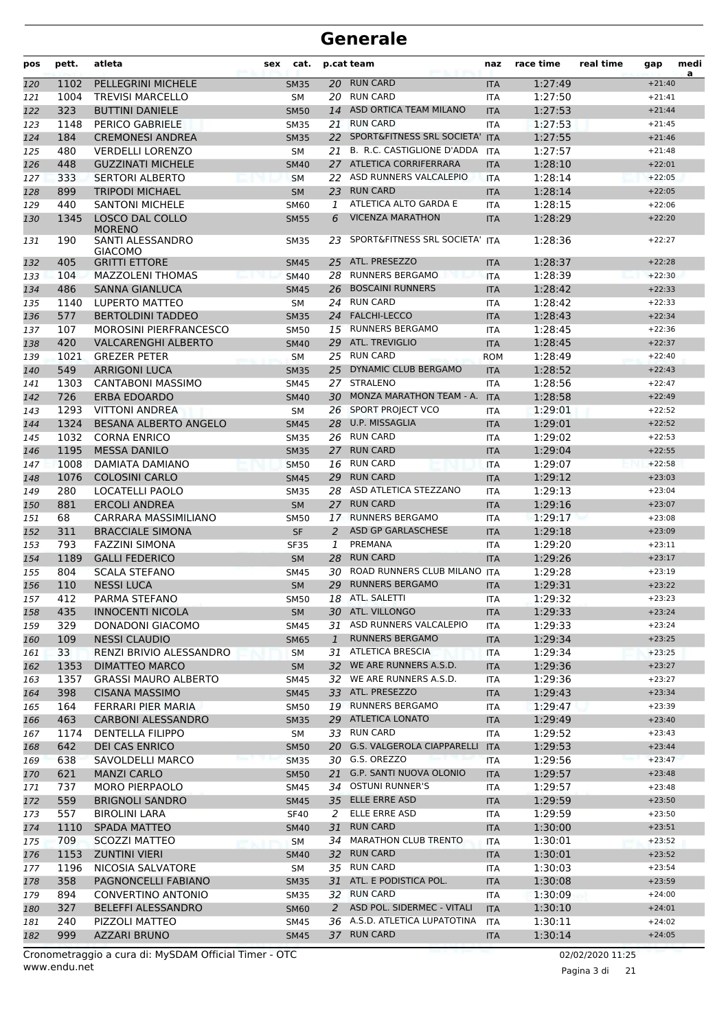| pos        | pett. | atleta                                              | sex | cat.                |                 | p.cat team                     | naz                      | race time          | real time | gap      | medi<br>a |
|------------|-------|-----------------------------------------------------|-----|---------------------|-----------------|--------------------------------|--------------------------|--------------------|-----------|----------|-----------|
| 120        | 1102  | PELLEGRINI MICHELE                                  |     | <b>SM35</b>         |                 | 20 RUN CARD                    | <b>ITA</b>               | 1:27:49            |           | $+21:40$ |           |
| 121        | 1004  | <b>TREVISI MARCELLO</b>                             |     | SM                  | 20              | <b>RUN CARD</b>                | <b>ITA</b>               | 1:27:50            |           | $+21:41$ |           |
| 122        | 323   | <b>BUTTINI DANIELE</b>                              |     | <b>SM50</b>         | 14              | ASD ORTICA TEAM MILANO         | <b>ITA</b>               | 1:27:53            |           | $+21:44$ |           |
| 123        | 1148  | PERICO GABRIELE                                     |     | <b>SM35</b>         | 21              | <b>RUN CARD</b>                | <b>ITA</b>               | 1:27:53            |           | $+21:45$ |           |
| 124        | 184   | <b>CREMONESI ANDREA</b>                             |     | <b>SM35</b>         | 22              | SPORT&FITNESS SRL SOCIETA' ITA |                          | 1:27:55            |           | $+21:46$ |           |
| 125        | 480   | <b>VERDELLI LORENZO</b>                             |     | SМ                  | 21              | B. R.C. CASTIGLIONE D'ADDA     | ITA                      | 1:27:57            |           | $+21:48$ |           |
| 126        | 448   | <b>GUZZINATI MICHELE</b>                            |     | <b>SM40</b>         |                 | 27 ATLETICA CORRIFERRARA       | <b>ITA</b>               | 1:28:10            |           | $+22:01$ |           |
| 127        | 333   | <b>SERTORI ALBERTO</b>                              |     | <b>SM</b>           |                 | 22 ASD RUNNERS VALCALEPIO      | <b>ITA</b>               | 1:28:14            |           | $+22:05$ |           |
| 128        | 899   | <b>TRIPODI MICHAEL</b>                              |     | <b>SM</b>           | 23              | <b>RUN CARD</b>                | <b>ITA</b>               | 1:28:14            |           | $+22:05$ |           |
| 129        | 440   | <b>SANTONI MICHELE</b>                              |     | <b>SM60</b>         | 1               | ATLETICA ALTO GARDA E          | <b>ITA</b>               | 1:28:15            |           | $+22:06$ |           |
| 130        | 1345  | LOSCO DAL COLLO                                     |     | <b>SM55</b>         | 6               | <b>VICENZA MARATHON</b>        | <b>ITA</b>               | 1:28:29            |           | $+22:20$ |           |
| 131        | 190   | <b>MORENO</b><br>SANTI ALESSANDRO<br><b>GIACOMO</b> |     | <b>SM35</b>         | 23              | SPORT&FITNESS SRL SOCIETA' ITA |                          | 1:28:36            |           | $+22:27$ |           |
| 132        | 405   | <b>GRITTI ETTORE</b>                                |     | <b>SM45</b>         | 25              | ATL. PRESEZZO                  | <b>ITA</b>               | 1:28:37            |           | $+22:28$ |           |
| 133        | 104   | <b>MAZZOLENI THOMAS</b>                             |     | <b>SM40</b>         | 28              | <b>RUNNERS BERGAMO</b>         | <b>ITA</b>               | 1:28:39            |           | $+22:30$ |           |
| 134        | 486   | <b>SANNA GIANLUCA</b>                               |     | <b>SM45</b>         | 26              | <b>BOSCAINI RUNNERS</b>        | <b>ITA</b>               | 1:28:42            |           | $+22:33$ |           |
| 135        | 1140  | LUPERTO MATTEO                                      |     | SM                  | 24              | <b>RUN CARD</b>                | <b>ITA</b>               | 1:28:42            |           | $+22:33$ |           |
| 136        | 577   | <b>BERTOLDINI TADDEO</b>                            |     | <b>SM35</b>         | 24              | <b>FALCHI-LECCO</b>            | <b>ITA</b>               | 1:28:43            |           | $+22:34$ |           |
| 137        | 107   | <b>MOROSINI PIERFRANCESCO</b>                       |     | <b>SM50</b>         | 15              | <b>RUNNERS BERGAMO</b>         | <b>ITA</b>               | 1:28:45            |           | $+22:36$ |           |
| 138        | 420   | VALCARENGHI ALBERTO                                 |     | <b>SM40</b>         | 29              | ATL. TREVIGLIO                 | <b>ITA</b>               | 1:28:45            |           | $+22:37$ |           |
| 139        | 1021  | <b>GREZER PETER</b>                                 |     | <b>SM</b>           |                 | 25 RUN CARD                    | <b>ROM</b>               | 1:28:49            |           | $+22:40$ |           |
| 140        | 549   | <b>ARRIGONI LUCA</b>                                |     | <b>SM35</b>         | 25 <sub>2</sub> | DYNAMIC CLUB BERGAMO           | <b>ITA</b>               | 1:28:52            |           | $+22:43$ |           |
| 141        | 1303  | <b>CANTABONI MASSIMO</b>                            |     | <b>SM45</b>         |                 | 27 STRALENO                    | <b>ITA</b>               | 1:28:56            |           | $+22:47$ |           |
| 142        | 726   | <b>ERBA EDOARDO</b>                                 |     | <b>SM40</b>         | 30              | MONZA MARATHON TEAM - A.       | <b>ITA</b>               | 1:28:58            |           | $+22:49$ |           |
| 143        | 1293  | <b>VITTONI ANDREA</b>                               |     | SM                  | 26              | SPORT PROJECT VCO              | <b>ITA</b>               | 1:29:01            |           | $+22:52$ |           |
| 144        | 1324  | <b>BESANA ALBERTO ANGELO</b>                        |     | <b>SM45</b>         | 28              | U.P. MISSAGLIA                 | <b>ITA</b>               | 1:29:01            |           | $+22:52$ |           |
| 145        | 1032  | <b>CORNA ENRICO</b>                                 |     | <b>SM35</b>         |                 | 26 RUN CARD                    | <b>ITA</b>               | 1:29:02            |           | $+22:53$ |           |
| 146        | 1195  | <b>MESSA DANILO</b>                                 |     | <b>SM35</b>         | 27              | <b>RUN CARD</b>                | <b>ITA</b>               | 1:29:04            |           | $+22:55$ |           |
| 147        | 1008  | DAMIATA DAMIANO                                     |     | <b>SM50</b>         |                 | 16 RUN CARD                    | <b>ITA</b>               | 1:29:07            |           | $+22:58$ |           |
| 148        | 1076  | <b>COLOSINI CARLO</b>                               |     | <b>SM45</b>         | 29              | <b>RUN CARD</b>                | <b>ITA</b>               | 1:29:12            |           | $+23:03$ |           |
| 149        | 280   | LOCATELLI PAOLO                                     |     | <b>SM35</b>         | 28              | ASD ATLETICA STEZZANO          | <b>ITA</b>               | 1:29:13            |           | $+23:04$ |           |
| 150        | 881   | <b>ERCOLI ANDREA</b>                                |     | <b>SM</b>           | 27              | <b>RUN CARD</b>                | <b>ITA</b>               | 1:29:16            |           | $+23:07$ |           |
| 151        | 68    | CARRARA MASSIMILIANO                                |     | <b>SM50</b>         |                 | 17 RUNNERS BERGAMO             | <b>ITA</b>               | 1:29:17            |           | $+23:08$ |           |
| 152        | 311   | <b>BRACCIALE SIMONA</b>                             |     | <b>SF</b>           | 2               | ASD GP GARLASCHESE             | <b>ITA</b>               | 1:29:18            |           | $+23:09$ |           |
| 153        | 793   | FAZZINI SIMONA                                      |     | SF35                | 1               | PREMANA                        | <b>ITA</b>               | 1:29:20            |           | $+23:11$ |           |
| 154        | 1189  | <b>GALLI FEDERICO</b>                               |     | <b>SM</b>           | 28              | <b>RUN CARD</b>                | <b>ITA</b>               | 1:29:26            |           | $+23:17$ |           |
| 155        | 804   | <b>SCALA STEFANO</b>                                |     | <b>SM45</b>         | 30              | ROAD RUNNERS CLUB MILANO       | <b>ITA</b>               | 1:29:28            |           | $+23:19$ |           |
| 156        | 110   | <b>NESSI LUCA</b>                                   |     | <b>SM</b>           | 29              | <b>RUNNERS BERGAMO</b>         | <b>ITA</b>               | 1:29:31            |           | $+23:22$ |           |
| 157        | 412   | PARMA STEFANO                                       |     | SM50                |                 | 18 ATL. SALETTI                | <b>ITA</b>               | 1:29:32            |           | $+23:23$ |           |
| 158        | 435   | <b>INNOCENTI NICOLA</b>                             |     | SM                  |                 | 30 ATL. VILLONGO               | <b>ITA</b>               | 1:29:33            |           | $+23:24$ |           |
| 159        | 329   | DONADONI GIACOMO                                    |     | SM45                |                 | 31 ASD RUNNERS VALCALEPIO      | ITA                      | 1:29:33            |           | $+23:24$ |           |
| 160        | 109   | <b>NESSI CLAUDIO</b>                                |     | <b>SM65</b>         | $\mathbf{1}$    | <b>RUNNERS BERGAMO</b>         | <b>ITA</b>               | 1:29:34            |           | $+23:25$ |           |
| 161        | 33    | RENZI BRIVIO ALESSANDRO                             |     | SM                  | 31              | ATLETICA BRESCIA               | ITA                      | 1:29:34            |           | $+23:25$ |           |
| 162        | 1353  | <b>DIMATTEO MARCO</b>                               |     | SM                  |                 | 32 WE ARE RUNNERS A.S.D.       | <b>ITA</b>               | 1:29:36            |           | $+23:27$ |           |
| 163        | 1357  | <b>GRASSI MAURO ALBERTO</b>                         |     | SM45                |                 | 32 WE ARE RUNNERS A.S.D.       | <b>ITA</b>               | 1:29:36            |           | $+23:27$ |           |
| 164        | 398   | <b>CISANA MASSIMO</b>                               |     | <b>SM45</b>         |                 | 33 ATL. PRESEZZO               | <b>ITA</b>               | 1:29:43            |           | $+23:34$ |           |
| 165        | 164   | FERRARI PIER MARIA                                  |     | <b>SM50</b>         |                 | 19 RUNNERS BERGAMO             | ITA                      | 1:29:47            |           | $+23:39$ |           |
| 166        | 463   | <b>CARBONI ALESSANDRO</b>                           |     | <b>SM35</b>         |                 | 29 ATLETICA LONATO             | <b>ITA</b>               | 1:29:49            |           | $+23:40$ |           |
| 167        | 1174  | <b>DENTELLA FILIPPO</b>                             |     | SM                  |                 | 33 RUN CARD                    | ITA                      | 1:29:52            |           | $+23:43$ |           |
| 168        | 642   | <b>DEI CAS ENRICO</b>                               |     | <b>SM50</b>         |                 | 20 G.S. VALGEROLA CIAPPARELLI  | <b>ITA</b>               | 1:29:53            |           | $+23:44$ |           |
| 169        | 638   | SAVOLDELLI MARCO                                    |     | <b>SM35</b>         |                 | 30 G.S. OREZZO                 | ITA                      | 1:29:56            |           | $+23:47$ |           |
| 170        | 621   | <b>MANZI CARLO</b>                                  |     | <b>SM50</b>         |                 | 21 G.P. SANTI NUOVA OLONIO     | <b>ITA</b>               | 1:29:57            |           | $+23:48$ |           |
| 171        | 737   | <b>MORO PIERPAOLO</b>                               |     | SM45                |                 | 34 OSTUNI RUNNER'S             | <b>ITA</b>               | 1:29:57            |           | $+23:48$ |           |
| 172        | 559   | <b>BRIGNOLI SANDRO</b>                              |     | <b>SM45</b>         |                 | 35 ELLE ERRE ASD               | <b>ITA</b>               | 1:29:59            |           | $+23:50$ |           |
| 173        | 557   | <b>BIROLINI LARA</b>                                |     | <b>SF40</b>         | 2               | ELLE ERRE ASD                  | ITA                      | 1:29:59            |           | $+23:50$ |           |
| 174        | 1110  | SPADA MATTEO                                        |     | <b>SM40</b>         | 31              | <b>RUN CARD</b>                | <b>ITA</b>               | 1:30:00            |           | $+23:51$ |           |
| 175        | 709   | <b>SCOZZI MATTEO</b>                                |     | SM                  |                 | 34 MARATHON CLUB TRENTO        | <b>ITA</b>               | 1:30:01            |           | $+23:52$ |           |
| 176        | 1153  | <b>ZUNTINI VIERI</b>                                |     | <b>SM40</b>         |                 | 32 RUN CARD                    | <b>ITA</b>               | 1:30:01            |           | $+23:52$ |           |
| 177        | 1196  | NICOSIA SALVATORE                                   |     | SM                  |                 | 35 RUN CARD                    | ITA                      | 1:30:03            |           | $+23:54$ |           |
| 178        | 358   | PAGNONCELLI FABIANO                                 |     | <b>SM35</b>         |                 | 31 ATL. E PODISTICA POL.       | <b>ITA</b>               | 1:30:08            |           | $+23:59$ |           |
|            | 894   | CONVERTINO ANTONIO                                  |     |                     |                 | 32 RUN CARD                    | ITA                      | 1:30:09            |           | $+24:00$ |           |
| 179        | 327   | BELEFFI ALESSANDRO                                  |     | <b>SM35</b>         | 2               | ASD POL. SIDERMEC - VITALI     |                          |                    |           | $+24:01$ |           |
| 180        | 240   | PIZZOLI MATTEO                                      |     | <b>SM60</b>         |                 | 36 A.S.D. ATLETICA LUPATOTINA  | <b>ITA</b><br><b>ITA</b> | 1:30:10<br>1:30:11 |           | $+24:02$ |           |
| 181<br>182 | 999   |                                                     |     | SM45<br><b>SM45</b> |                 | 37 RUN CARD                    |                          |                    |           | $+24:05$ |           |
|            |       | <b>AZZARI BRUNO</b>                                 |     |                     |                 |                                | <b>ITA</b>               | 1:30:14            |           |          |           |

Pagina 3 di 21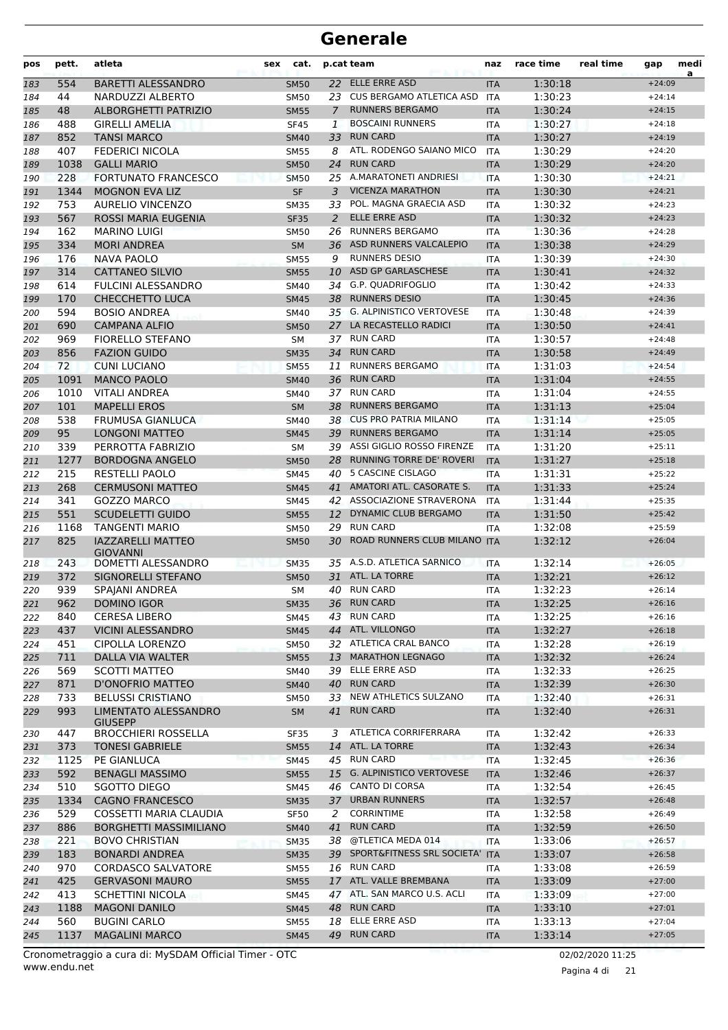| pos        | pett.        | atleta<br>sex                                  | cat.              |                 | p.cat team                                          | naz               | race time          | real time | gap                  | medi<br>a |
|------------|--------------|------------------------------------------------|-------------------|-----------------|-----------------------------------------------------|-------------------|--------------------|-----------|----------------------|-----------|
| 183        | 554          | <b>BARETTI ALESSANDRO</b>                      | <b>SM50</b>       |                 | 22 ELLE ERRE ASD                                    | <b>ITA</b>        | 1:30:18            |           | $+24:09$             |           |
| 184        | 44           | NARDUZZI ALBERTO                               | <b>SM50</b>       |                 | 23 CUS BERGAMO ATLETICA ASD                         | <b>ITA</b>        | 1:30:23            |           | $+24:14$             |           |
| 185        | 48           | <b>ALBORGHETTI PATRIZIO</b>                    | <b>SM55</b>       | $\mathcal{I}$   | <b>RUNNERS BERGAMO</b>                              | <b>ITA</b>        | 1:30:24            |           | $+24:15$             |           |
| 186        | 488          | <b>GIRELLI AMELIA</b>                          | <b>SF45</b>       | 1               | <b>BOSCAINI RUNNERS</b>                             | ITA               | 1:30:27            |           | $+24:18$             |           |
| 187        | 852          | <b>TANSI MARCO</b>                             | <b>SM40</b>       | 33              | <b>RUN CARD</b>                                     | <b>ITA</b>        | 1:30:27            |           | $+24:19$             |           |
| 188        | 407          | <b>FEDERICI NICOLA</b>                         | <b>SM55</b>       | 8               | ATL. RODENGO SAIANO MICO                            | <b>ITA</b>        | 1:30:29            |           | $+24:20$             |           |
| 189        | 1038         | <b>GALLI MARIO</b>                             | <b>SM50</b>       | 24              | <b>RUN CARD</b>                                     | <b>ITA</b>        | 1:30:29            |           | $+24:20$             |           |
| 190        | 228          | <b>FORTUNATO FRANCESCO</b>                     | <b>SM50</b>       |                 | 25 A.MARATONETI ANDRIESI                            | <b>ITA</b>        | 1:30:30            |           | $+24:21$             |           |
| 191        | 1344         | <b>MOGNON EVA LIZ</b>                          | <b>SF</b>         | 3               | <b>VICENZA MARATHON</b>                             | <b>ITA</b>        | 1:30:30            |           | $+24:21$             |           |
| 192        | 753          | <b>AURELIO VINCENZO</b>                        | <b>SM35</b>       | 33              | POL. MAGNA GRAECIA ASD                              | ITA               | 1:30:32            |           | $+24:23$             |           |
| 193        | 567          | ROSSI MARIA EUGENIA                            | <b>SF35</b>       | 2               | <b>ELLE ERRE ASD</b>                                | <b>ITA</b>        | 1:30:32            |           | $+24:23$             |           |
| 194        | 162          | <b>MARINO LUIGI</b>                            | SM50              | 26              | <b>RUNNERS BERGAMO</b>                              | <b>ITA</b>        | 1:30:36            |           | $+24:28$             |           |
| 195        | 334          | <b>MORI ANDREA</b>                             | <b>SM</b>         | 36              | ASD RUNNERS VALCALEPIO                              | <b>ITA</b>        | 1:30:38            |           | $+24:29$             |           |
| 196        | 176          | <b>NAVA PAOLO</b>                              | <b>SM55</b>       | 9               | <b>RUNNERS DESIO</b>                                | <b>ITA</b>        | 1:30:39            |           | $+24:30$             |           |
| 197        | 314          | <b>CATTANEO SILVIO</b>                         | <b>SM55</b>       | 10              | ASD GP GARLASCHESE                                  | <b>ITA</b>        | 1:30:41            |           | $+24:32$             |           |
| 198        | 614          | <b>FULCINI ALESSANDRO</b>                      | SM40              | 34              | G.P. QUADRIFOGLIO                                   | <b>ITA</b>        | 1:30:42            |           | $+24:33$             |           |
| 199        | 170          | <b>CHECCHETTO LUCA</b>                         | <b>SM45</b>       | 38              | <b>RUNNERS DESIO</b>                                | <b>ITA</b>        | 1:30:45            |           | $+24:36$             |           |
| 200        | 594          | <b>BOSIO ANDREA</b>                            | <b>SM40</b>       |                 | 35 G. ALPINISTICO VERTOVESE<br>LA RECASTELLO RADICI | <b>ITA</b>        | 1:30:48            |           | $+24:39$             |           |
| 201        | 690          | <b>CAMPANA ALFIO</b>                           | <b>SM50</b>       | 27              | 37 RUN CARD                                         | <b>ITA</b>        | 1:30:50            |           | $+24:41$             |           |
| 202        | 969          | <b>FIORELLO STEFANO</b><br><b>FAZION GUIDO</b> | <b>SM</b>         |                 | 34 RUN CARD                                         | ITA               | 1:30:57            |           | $+24:48$<br>$+24:49$ |           |
| 203        | 856          |                                                | <b>SM35</b>       |                 | <b>RUNNERS BERGAMO</b>                              | <b>ITA</b>        | 1:30:58            |           | $+24:54$             |           |
| 204        | 72           | <b>CUNI LUCIANO</b>                            | <b>SM55</b>       | 11              | 36 RUN CARD                                         | <b>ITA</b>        | 1:31:03<br>1:31:04 |           | $+24:55$             |           |
| 205        | 1091<br>1010 | <b>MANCO PAOLO</b><br><b>VITALI ANDREA</b>     | <b>SM40</b>       |                 | 37 RUN CARD                                         | <b>ITA</b>        | 1:31:04            |           | $+24:55$             |           |
| 206<br>207 | 101          | <b>MAPELLI EROS</b>                            | SM40<br><b>SM</b> | 38              | <b>RUNNERS BERGAMO</b>                              | ITA<br><b>ITA</b> | 1:31:13            |           | $+25:04$             |           |
| 208        | 538          | <b>FRUMUSA GIANLUCA</b>                        | <b>SM40</b>       |                 | 38 CUS PRO PATRIA MILANO                            | <b>ITA</b>        | 1:31:14            |           | $+25:05$             |           |
| 209        | 95           | LONGONI MATTEO                                 | <b>SM45</b>       | 39              | <b>RUNNERS BERGAMO</b>                              | <b>ITA</b>        | 1:31:14            |           | $+25:05$             |           |
| 210        | 339          | PERROTTA FABRIZIO                              | SM                | 39              | ASSI GIGLIO ROSSO FIRENZE                           | <b>ITA</b>        | 1:31:20            |           | $+25:11$             |           |
| 211        | 1277         | <b>BORDOGNA ANGELO</b>                         | <b>SM50</b>       | 28              | <b>RUNNING TORRE DE' ROVERI</b>                     | <b>ITA</b>        | 1:31:27            |           | $+25:18$             |           |
| 212        | 215          | RESTELLI PAOLO                                 | <b>SM45</b>       | 40              | 5 CASCINE CISLAGO                                   | <b>ITA</b>        | 1:31:31            |           | $+25:22$             |           |
| 213        | 268          | <b>CERMUSONI MATTEO</b>                        | <b>SM45</b>       | 41              | AMATORI ATL. CASORATE S.                            | <b>ITA</b>        | 1:31:33            |           | $+25:24$             |           |
| 214        | 341          | <b>GOZZO MARCO</b>                             | <b>SM45</b>       |                 | 42 ASSOCIAZIONE STRAVERONA                          | <b>ITA</b>        | 1:31:44            |           | $+25:35$             |           |
| 215        | 551          | <b>SCUDELETTI GUIDO</b>                        | <b>SM55</b>       |                 | 12 DYNAMIC CLUB BERGAMO                             | <b>ITA</b>        | 1:31:50            |           | $+25:42$             |           |
| 216        | 1168         | <b>TANGENTI MARIO</b>                          | <b>SM50</b>       |                 | 29 RUN CARD                                         | ITA               | 1:32:08            |           | $+25:59$             |           |
| 217        | 825          | <b>IAZZARELLI MATTEO</b>                       | <b>SM50</b>       |                 | 30 ROAD RUNNERS CLUB MILANO ITA                     |                   | 1:32:12            |           | $+26:04$             |           |
| 218        | 243          | <b>GIOVANNI</b><br>DOMETTI ALESSANDRO          | <b>SM35</b>       |                 | 35 A.S.D. ATLETICA SARNICO                          | <b>ITA</b>        | 1:32:14            |           | $+26:05$             |           |
| 219        | 372          | SIGNORELLI STEFANO                             | <b>SM50</b>       |                 | 31 ATL. LA TORRE                                    | <b>ITA</b>        | 1:32:21            |           | $+26:12$             |           |
| 220        | 939          | SPAJANI ANDREA                                 | SM                |                 | 40 RUN CARD                                         | <b>ITA</b>        | 1:32:23            |           | $+26:14$             |           |
| 221        | 962          | <b>DOMINO IGOR</b>                             | <b>SM35</b>       |                 | 36 RUN CARD                                         | ITA               | 1:32:25            |           | $+26:16$             |           |
| 222        | 840          | <b>CERESA LIBERO</b>                           | SM45              |                 | 43 RUN CARD                                         | <b>ITA</b>        | 1:32:25            |           | $+26:16$             |           |
| 223        | 437          | <b>VICINI ALESSANDRO</b>                       | <b>SM45</b>       |                 | 44 ATL. VILLONGO                                    | <b>ITA</b>        | 1:32:27            |           | $+26:18$             |           |
| 224        | 451          | <b>CIPOLLA LORENZO</b>                         | <b>SM50</b>       |                 | 32 ATLETICA CRAL BANCO                              | ITA               | 1:32:28            |           | $+26:19$             |           |
| 225        | 711          | DALLA VIA WALTER                               | <b>SM55</b>       | 13 <sup>7</sup> | <b>MARATHON LEGNAGO</b>                             | <b>ITA</b>        | 1:32:32            |           | $+26:24$             |           |
| 226        | 569          | <b>SCOTTI MATTEO</b>                           | SM40              |                 | 39 ELLE ERRE ASD                                    | <b>ITA</b>        | 1:32:33            |           | $+26:25$             |           |
| 227        | 871          | <b>D'ONOFRIO MATTEO</b>                        | <b>SM40</b>       |                 | 40 RUN CARD                                         | <b>ITA</b>        | 1:32:39            |           | $+26:30$             |           |
| 228        | 733          | <b>BELUSSI CRISTIANO</b>                       | SM50              |                 | 33 NEW ATHLETICS SULZANO                            | ITA               | 1:32:40            |           | $+26:31$             |           |
| 229        | 993          | LIMENTATO ALESSANDRO<br><b>GIUSEPP</b>         | <b>SM</b>         | 41              | <b>RUN CARD</b>                                     | <b>ITA</b>        | 1:32:40            |           | $+26:31$             |           |
| 230        | 447          | <b>BROCCHIERI ROSSELLA</b>                     | <b>SF35</b>       | 3               | ATLETICA CORRIFERRARA                               | <b>ITA</b>        | 1:32:42            |           | $+26:33$             |           |
| 231        | 373          | <b>TONESI GABRIELE</b>                         | <b>SM55</b>       | 14              | ATL. LA TORRE                                       | <b>ITA</b>        | 1:32:43            |           | $+26:34$             |           |
| 232        | 1125         | PE GIANLUCA                                    | <b>SM45</b>       |                 | 45 RUN CARD                                         | <b>ITA</b>        | 1:32:45            |           | $+26:36$             |           |
| 233        | 592          | <b>BENAGLI MASSIMO</b>                         | <b>SM55</b>       |                 | 15 G. ALPINISTICO VERTOVESE                         | <b>ITA</b>        | 1:32:46            |           | $+26:37$             |           |
| 234        | 510          | SGOTTO DIEGO                                   | SM45              |                 | 46 CANTO DI CORSA                                   | ITA               | 1:32:54            |           | $+26:45$             |           |
| 235        | 1334         | <b>CAGNO FRANCESCO</b>                         | <b>SM35</b>       |                 | 37 URBAN RUNNERS                                    | <b>ITA</b>        | 1:32:57            |           | $+26:48$             |           |
| 236        | 529          | COSSETTI MARIA CLAUDIA                         | <b>SF50</b>       | 2               | <b>CORRINTIME</b>                                   | ITA               | 1:32:58            |           | $+26:49$             |           |
| 237        | 886          | <b>BORGHETTI MASSIMILIANO</b>                  | <b>SM40</b>       | 41              | <b>RUN CARD</b>                                     | <b>ITA</b>        | 1:32:59            |           | $+26:50$             |           |
| 238        | 221          | <b>BOVO CHRISTIAN</b>                          | <b>SM35</b>       | 38              | @TLETICA MEDA 014                                   | ITA               | 1:33:06            |           | $+26:57$             |           |
| 239        | 183          | <b>BONARDI ANDREA</b>                          | <b>SM35</b>       |                 | 39 SPORT&FITNESS SRL SOCIETA' ITA                   |                   | 1:33:07            |           | $+26:58$             |           |
| 240        | 970          | <b>CORDASCO SALVATORE</b>                      | <b>SM55</b>       |                 | 16 RUN CARD                                         | ITA               | 1:33:08            |           | $+26:59$             |           |
| 241        | 425          | <b>GERVASONI MAURO</b>                         | <b>SM55</b>       |                 | 17 ATL. VALLE BREMBANA                              | <b>ITA</b>        | 1:33:09            |           | $+27:00$             |           |
| 242        | 413          | <b>SCHETTINI NICOLA</b>                        | SM45              |                 | 47 ATL. SAN MARCO U.S. ACLI                         | <b>ITA</b>        | 1:33:09            |           | $+27:00$             |           |
| 243        | 1188         | <b>MAGONI DANILO</b>                           | <b>SM45</b>       |                 | 48 RUN CARD                                         | <b>ITA</b>        | 1:33:10            |           | $+27:01$             |           |
| 244        | 560          | <b>BUGINI CARLO</b>                            | SM55              |                 | 18 ELLE ERRE ASD                                    | <b>ITA</b>        | 1:33:13            |           | $+27:04$             |           |
| 245        | 1137         | <b>MAGALINI MARCO</b>                          | <b>SM45</b>       |                 | 49 RUN CARD                                         | <b>ITA</b>        | 1:33:14            |           | $+27:05$             |           |

Pagina 4 di 21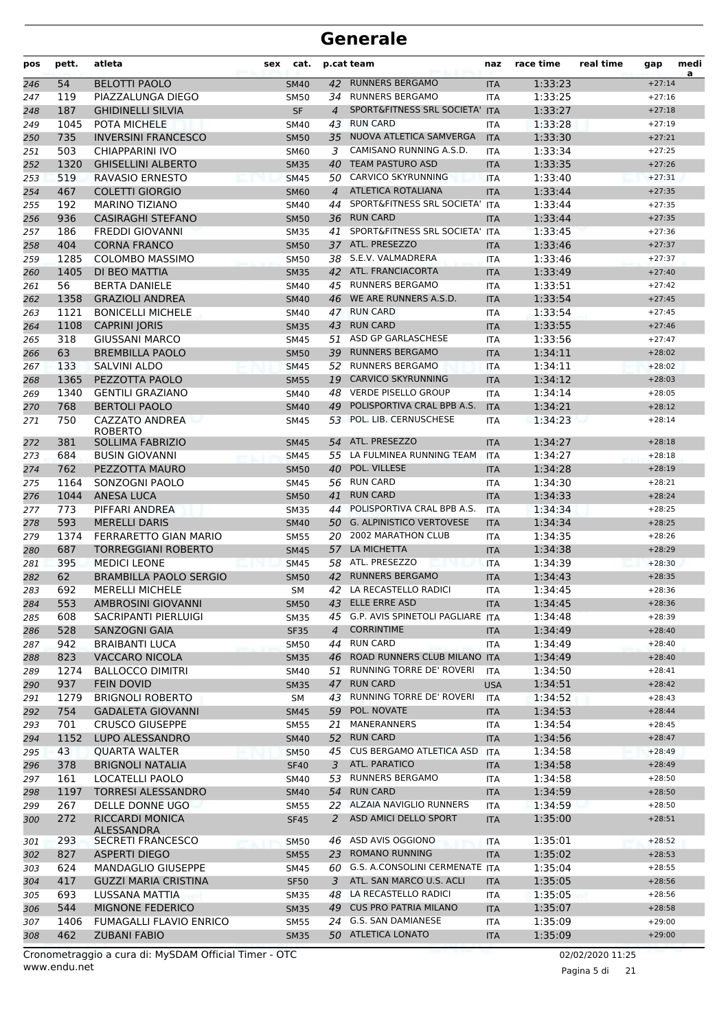| pos | pett. | atleta                                  | sex | cat.        |                | p.cat team                          | naz        | race time | real time | gap      | medi<br>a |
|-----|-------|-----------------------------------------|-----|-------------|----------------|-------------------------------------|------------|-----------|-----------|----------|-----------|
| 246 | 54    | <b>BELOTTI PAOLO</b>                    |     | <b>SM40</b> | 42             | <b>RUNNERS BERGAMO</b>              | <b>ITA</b> | 1:33:23   |           | $+27:14$ |           |
| 247 | 119   | PIAZZALUNGA DIEGO                       |     | <b>SM50</b> |                | 34 RUNNERS BERGAMO                  | <b>ITA</b> | 1:33:25   |           | $+27:16$ |           |
| 248 | 187   | <b>GHIDINELLI SILVIA</b>                |     | <b>SF</b>   | $\overline{4}$ | SPORT&FITNESS SRL SOCIETA'          | <b>ITA</b> | 1:33:27   |           | $+27:18$ |           |
| 249 | 1045  | POTA MICHELE                            |     | SM40        | 43             | <b>RUN CARD</b>                     | <b>ITA</b> | 1:33:28   |           | $+27:19$ |           |
| 250 | 735   | <b>INVERSINI FRANCESCO</b>              |     | <b>SM50</b> | 35             | NUOVA ATLETICA SAMVERGA             | <b>ITA</b> | 1:33:30   |           | $+27:21$ |           |
| 251 | 503   | CHIAPPARINI IVO                         |     | SM60        | 3              | CAMISANO RUNNING A.S.D.             | <b>ITA</b> | 1:33:34   |           | $+27:25$ |           |
| 252 | 1320  | <b>GHISELLINI ALBERTO</b>               |     | <b>SM35</b> | 40             | <b>TEAM PASTURO ASD</b>             | <b>ITA</b> | 1:33:35   |           | $+27:26$ |           |
| 253 | 519   | <b>RAVASIO ERNESTO</b>                  |     | <b>SM45</b> |                | 50 CARVICO SKYRUNNING               | <b>ITA</b> | 1:33:40   |           | $+27:31$ |           |
| 254 | 467   | <b>COLETTI GIORGIO</b>                  |     | <b>SM60</b> |                | 4 ATLETICA ROTALIANA                | <b>ITA</b> | 1:33:44   |           | $+27:35$ |           |
| 255 | 192   | <b>MARINO TIZIANO</b>                   |     | SM40        | 44             | SPORT&FITNESS SRL SOCIETA'          | <b>ITA</b> | 1:33:44   |           | $+27:35$ |           |
| 256 | 936   | <b>CASIRAGHI STEFANO</b>                |     | <b>SM50</b> | 36             | <b>RUN CARD</b>                     | <b>ITA</b> | 1:33:44   |           | $+27:35$ |           |
| 257 | 186   | <b>FREDDI GIOVANNI</b>                  |     | <b>SM35</b> | 41             | SPORT&FITNESS SRL SOCIETA'          | <b>ITA</b> | 1:33:45   |           | $+27:36$ |           |
| 258 | 404   | <b>CORNA FRANCO</b>                     |     | <b>SM50</b> |                | 37 ATL. PRESEZZO                    | <b>ITA</b> | 1:33:46   |           | $+27:37$ |           |
| 259 | 1285  | <b>COLOMBO MASSIMO</b>                  |     | <b>SM50</b> |                | 38 S.E.V. VALMADRERA                | ITA        | 1:33:46   |           | $+27:37$ |           |
| 260 | 1405  | DI BEO MATTIA                           |     | <b>SM35</b> |                | 42 ATL. FRANCIACORTA                | <b>ITA</b> | 1:33:49   |           | $+27:40$ |           |
| 261 | 56    | <b>BERTA DANIELE</b>                    |     | SM40        | 45             | <b>RUNNERS BERGAMO</b>              | <b>ITA</b> | 1:33:51   |           | $+27:42$ |           |
| 262 | 1358  | <b>GRAZIOLI ANDREA</b>                  |     | <b>SM40</b> | 46             | WE ARE RUNNERS A.S.D.               | <b>ITA</b> | 1:33:54   |           | $+27:45$ |           |
| 263 | 1121  | <b>BONICELLI MICHELE</b>                |     | SM40        |                | 47 RUN CARD                         | <b>ITA</b> | 1:33:54   |           | $+27:45$ |           |
| 264 | 1108  | <b>CAPRINI JORIS</b>                    |     | <b>SM35</b> |                | 43 RUN CARD                         | <b>ITA</b> | 1:33:55   |           | $+27:46$ |           |
| 265 | 318   | <b>GIUSSANI MARCO</b>                   |     | <b>SM45</b> |                | 51 ASD GP GARLASCHESE               | ITA        | 1:33:56   |           | $+27:47$ |           |
| 266 | 63    | <b>BREMBILLA PAOLO</b>                  |     | <b>SM50</b> |                | 39 RUNNERS BERGAMO                  | <b>ITA</b> | 1:34:11   |           | $+28:02$ |           |
| 267 | 133   | <b>SALVINI ALDO</b>                     |     | <b>SM45</b> | 52             | <b>RUNNERS BERGAMO</b>              | <b>ITA</b> | 1:34:11   |           | $+28:02$ |           |
| 268 | 1365  | PEZZOTTA PAOLO                          |     | <b>SM55</b> | 19             | <b>CARVICO SKYRUNNING</b>           | <b>ITA</b> | 1:34:12   |           | $+28:03$ |           |
| 269 | 1340  | <b>GENTILI GRAZIANO</b>                 |     | SM40        | 48             | <b>VERDE PISELLO GROUP</b>          | <b>ITA</b> | 1:34:14   |           | $+28:05$ |           |
| 270 | 768   | <b>BERTOLI PAOLO</b>                    |     | <b>SM40</b> | 49             | POLISPORTIVA CRAL BPB A.S.          | <b>ITA</b> | 1:34:21   |           | $+28:12$ |           |
| 271 | 750   | <b>CAZZATO ANDREA</b><br><b>ROBERTO</b> |     | <b>SM45</b> | 53             | POL. LIB. CERNUSCHESE               | <b>ITA</b> | 1:34:23   |           | $+28:14$ |           |
| 272 | 381   | <b>SOLLIMA FABRIZIO</b>                 |     | <b>SM45</b> |                | 54 ATL. PRESEZZO                    | <b>ITA</b> | 1:34:27   |           | $+28:18$ |           |
| 273 | 684   | <b>BUSIN GIOVANNI</b>                   |     | <b>SM45</b> | 55             | LA FULMINEA RUNNING TEAM            | <b>ITA</b> | 1:34:27   |           | $+28:18$ |           |
| 274 | 762   | PEZZOTTA MAURO                          |     | <b>SM50</b> | 40             | POL. VILLESE                        | <b>ITA</b> | 1:34:28   |           | $+28:19$ |           |
| 275 | 1164  | SONZOGNI PAOLO                          |     | <b>SM45</b> | 56             | <b>RUN CARD</b>                     | <b>ITA</b> | 1:34:30   |           | $+28:21$ |           |
| 276 | 1044  | ANESA LUCA                              |     | <b>SM50</b> | 41             | <b>RUN CARD</b>                     | <b>ITA</b> | 1:34:33   |           | $+28:24$ |           |
| 277 | 773   | PIFFARI ANDREA                          |     | <b>SM35</b> | 44             | POLISPORTIVA CRAL BPB A.S.          | <b>ITA</b> | 1:34:34   |           | $+28:25$ |           |
| 278 | 593   | <b>MERELLI DARIS</b>                    |     | <b>SM40</b> |                | 50 G. ALPINISTICO VERTOVESE         | <b>ITA</b> | 1:34:34   |           | $+28:25$ |           |
| 279 | 1374  | FERRARETTO GIAN MARIO                   |     | <b>SM55</b> | 20             | <b>2002 MARATHON CLUB</b>           | <b>ITA</b> | 1:34:35   |           | $+28:26$ |           |
| 280 | 687   | <b>TORREGGIANI ROBERTO</b>              |     | <b>SM45</b> | 57             | LA MICHETTA                         | <b>ITA</b> | 1:34:38   |           | $+28:29$ |           |
| 281 | 395   | <b>MEDICI LEONE</b>                     |     | <b>SM45</b> | 58             | ATL. PRESEZZO                       | <b>ITA</b> | 1:34:39   |           | $+28:30$ |           |
| 282 | 62    | <b>BRAMBILLA PAOLO SERGIO</b>           |     | <b>SM50</b> | 42             | <b>RUNNERS BERGAMO</b>              | <b>ITA</b> | 1:34:43   |           | $+28:35$ |           |
| 283 | 692   | <b>MERELLI MICHELE</b>                  |     | SΜ          |                | 42 LA RECASTELLO RADICI             | <b>ITA</b> | 1:34:45   |           | $+28:36$ |           |
| 284 | 553   | AMBROSINI GIOVANNI                      |     | <b>SM50</b> |                | 43 ELLE ERRE ASD                    | <b>ITA</b> | 1:34:45   |           | $+28:36$ |           |
| 285 | 608   | SACRIPANTI PIERLUIGI                    |     | SM35        |                | 45 G.P. AVIS SPINETOLI PAGLIARE ITA |            | 1:34:48   |           | $+28:39$ |           |
| 286 | 528   | <b>SANZOGNI GAIA</b>                    |     | <b>SF35</b> | $\overline{4}$ | <b>CORRINTIME</b>                   | <b>ITA</b> | 1:34:49   |           | $+28:40$ |           |
| 287 | 942   | <b>BRAIBANTI LUCA</b>                   |     | <b>SM50</b> | 44             | <b>RUN CARD</b>                     | <b>ITA</b> | 1:34:49   |           | $+28:40$ |           |
| 288 | 823   | <b>VACCARO NICOLA</b>                   |     | <b>SM35</b> | 46             | ROAD RUNNERS CLUB MILANO ITA        |            | 1:34:49   |           | $+28:40$ |           |
| 289 | 1274  | <b>BALLOCCO DIMITRI</b>                 |     | SM40        | 51             | RUNNING TORRE DE' ROVERI            | <b>ITA</b> | 1:34:50   |           | $+28:41$ |           |
| 290 | 937   | <b>FEIN DOVID</b>                       |     | <b>SM35</b> |                | 47 RUN CARD                         | <b>USA</b> | 1:34:51   |           | $+28:42$ |           |
| 291 | 1279  | <b>BRIGNOLI ROBERTO</b>                 |     | SM          | 43             | RUNNING TORRE DE' ROVERI            | ITA        | 1:34:52   |           | $+28:43$ |           |
| 292 | 754   | <b>GADALETA GIOVANNI</b>                |     | <b>SM45</b> | 59             | POL. NOVATE                         | <b>ITA</b> | 1:34:53   |           | $+28:44$ |           |
| 293 | 701   | <b>CRUSCO GIUSEPPE</b>                  |     | <b>SM55</b> | 21             | MANERANNERS                         | <b>ITA</b> | 1:34:54   |           | $+28:45$ |           |
| 294 | 1152  | LUPO ALESSANDRO                         |     | <b>SM40</b> |                | 52 RUN CARD                         | <b>ITA</b> | 1:34:56   |           | $+28:47$ |           |
| 295 | 43    | <b>QUARTA WALTER</b>                    |     | <b>SM50</b> |                | 45 CUS BERGAMO ATLETICA ASD         | <b>ITA</b> | 1:34:58   |           | $+28:49$ |           |
| 296 | 378   | <b>BRIGNOLI NATALIA</b>                 |     | <b>SF40</b> | 3              | ATL. PARATICO                       | <b>ITA</b> | 1:34:58   |           | $+28:49$ |           |
| 297 | 161   | LOCATELLI PAOLO                         |     | SM40        | 53             | <b>RUNNERS BERGAMO</b>              | ITA        | 1:34:58   |           | $+28:50$ |           |
| 298 | 1197  | <b>TORRESI ALESSANDRO</b>               |     | <b>SM40</b> |                | 54 RUN CARD                         | <b>ITA</b> | 1:34:59   |           | $+28:50$ |           |
| 299 | 267   | DELLE DONNE UGO                         |     | <b>SM55</b> |                | 22 ALZAIA NAVIGLIO RUNNERS          | <b>ITA</b> | 1:34:59   |           | $+28:50$ |           |
| 300 | 272   | RICCARDI MONICA<br>ALESSANDRA           |     | <b>SF45</b> | 2              | ASD AMICI DELLO SPORT               | <b>ITA</b> | 1:35:00   |           | $+28:51$ |           |
| 301 | 293   | <b>SECRETI FRANCESCO</b>                |     | SM50        | 46             | ASD AVIS OGGIONO                    | ITA        | 1:35:01   |           | $+28:52$ |           |
| 302 | 827   | ASPERTI DIEGO                           |     | <b>SM55</b> |                | 23 ROMANO RUNNING                   | <b>ITA</b> | 1:35:02   |           | $+28:53$ |           |
| 303 | 624   | MANDAGLIO GIUSEPPE                      |     | SM45        |                | 60 G.S. A.CONSOLINI CERMENATE ITA   |            | 1:35:04   |           | $+28:55$ |           |
| 304 | 417   | <b>GUZZI MARIA CRISTINA</b>             |     | <b>SF50</b> | 3              | ATL. SAN MARCO U.S. ACLI            | <b>ITA</b> | 1:35:05   |           | $+28:56$ |           |
| 305 | 693   | LUSSANA MATTIA                          |     | SM35        | 48             | LA RECASTELLO RADICI                | ITA        | 1:35:05   |           | $+28:56$ |           |
| 306 | 544   | <b>MIGNONE FEDERICO</b>                 |     | <b>SM35</b> |                | 49 CUS PRO PATRIA MILANO            | <b>ITA</b> | 1:35:07   |           | $+28:58$ |           |
| 307 | 1406  | <b>FUMAGALLI FLAVIO ENRICO</b>          |     | <b>SM55</b> |                | 24 G.S. SAN DAMIANESE               | ITA        | 1:35:09   |           | $+29:00$ |           |
| 308 | 462   | <b>ZUBANI FABIO</b>                     |     | <b>SM35</b> |                | 50 ATLETICA LONATO                  | <b>ITA</b> | 1:35:09   |           | $+29:00$ |           |

Pagina 5 di 21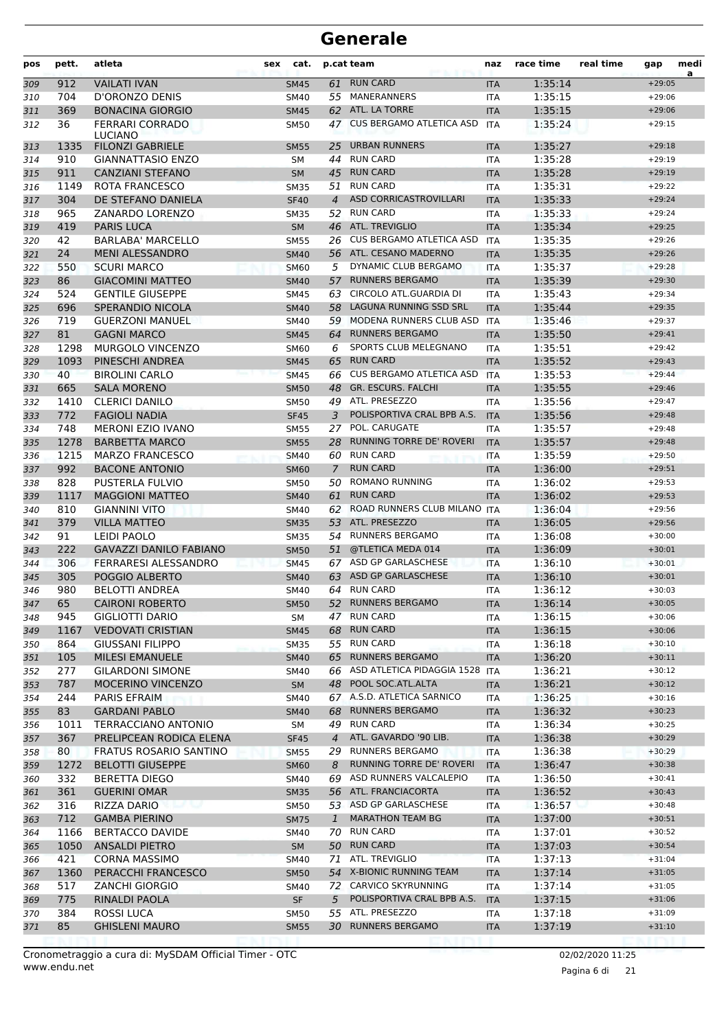| pos        | pett.      | atleta<br><b>sex</b>                               | cat.                       |                | p.cat team                                            | naz                      | race time          | real time | gap                  | medi<br>a |
|------------|------------|----------------------------------------------------|----------------------------|----------------|-------------------------------------------------------|--------------------------|--------------------|-----------|----------------------|-----------|
| 309        | 912        | <b>VAILATI IVAN</b>                                | <b>SM45</b>                | 61             | <b>RUN CARD</b>                                       | <b>ITA</b>               | 1:35:14            |           | $+29:05$             |           |
| 310        | 704        | D'ORONZO DENIS                                     | <b>SM40</b>                |                | 55 MANERANNERS                                        | <b>ITA</b>               | 1:35:15            |           | $+29:06$             |           |
| 311        | 369        | <b>BONACINA GIORGIO</b>                            | <b>SM45</b>                |                | 62 ATL. LA TORRE                                      | <b>ITA</b>               | 1:35:15            |           | $+29:06$             |           |
| 312        | 36         | <b>FERRARI CORRADO</b><br><b>LUCIANO</b>           | <b>SM50</b>                | 47             | <b>CUS BERGAMO ATLETICA ASD</b>                       | <b>ITA</b>               | 1:35:24            |           | $+29:15$             |           |
| 313        | 1335       | <b>FILONZI GABRIELE</b>                            | <b>SM55</b>                | 25             | <b>URBAN RUNNERS</b>                                  | <b>ITA</b>               | 1:35:27            |           | $+29:18$             |           |
| 314        | 910        | <b>GIANNATTASIO ENZO</b>                           | <b>SM</b>                  | 44             | <b>RUN CARD</b>                                       | <b>ITA</b>               | 1:35:28            |           | $+29:19$             |           |
| 315        | 911        | <b>CANZIANI STEFANO</b>                            | <b>SM</b>                  | 45             | <b>RUN CARD</b>                                       | <b>ITA</b>               | 1:35:28            |           | $+29:19$             |           |
| 316        | 1149       | ROTA FRANCESCO                                     | <b>SM35</b>                | 51             | <b>RUN CARD</b>                                       | <b>ITA</b>               | 1:35:31            |           | $+29:22$             |           |
| 317        | 304        | DE STEFANO DANIELA                                 | <b>SF40</b>                | $\overline{4}$ | <b>ASD CORRICASTROVILLARI</b>                         | <b>ITA</b>               | 1:35:33            |           | $+29:24$             |           |
| 318        | 965        | ZANARDO LORENZO                                    | <b>SM35</b>                | 52             | <b>RUN CARD</b>                                       | <b>ITA</b>               | 1:35:33            |           | $+29:24$             |           |
| 319        | 419        | <b>PARIS LUCA</b>                                  | <b>SM</b>                  | 46             | <b>ATL. TREVIGLIO</b>                                 | <b>ITA</b>               | 1:35:34            |           | $+29:25$             |           |
| 320        | 42         | <b>BARLABA' MARCELLO</b>                           | <b>SM55</b>                | 26             | CUS BERGAMO ATLETICA ASD                              | <b>ITA</b>               | 1:35:35            |           | $+29:26$             |           |
| 321        | 24         | <b>MENI ALESSANDRO</b>                             | <b>SM40</b>                |                | 56 ATL. CESANO MADERNO                                | <b>ITA</b>               | 1:35:35            |           | $+29:26$             |           |
| 322        | 550        | <b>SCURI MARCO</b>                                 | <b>SM60</b>                | 5              | DYNAMIC CLUB BERGAMO                                  | <b>ITA</b>               | 1:35:37            |           | $+29:28$             |           |
| 323        | 86<br>524  | <b>GIACOMINI MATTEO</b>                            | <b>SM40</b>                |                | 57 RUNNERS BERGAMO<br>CIRCOLO ATL.GUARDIA DI          | <b>ITA</b>               | 1:35:39            |           | $+29:30$             |           |
| 324        |            | <b>GENTILE GIUSEPPE</b><br><b>SPERANDIO NICOLA</b> | <b>SM45</b>                | 63             | <b>LAGUNA RUNNING SSD SRL</b>                         | <b>ITA</b>               | 1:35:43<br>1:35:44 |           | $+29:34$<br>$+29:35$ |           |
| 325        | 696<br>719 | <b>GUERZONI MANUEL</b>                             | <b>SM40</b>                | 58<br>59       | MODENA RUNNERS CLUB ASD                               | <b>ITA</b><br><b>ITA</b> | 1:35:46            |           | $+29:37$             |           |
| 326<br>327 | 81         | <b>GAGNI MARCO</b>                                 | SM40<br><b>SM45</b>        | 64             | <b>RUNNERS BERGAMO</b>                                | <b>ITA</b>               | 1:35:50            |           | $+29:41$             |           |
| 328        | 1298       | MURGOLO VINCENZO                                   | <b>SM60</b>                | 6              | SPORTS CLUB MELEGNANO                                 | <b>ITA</b>               | 1:35:51            |           | $+29:42$             |           |
| 329        | 1093       | PINESCHI ANDREA                                    | <b>SM45</b>                | 65             | <b>RUN CARD</b>                                       | <b>ITA</b>               | 1:35:52            |           | $+29:43$             |           |
| 330        | 40         | <b>BIROLINI CARLO</b>                              | <b>SM45</b>                | 66             | <b>CUS BERGAMO ATLETICA ASD</b>                       | <b>ITA</b>               | 1:35:53            |           | $+29:44$             |           |
| 331        | 665        | <b>SALA MORENO</b>                                 | <b>SM50</b>                | 48             | <b>GR. ESCURS. FALCHI</b>                             | <b>ITA</b>               | 1:35:55            |           | $+29:46$             |           |
| 332        | 1410       | <b>CLERICI DANILO</b>                              | <b>SM50</b>                |                | 49 ATL. PRESEZZO                                      | <b>ITA</b>               | 1:35:56            |           | $+29:47$             |           |
| 333        | 772        | <b>FAGIOLI NADIA</b>                               | <b>SF45</b>                | 3              | POLISPORTIVA CRAL BPB A.S.                            | <b>ITA</b>               | 1:35:56            |           | $+29:48$             |           |
| 334        | 748        | <b>MERONI EZIO IVANO</b>                           | <b>SM55</b>                | 27             | POL. CARUGATE                                         | <b>ITA</b>               | 1:35:57            |           | $+29:48$             |           |
| 335        | 1278       | <b>BARBETTA MARCO</b>                              | <b>SM55</b>                |                | 28 RUNNING TORRE DE' ROVERI                           | <b>ITA</b>               | 1:35:57            |           | $+29:48$             |           |
| 336        | 1215       | <b>MARZO FRANCESCO</b>                             | <b>SM40</b>                |                | 60 RUN CARD                                           | <b>ITA</b>               | 1:35:59            |           | $+29:50$             |           |
| 337        | 992        | <b>BACONE ANTONIO</b>                              | <b>SM60</b>                | 7              | <b>RUN CARD</b>                                       | <b>ITA</b>               | 1:36:00            |           | $+29:51$             |           |
| 338        | 828        | <b>PUSTERLA FULVIO</b>                             | SM50                       | 50             | <b>ROMANO RUNNING</b>                                 | <b>ITA</b>               | 1:36:02            |           | $+29:53$             |           |
| 339        | 1117       | <b>MAGGIONI MATTEO</b>                             | <b>SM40</b>                | 61             | <b>RUN CARD</b>                                       | <b>ITA</b>               | 1:36:02            |           | $+29:53$             |           |
| 340        | 810        | <b>GIANNINI VITO</b>                               | SM40                       | 62             | ROAD RUNNERS CLUB MILANO ITA                          |                          | 1:36:04            |           | $+29:56$             |           |
| 341        | 379        | <b>VILLA MATTEO</b>                                | <b>SM35</b>                |                | 53 ATL. PRESEZZO                                      | <b>ITA</b>               | 1:36:05            |           | $+29:56$             |           |
| 342        | 91         | LEIDI PAOLO                                        | <b>SM35</b>                | 54             | <b>RUNNERS BERGAMO</b>                                | <b>ITA</b>               | 1:36:08            |           | $+30:00$             |           |
| 343        | 222        | <b>GAVAZZI DANILO FABIANO</b>                      | <b>SM50</b>                | 51             | @TLETICA MEDA 014                                     | <b>ITA</b>               | 1:36:09            |           | $+30:01$             |           |
| 344        | 306        | FERRARESI ALESSANDRO                               | <b>SM45</b>                |                | 67 ASD GP GARLASCHESE                                 | <b>ITA</b>               | 1:36:10            |           | $+30:01$             |           |
| 345        | 305        | POGGIO ALBERTO                                     | <b>SM40</b>                | 63             | ASD GP GARLASCHESE                                    | <b>ITA</b>               | 1:36:10            |           | $+30:01$             |           |
| 346        | 980        | <b>BELOTTI ANDREA</b>                              | SM40                       |                | 64 RUN CARD                                           | <b>ITA</b>               | 1:36:12            |           | $+30:03$             |           |
| 347        | 65         | <b>CAIRONI ROBERTO</b>                             | <b>SM50</b>                |                | 52 RUNNERS BERGAMO                                    | <b>ITA</b>               | 1:36:14            |           | $+30:05$             |           |
| 348        | 945        | <b>GIGLIOTTI DARIO</b>                             | SM                         |                | 47 RUN CARD                                           | ITA                      | 1:36:15            |           | $+30:06$             |           |
| 349        | 1167       | <b>VEDOVATI CRISTIAN</b>                           | <b>SM45</b>                | 68             | <b>RUN CARD</b>                                       | <b>ITA</b>               | 1:36:15            |           | $+30:06$             |           |
| 350        | 864        | GIUSSANI FILIPPO                                   | <b>SM35</b>                |                | 55 RUN CARD                                           | ITA                      | 1:36:18            |           | $+30:10$             |           |
| 351        | 105        | <b>MILESI EMANUELE</b>                             | <b>SM40</b>                | 65             | <b>RUNNERS BERGAMO</b>                                | <b>ITA</b>               | 1:36:20            |           | $+30:11$             |           |
| 352        | 277        | <b>GILARDONI SIMONE</b>                            | SM40                       |                | 66 ASD ATLETICA PIDAGGIA 1528                         | ITA                      | 1:36:21            |           | $+30:12$             |           |
| 353        | 787        | MOCERINO VINCENZO                                  | SM                         |                | 48 POOL SOC.ATL.ALTA                                  | <b>ITA</b>               | 1:36:21            |           | $+30:12$             |           |
| 354        | 244        | PARIS EFRAIM                                       | SM40                       |                | 67 A.S.D. ATLETICA SARNICO                            | ITA                      | 1:36:25            |           | $+30:16$             |           |
| 355        | 83         | <b>GARDANI PABLO</b>                               | <b>SM40</b>                | 68             | <b>RUNNERS BERGAMO</b>                                | <b>ITA</b>               | 1:36:32            |           | $+30:23$             |           |
| 356        | 1011       | TERRACCIANO ANTONIO                                | SM                         |                | 49 RUN CARD                                           | ITA                      | 1:36:34            |           | $+30:25$             |           |
| 357        | 367        | PRELIPCEAN RODICA ELENA                            | <b>SF45</b>                | $\overline{4}$ | ATL. GAVARDO '90 LIB.                                 | <b>ITA</b>               | 1:36:38            |           | $+30:29$             |           |
| 358        | 80         | FRATUS ROSARIO SANTINO                             | <b>SM55</b>                |                | 29 RUNNERS BERGAMO                                    | <b>ITA</b>               | 1:36:38            |           | $+30:29$             |           |
| 359        | 1272       | <b>BELOTTI GIUSEPPE</b>                            | <b>SM60</b>                | 8              | RUNNING TORRE DE' ROVERI<br>69 ASD RUNNERS VALCALEPIO | <b>ITA</b>               | 1:36:47            |           | $+30:38$             |           |
| 360        | 332<br>361 | <b>BERETTA DIEGO</b>                               | SM40                       |                | 56 ATL. FRANCIACORTA                                  | ITA                      | 1:36:50            |           | $+30:41$             |           |
| 361        |            | <b>GUERINI OMAR</b><br>RIZZA DARIO                 | <b>SM35</b>                |                | 53 ASD GP GARLASCHESE                                 | <b>ITA</b>               | 1:36:52<br>1:36:57 |           | $+30:43$             |           |
| 362<br>363 | 316<br>712 | <b>GAMBA PIERINO</b>                               | <b>SM50</b><br><b>SM75</b> | $\mathbf{1}$   | <b>MARATHON TEAM BG</b>                               | ITA<br><b>ITA</b>        | 1:37:00            |           | $+30:48$<br>$+30:51$ |           |
| 364        | 1166       | <b>BERTACCO DAVIDE</b>                             | SM40                       |                | 70 RUN CARD                                           | ITA                      | 1:37:01            |           | $+30:52$             |           |
| 365        | 1050       | <b>ANSALDI PIETRO</b>                              | <b>SM</b>                  |                | 50 RUN CARD                                           | <b>ITA</b>               | 1:37:03            |           | $+30:54$             |           |
| 366        | 421        | <b>CORNA MASSIMO</b>                               | SM40                       |                | 71 ATL. TREVIGLIO                                     | <b>ITA</b>               | 1:37:13            |           | $+31:04$             |           |
| 367        | 1360       | PERACCHI FRANCESCO                                 | <b>SM50</b>                |                | 54 X-BIONIC RUNNING TEAM                              | <b>ITA</b>               | 1:37:14            |           | $+31:05$             |           |
| 368        | 517        | <b>ZANCHI GIORGIO</b>                              | SM40                       |                | 72 CARVICO SKYRUNNING                                 | ITA                      | 1:37:14            |           | $+31:05$             |           |
| 369        | 775        | RINALDI PAOLA                                      | <b>SF</b>                  | 5              | POLISPORTIVA CRAL BPB A.S.                            | <b>ITA</b>               | 1:37:15            |           | $+31:06$             |           |
| 370        | 384        | ROSSI LUCA                                         | SM50                       |                | 55 ATL. PRESEZZO                                      | ITA                      | 1:37:18            |           | $+31:09$             |           |
| 371        | 85         | <b>GHISLENI MAURO</b>                              | <b>SM55</b>                |                | 30 RUNNERS BERGAMO                                    | <b>ITA</b>               | 1:37:19            |           | $+31:10$             |           |
|            |            |                                                    |                            |                |                                                       |                          |                    |           |                      |           |

Pagina 6 di 21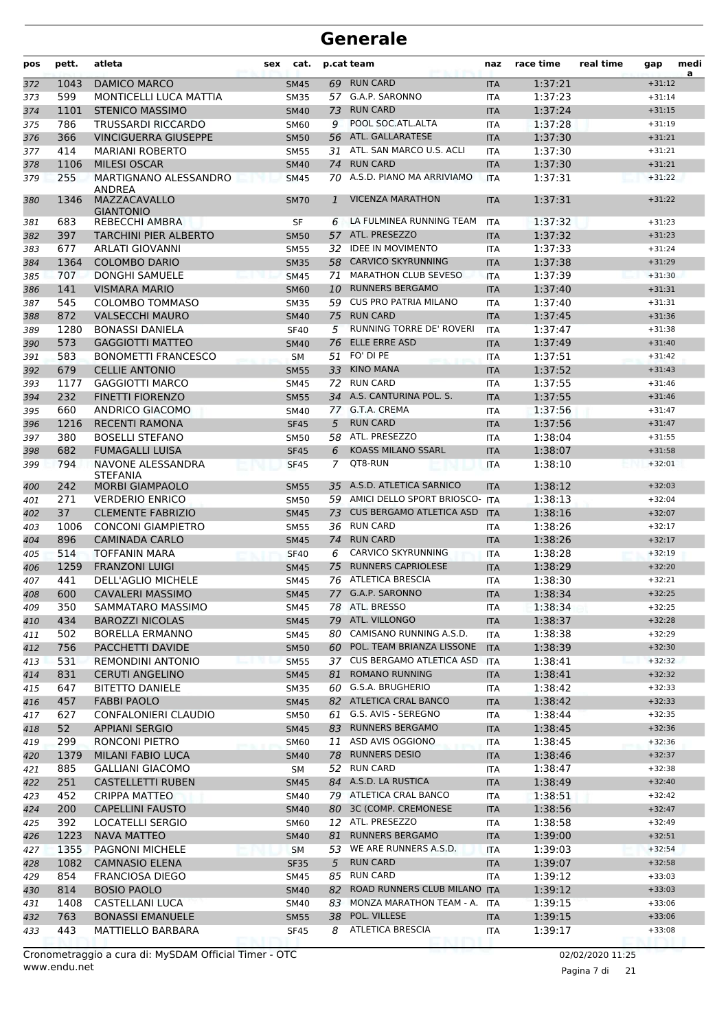| pos        | pett.       | atleta<br>sex                                    | cat.                       |         | p.cat team                         | naz                      | race time          | real time | gap                  | medi<br>a |
|------------|-------------|--------------------------------------------------|----------------------------|---------|------------------------------------|--------------------------|--------------------|-----------|----------------------|-----------|
| 372        | 1043        | <b>DAMICO MARCO</b>                              | <b>SM45</b>                | 69      | <b>RUN CARD</b>                    | <b>ITA</b>               | 1:37:21            |           | $+31:12$             |           |
| 373        | 599         | <b>MONTICELLI LUCA MATTIA</b>                    | <b>SM35</b>                | 57      | G.A.P. SARONNO                     | <b>ITA</b>               | 1:37:23            |           | $+31:14$             |           |
| 374        | 1101        | <b>STENICO MASSIMO</b>                           | <b>SM40</b>                | 73      | <b>RUN CARD</b>                    | <b>ITA</b>               | 1:37:24            |           | $+31:15$             |           |
| 375        | 786         | <b>TRUSSARDI RICCARDO</b>                        | SM60                       | 9       | POOL SOC.ATL.ALTA                  | <b>ITA</b>               | 1:37:28            |           | $+31:19$             |           |
| 376        | 366         | <b>VINCIGUERRA GIUSEPPE</b>                      | <b>SM50</b>                | 56      | ATL. GALLARATESE                   | <b>ITA</b>               | 1:37:30            |           | $+31:21$             |           |
| 377        | 414         | <b>MARIANI ROBERTO</b>                           | <b>SM55</b>                | 31      | ATL. SAN MARCO U.S. ACLI           | <b>ITA</b>               | 1:37:30            |           | $+31:21$             |           |
| 378        | 1106        | <b>MILESI OSCAR</b>                              | <b>SM40</b>                | 74      | <b>RUN CARD</b>                    | <b>ITA</b>               | 1:37:30            |           | $+31:21$             |           |
| 379        | 255         | MARTIGNANO ALESSANDRO                            | <b>SM45</b>                | 70      | A.S.D. PIANO MA ARRIVIAMO          | <b>ITA</b>               | 1:37:31            |           | $+31:22$             |           |
| 380        | 1346        | ANDREA<br>MAZZACAVALLO<br><b>GIANTONIO</b>       | <b>SM70</b>                | 1       | <b>VICENZA MARATHON</b>            | <b>ITA</b>               | 1:37:31            |           | $+31:22$             |           |
| 381        | 683         | REBECCHI AMBRA                                   | SF                         | 6       | LA FULMINEA RUNNING TEAM           | <b>ITA</b>               | 1:37:32            |           | $+31:23$             |           |
| 382        | 397         | <b>TARCHINI PIER ALBERTO</b>                     | <b>SM50</b>                |         | 57 ATL. PRESEZZO                   | <b>ITA</b>               | 1:37:32            |           | $+31:23$             |           |
| 383        | 677         | <b>ARLATI GIOVANNI</b>                           | <b>SM55</b>                | 32      | <b>IDEE IN MOVIMENTO</b>           | <b>ITA</b>               | 1:37:33            |           | $+31:24$             |           |
| 384        | 1364        | <b>COLOMBO DARIO</b>                             | <b>SM35</b>                | 58      | <b>CARVICO SKYRUNNING</b>          | <b>ITA</b>               | 1:37:38            |           | $+31:29$             |           |
| 385        | 707         | <b>DONGHI SAMUELE</b>                            | <b>SM45</b>                | 71      | <b>MARATHON CLUB SEVESO</b>        | <b>ITA</b>               | 1:37:39            |           | $+31:30$             |           |
| 386        | 141         | <b>VISMARA MARIO</b>                             | <b>SM60</b>                | 10      | <b>RUNNERS BERGAMO</b>             | <b>ITA</b>               | 1:37:40            |           | $+31:31$             |           |
| 387        | 545         | <b>COLOMBO TOMMASO</b>                           | <b>SM35</b>                | 59      | <b>CUS PRO PATRIA MILANO</b>       | <b>ITA</b>               | 1:37:40            |           | $+31:31$             |           |
| 388        | 872         | <b>VALSECCHI MAURO</b>                           | <b>SM40</b>                |         | 75 RUN CARD                        | <b>ITA</b>               | 1:37:45            |           | $+31:36$             |           |
| 389        | 1280        | <b>BONASSI DANIELA</b>                           | <b>SF40</b>                | 5       | RUNNING TORRE DE' ROVERI           | <b>ITA</b>               | 1:37:47            |           | $+31:38$             |           |
| 390        | 573         | <b>GAGGIOTTI MATTEO</b>                          | <b>SM40</b>                | 76      | <b>ELLE ERRE ASD</b>               | <b>ITA</b>               | 1:37:49            |           | $+31:40$             |           |
| 391        | 583         | <b>BONOMETTI FRANCESCO</b>                       | <b>SM</b>                  | 51      | FO' DI PE                          | <b>ITA</b>               | 1:37:51            |           | $+31:42$             |           |
| 392        | 679         | <b>CELLIE ANTONIO</b>                            | <b>SM55</b>                | 33      | <b>KINO MANA</b>                   | <b>ITA</b>               | 1:37:52            |           | $+31:43$             |           |
| 393        | 1177        | <b>GAGGIOTTI MARCO</b>                           | SM45                       | 72      | <b>RUN CARD</b>                    | <b>ITA</b>               | 1:37:55            |           | $+31:46$             |           |
| 394        | 232         | <b>FINETTI FIORENZO</b>                          | <b>SM55</b>                |         | 34 A.S. CANTURINA POL. S.          | <b>ITA</b>               | 1:37:55            |           | $+31:46$             |           |
| 395        | 660         | <b>ANDRICO GIACOMO</b>                           | <b>SM40</b>                |         | 77 G.T.A. CREMA<br><b>RUN CARD</b> | <b>ITA</b>               | 1:37:56            |           | $+31:47$             |           |
| 396        | 1216<br>380 | <b>RECENTI RAMONA</b><br><b>BOSELLI STEFANO</b>  | <b>SF45</b>                | 5<br>58 | ATL. PRESEZZO                      | <b>ITA</b>               | 1:37:56<br>1:38:04 |           | $+31:47$<br>$+31:55$ |           |
| 397<br>398 | 682         | <b>FUMAGALLI LUISA</b>                           | <b>SM50</b><br><b>SF45</b> | 6       | <b>KOASS MILANO SSARL</b>          | <b>ITA</b><br><b>ITA</b> | 1:38:07            |           | $+31:58$             |           |
| 399        | 794         | NAVONE ALESSANDRA                                | <b>SF45</b>                | 7       | QT8-RUN                            | <b>ITA</b>               | 1:38:10            |           | $+32:01$             |           |
|            | 242         | <b>STEFANIA</b><br><b>MORBI GIAMPAOLO</b>        |                            |         | 35 A.S.D. ATLETICA SARNICO         | <b>ITA</b>               | 1:38:12            |           | $+32:03$             |           |
| 400        | 271         | <b>VERDERIO ENRICO</b>                           | <b>SM55</b><br><b>SM50</b> |         | 59 AMICI DELLO SPORT BRIOSCO- ITA  |                          | 1:38:13            |           | $+32:04$             |           |
| 401<br>402 | 37          | <b>CLEMENTE FABRIZIO</b>                         | <b>SM45</b>                | 73      | <b>CUS BERGAMO ATLETICA ASD</b>    | <b>ITA</b>               | 1:38:16            |           | $+32:07$             |           |
| 403        | 1006        | <b>CONCONI GIAMPIETRO</b>                        | <b>SM55</b>                | 36      | <b>RUN CARD</b>                    | ITA                      | 1:38:26            |           | $+32:17$             |           |
| 404        | 896         | <b>CAMINADA CARLO</b>                            | <b>SM45</b>                | 74      | <b>RUN CARD</b>                    | <b>ITA</b>               | 1:38:26            |           | $+32:17$             |           |
| 405        | 514         | <b>TOFFANIN MARA</b>                             | <b>SF40</b>                | 6       | <b>CARVICO SKYRUNNING</b>          | <b>ITA</b>               | 1:38:28            |           | $+32:19$             |           |
| 406        | 1259        | <b>FRANZONI LUIGI</b>                            | <b>SM45</b>                | 75      | <b>RUNNERS CAPRIOLESE</b>          | <b>ITA</b>               | 1:38:29            |           | $+32:20$             |           |
| 407        | 441         | DELL'AGLIO MICHELE                               | <b>SM45</b>                | 76      | <b>ATLETICA BRESCIA</b>            | <b>ITA</b>               | 1:38:30            |           | $+32:21$             |           |
| 408        | 600         | <b>CAVALERI MASSIMO</b>                          | <b>SM45</b>                |         | 77 G.A.P. SARONNO                  | <b>ITA</b>               | 1:38:34            |           | $+32:25$             |           |
| 409        | 350         | SAMMATARO MASSIMO                                | SM45                       |         | 78 ATL. BRESSO                     | ITA                      | 1:38:34            |           | $+32:25$             |           |
| 410        | 434         | <b>BAROZZI NICOLAS</b>                           | <b>SM45</b>                |         | 79 ATL. VILLONGO                   | <b>ITA</b>               | 1:38:37            |           | $+32:28$             |           |
| 411        | 502         | <b>BORELLA ERMANNO</b>                           | SM45                       | 80      | CAMISANO RUNNING A.S.D.            | ITA                      | 1:38:38            |           | $+32:29$             |           |
| 412        | 756         | PACCHETTI DAVIDE                                 | <b>SM50</b>                |         | 60 POL. TEAM BRIANZA LISSONE       | <b>ITA</b>               | 1:38:39            |           | $+32:30$             |           |
| 413        | 531         | <b>REMONDINI ANTONIO</b>                         | <b>SM55</b>                |         | 37 CUS BERGAMO ATLETICA ASD ITA    |                          | 1:38:41            |           | $+32:32$             |           |
| 414        | 831         | <b>CERUTI ANGELINO</b>                           | <b>SM45</b>                | 81      | <b>ROMANO RUNNING</b>              | <b>ITA</b>               | 1:38:41            |           | $+32:32$             |           |
| 415        | 647         | <b>BITETTO DANIELE</b>                           | SM35                       |         | 60 G.S.A. BRUGHERIO                | ITA                      | 1:38:42            |           | $+32:33$             |           |
| 416        | 457         | <b>FABBI PAOLO</b>                               | <b>SM45</b>                |         | 82 ATLETICA CRAL BANCO             | <b>ITA</b>               | 1:38:42            |           | $+32:33$             |           |
| 417        | 627         | <b>CONFALONIERI CLAUDIO</b>                      | SM50                       |         | 61 G.S. AVIS - SEREGNO             | ITA                      | 1:38:44            |           | $+32:35$             |           |
| 418        | 52          | <b>APPIANI SERGIO</b>                            | <b>SM45</b>                |         | 83 RUNNERS BERGAMO                 | <b>ITA</b>               | 1:38:45            |           | $+32:36$             |           |
| 419        | 299         | RONCONI PIETRO                                   | <b>SM60</b>                |         | 11 ASD AVIS OGGIONO                | ITA                      | 1:38:45            |           | $+32:36$             |           |
| 420        | 1379        | <b>MILANI FABIO LUCA</b>                         | <b>SM40</b>                |         | 78 RUNNERS DESIO<br>52 RUN CARD    | <b>ITA</b>               | 1:38:46            |           | $+32:37$             |           |
| 421        | 885         | GALLIANI GIACOMO                                 | SM                         |         | 84 A.S.D. LA RUSTICA               | ITA                      | 1:38:47            |           | $+32:38$<br>$+32:40$ |           |
| 422<br>423 | 251<br>452  | <b>CASTELLETTI RUBEN</b><br><b>CRIPPA MATTEO</b> | <b>SM45</b><br>SM40        |         | 79 ATLETICA CRAL BANCO             | <b>ITA</b><br>ITA        | 1:38:49<br>1:38:51 |           | $+32:42$             |           |
|            | 200         | <b>CAPELLINI FAUSTO</b>                          |                            |         | 80 3C (COMP. CREMONESE             |                          | 1:38:56            |           | $+32:47$             |           |
| 424<br>425 | 392         | LOCATELLI SERGIO                                 | <b>SM40</b><br><b>SM60</b> |         | 12 ATL. PRESEZZO                   | <b>ITA</b><br>ITA        | 1:38:58            |           | $+32:49$             |           |
| 426        | 1223        | <b>NAVA MATTEO</b>                               | <b>SM40</b>                | 81      | <b>RUNNERS BERGAMO</b>             | <b>ITA</b>               | 1:39:00            |           | $+32:51$             |           |
| 427        | 1355        | PAGNONI MICHELE                                  | SM                         | 53      | WE ARE RUNNERS A.S.D.              | <b>ITA</b>               | 1:39:03            |           | $+32:54$             |           |
| 428        | 1082        | <b>CAMNASIO ELENA</b>                            | <b>SF35</b>                | 5       | <b>RUN CARD</b>                    | <b>ITA</b>               | 1:39:07            |           | $+32:58$             |           |
| 429        | 854         | <b>FRANCIOSA DIEGO</b>                           | SM45                       | 85      | <b>RUN CARD</b>                    | ITA                      | 1:39:12            |           | $+33:03$             |           |
| 430        | 814         | <b>BOSIO PAOLO</b>                               | <b>SM40</b>                |         | 82 ROAD RUNNERS CLUB MILANO ITA    |                          | 1:39:12            |           | $+33:03$             |           |
| 431        | 1408        | CASTELLANI LUCA                                  | SM40                       |         | 83 MONZA MARATHON TEAM - A. ITA    |                          | 1:39:15            |           | $+33:06$             |           |
| 432        | 763         | <b>BONASSI EMANUELE</b>                          | <b>SM55</b>                |         | 38 POL. VILLESE                    | <b>ITA</b>               | 1:39:15            |           | $+33:06$             |           |
| 433        | 443         | MATTIELLO BARBARA                                | <b>SF45</b>                | 8       | <b>ATLETICA BRESCIA</b>            | ITA                      | 1:39:17            |           | $+33:08$             |           |
|            |             |                                                  |                            |         |                                    |                          |                    |           |                      |           |

Pagina 7 di 21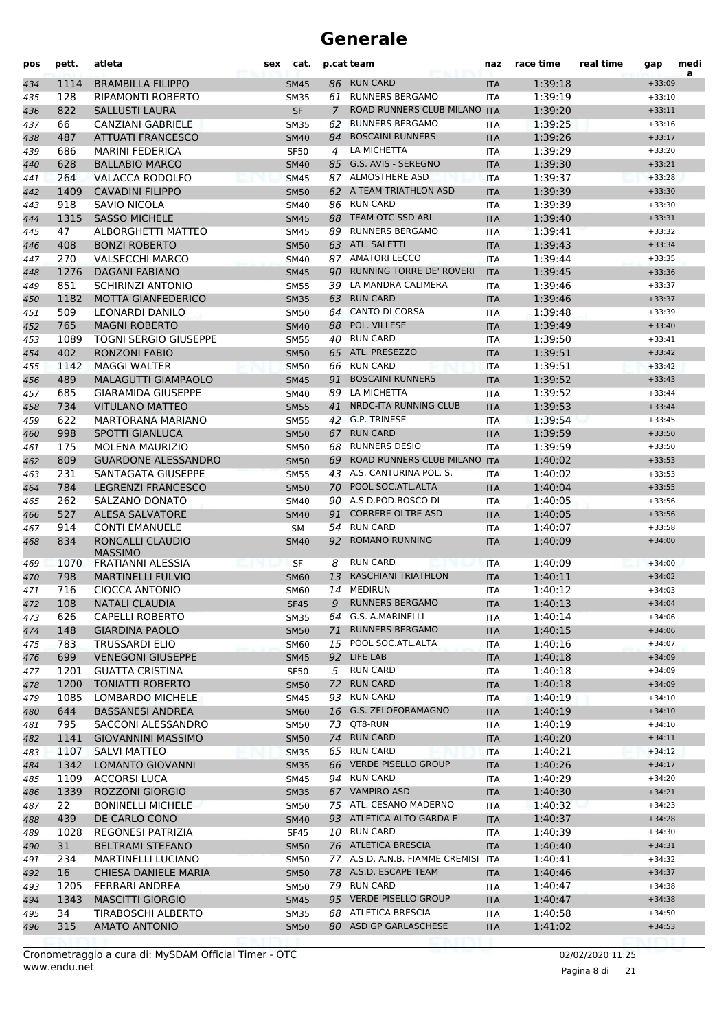| pos | pett. | atleta                                     | sex | cat.        |    | p.cat team                      | naz        | race time | real time | gap      | medi<br>a |
|-----|-------|--------------------------------------------|-----|-------------|----|---------------------------------|------------|-----------|-----------|----------|-----------|
| 434 | 1114  | <b>BRAMBILLA FILIPPO</b>                   |     | <b>SM45</b> |    | 86 RUN CARD                     | <b>ITA</b> | 1:39:18   |           | $+33:09$ |           |
| 435 | 128   | <b>RIPAMONTI ROBERTO</b>                   |     | <b>SM35</b> | 61 | <b>RUNNERS BERGAMO</b>          | ITA        | 1:39:19   |           | $+33:10$ |           |
| 436 | 822   | <b>SALLUSTI LAURA</b>                      |     | <b>SF</b>   | 7  | ROAD RUNNERS CLUB MILANO        | <b>ITA</b> | 1:39:20   |           | $+33:11$ |           |
| 437 | 66    | CANZIANI GABRIELE                          |     | <b>SM35</b> | 62 | <b>RUNNERS BERGAMO</b>          | <b>ITA</b> | 1:39:25   |           | $+33:16$ |           |
| 438 | 487   | <b>ATTUATI FRANCESCO</b>                   |     | <b>SM40</b> | 84 | <b>BOSCAINI RUNNERS</b>         | <b>ITA</b> | 1:39:26   |           | $+33:17$ |           |
| 439 | 686   | <b>MARINI FEDERICA</b>                     |     | <b>SF50</b> | 4  | LA MICHETTA                     | ITA        | 1:39:29   |           | $+33:20$ |           |
| 440 | 628   | <b>BALLABIO MARCO</b>                      |     | <b>SM40</b> |    | 85 G.S. AVIS - SEREGNO          | <b>ITA</b> | 1:39:30   |           | $+33:21$ |           |
| 441 | 264   | VALACCA RODOLFO                            |     | <b>SM45</b> |    | 87 ALMOSTHERE ASD               | <b>ITA</b> | 1:39:37   |           | $+33:28$ |           |
| 442 | 1409  | <b>CAVADINI FILIPPO</b>                    |     | <b>SM50</b> |    | 62 A TEAM TRIATHLON ASD         | <b>ITA</b> | 1:39:39   |           | $+33:30$ |           |
| 443 | 918   | SAVIO NICOLA                               |     | <b>SM40</b> | 86 | <b>RUN CARD</b>                 | <b>ITA</b> | 1:39:39   |           | $+33:30$ |           |
| 444 | 1315  | <b>SASSO MICHELE</b>                       |     | <b>SM45</b> | 88 | TEAM OTC SSD ARL                | <b>ITA</b> | 1:39:40   |           | $+33:31$ |           |
| 445 | 47    | ALBORGHETTI MATTEO                         |     | <b>SM45</b> |    | 89 RUNNERS BERGAMO              | ITA        | 1:39:41   |           | $+33:32$ |           |
| 446 | 408   | <b>BONZI ROBERTO</b>                       |     | <b>SM50</b> |    | 63 ATL. SALETTI                 | <b>ITA</b> | 1:39:43   |           | $+33:34$ |           |
| 447 | 270   | <b>VALSECCHI MARCO</b>                     |     | SM40        |    | 87 AMATORI LECCO                | ITA        | 1:39:44   |           | $+33:35$ |           |
| 448 | 1276  | <b>DAGANI FABIANO</b>                      |     | <b>SM45</b> | 90 | <b>RUNNING TORRE DE' ROVERI</b> | <b>ITA</b> | 1:39:45   |           | $+33:36$ |           |
| 449 | 851   | <b>SCHIRINZI ANTONIO</b>                   |     | <b>SM55</b> | 39 | LA MANDRA CALIMERA              | <b>ITA</b> | 1:39:46   |           | $+33:37$ |           |
| 450 | 1182  | <b>MOTTA GIANFEDERICO</b>                  |     | <b>SM35</b> | 63 | <b>RUN CARD</b>                 | <b>ITA</b> | 1:39:46   |           | $+33:37$ |           |
| 451 | 509   | LEONARDI DANILO                            |     | <b>SM50</b> |    | 64 CANTO DI CORSA               | <b>ITA</b> | 1:39:48   |           | $+33:39$ |           |
| 452 | 765   | <b>MAGNI ROBERTO</b>                       |     | <b>SM40</b> |    | 88 POL. VILLESE                 | <b>ITA</b> | 1:39:49   |           | $+33:40$ |           |
| 453 | 1089  | <b>TOGNI SERGIO GIUSEPPE</b>               |     | <b>SM55</b> |    | 40 RUN CARD                     | ITA        | 1:39:50   |           | $+33:41$ |           |
| 454 | 402   | <b>RONZONI FABIO</b>                       |     | <b>SM50</b> | 65 | ATL. PRESEZZO                   | <b>ITA</b> | 1:39:51   |           | $+33:42$ |           |
| 455 | 1142  | <b>MAGGI WALTER</b>                        |     | <b>SM50</b> | 66 | <b>RUN CARD</b>                 | <b>ITA</b> | 1:39:51   |           | $+33:42$ |           |
| 456 | 489   | <b>MALAGUTTI GIAMPAOLO</b>                 |     | <b>SM45</b> | 91 | <b>BOSCAINI RUNNERS</b>         | <b>ITA</b> | 1:39:52   |           | $+33:43$ |           |
| 457 | 685   | <b>GIARAMIDA GIUSEPPE</b>                  |     | <b>SM40</b> | 89 | LA MICHETTA                     | <b>ITA</b> | 1:39:52   |           | $+33:44$ |           |
| 458 | 734   | <b>VITULANO MATTEO</b>                     |     | <b>SM55</b> | 41 | NRDC-ITA RUNNING CLUB           | <b>ITA</b> | 1:39:53   |           | $+33:44$ |           |
| 459 | 622   | <b>MARTORANA MARIANO</b>                   |     | <b>SM55</b> |    | 42 G.P. TRINESE                 | ITA        | 1:39:54   |           | $+33:45$ |           |
| 460 | 998   | <b>SPOTTI GIANLUCA</b>                     |     | <b>SM50</b> |    | 67 RUN CARD                     | <b>ITA</b> | 1:39:59   |           | $+33:50$ |           |
| 461 | 175   | <b>MOLENA MAURIZIO</b>                     |     | <b>SM50</b> | 68 | <b>RUNNERS DESIO</b>            | <b>ITA</b> | 1:39:59   |           | $+33:50$ |           |
| 462 | 809   | <b>GUARDONE ALESSANDRO</b>                 |     | <b>SM50</b> | 69 | ROAD RUNNERS CLUB MILANO ITA    |            | 1:40:02   |           | $+33:53$ |           |
| 463 | 231   | SANTAGATA GIUSEPPE                         |     | <b>SM55</b> |    | 43 A.S. CANTURINA POL. S.       | <b>ITA</b> | 1:40:02   |           | $+33:53$ |           |
| 464 | 784   | <b>LEGRENZI FRANCESCO</b>                  |     | <b>SM50</b> |    | 70 POOL SOC.ATL.ALTA            | <b>ITA</b> | 1:40:04   |           | $+33:55$ |           |
| 465 | 262   | SALZANO DONATO                             |     | SM40        |    | 90 A.S.D.POD.BOSCO DI           | ITA        | 1:40:05   |           | $+33:56$ |           |
| 466 | 527   | <b>ALESA SALVATORE</b>                     |     | <b>SM40</b> | 91 | <b>CORRERE OLTRE ASD</b>        | <b>ITA</b> | 1:40:05   |           | $+33:56$ |           |
| 467 | 914   | <b>CONTI EMANUELE</b>                      |     | <b>SM</b>   | 54 | <b>RUN CARD</b>                 | <b>ITA</b> | 1:40:07   |           | $+33:58$ |           |
| 468 | 834   | RONCALLI CLAUDIO                           |     | <b>SM40</b> | 92 | <b>ROMANO RUNNING</b>           | <b>ITA</b> | 1:40:09   |           | $+34:00$ |           |
| 469 | 1070  | <b>MASSIMO</b><br><b>FRATIANNI ALESSIA</b> |     | SF          | 8  | <b>RUN CARD</b>                 | ITA        | 1:40:09   |           | $+34:00$ |           |
| 470 | 798   | <b>MARTINELLI FULVIO</b>                   |     | <b>SM60</b> | 13 | <b>RASCHIANI TRIATHLON</b>      | <b>ITA</b> | 1:40:11   |           | $+34:02$ |           |
| 471 | 716   | <b>CIOCCA ANTONIO</b>                      |     | <b>SM60</b> |    | 14 MEDIRUN                      | <b>ITA</b> | 1:40:12   |           | $+34:03$ |           |
| 472 | 108   | NATALI CLAUDIA                             |     | <b>SF45</b> |    | 9 RUNNERS BERGAMO               | <b>ITA</b> | 1:40:13   |           | $+34:04$ |           |
| 473 | 626   | <b>CAPELLI ROBERTO</b>                     |     | <b>SM35</b> |    | 64 G.S. A.MARINELLI             | ITA.       | 1:40:14   |           | $+34:06$ |           |
| 474 | 148   | <b>GIARDINA PAOLO</b>                      |     | <b>SM50</b> | 71 | <b>RUNNERS BERGAMO</b>          | <b>ITA</b> | 1:40:15   |           | $+34:06$ |           |
| 475 | 783   | <b>TRUSSARDI ELIO</b>                      |     | <b>SM60</b> |    | 15 POOL SOC.ATL.ALTA            | <b>ITA</b> | 1:40:16   |           | $+34:07$ |           |
| 476 | 699   | <b>VENEGONI GIUSEPPE</b>                   |     | <b>SM45</b> |    | 92 LIFE LAB                     | <b>ITA</b> | 1:40:18   |           | $+34:09$ |           |
| 477 | 1201  | <b>GUATTA CRISTINA</b>                     |     | <b>SF50</b> |    | 5 RUN CARD                      | ITA        | 1:40:18   |           | $+34:09$ |           |
| 478 | 1200  | <b>TONIATTI ROBERTO</b>                    |     | <b>SM50</b> |    | 72 RUN CARD                     | <b>ITA</b> | 1:40:18   |           | $+34:09$ |           |
| 479 | 1085  | LOMBARDO MICHELE                           |     | SM45        |    | 93 RUN CARD                     | ITA        | 1:40:19   |           | $+34:10$ |           |
| 480 | 644   | <b>BASSANESI ANDREA</b>                    |     | <b>SM60</b> |    | 16 G.S. ZELOFORAMAGNO           | <b>ITA</b> | 1:40:19   |           | $+34:10$ |           |
| 481 | 795   | SACCONI ALESSANDRO                         |     | SM50        |    | 73 QT8-RUN                      | <b>ITA</b> | 1:40:19   |           | $+34:10$ |           |
| 482 | 1141  | <b>GIOVANNINI MASSIMO</b>                  |     | <b>SM50</b> |    | 74 RUN CARD                     | <b>ITA</b> | 1:40:20   |           | $+34:11$ |           |
| 483 | 1107  | <b>SALVI MATTEO</b>                        |     | <b>SM35</b> |    | 65 RUN CARD                     | ITA        | 1:40:21   |           | $+34:12$ |           |
| 484 | 1342  | <b>LOMANTO GIOVANNI</b>                    |     | <b>SM35</b> |    | 66 VERDE PISELLO GROUP          | <b>ITA</b> | 1:40:26   |           | $+34:17$ |           |
| 485 | 1109  | <b>ACCORSI LUCA</b>                        |     | SM45        |    | 94 RUN CARD                     | ITA        | 1:40:29   |           | $+34:20$ |           |
| 486 | 1339  | <b>ROZZONI GIORGIO</b>                     |     | <b>SM35</b> |    | 67 VAMPIRO ASD                  | <b>ITA</b> | 1:40:30   |           | $+34:21$ |           |
| 487 | 22    | <b>BONINELLI MICHELE</b>                   |     | SM50        |    | 75 ATL. CESANO MADERNO          | ITA        | 1:40:32   |           | $+34:23$ |           |
| 488 | 439   | DE CARLO CONO                              |     | <b>SM40</b> |    | 93 ATLETICA ALTO GARDA E        | <b>ITA</b> | 1:40:37   |           | $+34:28$ |           |
| 489 | 1028  | REGONESI PATRIZIA                          |     | <b>SF45</b> |    | 10 RUN CARD                     | ITA        | 1:40:39   |           | $+34:30$ |           |
| 490 | 31    | <b>BELTRAMI STEFANO</b>                    |     | <b>SM50</b> |    | 76 ATLETICA BRESCIA             | <b>ITA</b> | 1:40:40   |           | $+34:31$ |           |
| 491 | 234   | <b>MARTINELLI LUCIANO</b>                  |     | <b>SM50</b> |    | 77 A.S.D. A.N.B. FIAMME CREMISI | <b>ITA</b> | 1:40:41   |           | $+34:32$ |           |
| 492 | 16    | CHIESA DANIELE MARIA                       |     | <b>SM50</b> |    | 78 A.S.D. ESCAPE TEAM           | <b>ITA</b> | 1:40:46   |           | $+34:37$ |           |
| 493 | 1205  | FERRARI ANDREA                             |     | SM50        |    | 79 RUN CARD                     | <b>ITA</b> | 1:40:47   |           | $+34:38$ |           |
| 494 | 1343  | <b>MASCITTI GIORGIO</b>                    |     | <b>SM45</b> |    | 95 VERDE PISELLO GROUP          | <b>ITA</b> | 1:40:47   |           | $+34:38$ |           |
| 495 | 34    | <b>TIRABOSCHI ALBERTO</b>                  |     | <b>SM35</b> |    | 68 ATLETICA BRESCIA             | ITA        | 1:40:58   |           | $+34:50$ |           |
| 496 | 315   | AMATO ANTONIO                              |     | <b>SM50</b> |    | 80 ASD GP GARLASCHESE           | <b>ITA</b> | 1:41:02   |           | $+34:53$ |           |
|     |       |                                            |     |             |    |                                 |            |           |           |          |           |

Pagina 8 di 21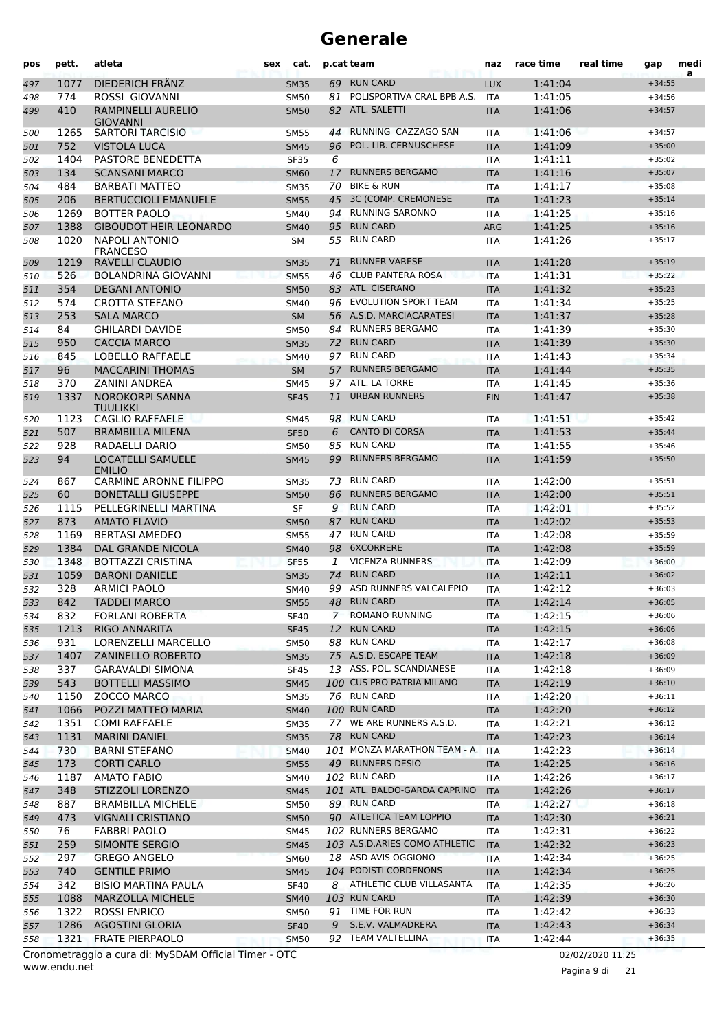| pos        | pett.       | atleta                                    | sex | cat.                       |             | p.cat team                                       | naz               | race time          | real time | gap                  | medi<br>a |
|------------|-------------|-------------------------------------------|-----|----------------------------|-------------|--------------------------------------------------|-------------------|--------------------|-----------|----------------------|-----------|
| 497        | 1077        | DIEDERICH FRÄNZ                           |     | <b>SM35</b>                | 69          | <b>RUN CARD</b>                                  | <b>LUX</b>        | 1:41:04            |           | $+34:55$             |           |
| 498        | 774         | ROSSI GIOVANNI                            |     | <b>SM50</b>                | 81          | POLISPORTIVA CRAL BPB A.S.                       | <b>ITA</b>        | 1:41:05            |           | $+34:56$             |           |
| 499        | 410         | RAMPINELLI AURELIO<br><b>GIOVANNI</b>     |     | <b>SM50</b>                | 82          | ATL. SALETTI                                     | <b>ITA</b>        | 1:41:06            |           | $+34:57$             |           |
| 500        | 1265        | <b>SARTORI TARCISIO</b>                   |     | <b>SM55</b>                | 44          | RUNNING CAZZAGO SAN                              | ITA               | 1:41:06            |           | $+34:57$             |           |
| 501        | 752         | <b>VISTOLA LUCA</b>                       |     | <b>SM45</b>                | 96          | POL. LIB. CERNUSCHESE                            | <b>ITA</b>        | 1:41:09            |           | $+35:00$             |           |
| 502        | 1404        | PASTORE BENEDETTA                         |     | <b>SF35</b>                | 6           |                                                  | <b>ITA</b>        | 1:41:11            |           | $+35:02$             |           |
| 503        | 134         | <b>SCANSANI MARCO</b>                     |     | <b>SM60</b>                | 17          | <b>RUNNERS BERGAMO</b>                           | <b>ITA</b>        | 1:41:16            |           | $+35:07$             |           |
| 504        | 484         | <b>BARBATI MATTEO</b>                     |     | <b>SM35</b>                | 70          | <b>BIKE &amp; RUN</b>                            | <b>ITA</b>        | 1:41:17            |           | $+35:08$             |           |
| 505        | 206         | <b>BERTUCCIOLI EMANUELE</b>               |     | <b>SM55</b>                | 45          | 3C (COMP. CREMONESE                              | <b>ITA</b>        | 1:41:23            |           | $+35:14$             |           |
| 506        | 1269        | <b>BOTTER PAOLO</b>                       |     | <b>SM40</b>                | 94          | <b>RUNNING SARONNO</b>                           | <b>ITA</b>        | 1:41:25            |           | $+35:16$             |           |
| 507        | 1388        | <b>GIBOUDOT HEIR LEONARDO</b>             |     | <b>SM40</b>                | 95          | <b>RUN CARD</b>                                  | <b>ARG</b>        | 1:41:25            |           | $+35:16$             |           |
| 508        | 1020        | <b>NAPOLI ANTONIO</b><br><b>FRANCESO</b>  |     | <b>SM</b>                  | 55          | <b>RUN CARD</b>                                  | <b>ITA</b>        | 1:41:26            |           | $+35:17$             |           |
| 509        | 1219        | RAVELLI CLAUDIO                           |     | <b>SM35</b>                | 71          | <b>RUNNER VARESE</b>                             | <b>ITA</b>        | 1:41:28            |           | $+35:19$             |           |
| 510        | 526         | <b>BOLANDRINA GIOVANNI</b>                |     | <b>SM55</b>                | 46          | <b>CLUB PANTERA ROSA</b>                         | <b>ITA</b>        | 1:41:31            |           | $+35:22$             |           |
| 511        | 354         | <b>DEGANI ANTONIO</b>                     |     | <b>SM50</b>                | 83          | ATL. CISERANO                                    | <b>ITA</b>        | 1:41:32            |           | $+35:23$             |           |
| 512        | 574         | <b>CROTTA STEFANO</b>                     |     | <b>SM40</b>                | 96          | <b>EVOLUTION SPORT TEAM</b>                      | <b>ITA</b>        | 1:41:34            |           | $+35:25$             |           |
| 513        | 253         | <b>SALA MARCO</b>                         |     | <b>SM</b>                  |             | 56 A.S.D. MARCIACARATESI                         | <b>ITA</b>        | 1:41:37            |           | $+35:28$             |           |
| 514        | 84          | <b>GHILARDI DAVIDE</b>                    |     | <b>SM50</b>                |             | 84 RUNNERS BERGAMO                               | <b>ITA</b>        | 1:41:39            |           | $+35:30$             |           |
| 515        | 950         | <b>CACCIA MARCO</b>                       |     | <b>SM35</b>                |             | 72 RUN CARD                                      | <b>ITA</b>        | 1:41:39            |           | $+35:30$             |           |
| 516        | 845         | LOBELLO RAFFAELE                          |     | <b>SM40</b>                | 97          | <b>RUN CARD</b>                                  | <b>ITA</b>        | 1:41:43            |           | $+35:34$             |           |
| 517        | 96          | <b>MACCARINI THOMAS</b>                   |     | <b>SM</b>                  | 57          | <b>RUNNERS BERGAMO</b>                           | <b>ITA</b>        | 1:41:44            |           | $+35:35$             |           |
| 518        | 370         | <b>ZANINI ANDREA</b>                      |     | <b>SM45</b>                |             | 97 ATL. LA TORRE                                 | <b>ITA</b>        | 1:41:45            |           | $+35:36$             |           |
| 519        | 1337        | <b>NOROKORPI SANNA</b><br><b>TUULIKKI</b> |     | <b>SF45</b>                | 11          | <b>URBAN RUNNERS</b>                             | <b>FIN</b>        | 1:41:47            |           | $+35:38$             |           |
| 520        | 1123        | <b>CAGLIO RAFFAELE</b>                    |     | <b>SM45</b>                | 98          | <b>RUN CARD</b>                                  | <b>ITA</b>        | 1:41:51            |           | $+35:42$             |           |
| 521        | 507         | <b>BRAMBILLA MILENA</b>                   |     | <b>SF50</b>                | 6           | <b>CANTO DI CORSA</b>                            | <b>ITA</b>        | 1:41:53            |           | $+35:44$             |           |
| 522        | 928         | RADAELLI DARIO                            |     | <b>SM50</b>                | 85          | <b>RUN CARD</b>                                  | <b>ITA</b>        | 1:41:55            |           | $+35:46$             |           |
| 523        | 94          | LOCATELLI SAMUELE<br><b>EMILIO</b>        |     | <b>SM45</b>                | 99          | <b>RUNNERS BERGAMO</b>                           | <b>ITA</b>        | 1:41:59            |           | $+35:50$             |           |
| 524        | 867         | <b>CARMINE ARONNE FILIPPO</b>             |     | <b>SM35</b>                | 73          | <b>RUN CARD</b>                                  | <b>ITA</b>        | 1:42:00            |           | $+35:51$             |           |
| 525        | 60          | <b>BONETALLI GIUSEPPE</b>                 |     | <b>SM50</b>                | 86          | <b>RUNNERS BERGAMO</b>                           | <b>ITA</b>        | 1:42:00            |           | $+35:51$             |           |
| 526        | 1115        | PELLEGRINELLI MARTINA                     |     | <b>SF</b>                  | 9           | <b>RUN CARD</b>                                  | <b>ITA</b>        | 1:42:01            |           | $+35:52$             |           |
| 527        | 873         | <b>AMATO FLAVIO</b>                       |     | <b>SM50</b>                | 87          | <b>RUN CARD</b>                                  | <b>ITA</b>        | 1:42:02            |           | $+35:53$             |           |
| 528        | 1169        | <b>BERTASI AMEDEO</b>                     |     | <b>SM55</b>                | 47          | <b>RUN CARD</b>                                  | <b>ITA</b>        | 1:42:08            |           | $+35:59$             |           |
| 529        | 1384        | <b>DAL GRANDE NICOLA</b>                  |     | <b>SM40</b>                | 98          | <b>6XCORRERE</b>                                 | <b>ITA</b>        | 1:42:08            |           | $+35:59$             |           |
| 530        | 1348        | <b>BOTTAZZI CRISTINA</b>                  |     | <b>SF55</b>                | 1           | <b>VICENZA RUNNERS</b>                           | <b>ITA</b>        | 1:42:09            |           | $+36:00$             |           |
| 531        | 1059        | <b>BARONI DANIELE</b>                     |     | <b>SM35</b>                | 74          | <b>RUN CARD</b>                                  | <b>ITA</b>        | 1:42:11            |           | $+36:02$             |           |
| 532        | 328         | <b>ARMICI PAOLO</b>                       |     | <b>SM40</b>                |             | 99 ASD RUNNERS VALCALEPIO                        | <b>ITA</b>        | 1:42:12            |           | $+36:03$             |           |
| 533        | 842         | TADDEI MARCO                              |     | <b>SM55</b>                |             | 48 RUN CARD                                      | <b>ITA</b>        | 1:42:14            |           | $+36:05$             |           |
| 534        | 832         | <b>FORLANI ROBERTA</b>                    |     | <b>SF40</b>                | $7^{\circ}$ | <b>ROMANO RUNNING</b>                            | ITA               | 1:42:15            |           | $+36:06$             |           |
| 535        | 1213        | RIGO ANNARITA                             |     | <b>SF45</b>                | 12          | <b>RUN CARD</b>                                  | <b>ITA</b>        | 1:42:15            |           | $+36:06$             |           |
| 536        | 931         | LORENZELLI MARCELLO                       |     | <b>SM50</b>                |             | 88 RUN CARD                                      | ITA               | 1:42:17            |           | $+36:08$             |           |
| 537        | 1407        | <b>ZANINELLO ROBERTO</b>                  |     | <b>SM35</b>                |             | 75 A.S.D. ESCAPE TEAM                            | <b>ITA</b>        | 1:42:18            |           | $+36:09$             |           |
| 538        | 337         | <b>GARAVALDI SIMONA</b>                   |     | <b>SF45</b>                |             | 13 ASS. POL. SCANDIANESE                         | ITA               | 1:42:18            |           | $+36:09$             |           |
| 539        | 543         | <b>BOTTELLI MASSIMO</b>                   |     | <b>SM45</b>                |             | 100 CUS PRO PATRIA MILANO                        | <b>ITA</b>        | 1:42:19            |           | $+36:10$             |           |
| 540        | 1150        | ZOCCO MARCO                               |     | <b>SM35</b>                |             | 76 RUN CARD                                      | ITA               | 1:42:20            |           | $+36:11$             |           |
| 541        | 1066        | POZZI MATTEO MARIA                        |     | <b>SM40</b>                |             | 100 RUN CARD                                     | <b>ITA</b>        | 1:42:20            |           | $+36:12$             |           |
| 542        | 1351        | <b>COMI RAFFAELE</b>                      |     | SM35                       |             | 77 WE ARE RUNNERS A.S.D.                         | ITA               | 1:42:21            |           | $+36:12$             |           |
| 543        | 1131        | <b>MARINI DANIEL</b>                      |     | <b>SM35</b>                |             | 78 RUN CARD                                      | <b>ITA</b>        | 1:42:23            |           | $+36:14$             |           |
| 544        | 730         | <b>BARNI STEFANO</b>                      |     | <b>SM40</b>                |             | 101 MONZA MARATHON TEAM - A.<br>49 RUNNERS DESIO | <b>ITA</b>        | 1:42:23            |           | $+36:14$             |           |
| 545        | 173         | <b>CORTI CARLO</b>                        |     | <b>SM55</b>                |             | 102 RUN CARD                                     | <b>ITA</b>        | 1:42:25            |           | $+36:16$             |           |
| 546        | 1187<br>348 | <b>AMATO FABIO</b><br>STIZZOLI LORENZO    |     | SM40                       |             | 101 ATL. BALDO-GARDA CAPRINO                     | ITA               | 1:42:26            |           | $+36:17$<br>$+36:17$ |           |
| 547        | 887         | <b>BRAMBILLA MICHELE</b>                  |     | <b>SM45</b><br><b>SM50</b> |             | 89 RUN CARD                                      | <b>ITA</b><br>ITA | 1:42:26            |           | $+36:18$             |           |
| 548<br>549 | 473         | <b>VIGNALI CRISTIANO</b>                  |     | <b>SM50</b>                |             | 90 ATLETICA TEAM LOPPIO                          | <b>ITA</b>        | 1:42:27<br>1:42:30 |           | $+36:21$             |           |
| 550        | 76          | <b>FABBRI PAOLO</b>                       |     | SM45                       |             | 102 RUNNERS BERGAMO                              | ITA               | 1:42:31            |           | $+36:22$             |           |
|            | 259         | SIMONTE SERGIO                            |     | <b>SM45</b>                |             | 103 A.S.D.ARIES COMO ATHLETIC                    | <b>ITA</b>        | 1:42:32            |           | $+36:23$             |           |
| 551<br>552 | 297         | <b>GREGO ANGELO</b>                       |     | <b>SM60</b>                |             | 18 ASD AVIS OGGIONO                              | ITA               | 1:42:34            |           | $+36:25$             |           |
| 553        | 740         | <b>GENTILE PRIMO</b>                      |     | <b>SM45</b>                |             | 104 PODISTI CORDENONS                            | <b>ITA</b>        | 1:42:34            |           | $+36:25$             |           |
| 554        | 342         | <b>BISIO MARTINA PAULA</b>                |     | <b>SF40</b>                | 8           | ATHLETIC CLUB VILLASANTA                         | ITA               | 1:42:35            |           | $+36:26$             |           |
| 555        | 1088        | <b>MARZOLLA MICHELE</b>                   |     | <b>SM40</b>                |             | 103 RUN CARD                                     | <b>ITA</b>        | 1:42:39            |           | $+36:30$             |           |
| 556        | 1322        | <b>ROSSI ENRICO</b>                       |     | SM50                       |             | 91 TIME FOR RUN                                  | <b>ITA</b>        | 1:42:42            |           | $+36:33$             |           |
| 557        | 1286        | <b>AGOSTINI GLORIA</b>                    |     | <b>SF40</b>                | 9           | S.E.V. VALMADRERA                                | <b>ITA</b>        | 1:42:43            |           | $+36:34$             |           |
| 558        | 1321        | <b>FRATE PIERPAOLO</b>                    |     | <b>SM50</b>                |             | 92 TEAM VALTELLINA                               | <b>ITA</b>        | 1:42:44            |           | $+36:35$             |           |
|            |             |                                           |     |                            |             |                                                  |                   |                    |           |                      |           |

www.endu.net Cronometraggio a cura di: MySDAM Official Timer - OTC 02/02/2020 11:25

Pagina 9 di 21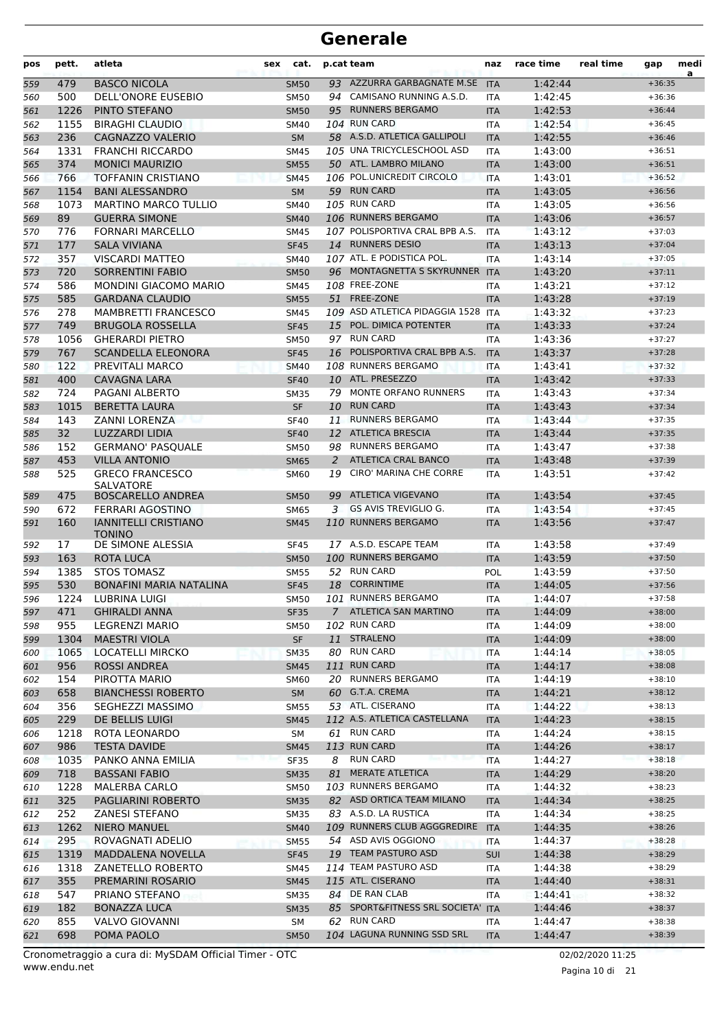| pos | pett. | atleta                                       | cat.<br><b>sex</b> |    | p.cat team                                       | naz        | race time | real time | gap                  | medi<br>a |
|-----|-------|----------------------------------------------|--------------------|----|--------------------------------------------------|------------|-----------|-----------|----------------------|-----------|
| 559 | 479   | <b>BASCO NICOLA</b>                          | <b>SM50</b>        |    | 93 AZZURRA GARBAGNATE M.SE                       | <b>ITA</b> | 1:42:44   |           | $+36:35$             |           |
| 560 | 500   | <b>DELL'ONORE EUSEBIO</b>                    | <b>SM50</b>        |    | 94 CAMISANO RUNNING A.S.D.                       | <b>ITA</b> | 1:42:45   |           | $+36:36$             |           |
| 561 | 1226  | PINTO STEFANO                                | <b>SM50</b>        |    | 95 RUNNERS BERGAMO                               | <b>ITA</b> | 1:42:53   |           | $+36:44$             |           |
| 562 | 1155  | <b>BIRAGHI CLAUDIO</b>                       | <b>SM40</b>        |    | 104 RUN CARD                                     | <b>ITA</b> | 1:42:54   |           | $+36:45$             |           |
| 563 | 236   | CAGNAZZO VALERIO                             | <b>SM</b>          |    | 58 A.S.D. ATLETICA GALLIPOLI                     | <b>ITA</b> | 1:42:55   |           | $+36:46$             |           |
| 564 | 1331  | <b>FRANCHI RICCARDO</b>                      | <b>SM45</b>        |    | 105 UNA TRICYCLESCHOOL ASD                       | <b>ITA</b> | 1:43:00   |           | $+36:51$             |           |
| 565 | 374   | <b>MONICI MAURIZIO</b>                       | <b>SM55</b>        |    | 50 ATL. LAMBRO MILANO                            | <b>ITA</b> | 1:43:00   |           | $+36:51$             |           |
| 566 | 766   | <b>TOFFANIN CRISTIANO</b>                    | <b>SM45</b>        |    | 106 POL.UNICREDIT CIRCOLO                        | <b>ITA</b> | 1:43:01   |           | $+36:52$             |           |
| 567 | 1154  | <b>BANI ALESSANDRO</b>                       | <b>SM</b>          |    | 59 RUN CARD                                      | <b>ITA</b> | 1:43:05   |           | $+36:56$             |           |
| 568 | 1073  | <b>MARTINO MARCO TULLIO</b>                  | <b>SM40</b>        |    | <b>105 RUN CARD</b>                              | <b>ITA</b> | 1:43:05   |           | $+36:56$             |           |
| 569 | 89    | <b>GUERRA SIMONE</b>                         | <b>SM40</b>        |    | 106 RUNNERS BERGAMO                              | <b>ITA</b> | 1:43:06   |           | $+36:57$             |           |
| 570 | 776   | <b>FORNARI MARCELLO</b>                      | <b>SM45</b>        |    | 107 POLISPORTIVA CRAL BPB A.S.                   | <b>ITA</b> | 1:43:12   |           | $+37:03$             |           |
| 571 | 177   | <b>SALA VIVIANA</b>                          | <b>SF45</b>        |    | 14 RUNNERS DESIO                                 | <b>ITA</b> | 1:43:13   |           | $+37:04$             |           |
| 572 | 357   | <b>VISCARDI MATTEO</b>                       | SM40               |    | 107 ATL. E PODISTICA POL.                        | ITA        | 1:43:14   |           | $+37:05$             |           |
| 573 | 720   | <b>SORRENTINI FABIO</b>                      | <b>SM50</b>        |    | 96 MONTAGNETTA S SKYRUNNER ITA                   |            | 1:43:20   |           | $+37:11$             |           |
| 574 | 586   | <b>MONDINI GIACOMO MARIO</b>                 | <b>SM45</b>        |    | 108 FREE-ZONE                                    | <b>ITA</b> | 1:43:21   |           | $+37:12$             |           |
| 575 | 585   | <b>GARDANA CLAUDIO</b>                       | <b>SM55</b>        |    | 51 FREE-ZONE                                     | <b>ITA</b> | 1:43:28   |           | $+37:19$             |           |
| 576 | 278   | <b>MAMBRETTI FRANCESCO</b>                   | <b>SM45</b>        |    | 109 ASD ATLETICA PIDAGGIA 1528                   | <b>ITA</b> | 1:43:32   |           | $+37:23$             |           |
| 577 | 749   | <b>BRUGOLA ROSSELLA</b>                      | <b>SF45</b>        |    | 15 POL. DIMICA POTENTER                          | <b>ITA</b> | 1:43:33   |           | $+37:24$             |           |
| 578 | 1056  | <b>GHERARDI PIETRO</b>                       | <b>SM50</b>        |    | 97 RUN CARD                                      | ITA        | 1:43:36   |           | $+37:27$             |           |
| 579 | 767   | <b>SCANDELLA ELEONORA</b>                    | <b>SF45</b>        |    | 16 POLISPORTIVA CRAL BPB A.S.                    | <b>ITA</b> | 1:43:37   |           | $+37:28$             |           |
| 580 | 122   | PREVITALI MARCO                              | <b>SM40</b>        |    | 108 RUNNERS BERGAMO                              | <b>ITA</b> | 1:43:41   |           | $+37:32$             |           |
| 581 | 400   | <b>CAVAGNA LARA</b>                          | <b>SF40</b>        |    | 10 ATL. PRESEZZO                                 | <b>ITA</b> | 1:43:42   |           | $+37:33$             |           |
| 582 | 724   | <b>PAGANI ALBERTO</b>                        | <b>SM35</b>        | 79 | <b>MONTE ORFANO RUNNERS</b>                      | <b>ITA</b> | 1:43:43   |           | $+37:34$             |           |
| 583 | 1015  | <b>BERETTA LAURA</b>                         | <b>SF</b>          | 10 | <b>RUN CARD</b>                                  | <b>ITA</b> | 1:43:43   |           | $+37:34$             |           |
| 584 | 143   | <b>ZANNI LORENZA</b>                         | <b>SF40</b>        | 11 | <b>RUNNERS BERGAMO</b>                           | ITA        | 1:43:44   |           | $+37:35$             |           |
| 585 | 32    | LUZZARDI LIDIA                               | <b>SF40</b>        |    | 12 ATLETICA BRESCIA                              | <b>ITA</b> | 1:43:44   |           | $+37:35$             |           |
| 586 | 152   | <b>GERMANO' PASQUALE</b>                     | <b>SM50</b>        | 98 | <b>RUNNERS BERGAMO</b>                           | <b>ITA</b> | 1:43:47   |           | $+37:38$             |           |
| 587 | 453   | <b>VILLA ANTONIO</b>                         | <b>SM65</b>        | 2  | <b>ATLETICA CRAL BANCO</b>                       | <b>ITA</b> | 1:43:48   |           | $+37:39$             |           |
| 588 | 525   | <b>GRECO FRANCESCO</b><br><b>SALVATORE</b>   | <b>SM60</b>        | 19 | CIRO' MARINA CHE CORRE                           | <b>ITA</b> | 1:43:51   |           | $+37:42$             |           |
| 589 | 475   | <b>BOSCARELLO ANDREA</b>                     | <b>SM50</b>        | 99 | ATLETICA VIGEVANO                                | <b>ITA</b> | 1:43:54   |           | $+37:45$             |           |
| 590 | 672   | FERRARI AGOSTINO                             | SM65               | 3  | GS AVIS TREVIGLIO G.                             | <b>ITA</b> | 1:43:54   |           | $+37:45$             |           |
| 591 | 160   | <b>IANNITELLI CRISTIANO</b><br><b>TONINO</b> | <b>SM45</b>        |    | 110 RUNNERS BERGAMO                              | <b>ITA</b> | 1:43:56   |           | $+37:47$             |           |
| 592 | 17    | DE SIMONE ALESSIA                            | <b>SF45</b>        |    | 17 A.S.D. ESCAPE TEAM                            | <b>ITA</b> | 1:43:58   |           | $+37:49$             |           |
| 593 | 163   | <b>ROTA LUCA</b>                             | <b>SM50</b>        |    | 100 RUNNERS BERGAMO                              | <b>ITA</b> | 1:43:59   |           | $+37:50$             |           |
| 594 | 1385  | <b>STOS TOMASZ</b>                           | <b>SM55</b>        |    | 52 RUN CARD                                      | POL        | 1:43:59   |           | $+37:50$             |           |
| 595 | 530   | <b>BONAFINI MARIA NATALINA</b>               | <b>SF45</b>        |    | 18 CORRINTIME                                    | <b>ITA</b> | 1:44:05   |           | $+37:56$             |           |
| 596 | 1224  | LUBRINA LUIGI                                | <b>SM50</b>        |    | 101 RUNNERS BERGAMO                              | <b>ITA</b> | 1:44:07   |           | $+37:58$             |           |
| 597 | 471   | <b>GHIRALDI ANNA</b>                         | <b>SF35</b>        |    | 7 ATLETICA SAN MARTINO                           | <b>ITA</b> | 1:44:09   |           | $+38:00$             |           |
| 598 | 955   | <b>LEGRENZI MARIO</b>                        | <b>SM50</b>        |    | 102 RUN CARD                                     | ITA        | 1:44:09   |           | $+38:00$             |           |
| 599 | 1304  | <b>MAESTRI VIOLA</b>                         | SF                 |    | 11 STRALENO                                      | <b>ITA</b> | 1:44:09   |           | $+38:00$             |           |
| 600 | 1065  | LOCATELLI MIRCKO                             | <b>SM35</b>        |    | 80 RUN CARD                                      | ITA        | 1:44:14   |           | $+38:05$             |           |
| 601 | 956   | <b>ROSSI ANDREA</b>                          | <b>SM45</b>        |    | 111 RUN CARD                                     | <b>ITA</b> | 1:44:17   |           | $+38:08$             |           |
| 602 | 154   | PIROTTA MARIO                                | <b>SM60</b>        |    | 20 RUNNERS BERGAMO                               | ITA        | 1:44:19   |           | $+38:10$             |           |
| 603 | 658   | <b>BIANCHESSI ROBERTO</b>                    | <b>SM</b>          |    | 60 G.T.A. CREMA                                  | <b>ITA</b> | 1:44:21   |           | $+38:12$             |           |
| 604 | 356   | SEGHEZZI MASSIMO                             | <b>SM55</b>        |    | 53 ATL. CISERANO                                 | ITA        | 1:44:22   |           | $+38:13$             |           |
| 605 | 229   | DE BELLIS LUIGI                              | <b>SM45</b>        |    | 112 A.S. ATLETICA CASTELLANA                     | <b>ITA</b> | 1:44:23   |           | $+38:15$             |           |
| 606 | 1218  | ROTA LEONARDO                                | SM                 |    | 61 RUN CARD                                      | ITA        | 1:44:24   |           | $+38:15$             |           |
| 607 | 986   | <b>TESTA DAVIDE</b>                          | <b>SM45</b>        |    | 113 RUN CARD                                     | <b>ITA</b> | 1:44:26   |           | $+38:17$             |           |
| 608 | 1035  | PANKO ANNA EMILIA                            | <b>SF35</b>        | 8  | <b>RUN CARD</b>                                  | <b>ITA</b> | 1:44:27   |           | $+38:18$             |           |
| 609 | 718   | <b>BASSANI FABIO</b>                         | <b>SM35</b>        |    | 81 MERATE ATLETICA                               | <b>ITA</b> | 1:44:29   |           | $+38:20$             |           |
| 610 | 1228  | <b>MALERBA CARLO</b>                         | <b>SM50</b>        |    | 103 RUNNERS BERGAMO                              | ITA        | 1:44:32   |           | $+38:23$             |           |
| 611 | 325   | PAGLIARINI ROBERTO                           | <b>SM35</b>        |    | 82 ASD ORTICA TEAM MILANO                        | <b>ITA</b> | 1:44:34   |           | $+38:25$             |           |
| 612 | 252   | <b>ZANESI STEFANO</b>                        | SM35               |    | 83 A.S.D. LA RUSTICA                             | ITA        | 1:44:34   |           | $+38:25$             |           |
| 613 | 1262  | <b>NIERO MANUEL</b>                          | <b>SM40</b>        |    | 109 RUNNERS CLUB AGGGREDIRE                      | <b>ITA</b> | 1:44:35   |           | $+38:26$             |           |
| 614 | 295   | ROVAGNATI ADELIO                             | <b>SM55</b>        |    | 54 ASD AVIS OGGIONO                              | ITA        | 1:44:37   |           | $+38:28$             |           |
| 615 | 1319  | MADDALENA NOVELLA                            | <b>SF45</b>        |    | 19 TEAM PASTURO ASD                              | <b>SUI</b> | 1:44:38   |           | $+38:29$             |           |
| 616 | 1318  | ZANETELLO ROBERTO                            | SM45               |    | 114 TEAM PASTURO ASD                             | ITA        | 1:44:38   |           | $+38:29$             |           |
| 617 | 355   | PREMARINI ROSARIO                            | <b>SM45</b>        |    | 115 ATL. CISERANO                                | <b>ITA</b> | 1:44:40   |           | $+38:31$             |           |
| 618 | 547   | PRIANO STEFANO                               | <b>SM35</b>        |    | 84 DE RAN CLAB                                   | ITA        | 1:44:41   |           | $+38:32$             |           |
| 619 | 182   | <b>BONAZZA LUCA</b>                          | <b>SM35</b>        |    | 85 SPORT&FITNESS SRL SOCIETA' ITA<br>62 RUN CARD |            | 1:44:46   |           | $+38:37$<br>$+38:38$ |           |
| 620 | 855   | VALVO GIOVANNI                               | SM                 |    | 104 LAGUNA RUNNING SSD SRL                       | ITA        | 1:44:47   |           |                      |           |
| 621 | 698   | POMA PAOLO                                   | <b>SM50</b>        |    |                                                  | <b>ITA</b> | 1:44:47   |           | $+38:39$             |           |

Pagina 10 di 21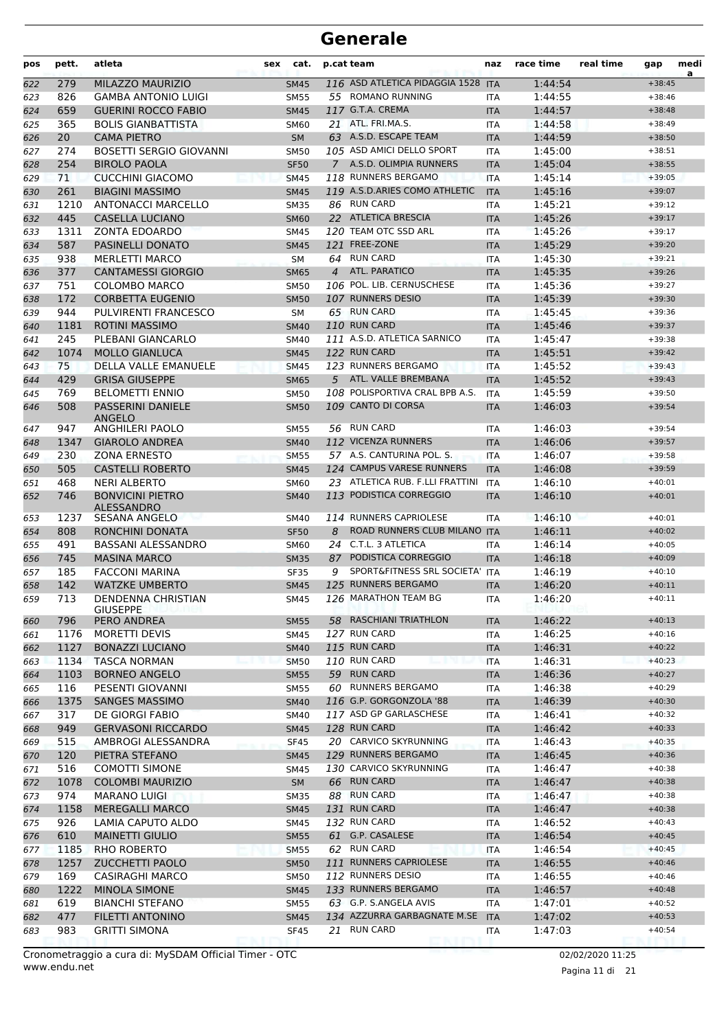| MILAZZO MAURIZIO<br>116 ASD ATLETICA PIDAGGIA 1528<br>1:44:54<br>279<br><b>ITA</b><br>$+38:45$<br>622<br><b>SM45</b><br>55 ROMANO RUNNING<br>826<br><b>GAMBA ANTONIO LUIGI</b><br>1:44:55<br>623<br><b>SM55</b><br>$+38:46$<br><b>ITA</b><br>117 G.T.A. CREMA<br>659<br><b>GUERINI ROCCO FABIO</b><br>1:44:57<br>624<br><b>SM45</b><br><b>ITA</b><br>$+38:48$<br><b>BOLIS GIANBATTISTA</b><br>21 ATL. FRI.MA.S.<br>625<br>365<br>1:44:58<br>$+38:49$<br><b>SM60</b><br><b>ITA</b><br>63 A.S.D. ESCAPE TEAM<br>20<br><b>CAMA PIETRO</b><br>1:44:59<br>626<br><b>SM</b><br><b>ITA</b><br>$+38:50$<br>105 ASD AMICI DELLO SPORT<br>274<br><b>BOSETTI SERGIO GIOVANNI</b><br>1:45:00<br>627<br><b>SM50</b><br><b>ITA</b><br>$+38:51$<br>254<br><b>BIROLO PAOLA</b><br>7 A.S.D. OLIMPIA RUNNERS<br>1:45:04<br><b>SF50</b><br>$+38:55$<br>628<br><b>ITA</b><br>71<br>118 RUNNERS BERGAMO<br><b>CUCCHINI GIACOMO</b><br><b>ITA</b><br>1:45:14<br>629<br><b>SM45</b><br>$+39:05$<br>261<br>119 A.S.D.ARIES COMO ATHLETIC<br><b>BIAGINI MASSIMO</b><br>1:45:16<br>630<br><b>SM45</b><br><b>ITA</b><br>$+39:07$<br>86 RUN CARD<br>1:45:21<br>1210<br><b>ANTONACCI MARCELLO</b><br>$+39:12$<br>631<br><b>SM35</b><br><b>ITA</b><br>445<br>22 ATLETICA BRESCIA<br>1:45:26<br><b>CASELLA LUCIANO</b><br>632<br><b>SM60</b><br><b>ITA</b><br>$+39:17$<br>120 TEAM OTC SSD ARL<br>1311<br><b>ZONTA EDOARDO</b><br>1:45:26<br>633<br><b>SM45</b><br><b>ITA</b><br>$+39:17$<br>587<br>PASINELLI DONATO<br>121 FREE-ZONE<br>1:45:29<br>$+39:20$<br>634<br><b>SM45</b><br><b>ITA</b><br>938<br>64 RUN CARD<br><b>MERLETTI MARCO</b><br>1:45:30<br>635<br>SM<br>ITA<br>$+39:21$<br>377<br><b>ATL. PARATICO</b><br><b>CANTAMESSI GIORGIO</b><br>1:45:35<br>4<br>$+39:26$<br>636<br><b>SM65</b><br><b>ITA</b><br>751<br>106 POL. LIB. CERNUSCHESE<br>COLOMBO MARCO<br>1:45:36<br>$+39:27$<br>637<br><b>SM50</b><br><b>ITA</b><br>107 RUNNERS DESIO<br>172<br><b>CORBETTA EUGENIO</b><br>1:45:39<br>638<br><b>SM50</b><br><b>ITA</b><br>$+39:30$<br>65 RUN CARD<br>944<br>PULVIRENTI FRANCESCO<br>1:45:45<br><b>SM</b><br>$+39:36$<br>639<br><b>ITA</b><br><b>110 RUN CARD</b><br><b>ROTINI MASSIMO</b><br>1:45:46<br>1181<br>$+39:37$<br>640<br><b>SM40</b><br><b>ITA</b><br>245<br>111 A.S.D. ATLETICA SARNICO<br>PLEBANI GIANCARLO<br>1:45:47<br>641<br><b>SM40</b><br>ITA<br>$+39:38$<br>1074<br>122 RUN CARD<br><b>MOLLO GIANLUCA</b><br>1:45:51<br>$+39:42$<br>642<br><b>SM45</b><br><b>ITA</b><br>75<br><b>DELLA VALLE EMANUELE</b><br>123 RUNNERS BERGAMO<br>1:45:52<br>$+39:43$<br>643<br><b>SM45</b><br><b>ITA</b><br>429<br><b>GRISA GIUSEPPE</b><br>5 ATL. VALLE BREMBANA<br>1:45:52<br>644<br><b>SM65</b><br><b>ITA</b><br>$+39:43$<br>108 POLISPORTIVA CRAL BPB A.S.<br>769<br><b>BELOMETTI ENNIO</b><br>1:45:59<br><b>SM50</b><br><b>ITA</b><br>$+39:50$<br>645<br><b>PASSERINI DANIELE</b><br>109 CANTO DI CORSA<br>508<br>1:46:03<br>$+39:54$<br>646<br><b>SM50</b><br><b>ITA</b><br><b>ANGELO</b><br>56 RUN CARD<br>947<br>ANGHILERI PAOLO<br>1:46:03<br>$+39:54$<br><b>SM55</b><br>647<br>ITA<br>112 VICENZA RUNNERS<br>1347<br><b>GIAROLO ANDREA</b><br>1:46:06<br><b>SM40</b><br><b>ITA</b><br>648<br>$+39:57$<br>57 A.S. CANTURINA POL. S.<br>230<br><b>ZONA ERNESTO</b><br>1:46:07<br><b>SM55</b><br>$+39:58$<br>649<br><b>ITA</b><br>124 CAMPUS VARESE RUNNERS<br>505<br><b>CASTELLI ROBERTO</b><br>1:46:08<br>$+39:59$<br>650<br><b>SM45</b><br><b>ITA</b><br><b>NERI ALBERTO</b><br>23 ATLETICA RUB. F.LLI FRATTINI<br>468<br>1:46:10<br>$+40:01$<br>651<br><b>SM60</b><br><b>ITA</b><br>113 PODISTICA CORREGGIO<br>746<br><b>BONVICINI PIETRO</b><br>1:46:10<br>$+40:01$<br>652<br><b>SM40</b><br><b>ITA</b><br><b>ALESSANDRO</b><br>114 RUNNERS CAPRIOLESE<br>1237<br>1:46:10<br>SESANA ANGELO<br>$+40:01$<br>653<br><b>SM40</b><br><b>ITA</b><br>ROAD RUNNERS CLUB MILANO<br>808<br>RONCHINI DONATA<br>8<br><b>ITA</b><br>1:46:11<br>654<br><b>SF50</b><br>$+40:02$<br>24 C.T.L. 3 ATLETICA<br>491<br><b>BASSANI ALESSANDRO</b><br>1:46:14<br><b>SM60</b><br>$+40:05$<br>655<br>ITA<br>PODISTICA CORREGGIO<br>745<br><b>MASINA MARCO</b><br>87<br>1:46:18<br>$+40:09$<br>656<br><b>SM35</b><br><b>ITA</b><br>SPORT&FITNESS SRL SOCIETA'<br>185<br><b>FACCONI MARINA</b><br>9<br>1:46:19<br>657<br><b>SF35</b><br><b>ITA</b><br>$+40:10$<br>142<br><b>WATZKE UMBERTO</b><br>125 RUNNERS BERGAMO<br>658<br>1:46:20<br>$+40:11$<br><b>SM45</b><br><b>ITA</b><br>126 MARATHON TEAM BG<br>713<br>DENDENNA CHRISTIAN<br>1:46:20<br>$+40:11$<br>659<br><b>SM45</b><br><b>ITA</b><br><b>GIUSEPPE</b><br>58 RASCHIANI TRIATHLON<br>PERO ANDREA<br>1:46:22<br>$+40:13$<br>796<br><b>SM55</b><br><b>ITA</b><br>660<br>127 RUN CARD<br>1176<br>MORETTI DEVIS<br>1:46:25<br>SM45<br>$+40:16$<br>661<br>ITA<br>115 RUN CARD<br>1127<br><b>BONAZZI LUCIANO</b><br>1:46:31<br><b>SM40</b><br><b>ITA</b><br>$+40:22$<br>662<br>110 RUN CARD<br>1134<br><b>TASCA NORMAN</b><br>1:46:31<br>$+40:23$<br><b>SM50</b><br>ITA<br>663<br>59 RUN CARD<br>1103<br><b>BORNEO ANGELO</b><br>1:46:36<br>$+40:27$<br><b>SM55</b><br><b>ITA</b><br>664<br>60 RUNNERS BERGAMO<br>116<br>PESENTI GIOVANNI<br>$+40:29$<br>SM55<br>ITA<br>1:46:38<br>665<br>116 G.P. GORGONZOLA '88<br>1375<br><b>SANGES MASSIMO</b><br>1:46:39<br>$+40:30$<br><b>SM40</b><br><b>ITA</b><br>666<br>317<br>117 ASD GP GARLASCHESE<br>DE GIORGI FABIO<br>1:46:41<br>SM40<br>$+40:32$<br>667<br>ITA<br>128 RUN CARD<br>949<br><b>GERVASONI RICCARDO</b><br>1:46:42<br><b>SM45</b><br><b>ITA</b><br>$+40:33$<br>668<br>20 CARVICO SKYRUNNING<br>$+40:35$<br>515<br>AMBROGI ALESSANDRA<br>1:46:43<br><b>SF45</b><br>ITA<br>669<br>129 RUNNERS BERGAMO<br>120<br>PIETRA STEFANO<br>1:46:45<br>$+40:36$<br><b>SM45</b><br><b>ITA</b><br>670<br>130 CARVICO SKYRUNNING<br>$+40:38$<br>516<br>COMOTTI SIMONE<br>1:46:47<br>SM45<br>ITA<br>671<br>66 RUN CARD<br>1078<br><b>COLOMBI MAURIZIO</b><br>1:46:47<br>$+40:38$<br>672<br><b>SM</b><br><b>ITA</b><br>974<br>88 RUN CARD<br><b>MARANO LUIGI</b><br>1:46:47<br><b>SM35</b><br>$+40:38$<br>673<br>ITA<br>131 RUN CARD<br>1158<br><b>MEREGALLI MARCO</b><br>1:46:47<br>$+40:38$<br><b>SM45</b><br><b>ITA</b><br>674<br>132 RUN CARD<br>926<br>LAMIA CAPUTO ALDO<br>1:46:52<br>$+40:43$<br>675<br>SM45<br>ITA<br>61 G.P. CASALESE<br>610<br><b>MAINETTI GIULIO</b><br>1:46:54<br>$+40:45$<br><b>SM55</b><br><b>ITA</b><br>676<br>62 RUN CARD<br>RHO ROBERTO<br>$+40:45$<br>1185<br>1:46:54<br><b>SM55</b><br>ITA<br>677<br>111 RUNNERS CAPRIOLESE<br>1257<br><b>ZUCCHETTI PAOLO</b><br>1:46:55<br>$+40:46$<br><b>SM50</b><br><b>ITA</b><br>678<br>169<br>112 RUNNERS DESIO<br><b>CASIRAGHI MARCO</b><br>1:46:55<br>$+40:46$<br><b>SM50</b><br><b>ITA</b><br>679<br>133 RUNNERS BERGAMO<br>1222<br><b>MINOLA SIMONE</b><br>1:46:57<br>$+40:48$<br><b>SM45</b><br><b>ITA</b><br>680<br>63 G.P. S.ANGELA AVIS<br>$+40:52$<br>619<br><b>BIANCHI STEFANO</b><br>1:47:01<br><b>SM55</b><br>ITA<br>681<br>134 AZZURRA GARBAGNATE M.SE<br>477<br>FILETTI ANTONINO<br><b>ITA</b><br>1:47:02<br>$+40:53$<br>682<br><b>SM45</b><br>21 RUN CARD<br>$+40:54$<br>983<br><b>GRITTI SIMONA</b><br>1:47:03<br><b>SF45</b><br>ITA<br>683 | pos | pett. | atleta | sex | cat. | p.cat team | naz | race time | real time | gap | medi<br>a |
|--------------------------------------------------------------------------------------------------------------------------------------------------------------------------------------------------------------------------------------------------------------------------------------------------------------------------------------------------------------------------------------------------------------------------------------------------------------------------------------------------------------------------------------------------------------------------------------------------------------------------------------------------------------------------------------------------------------------------------------------------------------------------------------------------------------------------------------------------------------------------------------------------------------------------------------------------------------------------------------------------------------------------------------------------------------------------------------------------------------------------------------------------------------------------------------------------------------------------------------------------------------------------------------------------------------------------------------------------------------------------------------------------------------------------------------------------------------------------------------------------------------------------------------------------------------------------------------------------------------------------------------------------------------------------------------------------------------------------------------------------------------------------------------------------------------------------------------------------------------------------------------------------------------------------------------------------------------------------------------------------------------------------------------------------------------------------------------------------------------------------------------------------------------------------------------------------------------------------------------------------------------------------------------------------------------------------------------------------------------------------------------------------------------------------------------------------------------------------------------------------------------------------------------------------------------------------------------------------------------------------------------------------------------------------------------------------------------------------------------------------------------------------------------------------------------------------------------------------------------------------------------------------------------------------------------------------------------------------------------------------------------------------------------------------------------------------------------------------------------------------------------------------------------------------------------------------------------------------------------------------------------------------------------------------------------------------------------------------------------------------------------------------------------------------------------------------------------------------------------------------------------------------------------------------------------------------------------------------------------------------------------------------------------------------------------------------------------------------------------------------------------------------------------------------------------------------------------------------------------------------------------------------------------------------------------------------------------------------------------------------------------------------------------------------------------------------------------------------------------------------------------------------------------------------------------------------------------------------------------------------------------------------------------------------------------------------------------------------------------------------------------------------------------------------------------------------------------------------------------------------------------------------------------------------------------------------------------------------------------------------------------------------------------------------------------------------------------------------------------------------------------------------------------------------------------------------------------------------------------------------------------------------------------------------------------------------------------------------------------------------------------------------------------------------------------------------------------------------------------------------------------------------------------------------------------------------------------------------------------------------------------------------------------------------------------------------------------------------------------------------------------------------------------------------------------------------------------------------------------------------------------------------------------------------------------------------------------------------------------------------------------------------------------------------------------------------------------------------------------------------------------------------------------------------------------------------------------------------------------------------------------------------------------------------------------------------------------------------------------------------------------------------------------------------------------------------------------------------------------------------------------------------------------------------------------------------------------------------------------------------------------------------------------------------------------------------------------------------------------------------------------------------------------------------------------------------------------------------------------------------------------------------------------------------------------------------------------------------------------------------------------------------------------------------------------------------------------------------------------------------------------------------------------------------------------------------------------------------------------------------------------------------------------------------------------------------------------------------------------------------------------------------------------------------------------------------------------------------------------------------------------------------------------------------------------------------------------------|-----|-------|--------|-----|------|------------|-----|-----------|-----------|-----|-----------|
|                                                                                                                                                                                                                                                                                                                                                                                                                                                                                                                                                                                                                                                                                                                                                                                                                                                                                                                                                                                                                                                                                                                                                                                                                                                                                                                                                                                                                                                                                                                                                                                                                                                                                                                                                                                                                                                                                                                                                                                                                                                                                                                                                                                                                                                                                                                                                                                                                                                                                                                                                                                                                                                                                                                                                                                                                                                                                                                                                                                                                                                                                                                                                                                                                                                                                                                                                                                                                                                                                                                                                                                                                                                                                                                                                                                                                                                                                                                                                                                                                                                                                                                                                                                                                                                                                                                                                                                                                                                                                                                                                                                                                                                                                                                                                                                                                                                                                                                                                                                                                                                                                                                                                                                                                                                                                                                                                                                                                                                                                                                                                                                                                                                                                                                                                                                                                                                                                                                                                                                                                                                                                                                                                                                                                                                                                                                                                                                                                                                                                                                                                                                                                                                                                                                                                                                                                                                                                                                                                                                                                                                                                                                                                                                                                    |     |       |        |     |      |            |     |           |           |     |           |
|                                                                                                                                                                                                                                                                                                                                                                                                                                                                                                                                                                                                                                                                                                                                                                                                                                                                                                                                                                                                                                                                                                                                                                                                                                                                                                                                                                                                                                                                                                                                                                                                                                                                                                                                                                                                                                                                                                                                                                                                                                                                                                                                                                                                                                                                                                                                                                                                                                                                                                                                                                                                                                                                                                                                                                                                                                                                                                                                                                                                                                                                                                                                                                                                                                                                                                                                                                                                                                                                                                                                                                                                                                                                                                                                                                                                                                                                                                                                                                                                                                                                                                                                                                                                                                                                                                                                                                                                                                                                                                                                                                                                                                                                                                                                                                                                                                                                                                                                                                                                                                                                                                                                                                                                                                                                                                                                                                                                                                                                                                                                                                                                                                                                                                                                                                                                                                                                                                                                                                                                                                                                                                                                                                                                                                                                                                                                                                                                                                                                                                                                                                                                                                                                                                                                                                                                                                                                                                                                                                                                                                                                                                                                                                                                                    |     |       |        |     |      |            |     |           |           |     |           |
|                                                                                                                                                                                                                                                                                                                                                                                                                                                                                                                                                                                                                                                                                                                                                                                                                                                                                                                                                                                                                                                                                                                                                                                                                                                                                                                                                                                                                                                                                                                                                                                                                                                                                                                                                                                                                                                                                                                                                                                                                                                                                                                                                                                                                                                                                                                                                                                                                                                                                                                                                                                                                                                                                                                                                                                                                                                                                                                                                                                                                                                                                                                                                                                                                                                                                                                                                                                                                                                                                                                                                                                                                                                                                                                                                                                                                                                                                                                                                                                                                                                                                                                                                                                                                                                                                                                                                                                                                                                                                                                                                                                                                                                                                                                                                                                                                                                                                                                                                                                                                                                                                                                                                                                                                                                                                                                                                                                                                                                                                                                                                                                                                                                                                                                                                                                                                                                                                                                                                                                                                                                                                                                                                                                                                                                                                                                                                                                                                                                                                                                                                                                                                                                                                                                                                                                                                                                                                                                                                                                                                                                                                                                                                                                                                    |     |       |        |     |      |            |     |           |           |     |           |
|                                                                                                                                                                                                                                                                                                                                                                                                                                                                                                                                                                                                                                                                                                                                                                                                                                                                                                                                                                                                                                                                                                                                                                                                                                                                                                                                                                                                                                                                                                                                                                                                                                                                                                                                                                                                                                                                                                                                                                                                                                                                                                                                                                                                                                                                                                                                                                                                                                                                                                                                                                                                                                                                                                                                                                                                                                                                                                                                                                                                                                                                                                                                                                                                                                                                                                                                                                                                                                                                                                                                                                                                                                                                                                                                                                                                                                                                                                                                                                                                                                                                                                                                                                                                                                                                                                                                                                                                                                                                                                                                                                                                                                                                                                                                                                                                                                                                                                                                                                                                                                                                                                                                                                                                                                                                                                                                                                                                                                                                                                                                                                                                                                                                                                                                                                                                                                                                                                                                                                                                                                                                                                                                                                                                                                                                                                                                                                                                                                                                                                                                                                                                                                                                                                                                                                                                                                                                                                                                                                                                                                                                                                                                                                                                                    |     |       |        |     |      |            |     |           |           |     |           |
|                                                                                                                                                                                                                                                                                                                                                                                                                                                                                                                                                                                                                                                                                                                                                                                                                                                                                                                                                                                                                                                                                                                                                                                                                                                                                                                                                                                                                                                                                                                                                                                                                                                                                                                                                                                                                                                                                                                                                                                                                                                                                                                                                                                                                                                                                                                                                                                                                                                                                                                                                                                                                                                                                                                                                                                                                                                                                                                                                                                                                                                                                                                                                                                                                                                                                                                                                                                                                                                                                                                                                                                                                                                                                                                                                                                                                                                                                                                                                                                                                                                                                                                                                                                                                                                                                                                                                                                                                                                                                                                                                                                                                                                                                                                                                                                                                                                                                                                                                                                                                                                                                                                                                                                                                                                                                                                                                                                                                                                                                                                                                                                                                                                                                                                                                                                                                                                                                                                                                                                                                                                                                                                                                                                                                                                                                                                                                                                                                                                                                                                                                                                                                                                                                                                                                                                                                                                                                                                                                                                                                                                                                                                                                                                                                    |     |       |        |     |      |            |     |           |           |     |           |
|                                                                                                                                                                                                                                                                                                                                                                                                                                                                                                                                                                                                                                                                                                                                                                                                                                                                                                                                                                                                                                                                                                                                                                                                                                                                                                                                                                                                                                                                                                                                                                                                                                                                                                                                                                                                                                                                                                                                                                                                                                                                                                                                                                                                                                                                                                                                                                                                                                                                                                                                                                                                                                                                                                                                                                                                                                                                                                                                                                                                                                                                                                                                                                                                                                                                                                                                                                                                                                                                                                                                                                                                                                                                                                                                                                                                                                                                                                                                                                                                                                                                                                                                                                                                                                                                                                                                                                                                                                                                                                                                                                                                                                                                                                                                                                                                                                                                                                                                                                                                                                                                                                                                                                                                                                                                                                                                                                                                                                                                                                                                                                                                                                                                                                                                                                                                                                                                                                                                                                                                                                                                                                                                                                                                                                                                                                                                                                                                                                                                                                                                                                                                                                                                                                                                                                                                                                                                                                                                                                                                                                                                                                                                                                                                                    |     |       |        |     |      |            |     |           |           |     |           |
|                                                                                                                                                                                                                                                                                                                                                                                                                                                                                                                                                                                                                                                                                                                                                                                                                                                                                                                                                                                                                                                                                                                                                                                                                                                                                                                                                                                                                                                                                                                                                                                                                                                                                                                                                                                                                                                                                                                                                                                                                                                                                                                                                                                                                                                                                                                                                                                                                                                                                                                                                                                                                                                                                                                                                                                                                                                                                                                                                                                                                                                                                                                                                                                                                                                                                                                                                                                                                                                                                                                                                                                                                                                                                                                                                                                                                                                                                                                                                                                                                                                                                                                                                                                                                                                                                                                                                                                                                                                                                                                                                                                                                                                                                                                                                                                                                                                                                                                                                                                                                                                                                                                                                                                                                                                                                                                                                                                                                                                                                                                                                                                                                                                                                                                                                                                                                                                                                                                                                                                                                                                                                                                                                                                                                                                                                                                                                                                                                                                                                                                                                                                                                                                                                                                                                                                                                                                                                                                                                                                                                                                                                                                                                                                                                    |     |       |        |     |      |            |     |           |           |     |           |
|                                                                                                                                                                                                                                                                                                                                                                                                                                                                                                                                                                                                                                                                                                                                                                                                                                                                                                                                                                                                                                                                                                                                                                                                                                                                                                                                                                                                                                                                                                                                                                                                                                                                                                                                                                                                                                                                                                                                                                                                                                                                                                                                                                                                                                                                                                                                                                                                                                                                                                                                                                                                                                                                                                                                                                                                                                                                                                                                                                                                                                                                                                                                                                                                                                                                                                                                                                                                                                                                                                                                                                                                                                                                                                                                                                                                                                                                                                                                                                                                                                                                                                                                                                                                                                                                                                                                                                                                                                                                                                                                                                                                                                                                                                                                                                                                                                                                                                                                                                                                                                                                                                                                                                                                                                                                                                                                                                                                                                                                                                                                                                                                                                                                                                                                                                                                                                                                                                                                                                                                                                                                                                                                                                                                                                                                                                                                                                                                                                                                                                                                                                                                                                                                                                                                                                                                                                                                                                                                                                                                                                                                                                                                                                                                                    |     |       |        |     |      |            |     |           |           |     |           |
|                                                                                                                                                                                                                                                                                                                                                                                                                                                                                                                                                                                                                                                                                                                                                                                                                                                                                                                                                                                                                                                                                                                                                                                                                                                                                                                                                                                                                                                                                                                                                                                                                                                                                                                                                                                                                                                                                                                                                                                                                                                                                                                                                                                                                                                                                                                                                                                                                                                                                                                                                                                                                                                                                                                                                                                                                                                                                                                                                                                                                                                                                                                                                                                                                                                                                                                                                                                                                                                                                                                                                                                                                                                                                                                                                                                                                                                                                                                                                                                                                                                                                                                                                                                                                                                                                                                                                                                                                                                                                                                                                                                                                                                                                                                                                                                                                                                                                                                                                                                                                                                                                                                                                                                                                                                                                                                                                                                                                                                                                                                                                                                                                                                                                                                                                                                                                                                                                                                                                                                                                                                                                                                                                                                                                                                                                                                                                                                                                                                                                                                                                                                                                                                                                                                                                                                                                                                                                                                                                                                                                                                                                                                                                                                                                    |     |       |        |     |      |            |     |           |           |     |           |
|                                                                                                                                                                                                                                                                                                                                                                                                                                                                                                                                                                                                                                                                                                                                                                                                                                                                                                                                                                                                                                                                                                                                                                                                                                                                                                                                                                                                                                                                                                                                                                                                                                                                                                                                                                                                                                                                                                                                                                                                                                                                                                                                                                                                                                                                                                                                                                                                                                                                                                                                                                                                                                                                                                                                                                                                                                                                                                                                                                                                                                                                                                                                                                                                                                                                                                                                                                                                                                                                                                                                                                                                                                                                                                                                                                                                                                                                                                                                                                                                                                                                                                                                                                                                                                                                                                                                                                                                                                                                                                                                                                                                                                                                                                                                                                                                                                                                                                                                                                                                                                                                                                                                                                                                                                                                                                                                                                                                                                                                                                                                                                                                                                                                                                                                                                                                                                                                                                                                                                                                                                                                                                                                                                                                                                                                                                                                                                                                                                                                                                                                                                                                                                                                                                                                                                                                                                                                                                                                                                                                                                                                                                                                                                                                                    |     |       |        |     |      |            |     |           |           |     |           |
|                                                                                                                                                                                                                                                                                                                                                                                                                                                                                                                                                                                                                                                                                                                                                                                                                                                                                                                                                                                                                                                                                                                                                                                                                                                                                                                                                                                                                                                                                                                                                                                                                                                                                                                                                                                                                                                                                                                                                                                                                                                                                                                                                                                                                                                                                                                                                                                                                                                                                                                                                                                                                                                                                                                                                                                                                                                                                                                                                                                                                                                                                                                                                                                                                                                                                                                                                                                                                                                                                                                                                                                                                                                                                                                                                                                                                                                                                                                                                                                                                                                                                                                                                                                                                                                                                                                                                                                                                                                                                                                                                                                                                                                                                                                                                                                                                                                                                                                                                                                                                                                                                                                                                                                                                                                                                                                                                                                                                                                                                                                                                                                                                                                                                                                                                                                                                                                                                                                                                                                                                                                                                                                                                                                                                                                                                                                                                                                                                                                                                                                                                                                                                                                                                                                                                                                                                                                                                                                                                                                                                                                                                                                                                                                                                    |     |       |        |     |      |            |     |           |           |     |           |
|                                                                                                                                                                                                                                                                                                                                                                                                                                                                                                                                                                                                                                                                                                                                                                                                                                                                                                                                                                                                                                                                                                                                                                                                                                                                                                                                                                                                                                                                                                                                                                                                                                                                                                                                                                                                                                                                                                                                                                                                                                                                                                                                                                                                                                                                                                                                                                                                                                                                                                                                                                                                                                                                                                                                                                                                                                                                                                                                                                                                                                                                                                                                                                                                                                                                                                                                                                                                                                                                                                                                                                                                                                                                                                                                                                                                                                                                                                                                                                                                                                                                                                                                                                                                                                                                                                                                                                                                                                                                                                                                                                                                                                                                                                                                                                                                                                                                                                                                                                                                                                                                                                                                                                                                                                                                                                                                                                                                                                                                                                                                                                                                                                                                                                                                                                                                                                                                                                                                                                                                                                                                                                                                                                                                                                                                                                                                                                                                                                                                                                                                                                                                                                                                                                                                                                                                                                                                                                                                                                                                                                                                                                                                                                                                                    |     |       |        |     |      |            |     |           |           |     |           |
|                                                                                                                                                                                                                                                                                                                                                                                                                                                                                                                                                                                                                                                                                                                                                                                                                                                                                                                                                                                                                                                                                                                                                                                                                                                                                                                                                                                                                                                                                                                                                                                                                                                                                                                                                                                                                                                                                                                                                                                                                                                                                                                                                                                                                                                                                                                                                                                                                                                                                                                                                                                                                                                                                                                                                                                                                                                                                                                                                                                                                                                                                                                                                                                                                                                                                                                                                                                                                                                                                                                                                                                                                                                                                                                                                                                                                                                                                                                                                                                                                                                                                                                                                                                                                                                                                                                                                                                                                                                                                                                                                                                                                                                                                                                                                                                                                                                                                                                                                                                                                                                                                                                                                                                                                                                                                                                                                                                                                                                                                                                                                                                                                                                                                                                                                                                                                                                                                                                                                                                                                                                                                                                                                                                                                                                                                                                                                                                                                                                                                                                                                                                                                                                                                                                                                                                                                                                                                                                                                                                                                                                                                                                                                                                                                    |     |       |        |     |      |            |     |           |           |     |           |
|                                                                                                                                                                                                                                                                                                                                                                                                                                                                                                                                                                                                                                                                                                                                                                                                                                                                                                                                                                                                                                                                                                                                                                                                                                                                                                                                                                                                                                                                                                                                                                                                                                                                                                                                                                                                                                                                                                                                                                                                                                                                                                                                                                                                                                                                                                                                                                                                                                                                                                                                                                                                                                                                                                                                                                                                                                                                                                                                                                                                                                                                                                                                                                                                                                                                                                                                                                                                                                                                                                                                                                                                                                                                                                                                                                                                                                                                                                                                                                                                                                                                                                                                                                                                                                                                                                                                                                                                                                                                                                                                                                                                                                                                                                                                                                                                                                                                                                                                                                                                                                                                                                                                                                                                                                                                                                                                                                                                                                                                                                                                                                                                                                                                                                                                                                                                                                                                                                                                                                                                                                                                                                                                                                                                                                                                                                                                                                                                                                                                                                                                                                                                                                                                                                                                                                                                                                                                                                                                                                                                                                                                                                                                                                                                                    |     |       |        |     |      |            |     |           |           |     |           |
|                                                                                                                                                                                                                                                                                                                                                                                                                                                                                                                                                                                                                                                                                                                                                                                                                                                                                                                                                                                                                                                                                                                                                                                                                                                                                                                                                                                                                                                                                                                                                                                                                                                                                                                                                                                                                                                                                                                                                                                                                                                                                                                                                                                                                                                                                                                                                                                                                                                                                                                                                                                                                                                                                                                                                                                                                                                                                                                                                                                                                                                                                                                                                                                                                                                                                                                                                                                                                                                                                                                                                                                                                                                                                                                                                                                                                                                                                                                                                                                                                                                                                                                                                                                                                                                                                                                                                                                                                                                                                                                                                                                                                                                                                                                                                                                                                                                                                                                                                                                                                                                                                                                                                                                                                                                                                                                                                                                                                                                                                                                                                                                                                                                                                                                                                                                                                                                                                                                                                                                                                                                                                                                                                                                                                                                                                                                                                                                                                                                                                                                                                                                                                                                                                                                                                                                                                                                                                                                                                                                                                                                                                                                                                                                                                    |     |       |        |     |      |            |     |           |           |     |           |
|                                                                                                                                                                                                                                                                                                                                                                                                                                                                                                                                                                                                                                                                                                                                                                                                                                                                                                                                                                                                                                                                                                                                                                                                                                                                                                                                                                                                                                                                                                                                                                                                                                                                                                                                                                                                                                                                                                                                                                                                                                                                                                                                                                                                                                                                                                                                                                                                                                                                                                                                                                                                                                                                                                                                                                                                                                                                                                                                                                                                                                                                                                                                                                                                                                                                                                                                                                                                                                                                                                                                                                                                                                                                                                                                                                                                                                                                                                                                                                                                                                                                                                                                                                                                                                                                                                                                                                                                                                                                                                                                                                                                                                                                                                                                                                                                                                                                                                                                                                                                                                                                                                                                                                                                                                                                                                                                                                                                                                                                                                                                                                                                                                                                                                                                                                                                                                                                                                                                                                                                                                                                                                                                                                                                                                                                                                                                                                                                                                                                                                                                                                                                                                                                                                                                                                                                                                                                                                                                                                                                                                                                                                                                                                                                                    |     |       |        |     |      |            |     |           |           |     |           |
|                                                                                                                                                                                                                                                                                                                                                                                                                                                                                                                                                                                                                                                                                                                                                                                                                                                                                                                                                                                                                                                                                                                                                                                                                                                                                                                                                                                                                                                                                                                                                                                                                                                                                                                                                                                                                                                                                                                                                                                                                                                                                                                                                                                                                                                                                                                                                                                                                                                                                                                                                                                                                                                                                                                                                                                                                                                                                                                                                                                                                                                                                                                                                                                                                                                                                                                                                                                                                                                                                                                                                                                                                                                                                                                                                                                                                                                                                                                                                                                                                                                                                                                                                                                                                                                                                                                                                                                                                                                                                                                                                                                                                                                                                                                                                                                                                                                                                                                                                                                                                                                                                                                                                                                                                                                                                                                                                                                                                                                                                                                                                                                                                                                                                                                                                                                                                                                                                                                                                                                                                                                                                                                                                                                                                                                                                                                                                                                                                                                                                                                                                                                                                                                                                                                                                                                                                                                                                                                                                                                                                                                                                                                                                                                                                    |     |       |        |     |      |            |     |           |           |     |           |
|                                                                                                                                                                                                                                                                                                                                                                                                                                                                                                                                                                                                                                                                                                                                                                                                                                                                                                                                                                                                                                                                                                                                                                                                                                                                                                                                                                                                                                                                                                                                                                                                                                                                                                                                                                                                                                                                                                                                                                                                                                                                                                                                                                                                                                                                                                                                                                                                                                                                                                                                                                                                                                                                                                                                                                                                                                                                                                                                                                                                                                                                                                                                                                                                                                                                                                                                                                                                                                                                                                                                                                                                                                                                                                                                                                                                                                                                                                                                                                                                                                                                                                                                                                                                                                                                                                                                                                                                                                                                                                                                                                                                                                                                                                                                                                                                                                                                                                                                                                                                                                                                                                                                                                                                                                                                                                                                                                                                                                                                                                                                                                                                                                                                                                                                                                                                                                                                                                                                                                                                                                                                                                                                                                                                                                                                                                                                                                                                                                                                                                                                                                                                                                                                                                                                                                                                                                                                                                                                                                                                                                                                                                                                                                                                                    |     |       |        |     |      |            |     |           |           |     |           |
|                                                                                                                                                                                                                                                                                                                                                                                                                                                                                                                                                                                                                                                                                                                                                                                                                                                                                                                                                                                                                                                                                                                                                                                                                                                                                                                                                                                                                                                                                                                                                                                                                                                                                                                                                                                                                                                                                                                                                                                                                                                                                                                                                                                                                                                                                                                                                                                                                                                                                                                                                                                                                                                                                                                                                                                                                                                                                                                                                                                                                                                                                                                                                                                                                                                                                                                                                                                                                                                                                                                                                                                                                                                                                                                                                                                                                                                                                                                                                                                                                                                                                                                                                                                                                                                                                                                                                                                                                                                                                                                                                                                                                                                                                                                                                                                                                                                                                                                                                                                                                                                                                                                                                                                                                                                                                                                                                                                                                                                                                                                                                                                                                                                                                                                                                                                                                                                                                                                                                                                                                                                                                                                                                                                                                                                                                                                                                                                                                                                                                                                                                                                                                                                                                                                                                                                                                                                                                                                                                                                                                                                                                                                                                                                                                    |     |       |        |     |      |            |     |           |           |     |           |
|                                                                                                                                                                                                                                                                                                                                                                                                                                                                                                                                                                                                                                                                                                                                                                                                                                                                                                                                                                                                                                                                                                                                                                                                                                                                                                                                                                                                                                                                                                                                                                                                                                                                                                                                                                                                                                                                                                                                                                                                                                                                                                                                                                                                                                                                                                                                                                                                                                                                                                                                                                                                                                                                                                                                                                                                                                                                                                                                                                                                                                                                                                                                                                                                                                                                                                                                                                                                                                                                                                                                                                                                                                                                                                                                                                                                                                                                                                                                                                                                                                                                                                                                                                                                                                                                                                                                                                                                                                                                                                                                                                                                                                                                                                                                                                                                                                                                                                                                                                                                                                                                                                                                                                                                                                                                                                                                                                                                                                                                                                                                                                                                                                                                                                                                                                                                                                                                                                                                                                                                                                                                                                                                                                                                                                                                                                                                                                                                                                                                                                                                                                                                                                                                                                                                                                                                                                                                                                                                                                                                                                                                                                                                                                                                                    |     |       |        |     |      |            |     |           |           |     |           |
|                                                                                                                                                                                                                                                                                                                                                                                                                                                                                                                                                                                                                                                                                                                                                                                                                                                                                                                                                                                                                                                                                                                                                                                                                                                                                                                                                                                                                                                                                                                                                                                                                                                                                                                                                                                                                                                                                                                                                                                                                                                                                                                                                                                                                                                                                                                                                                                                                                                                                                                                                                                                                                                                                                                                                                                                                                                                                                                                                                                                                                                                                                                                                                                                                                                                                                                                                                                                                                                                                                                                                                                                                                                                                                                                                                                                                                                                                                                                                                                                                                                                                                                                                                                                                                                                                                                                                                                                                                                                                                                                                                                                                                                                                                                                                                                                                                                                                                                                                                                                                                                                                                                                                                                                                                                                                                                                                                                                                                                                                                                                                                                                                                                                                                                                                                                                                                                                                                                                                                                                                                                                                                                                                                                                                                                                                                                                                                                                                                                                                                                                                                                                                                                                                                                                                                                                                                                                                                                                                                                                                                                                                                                                                                                                                    |     |       |        |     |      |            |     |           |           |     |           |
|                                                                                                                                                                                                                                                                                                                                                                                                                                                                                                                                                                                                                                                                                                                                                                                                                                                                                                                                                                                                                                                                                                                                                                                                                                                                                                                                                                                                                                                                                                                                                                                                                                                                                                                                                                                                                                                                                                                                                                                                                                                                                                                                                                                                                                                                                                                                                                                                                                                                                                                                                                                                                                                                                                                                                                                                                                                                                                                                                                                                                                                                                                                                                                                                                                                                                                                                                                                                                                                                                                                                                                                                                                                                                                                                                                                                                                                                                                                                                                                                                                                                                                                                                                                                                                                                                                                                                                                                                                                                                                                                                                                                                                                                                                                                                                                                                                                                                                                                                                                                                                                                                                                                                                                                                                                                                                                                                                                                                                                                                                                                                                                                                                                                                                                                                                                                                                                                                                                                                                                                                                                                                                                                                                                                                                                                                                                                                                                                                                                                                                                                                                                                                                                                                                                                                                                                                                                                                                                                                                                                                                                                                                                                                                                                                    |     |       |        |     |      |            |     |           |           |     |           |
|                                                                                                                                                                                                                                                                                                                                                                                                                                                                                                                                                                                                                                                                                                                                                                                                                                                                                                                                                                                                                                                                                                                                                                                                                                                                                                                                                                                                                                                                                                                                                                                                                                                                                                                                                                                                                                                                                                                                                                                                                                                                                                                                                                                                                                                                                                                                                                                                                                                                                                                                                                                                                                                                                                                                                                                                                                                                                                                                                                                                                                                                                                                                                                                                                                                                                                                                                                                                                                                                                                                                                                                                                                                                                                                                                                                                                                                                                                                                                                                                                                                                                                                                                                                                                                                                                                                                                                                                                                                                                                                                                                                                                                                                                                                                                                                                                                                                                                                                                                                                                                                                                                                                                                                                                                                                                                                                                                                                                                                                                                                                                                                                                                                                                                                                                                                                                                                                                                                                                                                                                                                                                                                                                                                                                                                                                                                                                                                                                                                                                                                                                                                                                                                                                                                                                                                                                                                                                                                                                                                                                                                                                                                                                                                                                    |     |       |        |     |      |            |     |           |           |     |           |
|                                                                                                                                                                                                                                                                                                                                                                                                                                                                                                                                                                                                                                                                                                                                                                                                                                                                                                                                                                                                                                                                                                                                                                                                                                                                                                                                                                                                                                                                                                                                                                                                                                                                                                                                                                                                                                                                                                                                                                                                                                                                                                                                                                                                                                                                                                                                                                                                                                                                                                                                                                                                                                                                                                                                                                                                                                                                                                                                                                                                                                                                                                                                                                                                                                                                                                                                                                                                                                                                                                                                                                                                                                                                                                                                                                                                                                                                                                                                                                                                                                                                                                                                                                                                                                                                                                                                                                                                                                                                                                                                                                                                                                                                                                                                                                                                                                                                                                                                                                                                                                                                                                                                                                                                                                                                                                                                                                                                                                                                                                                                                                                                                                                                                                                                                                                                                                                                                                                                                                                                                                                                                                                                                                                                                                                                                                                                                                                                                                                                                                                                                                                                                                                                                                                                                                                                                                                                                                                                                                                                                                                                                                                                                                                                                    |     |       |        |     |      |            |     |           |           |     |           |
|                                                                                                                                                                                                                                                                                                                                                                                                                                                                                                                                                                                                                                                                                                                                                                                                                                                                                                                                                                                                                                                                                                                                                                                                                                                                                                                                                                                                                                                                                                                                                                                                                                                                                                                                                                                                                                                                                                                                                                                                                                                                                                                                                                                                                                                                                                                                                                                                                                                                                                                                                                                                                                                                                                                                                                                                                                                                                                                                                                                                                                                                                                                                                                                                                                                                                                                                                                                                                                                                                                                                                                                                                                                                                                                                                                                                                                                                                                                                                                                                                                                                                                                                                                                                                                                                                                                                                                                                                                                                                                                                                                                                                                                                                                                                                                                                                                                                                                                                                                                                                                                                                                                                                                                                                                                                                                                                                                                                                                                                                                                                                                                                                                                                                                                                                                                                                                                                                                                                                                                                                                                                                                                                                                                                                                                                                                                                                                                                                                                                                                                                                                                                                                                                                                                                                                                                                                                                                                                                                                                                                                                                                                                                                                                                                    |     |       |        |     |      |            |     |           |           |     |           |
|                                                                                                                                                                                                                                                                                                                                                                                                                                                                                                                                                                                                                                                                                                                                                                                                                                                                                                                                                                                                                                                                                                                                                                                                                                                                                                                                                                                                                                                                                                                                                                                                                                                                                                                                                                                                                                                                                                                                                                                                                                                                                                                                                                                                                                                                                                                                                                                                                                                                                                                                                                                                                                                                                                                                                                                                                                                                                                                                                                                                                                                                                                                                                                                                                                                                                                                                                                                                                                                                                                                                                                                                                                                                                                                                                                                                                                                                                                                                                                                                                                                                                                                                                                                                                                                                                                                                                                                                                                                                                                                                                                                                                                                                                                                                                                                                                                                                                                                                                                                                                                                                                                                                                                                                                                                                                                                                                                                                                                                                                                                                                                                                                                                                                                                                                                                                                                                                                                                                                                                                                                                                                                                                                                                                                                                                                                                                                                                                                                                                                                                                                                                                                                                                                                                                                                                                                                                                                                                                                                                                                                                                                                                                                                                                                    |     |       |        |     |      |            |     |           |           |     |           |
|                                                                                                                                                                                                                                                                                                                                                                                                                                                                                                                                                                                                                                                                                                                                                                                                                                                                                                                                                                                                                                                                                                                                                                                                                                                                                                                                                                                                                                                                                                                                                                                                                                                                                                                                                                                                                                                                                                                                                                                                                                                                                                                                                                                                                                                                                                                                                                                                                                                                                                                                                                                                                                                                                                                                                                                                                                                                                                                                                                                                                                                                                                                                                                                                                                                                                                                                                                                                                                                                                                                                                                                                                                                                                                                                                                                                                                                                                                                                                                                                                                                                                                                                                                                                                                                                                                                                                                                                                                                                                                                                                                                                                                                                                                                                                                                                                                                                                                                                                                                                                                                                                                                                                                                                                                                                                                                                                                                                                                                                                                                                                                                                                                                                                                                                                                                                                                                                                                                                                                                                                                                                                                                                                                                                                                                                                                                                                                                                                                                                                                                                                                                                                                                                                                                                                                                                                                                                                                                                                                                                                                                                                                                                                                                                                    |     |       |        |     |      |            |     |           |           |     |           |
|                                                                                                                                                                                                                                                                                                                                                                                                                                                                                                                                                                                                                                                                                                                                                                                                                                                                                                                                                                                                                                                                                                                                                                                                                                                                                                                                                                                                                                                                                                                                                                                                                                                                                                                                                                                                                                                                                                                                                                                                                                                                                                                                                                                                                                                                                                                                                                                                                                                                                                                                                                                                                                                                                                                                                                                                                                                                                                                                                                                                                                                                                                                                                                                                                                                                                                                                                                                                                                                                                                                                                                                                                                                                                                                                                                                                                                                                                                                                                                                                                                                                                                                                                                                                                                                                                                                                                                                                                                                                                                                                                                                                                                                                                                                                                                                                                                                                                                                                                                                                                                                                                                                                                                                                                                                                                                                                                                                                                                                                                                                                                                                                                                                                                                                                                                                                                                                                                                                                                                                                                                                                                                                                                                                                                                                                                                                                                                                                                                                                                                                                                                                                                                                                                                                                                                                                                                                                                                                                                                                                                                                                                                                                                                                                                    |     |       |        |     |      |            |     |           |           |     |           |
|                                                                                                                                                                                                                                                                                                                                                                                                                                                                                                                                                                                                                                                                                                                                                                                                                                                                                                                                                                                                                                                                                                                                                                                                                                                                                                                                                                                                                                                                                                                                                                                                                                                                                                                                                                                                                                                                                                                                                                                                                                                                                                                                                                                                                                                                                                                                                                                                                                                                                                                                                                                                                                                                                                                                                                                                                                                                                                                                                                                                                                                                                                                                                                                                                                                                                                                                                                                                                                                                                                                                                                                                                                                                                                                                                                                                                                                                                                                                                                                                                                                                                                                                                                                                                                                                                                                                                                                                                                                                                                                                                                                                                                                                                                                                                                                                                                                                                                                                                                                                                                                                                                                                                                                                                                                                                                                                                                                                                                                                                                                                                                                                                                                                                                                                                                                                                                                                                                                                                                                                                                                                                                                                                                                                                                                                                                                                                                                                                                                                                                                                                                                                                                                                                                                                                                                                                                                                                                                                                                                                                                                                                                                                                                                                                    |     |       |        |     |      |            |     |           |           |     |           |
|                                                                                                                                                                                                                                                                                                                                                                                                                                                                                                                                                                                                                                                                                                                                                                                                                                                                                                                                                                                                                                                                                                                                                                                                                                                                                                                                                                                                                                                                                                                                                                                                                                                                                                                                                                                                                                                                                                                                                                                                                                                                                                                                                                                                                                                                                                                                                                                                                                                                                                                                                                                                                                                                                                                                                                                                                                                                                                                                                                                                                                                                                                                                                                                                                                                                                                                                                                                                                                                                                                                                                                                                                                                                                                                                                                                                                                                                                                                                                                                                                                                                                                                                                                                                                                                                                                                                                                                                                                                                                                                                                                                                                                                                                                                                                                                                                                                                                                                                                                                                                                                                                                                                                                                                                                                                                                                                                                                                                                                                                                                                                                                                                                                                                                                                                                                                                                                                                                                                                                                                                                                                                                                                                                                                                                                                                                                                                                                                                                                                                                                                                                                                                                                                                                                                                                                                                                                                                                                                                                                                                                                                                                                                                                                                                    |     |       |        |     |      |            |     |           |           |     |           |
|                                                                                                                                                                                                                                                                                                                                                                                                                                                                                                                                                                                                                                                                                                                                                                                                                                                                                                                                                                                                                                                                                                                                                                                                                                                                                                                                                                                                                                                                                                                                                                                                                                                                                                                                                                                                                                                                                                                                                                                                                                                                                                                                                                                                                                                                                                                                                                                                                                                                                                                                                                                                                                                                                                                                                                                                                                                                                                                                                                                                                                                                                                                                                                                                                                                                                                                                                                                                                                                                                                                                                                                                                                                                                                                                                                                                                                                                                                                                                                                                                                                                                                                                                                                                                                                                                                                                                                                                                                                                                                                                                                                                                                                                                                                                                                                                                                                                                                                                                                                                                                                                                                                                                                                                                                                                                                                                                                                                                                                                                                                                                                                                                                                                                                                                                                                                                                                                                                                                                                                                                                                                                                                                                                                                                                                                                                                                                                                                                                                                                                                                                                                                                                                                                                                                                                                                                                                                                                                                                                                                                                                                                                                                                                                                                    |     |       |        |     |      |            |     |           |           |     |           |
|                                                                                                                                                                                                                                                                                                                                                                                                                                                                                                                                                                                                                                                                                                                                                                                                                                                                                                                                                                                                                                                                                                                                                                                                                                                                                                                                                                                                                                                                                                                                                                                                                                                                                                                                                                                                                                                                                                                                                                                                                                                                                                                                                                                                                                                                                                                                                                                                                                                                                                                                                                                                                                                                                                                                                                                                                                                                                                                                                                                                                                                                                                                                                                                                                                                                                                                                                                                                                                                                                                                                                                                                                                                                                                                                                                                                                                                                                                                                                                                                                                                                                                                                                                                                                                                                                                                                                                                                                                                                                                                                                                                                                                                                                                                                                                                                                                                                                                                                                                                                                                                                                                                                                                                                                                                                                                                                                                                                                                                                                                                                                                                                                                                                                                                                                                                                                                                                                                                                                                                                                                                                                                                                                                                                                                                                                                                                                                                                                                                                                                                                                                                                                                                                                                                                                                                                                                                                                                                                                                                                                                                                                                                                                                                                                    |     |       |        |     |      |            |     |           |           |     |           |
|                                                                                                                                                                                                                                                                                                                                                                                                                                                                                                                                                                                                                                                                                                                                                                                                                                                                                                                                                                                                                                                                                                                                                                                                                                                                                                                                                                                                                                                                                                                                                                                                                                                                                                                                                                                                                                                                                                                                                                                                                                                                                                                                                                                                                                                                                                                                                                                                                                                                                                                                                                                                                                                                                                                                                                                                                                                                                                                                                                                                                                                                                                                                                                                                                                                                                                                                                                                                                                                                                                                                                                                                                                                                                                                                                                                                                                                                                                                                                                                                                                                                                                                                                                                                                                                                                                                                                                                                                                                                                                                                                                                                                                                                                                                                                                                                                                                                                                                                                                                                                                                                                                                                                                                                                                                                                                                                                                                                                                                                                                                                                                                                                                                                                                                                                                                                                                                                                                                                                                                                                                                                                                                                                                                                                                                                                                                                                                                                                                                                                                                                                                                                                                                                                                                                                                                                                                                                                                                                                                                                                                                                                                                                                                                                                    |     |       |        |     |      |            |     |           |           |     |           |
|                                                                                                                                                                                                                                                                                                                                                                                                                                                                                                                                                                                                                                                                                                                                                                                                                                                                                                                                                                                                                                                                                                                                                                                                                                                                                                                                                                                                                                                                                                                                                                                                                                                                                                                                                                                                                                                                                                                                                                                                                                                                                                                                                                                                                                                                                                                                                                                                                                                                                                                                                                                                                                                                                                                                                                                                                                                                                                                                                                                                                                                                                                                                                                                                                                                                                                                                                                                                                                                                                                                                                                                                                                                                                                                                                                                                                                                                                                                                                                                                                                                                                                                                                                                                                                                                                                                                                                                                                                                                                                                                                                                                                                                                                                                                                                                                                                                                                                                                                                                                                                                                                                                                                                                                                                                                                                                                                                                                                                                                                                                                                                                                                                                                                                                                                                                                                                                                                                                                                                                                                                                                                                                                                                                                                                                                                                                                                                                                                                                                                                                                                                                                                                                                                                                                                                                                                                                                                                                                                                                                                                                                                                                                                                                                                    |     |       |        |     |      |            |     |           |           |     |           |
|                                                                                                                                                                                                                                                                                                                                                                                                                                                                                                                                                                                                                                                                                                                                                                                                                                                                                                                                                                                                                                                                                                                                                                                                                                                                                                                                                                                                                                                                                                                                                                                                                                                                                                                                                                                                                                                                                                                                                                                                                                                                                                                                                                                                                                                                                                                                                                                                                                                                                                                                                                                                                                                                                                                                                                                                                                                                                                                                                                                                                                                                                                                                                                                                                                                                                                                                                                                                                                                                                                                                                                                                                                                                                                                                                                                                                                                                                                                                                                                                                                                                                                                                                                                                                                                                                                                                                                                                                                                                                                                                                                                                                                                                                                                                                                                                                                                                                                                                                                                                                                                                                                                                                                                                                                                                                                                                                                                                                                                                                                                                                                                                                                                                                                                                                                                                                                                                                                                                                                                                                                                                                                                                                                                                                                                                                                                                                                                                                                                                                                                                                                                                                                                                                                                                                                                                                                                                                                                                                                                                                                                                                                                                                                                                                    |     |       |        |     |      |            |     |           |           |     |           |
|                                                                                                                                                                                                                                                                                                                                                                                                                                                                                                                                                                                                                                                                                                                                                                                                                                                                                                                                                                                                                                                                                                                                                                                                                                                                                                                                                                                                                                                                                                                                                                                                                                                                                                                                                                                                                                                                                                                                                                                                                                                                                                                                                                                                                                                                                                                                                                                                                                                                                                                                                                                                                                                                                                                                                                                                                                                                                                                                                                                                                                                                                                                                                                                                                                                                                                                                                                                                                                                                                                                                                                                                                                                                                                                                                                                                                                                                                                                                                                                                                                                                                                                                                                                                                                                                                                                                                                                                                                                                                                                                                                                                                                                                                                                                                                                                                                                                                                                                                                                                                                                                                                                                                                                                                                                                                                                                                                                                                                                                                                                                                                                                                                                                                                                                                                                                                                                                                                                                                                                                                                                                                                                                                                                                                                                                                                                                                                                                                                                                                                                                                                                                                                                                                                                                                                                                                                                                                                                                                                                                                                                                                                                                                                                                                    |     |       |        |     |      |            |     |           |           |     |           |
|                                                                                                                                                                                                                                                                                                                                                                                                                                                                                                                                                                                                                                                                                                                                                                                                                                                                                                                                                                                                                                                                                                                                                                                                                                                                                                                                                                                                                                                                                                                                                                                                                                                                                                                                                                                                                                                                                                                                                                                                                                                                                                                                                                                                                                                                                                                                                                                                                                                                                                                                                                                                                                                                                                                                                                                                                                                                                                                                                                                                                                                                                                                                                                                                                                                                                                                                                                                                                                                                                                                                                                                                                                                                                                                                                                                                                                                                                                                                                                                                                                                                                                                                                                                                                                                                                                                                                                                                                                                                                                                                                                                                                                                                                                                                                                                                                                                                                                                                                                                                                                                                                                                                                                                                                                                                                                                                                                                                                                                                                                                                                                                                                                                                                                                                                                                                                                                                                                                                                                                                                                                                                                                                                                                                                                                                                                                                                                                                                                                                                                                                                                                                                                                                                                                                                                                                                                                                                                                                                                                                                                                                                                                                                                                                                    |     |       |        |     |      |            |     |           |           |     |           |
|                                                                                                                                                                                                                                                                                                                                                                                                                                                                                                                                                                                                                                                                                                                                                                                                                                                                                                                                                                                                                                                                                                                                                                                                                                                                                                                                                                                                                                                                                                                                                                                                                                                                                                                                                                                                                                                                                                                                                                                                                                                                                                                                                                                                                                                                                                                                                                                                                                                                                                                                                                                                                                                                                                                                                                                                                                                                                                                                                                                                                                                                                                                                                                                                                                                                                                                                                                                                                                                                                                                                                                                                                                                                                                                                                                                                                                                                                                                                                                                                                                                                                                                                                                                                                                                                                                                                                                                                                                                                                                                                                                                                                                                                                                                                                                                                                                                                                                                                                                                                                                                                                                                                                                                                                                                                                                                                                                                                                                                                                                                                                                                                                                                                                                                                                                                                                                                                                                                                                                                                                                                                                                                                                                                                                                                                                                                                                                                                                                                                                                                                                                                                                                                                                                                                                                                                                                                                                                                                                                                                                                                                                                                                                                                                                    |     |       |        |     |      |            |     |           |           |     |           |
|                                                                                                                                                                                                                                                                                                                                                                                                                                                                                                                                                                                                                                                                                                                                                                                                                                                                                                                                                                                                                                                                                                                                                                                                                                                                                                                                                                                                                                                                                                                                                                                                                                                                                                                                                                                                                                                                                                                                                                                                                                                                                                                                                                                                                                                                                                                                                                                                                                                                                                                                                                                                                                                                                                                                                                                                                                                                                                                                                                                                                                                                                                                                                                                                                                                                                                                                                                                                                                                                                                                                                                                                                                                                                                                                                                                                                                                                                                                                                                                                                                                                                                                                                                                                                                                                                                                                                                                                                                                                                                                                                                                                                                                                                                                                                                                                                                                                                                                                                                                                                                                                                                                                                                                                                                                                                                                                                                                                                                                                                                                                                                                                                                                                                                                                                                                                                                                                                                                                                                                                                                                                                                                                                                                                                                                                                                                                                                                                                                                                                                                                                                                                                                                                                                                                                                                                                                                                                                                                                                                                                                                                                                                                                                                                                    |     |       |        |     |      |            |     |           |           |     |           |
|                                                                                                                                                                                                                                                                                                                                                                                                                                                                                                                                                                                                                                                                                                                                                                                                                                                                                                                                                                                                                                                                                                                                                                                                                                                                                                                                                                                                                                                                                                                                                                                                                                                                                                                                                                                                                                                                                                                                                                                                                                                                                                                                                                                                                                                                                                                                                                                                                                                                                                                                                                                                                                                                                                                                                                                                                                                                                                                                                                                                                                                                                                                                                                                                                                                                                                                                                                                                                                                                                                                                                                                                                                                                                                                                                                                                                                                                                                                                                                                                                                                                                                                                                                                                                                                                                                                                                                                                                                                                                                                                                                                                                                                                                                                                                                                                                                                                                                                                                                                                                                                                                                                                                                                                                                                                                                                                                                                                                                                                                                                                                                                                                                                                                                                                                                                                                                                                                                                                                                                                                                                                                                                                                                                                                                                                                                                                                                                                                                                                                                                                                                                                                                                                                                                                                                                                                                                                                                                                                                                                                                                                                                                                                                                                                    |     |       |        |     |      |            |     |           |           |     |           |
|                                                                                                                                                                                                                                                                                                                                                                                                                                                                                                                                                                                                                                                                                                                                                                                                                                                                                                                                                                                                                                                                                                                                                                                                                                                                                                                                                                                                                                                                                                                                                                                                                                                                                                                                                                                                                                                                                                                                                                                                                                                                                                                                                                                                                                                                                                                                                                                                                                                                                                                                                                                                                                                                                                                                                                                                                                                                                                                                                                                                                                                                                                                                                                                                                                                                                                                                                                                                                                                                                                                                                                                                                                                                                                                                                                                                                                                                                                                                                                                                                                                                                                                                                                                                                                                                                                                                                                                                                                                                                                                                                                                                                                                                                                                                                                                                                                                                                                                                                                                                                                                                                                                                                                                                                                                                                                                                                                                                                                                                                                                                                                                                                                                                                                                                                                                                                                                                                                                                                                                                                                                                                                                                                                                                                                                                                                                                                                                                                                                                                                                                                                                                                                                                                                                                                                                                                                                                                                                                                                                                                                                                                                                                                                                                                    |     |       |        |     |      |            |     |           |           |     |           |
|                                                                                                                                                                                                                                                                                                                                                                                                                                                                                                                                                                                                                                                                                                                                                                                                                                                                                                                                                                                                                                                                                                                                                                                                                                                                                                                                                                                                                                                                                                                                                                                                                                                                                                                                                                                                                                                                                                                                                                                                                                                                                                                                                                                                                                                                                                                                                                                                                                                                                                                                                                                                                                                                                                                                                                                                                                                                                                                                                                                                                                                                                                                                                                                                                                                                                                                                                                                                                                                                                                                                                                                                                                                                                                                                                                                                                                                                                                                                                                                                                                                                                                                                                                                                                                                                                                                                                                                                                                                                                                                                                                                                                                                                                                                                                                                                                                                                                                                                                                                                                                                                                                                                                                                                                                                                                                                                                                                                                                                                                                                                                                                                                                                                                                                                                                                                                                                                                                                                                                                                                                                                                                                                                                                                                                                                                                                                                                                                                                                                                                                                                                                                                                                                                                                                                                                                                                                                                                                                                                                                                                                                                                                                                                                                                    |     |       |        |     |      |            |     |           |           |     |           |
|                                                                                                                                                                                                                                                                                                                                                                                                                                                                                                                                                                                                                                                                                                                                                                                                                                                                                                                                                                                                                                                                                                                                                                                                                                                                                                                                                                                                                                                                                                                                                                                                                                                                                                                                                                                                                                                                                                                                                                                                                                                                                                                                                                                                                                                                                                                                                                                                                                                                                                                                                                                                                                                                                                                                                                                                                                                                                                                                                                                                                                                                                                                                                                                                                                                                                                                                                                                                                                                                                                                                                                                                                                                                                                                                                                                                                                                                                                                                                                                                                                                                                                                                                                                                                                                                                                                                                                                                                                                                                                                                                                                                                                                                                                                                                                                                                                                                                                                                                                                                                                                                                                                                                                                                                                                                                                                                                                                                                                                                                                                                                                                                                                                                                                                                                                                                                                                                                                                                                                                                                                                                                                                                                                                                                                                                                                                                                                                                                                                                                                                                                                                                                                                                                                                                                                                                                                                                                                                                                                                                                                                                                                                                                                                                                    |     |       |        |     |      |            |     |           |           |     |           |
|                                                                                                                                                                                                                                                                                                                                                                                                                                                                                                                                                                                                                                                                                                                                                                                                                                                                                                                                                                                                                                                                                                                                                                                                                                                                                                                                                                                                                                                                                                                                                                                                                                                                                                                                                                                                                                                                                                                                                                                                                                                                                                                                                                                                                                                                                                                                                                                                                                                                                                                                                                                                                                                                                                                                                                                                                                                                                                                                                                                                                                                                                                                                                                                                                                                                                                                                                                                                                                                                                                                                                                                                                                                                                                                                                                                                                                                                                                                                                                                                                                                                                                                                                                                                                                                                                                                                                                                                                                                                                                                                                                                                                                                                                                                                                                                                                                                                                                                                                                                                                                                                                                                                                                                                                                                                                                                                                                                                                                                                                                                                                                                                                                                                                                                                                                                                                                                                                                                                                                                                                                                                                                                                                                                                                                                                                                                                                                                                                                                                                                                                                                                                                                                                                                                                                                                                                                                                                                                                                                                                                                                                                                                                                                                                                    |     |       |        |     |      |            |     |           |           |     |           |
|                                                                                                                                                                                                                                                                                                                                                                                                                                                                                                                                                                                                                                                                                                                                                                                                                                                                                                                                                                                                                                                                                                                                                                                                                                                                                                                                                                                                                                                                                                                                                                                                                                                                                                                                                                                                                                                                                                                                                                                                                                                                                                                                                                                                                                                                                                                                                                                                                                                                                                                                                                                                                                                                                                                                                                                                                                                                                                                                                                                                                                                                                                                                                                                                                                                                                                                                                                                                                                                                                                                                                                                                                                                                                                                                                                                                                                                                                                                                                                                                                                                                                                                                                                                                                                                                                                                                                                                                                                                                                                                                                                                                                                                                                                                                                                                                                                                                                                                                                                                                                                                                                                                                                                                                                                                                                                                                                                                                                                                                                                                                                                                                                                                                                                                                                                                                                                                                                                                                                                                                                                                                                                                                                                                                                                                                                                                                                                                                                                                                                                                                                                                                                                                                                                                                                                                                                                                                                                                                                                                                                                                                                                                                                                                                                    |     |       |        |     |      |            |     |           |           |     |           |
|                                                                                                                                                                                                                                                                                                                                                                                                                                                                                                                                                                                                                                                                                                                                                                                                                                                                                                                                                                                                                                                                                                                                                                                                                                                                                                                                                                                                                                                                                                                                                                                                                                                                                                                                                                                                                                                                                                                                                                                                                                                                                                                                                                                                                                                                                                                                                                                                                                                                                                                                                                                                                                                                                                                                                                                                                                                                                                                                                                                                                                                                                                                                                                                                                                                                                                                                                                                                                                                                                                                                                                                                                                                                                                                                                                                                                                                                                                                                                                                                                                                                                                                                                                                                                                                                                                                                                                                                                                                                                                                                                                                                                                                                                                                                                                                                                                                                                                                                                                                                                                                                                                                                                                                                                                                                                                                                                                                                                                                                                                                                                                                                                                                                                                                                                                                                                                                                                                                                                                                                                                                                                                                                                                                                                                                                                                                                                                                                                                                                                                                                                                                                                                                                                                                                                                                                                                                                                                                                                                                                                                                                                                                                                                                                                    |     |       |        |     |      |            |     |           |           |     |           |
|                                                                                                                                                                                                                                                                                                                                                                                                                                                                                                                                                                                                                                                                                                                                                                                                                                                                                                                                                                                                                                                                                                                                                                                                                                                                                                                                                                                                                                                                                                                                                                                                                                                                                                                                                                                                                                                                                                                                                                                                                                                                                                                                                                                                                                                                                                                                                                                                                                                                                                                                                                                                                                                                                                                                                                                                                                                                                                                                                                                                                                                                                                                                                                                                                                                                                                                                                                                                                                                                                                                                                                                                                                                                                                                                                                                                                                                                                                                                                                                                                                                                                                                                                                                                                                                                                                                                                                                                                                                                                                                                                                                                                                                                                                                                                                                                                                                                                                                                                                                                                                                                                                                                                                                                                                                                                                                                                                                                                                                                                                                                                                                                                                                                                                                                                                                                                                                                                                                                                                                                                                                                                                                                                                                                                                                                                                                                                                                                                                                                                                                                                                                                                                                                                                                                                                                                                                                                                                                                                                                                                                                                                                                                                                                                                    |     |       |        |     |      |            |     |           |           |     |           |
|                                                                                                                                                                                                                                                                                                                                                                                                                                                                                                                                                                                                                                                                                                                                                                                                                                                                                                                                                                                                                                                                                                                                                                                                                                                                                                                                                                                                                                                                                                                                                                                                                                                                                                                                                                                                                                                                                                                                                                                                                                                                                                                                                                                                                                                                                                                                                                                                                                                                                                                                                                                                                                                                                                                                                                                                                                                                                                                                                                                                                                                                                                                                                                                                                                                                                                                                                                                                                                                                                                                                                                                                                                                                                                                                                                                                                                                                                                                                                                                                                                                                                                                                                                                                                                                                                                                                                                                                                                                                                                                                                                                                                                                                                                                                                                                                                                                                                                                                                                                                                                                                                                                                                                                                                                                                                                                                                                                                                                                                                                                                                                                                                                                                                                                                                                                                                                                                                                                                                                                                                                                                                                                                                                                                                                                                                                                                                                                                                                                                                                                                                                                                                                                                                                                                                                                                                                                                                                                                                                                                                                                                                                                                                                                                                    |     |       |        |     |      |            |     |           |           |     |           |
|                                                                                                                                                                                                                                                                                                                                                                                                                                                                                                                                                                                                                                                                                                                                                                                                                                                                                                                                                                                                                                                                                                                                                                                                                                                                                                                                                                                                                                                                                                                                                                                                                                                                                                                                                                                                                                                                                                                                                                                                                                                                                                                                                                                                                                                                                                                                                                                                                                                                                                                                                                                                                                                                                                                                                                                                                                                                                                                                                                                                                                                                                                                                                                                                                                                                                                                                                                                                                                                                                                                                                                                                                                                                                                                                                                                                                                                                                                                                                                                                                                                                                                                                                                                                                                                                                                                                                                                                                                                                                                                                                                                                                                                                                                                                                                                                                                                                                                                                                                                                                                                                                                                                                                                                                                                                                                                                                                                                                                                                                                                                                                                                                                                                                                                                                                                                                                                                                                                                                                                                                                                                                                                                                                                                                                                                                                                                                                                                                                                                                                                                                                                                                                                                                                                                                                                                                                                                                                                                                                                                                                                                                                                                                                                                                    |     |       |        |     |      |            |     |           |           |     |           |
|                                                                                                                                                                                                                                                                                                                                                                                                                                                                                                                                                                                                                                                                                                                                                                                                                                                                                                                                                                                                                                                                                                                                                                                                                                                                                                                                                                                                                                                                                                                                                                                                                                                                                                                                                                                                                                                                                                                                                                                                                                                                                                                                                                                                                                                                                                                                                                                                                                                                                                                                                                                                                                                                                                                                                                                                                                                                                                                                                                                                                                                                                                                                                                                                                                                                                                                                                                                                                                                                                                                                                                                                                                                                                                                                                                                                                                                                                                                                                                                                                                                                                                                                                                                                                                                                                                                                                                                                                                                                                                                                                                                                                                                                                                                                                                                                                                                                                                                                                                                                                                                                                                                                                                                                                                                                                                                                                                                                                                                                                                                                                                                                                                                                                                                                                                                                                                                                                                                                                                                                                                                                                                                                                                                                                                                                                                                                                                                                                                                                                                                                                                                                                                                                                                                                                                                                                                                                                                                                                                                                                                                                                                                                                                                                                    |     |       |        |     |      |            |     |           |           |     |           |
|                                                                                                                                                                                                                                                                                                                                                                                                                                                                                                                                                                                                                                                                                                                                                                                                                                                                                                                                                                                                                                                                                                                                                                                                                                                                                                                                                                                                                                                                                                                                                                                                                                                                                                                                                                                                                                                                                                                                                                                                                                                                                                                                                                                                                                                                                                                                                                                                                                                                                                                                                                                                                                                                                                                                                                                                                                                                                                                                                                                                                                                                                                                                                                                                                                                                                                                                                                                                                                                                                                                                                                                                                                                                                                                                                                                                                                                                                                                                                                                                                                                                                                                                                                                                                                                                                                                                                                                                                                                                                                                                                                                                                                                                                                                                                                                                                                                                                                                                                                                                                                                                                                                                                                                                                                                                                                                                                                                                                                                                                                                                                                                                                                                                                                                                                                                                                                                                                                                                                                                                                                                                                                                                                                                                                                                                                                                                                                                                                                                                                                                                                                                                                                                                                                                                                                                                                                                                                                                                                                                                                                                                                                                                                                                                                    |     |       |        |     |      |            |     |           |           |     |           |
|                                                                                                                                                                                                                                                                                                                                                                                                                                                                                                                                                                                                                                                                                                                                                                                                                                                                                                                                                                                                                                                                                                                                                                                                                                                                                                                                                                                                                                                                                                                                                                                                                                                                                                                                                                                                                                                                                                                                                                                                                                                                                                                                                                                                                                                                                                                                                                                                                                                                                                                                                                                                                                                                                                                                                                                                                                                                                                                                                                                                                                                                                                                                                                                                                                                                                                                                                                                                                                                                                                                                                                                                                                                                                                                                                                                                                                                                                                                                                                                                                                                                                                                                                                                                                                                                                                                                                                                                                                                                                                                                                                                                                                                                                                                                                                                                                                                                                                                                                                                                                                                                                                                                                                                                                                                                                                                                                                                                                                                                                                                                                                                                                                                                                                                                                                                                                                                                                                                                                                                                                                                                                                                                                                                                                                                                                                                                                                                                                                                                                                                                                                                                                                                                                                                                                                                                                                                                                                                                                                                                                                                                                                                                                                                                                    |     |       |        |     |      |            |     |           |           |     |           |
|                                                                                                                                                                                                                                                                                                                                                                                                                                                                                                                                                                                                                                                                                                                                                                                                                                                                                                                                                                                                                                                                                                                                                                                                                                                                                                                                                                                                                                                                                                                                                                                                                                                                                                                                                                                                                                                                                                                                                                                                                                                                                                                                                                                                                                                                                                                                                                                                                                                                                                                                                                                                                                                                                                                                                                                                                                                                                                                                                                                                                                                                                                                                                                                                                                                                                                                                                                                                                                                                                                                                                                                                                                                                                                                                                                                                                                                                                                                                                                                                                                                                                                                                                                                                                                                                                                                                                                                                                                                                                                                                                                                                                                                                                                                                                                                                                                                                                                                                                                                                                                                                                                                                                                                                                                                                                                                                                                                                                                                                                                                                                                                                                                                                                                                                                                                                                                                                                                                                                                                                                                                                                                                                                                                                                                                                                                                                                                                                                                                                                                                                                                                                                                                                                                                                                                                                                                                                                                                                                                                                                                                                                                                                                                                                                    |     |       |        |     |      |            |     |           |           |     |           |
|                                                                                                                                                                                                                                                                                                                                                                                                                                                                                                                                                                                                                                                                                                                                                                                                                                                                                                                                                                                                                                                                                                                                                                                                                                                                                                                                                                                                                                                                                                                                                                                                                                                                                                                                                                                                                                                                                                                                                                                                                                                                                                                                                                                                                                                                                                                                                                                                                                                                                                                                                                                                                                                                                                                                                                                                                                                                                                                                                                                                                                                                                                                                                                                                                                                                                                                                                                                                                                                                                                                                                                                                                                                                                                                                                                                                                                                                                                                                                                                                                                                                                                                                                                                                                                                                                                                                                                                                                                                                                                                                                                                                                                                                                                                                                                                                                                                                                                                                                                                                                                                                                                                                                                                                                                                                                                                                                                                                                                                                                                                                                                                                                                                                                                                                                                                                                                                                                                                                                                                                                                                                                                                                                                                                                                                                                                                                                                                                                                                                                                                                                                                                                                                                                                                                                                                                                                                                                                                                                                                                                                                                                                                                                                                                                    |     |       |        |     |      |            |     |           |           |     |           |
|                                                                                                                                                                                                                                                                                                                                                                                                                                                                                                                                                                                                                                                                                                                                                                                                                                                                                                                                                                                                                                                                                                                                                                                                                                                                                                                                                                                                                                                                                                                                                                                                                                                                                                                                                                                                                                                                                                                                                                                                                                                                                                                                                                                                                                                                                                                                                                                                                                                                                                                                                                                                                                                                                                                                                                                                                                                                                                                                                                                                                                                                                                                                                                                                                                                                                                                                                                                                                                                                                                                                                                                                                                                                                                                                                                                                                                                                                                                                                                                                                                                                                                                                                                                                                                                                                                                                                                                                                                                                                                                                                                                                                                                                                                                                                                                                                                                                                                                                                                                                                                                                                                                                                                                                                                                                                                                                                                                                                                                                                                                                                                                                                                                                                                                                                                                                                                                                                                                                                                                                                                                                                                                                                                                                                                                                                                                                                                                                                                                                                                                                                                                                                                                                                                                                                                                                                                                                                                                                                                                                                                                                                                                                                                                                                    |     |       |        |     |      |            |     |           |           |     |           |
|                                                                                                                                                                                                                                                                                                                                                                                                                                                                                                                                                                                                                                                                                                                                                                                                                                                                                                                                                                                                                                                                                                                                                                                                                                                                                                                                                                                                                                                                                                                                                                                                                                                                                                                                                                                                                                                                                                                                                                                                                                                                                                                                                                                                                                                                                                                                                                                                                                                                                                                                                                                                                                                                                                                                                                                                                                                                                                                                                                                                                                                                                                                                                                                                                                                                                                                                                                                                                                                                                                                                                                                                                                                                                                                                                                                                                                                                                                                                                                                                                                                                                                                                                                                                                                                                                                                                                                                                                                                                                                                                                                                                                                                                                                                                                                                                                                                                                                                                                                                                                                                                                                                                                                                                                                                                                                                                                                                                                                                                                                                                                                                                                                                                                                                                                                                                                                                                                                                                                                                                                                                                                                                                                                                                                                                                                                                                                                                                                                                                                                                                                                                                                                                                                                                                                                                                                                                                                                                                                                                                                                                                                                                                                                                                                    |     |       |        |     |      |            |     |           |           |     |           |
|                                                                                                                                                                                                                                                                                                                                                                                                                                                                                                                                                                                                                                                                                                                                                                                                                                                                                                                                                                                                                                                                                                                                                                                                                                                                                                                                                                                                                                                                                                                                                                                                                                                                                                                                                                                                                                                                                                                                                                                                                                                                                                                                                                                                                                                                                                                                                                                                                                                                                                                                                                                                                                                                                                                                                                                                                                                                                                                                                                                                                                                                                                                                                                                                                                                                                                                                                                                                                                                                                                                                                                                                                                                                                                                                                                                                                                                                                                                                                                                                                                                                                                                                                                                                                                                                                                                                                                                                                                                                                                                                                                                                                                                                                                                                                                                                                                                                                                                                                                                                                                                                                                                                                                                                                                                                                                                                                                                                                                                                                                                                                                                                                                                                                                                                                                                                                                                                                                                                                                                                                                                                                                                                                                                                                                                                                                                                                                                                                                                                                                                                                                                                                                                                                                                                                                                                                                                                                                                                                                                                                                                                                                                                                                                                                    |     |       |        |     |      |            |     |           |           |     |           |
|                                                                                                                                                                                                                                                                                                                                                                                                                                                                                                                                                                                                                                                                                                                                                                                                                                                                                                                                                                                                                                                                                                                                                                                                                                                                                                                                                                                                                                                                                                                                                                                                                                                                                                                                                                                                                                                                                                                                                                                                                                                                                                                                                                                                                                                                                                                                                                                                                                                                                                                                                                                                                                                                                                                                                                                                                                                                                                                                                                                                                                                                                                                                                                                                                                                                                                                                                                                                                                                                                                                                                                                                                                                                                                                                                                                                                                                                                                                                                                                                                                                                                                                                                                                                                                                                                                                                                                                                                                                                                                                                                                                                                                                                                                                                                                                                                                                                                                                                                                                                                                                                                                                                                                                                                                                                                                                                                                                                                                                                                                                                                                                                                                                                                                                                                                                                                                                                                                                                                                                                                                                                                                                                                                                                                                                                                                                                                                                                                                                                                                                                                                                                                                                                                                                                                                                                                                                                                                                                                                                                                                                                                                                                                                                                                    |     |       |        |     |      |            |     |           |           |     |           |
|                                                                                                                                                                                                                                                                                                                                                                                                                                                                                                                                                                                                                                                                                                                                                                                                                                                                                                                                                                                                                                                                                                                                                                                                                                                                                                                                                                                                                                                                                                                                                                                                                                                                                                                                                                                                                                                                                                                                                                                                                                                                                                                                                                                                                                                                                                                                                                                                                                                                                                                                                                                                                                                                                                                                                                                                                                                                                                                                                                                                                                                                                                                                                                                                                                                                                                                                                                                                                                                                                                                                                                                                                                                                                                                                                                                                                                                                                                                                                                                                                                                                                                                                                                                                                                                                                                                                                                                                                                                                                                                                                                                                                                                                                                                                                                                                                                                                                                                                                                                                                                                                                                                                                                                                                                                                                                                                                                                                                                                                                                                                                                                                                                                                                                                                                                                                                                                                                                                                                                                                                                                                                                                                                                                                                                                                                                                                                                                                                                                                                                                                                                                                                                                                                                                                                                                                                                                                                                                                                                                                                                                                                                                                                                                                                    |     |       |        |     |      |            |     |           |           |     |           |
|                                                                                                                                                                                                                                                                                                                                                                                                                                                                                                                                                                                                                                                                                                                                                                                                                                                                                                                                                                                                                                                                                                                                                                                                                                                                                                                                                                                                                                                                                                                                                                                                                                                                                                                                                                                                                                                                                                                                                                                                                                                                                                                                                                                                                                                                                                                                                                                                                                                                                                                                                                                                                                                                                                                                                                                                                                                                                                                                                                                                                                                                                                                                                                                                                                                                                                                                                                                                                                                                                                                                                                                                                                                                                                                                                                                                                                                                                                                                                                                                                                                                                                                                                                                                                                                                                                                                                                                                                                                                                                                                                                                                                                                                                                                                                                                                                                                                                                                                                                                                                                                                                                                                                                                                                                                                                                                                                                                                                                                                                                                                                                                                                                                                                                                                                                                                                                                                                                                                                                                                                                                                                                                                                                                                                                                                                                                                                                                                                                                                                                                                                                                                                                                                                                                                                                                                                                                                                                                                                                                                                                                                                                                                                                                                                    |     |       |        |     |      |            |     |           |           |     |           |

Pagina 11 di 21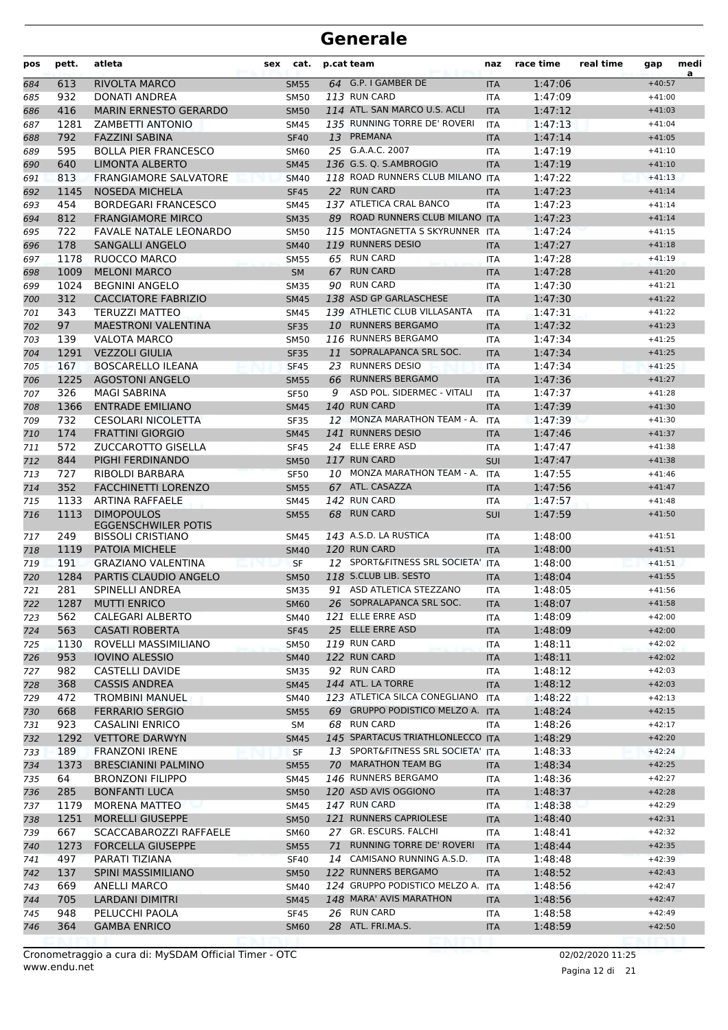| pos        | pett.       | atleta                                                 | sex | cat.                       |    | p.cat team                                      | naz                      | race time          | real time | gap                  | medi<br>a |
|------------|-------------|--------------------------------------------------------|-----|----------------------------|----|-------------------------------------------------|--------------------------|--------------------|-----------|----------------------|-----------|
| 684        | 613         | RIVOLTA MARCO                                          |     | <b>SM55</b>                |    | 64 G.P. I GAMBER DE                             | <b>ITA</b>               | 1:47:06            |           | $+40:57$             |           |
| 685        | 932         | DONATI ANDREA                                          |     | <b>SM50</b>                |    | 113 RUN CARD                                    | <b>ITA</b>               | 1:47:09            |           | $+41:00$             |           |
| 686        | 416         | <b>MARIN ERNESTO GERARDO</b>                           |     | <b>SM50</b>                |    | 114 ATL. SAN MARCO U.S. ACLI                    | <b>ITA</b>               | 1:47:12            |           | $+41:03$             |           |
| 687        | 1281        | ZAMBETTI ANTONIO                                       |     | <b>SM45</b>                |    | 135 RUNNING TORRE DE' ROVERI                    | <b>ITA</b>               | 1:47:13            |           | $+41:04$             |           |
| 688        | 792         | <b>FAZZINI SABINA</b>                                  |     | <b>SF40</b>                |    | 13 PREMANA                                      | <b>ITA</b>               | 1:47:14            |           | $+41:05$             |           |
| 689        | 595         | <b>BOLLA PIER FRANCESCO</b>                            |     | <b>SM60</b>                |    | 25 G.A.A.C. 2007                                | ITA                      | 1:47:19            |           | $+41:10$             |           |
| 690        | 640         | <b>LIMONTA ALBERTO</b>                                 |     | <b>SM45</b>                |    | 136 G.S. Q. S.AMBROGIO                          | <b>ITA</b>               | 1:47:19            |           | $+41:10$             |           |
| 691        | 813<br>1145 | <b>FRANGIAMORE SALVATORE</b><br><b>NOSEDA MICHELA</b>  |     | <b>SM40</b>                |    | 118 ROAD RUNNERS CLUB MILANO ITA<br>22 RUN CARD |                          | 1:47:22<br>1:47:23 |           | $+41:13$<br>$+41:14$ |           |
| 692<br>693 | 454         | <b>BORDEGARI FRANCESCO</b>                             |     | <b>SF45</b><br><b>SM45</b> |    | 137 ATLETICA CRAL BANCO                         | <b>ITA</b><br><b>ITA</b> | 1:47:23            |           | $+41:14$             |           |
| 694        | 812         | <b>FRANGIAMORE MIRCO</b>                               |     | <b>SM35</b>                |    | 89 ROAD RUNNERS CLUB MILANO ITA                 |                          | 1:47:23            |           | $+41:14$             |           |
| 695        | 722         | <b>FAVALE NATALE LEONARDO</b>                          |     | <b>SM50</b>                |    | 115 MONTAGNETTA S SKYRUNNER ITA                 |                          | 1:47:24            |           | $+41:15$             |           |
| 696        | 178         | <b>SANGALLI ANGELO</b>                                 |     | <b>SM40</b>                |    | 119 RUNNERS DESIO                               | <b>ITA</b>               | 1:47:27            |           | $+41:18$             |           |
| 697        | 1178        | RUOCCO MARCO                                           |     | <b>SM55</b>                |    | 65 RUN CARD                                     | ITA                      | 1:47:28            |           | $+41:19$             |           |
| 698        | 1009        | <b>MELONI MARCO</b>                                    |     | <b>SM</b>                  | 67 | <b>RUN CARD</b>                                 | <b>ITA</b>               | 1:47:28            |           | $+41:20$             |           |
| 699        | 1024        | <b>BEGNINI ANGELO</b>                                  |     | <b>SM35</b>                |    | 90 RUN CARD                                     | <b>ITA</b>               | 1:47:30            |           | $+41:21$             |           |
| 700        | 312         | <b>CACCIATORE FABRIZIO</b>                             |     | <b>SM45</b>                |    | 138 ASD GP GARLASCHESE                          | <b>ITA</b>               | 1:47:30            |           | $+41:22$             |           |
| 701        | 343         | <b>TERUZZI MATTEO</b>                                  |     | <b>SM45</b>                |    | 139 ATHLETIC CLUB VILLASANTA                    | <b>ITA</b>               | 1:47:31            |           | $+41:22$             |           |
| 702        | 97          | <b>MAESTRONI VALENTINA</b>                             |     | <b>SF35</b>                |    | 10 RUNNERS BERGAMO                              | <b>ITA</b>               | 1:47:32            |           | $+41:23$             |           |
| 703        | 139         | <b>VALOTA MARCO</b>                                    |     | <b>SM50</b>                |    | 116 RUNNERS BERGAMO                             | ITA                      | 1:47:34            |           | $+41:25$             |           |
| 704        | 1291        | <b>VEZZOLI GIULIA</b>                                  |     | <b>SF35</b>                | 11 | SOPRALAPANCA SRL SOC.                           | <b>ITA</b>               | 1:47:34            |           | $+41:25$             |           |
| 705        | 167         | <b>BOSCARELLO ILEANA</b>                               |     | <b>SF45</b>                | 23 | <b>RUNNERS DESIO</b>                            | <b>ITA</b>               | 1:47:34            |           | $+41:25$             |           |
| 706        | 1225        | <b>AGOSTONI ANGELO</b>                                 |     | <b>SM55</b>                | 66 | <b>RUNNERS BERGAMO</b>                          | <b>ITA</b>               | 1:47:36            |           | $+41:27$             |           |
| 707        | 326         | <b>MAGI SABRINA</b>                                    |     | <b>SF50</b>                | 9  | ASD POL. SIDERMEC - VITALI                      | <b>ITA</b>               | 1:47:37            |           | $+41:28$             |           |
| 708        | 1366        | <b>ENTRADE EMILIANO</b>                                |     | <b>SM45</b>                |    | 140 RUN CARD<br>12 MONZA MARATHON TEAM - A.     | <b>ITA</b>               | 1:47:39            |           | $+41:30$             |           |
| 709        | 732<br>174  | <b>CESOLARI NICOLETTA</b><br><b>FRATTINI GIORGIO</b>   |     | SF35                       |    | 141 RUNNERS DESIO                               | ITA                      | 1:47:39<br>1:47:46 |           | $+41:30$<br>$+41:37$ |           |
| 710<br>711 | 572         | <b>ZUCCAROTTO GISELLA</b>                              |     | <b>SM45</b><br><b>SF45</b> |    | 24 ELLE ERRE ASD                                | <b>ITA</b><br><b>ITA</b> | 1:47:47            |           | $+41:38$             |           |
| 712        | 844         | PIGHI FERDINANDO                                       |     | <b>SM50</b>                |    | 117 RUN CARD                                    | SUI                      | 1:47:47            |           | $+41:38$             |           |
| 713        | 727         | RIBOLDI BARBARA                                        |     | <b>SF50</b>                |    | 10 MONZA MARATHON TEAM - A.                     | <b>ITA</b>               | 1:47:55            |           | $+41:46$             |           |
| 714        | 352         | <b>FACCHINETTI LORENZO</b>                             |     | <b>SM55</b>                |    | 67 ATL. CASAZZA                                 | <b>ITA</b>               | 1:47:56            |           | $+41:47$             |           |
| 715        | 1133        | <b>ARTINA RAFFAELE</b>                                 |     | <b>SM45</b>                |    | 142 RUN CARD                                    | ITA                      | 1:47:57            |           | $+41:48$             |           |
| 716        | 1113        | <b>DIMOPOULOS</b>                                      |     | <b>SM55</b>                |    | 68 RUN CARD                                     | <b>SUI</b>               | 1:47:59            |           | $+41:50$             |           |
| 717        | 249         | <b>EGGENSCHWILER POTIS</b><br><b>BISSOLI CRISTIANO</b> |     | <b>SM45</b>                |    | 143 A.S.D. LA RUSTICA                           | <b>ITA</b>               | 1:48:00            |           | $+41:51$             |           |
| 718        | 1119        | <b>PATOIA MICHELE</b>                                  |     | <b>SM40</b>                |    | 120 RUN CARD                                    | <b>ITA</b>               | 1:48:00            |           | $+41:51$             |           |
| 719        | 191         | GRAZIANO VALENTINA                                     |     | <b>SF</b>                  |    | 12 SPORT&FITNESS SRL SOCIETA' ITA               |                          | 1:48:00            |           | $+41:51$             |           |
| 720        | 1284        | <b>PARTIS CLAUDIO ANGELO</b>                           |     | <b>SM50</b>                |    | 118 S.CLUB LIB. SESTO                           | <b>ITA</b>               | 1:48:04            |           | $+41:55$             |           |
| 721        | 281         | <b>SPINELLI ANDREA</b>                                 |     | <b>SM35</b>                |    | 91 ASD ATLETICA STEZZANO                        | <b>ITA</b>               | 1:48:05            |           | $+41:56$             |           |
| 722        |             | 1287 MUTTI ENRICO                                      |     | <b>SM60</b>                |    | 26 SOPRALAPANCA SRL SOC.                        | <b>ITA</b>               | 1:48:07            |           | $+41:58$             |           |
| 723        | 562         | CALEGARI ALBERTO                                       |     | SM40                       |    | 121 ELLE ERRE ASD                               | ITA                      | 1:48:09            |           | $+42:00$             |           |
| 724        | 563         | <b>CASATI ROBERTA</b>                                  |     | <b>SF45</b>                |    | 25 ELLE ERRE ASD                                | ITA                      | 1:48:09            |           | $+42:00$             |           |
| 725        | 1130        | ROVELLI MASSIMILIANO                                   |     | <b>SM50</b>                |    | 119 RUN CARD                                    | ITA                      | 1:48:11            |           | $+42:02$             |           |
| 726        | 953         | <b>IOVINO ALESSIO</b>                                  |     | <b>SM40</b>                |    | 122 RUN CARD                                    | <b>ITA</b>               | 1:48:11            |           | $+42:02$             |           |
| 727        | 982         | <b>CASTELLI DAVIDE</b>                                 |     | <b>SM35</b>                |    | 92 RUN CARD                                     | ITA                      | 1:48:12            |           | $+42:03$             |           |
| 728        | 368         | <b>CASSIS ANDREA</b>                                   |     | <b>SM45</b>                |    | 144 ATL. LA TORRE                               | <b>ITA</b>               | 1:48:12            |           | $+42:03$             |           |
| 729        | 472         | <b>TROMBINI MANUEL</b>                                 |     | SM40                       |    | 123 ATLETICA SILCA CONEGLIANO                   | <b>ITA</b>               | 1:48:22            |           | $+42:13$             |           |
| 730        | 668         | <b>FERRARIO SERGIO</b>                                 |     | <b>SM55</b>                |    | 69 GRUPPO PODISTICO MELZO A. ITA<br>68 RUN CARD |                          | 1:48:24            |           | $+42:15$<br>$+42:17$ |           |
| 731        | 923<br>1292 | CASALINI ENRICO<br><b>VETTORE DARWYN</b>               |     | SM                         |    | 145 SPARTACUS TRIATHLONLECCO ITA                | ITA                      | 1:48:26<br>1:48:29 |           | $+42:20$             |           |
| 732<br>733 | 189         | <b>FRANZONI IRENE</b>                                  |     | <b>SM45</b><br><b>SF</b>   |    | 13 SPORT&FITNESS SRL SOCIETA' ITA               |                          | 1:48:33            |           | $+42:24$             |           |
| 734        | 1373        | <b>BRESCIANINI PALMINO</b>                             |     | <b>SM55</b>                |    | 70 MARATHON TEAM BG                             | ITA                      | 1:48:34            |           | $+42:25$             |           |
| 735        | 64          | <b>BRONZONI FILIPPO</b>                                |     | SM45                       |    | 146 RUNNERS BERGAMO                             | ITA                      | 1:48:36            |           | $+42:27$             |           |
| 736        | 285         | <b>BONFANTI LUCA</b>                                   |     | <b>SM50</b>                |    | 120 ASD AVIS OGGIONO                            | <b>ITA</b>               | 1:48:37            |           | $+42:28$             |           |
| 737        | 1179        | MORENA MATTEO                                          |     | SM45                       |    | 147 RUN CARD                                    | ITA                      | 1:48:38            |           | $+42:29$             |           |
| 738        | 1251        | <b>MORELLI GIUSEPPE</b>                                |     | <b>SM50</b>                |    | 121 RUNNERS CAPRIOLESE                          | <b>ITA</b>               | 1:48:40            |           | $+42:31$             |           |
| 739        | 667         | SCACCABAROZZI RAFFAELE                                 |     | <b>SM60</b>                |    | 27 GR. ESCURS. FALCHI                           | ITA                      | 1:48:41            |           | $+42:32$             |           |
| 740        | 1273        | <b>FORCELLA GIUSEPPE</b>                               |     | <b>SM55</b>                |    | 71 RUNNING TORRE DE' ROVERI                     | <b>ITA</b>               | 1:48:44            |           | $+42:35$             |           |
| 741        | 497         | PARATI TIZIANA                                         |     | <b>SF40</b>                |    | 14 CAMISANO RUNNING A.S.D.                      | ITA                      | 1:48:48            |           | $+42:39$             |           |
| 742        | 137         | <b>SPINI MASSIMILIANO</b>                              |     | <b>SM50</b>                |    | 122 RUNNERS BERGAMO                             | <b>ITA</b>               | 1:48:52            |           | $+42:43$             |           |
| 743        | 669         | ANELLI MARCO                                           |     | SM40                       |    | 124 GRUPPO PODISTICO MELZO A.                   | <b>ITA</b>               | 1:48:56            |           | $+42:47$             |           |
| 744        | 705         | <b>LARDANI DIMITRI</b>                                 |     | <b>SM45</b>                |    | 148 MARA' AVIS MARATHON                         | <b>ITA</b>               | 1:48:56            |           | $+42:47$             |           |
| 745        | 948         | PELUCCHI PAOLA                                         |     | SF45                       |    | 26 RUN CARD                                     | ITA                      | 1:48:58            |           | $+42:49$             |           |
| 746        | 364         | <b>GAMBA ENRICO</b>                                    |     | <b>SM60</b>                |    | 28 ATL. FRI.MA.S.                               | <b>ITA</b>               | 1:48:59            |           | $+42:50$             |           |
|            |             |                                                        |     |                            |    |                                                 |                          |                    |           |                      |           |

www.endu.net Cronometraggio a cura di: MySDAM Official Timer - OTC 02/02/2020 11:25

Pagina 12 di 21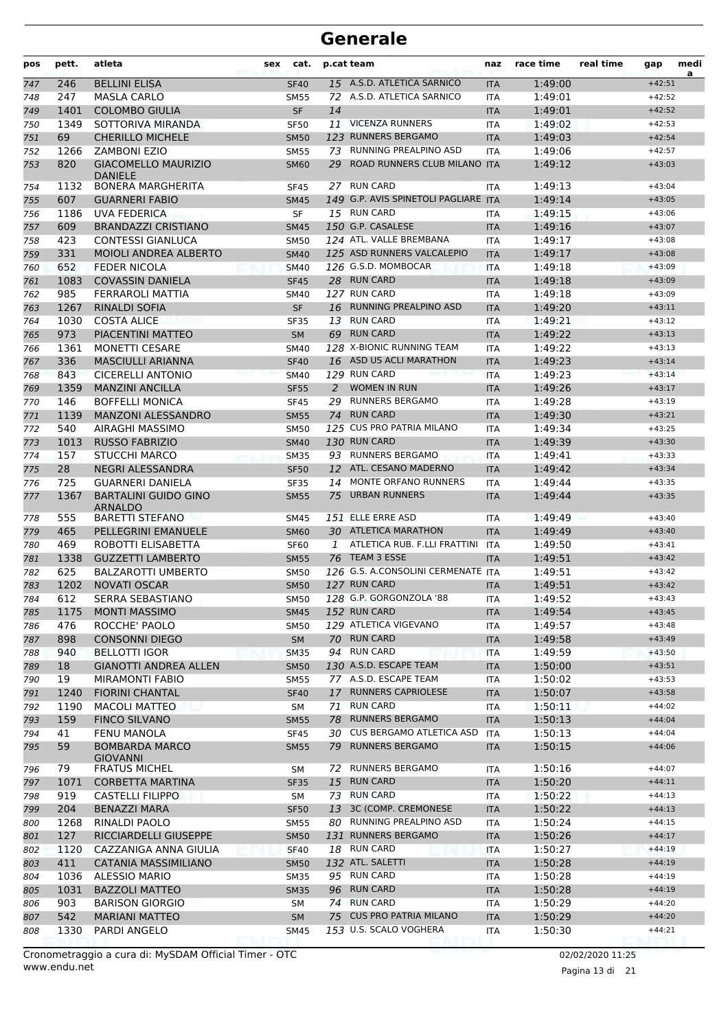| pos        | pett.       | atleta                                         | <b>sex</b> | cat.                       |    | p.cat team                                        | naz                      | race time          | real time | gap                  | medi<br>a |
|------------|-------------|------------------------------------------------|------------|----------------------------|----|---------------------------------------------------|--------------------------|--------------------|-----------|----------------------|-----------|
| 747        | 246         | <b>BELLINI ELISA</b>                           |            | <b>SF40</b>                |    | 15 A.S.D. ATLETICA SARNICO                        | <b>ITA</b>               | 1:49:00            |           | $+42:51$             |           |
| 748        | 247         | <b>MASLA CARLO</b>                             |            | <b>SM55</b>                |    | 72 A.S.D. ATLETICA SARNICO                        | <b>ITA</b>               | 1:49:01            |           | $+42:52$             |           |
| 749        | 1401        | <b>COLOMBO GIULIA</b>                          |            | <b>SF</b>                  | 14 |                                                   | <b>ITA</b>               | 1:49:01            |           | $+42:52$             |           |
| 750        | 1349        | SOTTORIVA MIRANDA                              |            | <b>SF50</b>                |    | 11 VICENZA RUNNERS                                | <b>ITA</b>               | 1:49:02            |           | $+42:53$             |           |
| 751        | 69          | <b>CHERILLO MICHELE</b>                        |            | <b>SM50</b>                |    | 123 RUNNERS BERGAMO                               | <b>ITA</b>               | 1:49:03            |           | $+42:54$             |           |
| 752        | 1266        | <b>ZAMBONI EZIO</b>                            |            | <b>SM55</b>                | 73 | RUNNING PREALPINO ASD                             | <b>ITA</b>               | 1:49:06            |           | $+42:57$             |           |
| 753        | 820         | <b>GIACOMELLO MAURIZIO</b><br><b>DANIELE</b>   |            | <b>SM60</b>                | 29 | ROAD RUNNERS CLUB MILANO ITA                      |                          | 1:49:12            |           | $+43:03$             |           |
| 754        | 1132        | <b>BONERA MARGHERITA</b>                       |            | <b>SF45</b>                |    | 27 RUN CARD                                       | ITA                      | 1:49:13            |           | $+43:04$             |           |
| 755        | 607         | <b>GUARNERI FABIO</b>                          |            | <b>SM45</b>                |    | 149 G.P. AVIS SPINETOLI PAGLIARE ITA              |                          | 1:49:14            |           | $+43:05$             |           |
| 756        | 1186        | <b>UVA FEDERICA</b>                            |            | <b>SF</b>                  |    | 15 RUN CARD                                       | <b>ITA</b>               | 1:49:15            |           | $+43:06$             |           |
| 757        | 609         | <b>BRANDAZZI CRISTIANO</b>                     |            | <b>SM45</b>                |    | 150 G.P. CASALESE                                 | <b>ITA</b>               | 1:49:16            |           | $+43:07$             |           |
| 758        | 423         | <b>CONTESSI GIANLUCA</b>                       |            | <b>SM50</b>                |    | 124 ATL. VALLE BREMBANA                           | <b>ITA</b>               | 1:49:17            |           | $+43:08$             |           |
| 759        | 331         | <b>MOIOLI ANDREA ALBERTO</b>                   |            | <b>SM40</b>                |    | 125 ASD RUNNERS VALCALEPIO                        | <b>ITA</b>               | 1:49:17            |           | $+43:08$             |           |
| 760        | 652         | <b>FEDER NICOLA</b>                            |            | <b>SM40</b>                |    | 126 G.S.D. MOMBOCAR                               | <b>ITA</b>               | 1:49:18            |           | $+43:09$             |           |
| 761        | 1083        | <b>COVASSIN DANIELA</b>                        |            | <b>SF45</b>                |    | 28 RUN CARD<br>127 RUN CARD                       | <b>ITA</b>               | 1:49:18            |           | $+43:09$             |           |
| 762        | 985         | FERRAROLI MATTIA<br><b>RINALDI SOFIA</b>       |            | <b>SM40</b>                |    | 16 RUNNING PREALPINO ASD                          | <b>ITA</b>               | 1:49:18            |           | $+43:09$             |           |
| 763        | 1267        |                                                |            | <b>SF</b>                  |    | <b>RUN CARD</b>                                   | <b>ITA</b>               | 1:49:20            |           | $+43:11$             |           |
| 764        | 1030<br>973 | <b>COSTA ALICE</b><br>PIACENTINI MATTEO        |            | <b>SF35</b>                | 13 | 69 RUN CARD                                       | <b>ITA</b>               | 1:49:21<br>1:49:22 |           | $+43:12$<br>$+43:13$ |           |
| 765        | 1361        | <b>MONETTI CESARE</b>                          |            | <b>SM</b><br><b>SM40</b>   |    | 128 X-BIONIC RUNNING TEAM                         | <b>ITA</b>               | 1:49:22            |           | $+43:13$             |           |
| 766<br>767 | 336         | <b>MASCIULLI ARIANNA</b>                       |            | <b>SF40</b>                |    | 16 ASD US ACLI MARATHON                           | <b>ITA</b><br><b>ITA</b> | 1:49:23            |           | $+43:14$             |           |
| 768        | 843         | <b>CICERELLI ANTONIO</b>                       |            | <b>SM40</b>                |    | 129 RUN CARD                                      | <b>ITA</b>               | 1:49:23            |           | $+43:14$             |           |
| 769        | 1359        | <b>MANZINI ANCILLA</b>                         |            | <b>SF55</b>                | 2  | <b>WOMEN IN RUN</b>                               | <b>ITA</b>               | 1:49:26            |           | $+43:17$             |           |
| 770        | 146         | <b>BOFFELLI MONICA</b>                         |            | <b>SF45</b>                | 29 | <b>RUNNERS BERGAMO</b>                            | <b>ITA</b>               | 1:49:28            |           | $+43:19$             |           |
| 771        | 1139        | <b>MANZONI ALESSANDRO</b>                      |            | <b>SM55</b>                | 74 | <b>RUN CARD</b>                                   | <b>ITA</b>               | 1:49:30            |           | $+43:21$             |           |
| 772        | 540         | AIRAGHI MASSIMO                                |            | <b>SM50</b>                |    | 125 CUS PRO PATRIA MILANO                         | <b>ITA</b>               | 1:49:34            |           | $+43:25$             |           |
| 773        | 1013        | <b>RUSSO FABRIZIO</b>                          |            | <b>SM40</b>                |    | 130 RUN CARD                                      | <b>ITA</b>               | 1:49:39            |           | $+43:30$             |           |
| 774        | 157         | <b>STUCCHI MARCO</b>                           |            | <b>SM35</b>                |    | 93 RUNNERS BERGAMO                                | <b>ITA</b>               | 1:49:41            |           | $+43:33$             |           |
| 775        | 28          | NEGRI ALESSANDRA                               |            | <b>SF50</b>                |    | 12 ATL. CESANO MADERNO                            | <b>ITA</b>               | 1:49:42            |           | $+43:34$             |           |
| 776        | 725         | <b>GUARNERI DANIELA</b>                        |            | <b>SF35</b>                | 14 | MONTE ORFANO RUNNERS                              | <b>ITA</b>               | 1:49:44            |           | $+43:35$             |           |
| 777        | 1367        | <b>BARTALINI GUIDO GINO</b><br><b>ARNALDO</b>  |            | <b>SM55</b>                | 75 | <b>URBAN RUNNERS</b>                              | <b>ITA</b>               | 1:49:44            |           | $+43:35$             |           |
| 778        | 555         | <b>BARETTI STEFANO</b>                         |            | <b>SM45</b>                |    | 151 ELLE ERRE ASD                                 | <b>ITA</b>               | 1:49:49            |           | $+43:40$             |           |
| 779        | 465         | <b>PELLEGRINI EMANUELE</b>                     |            | <b>SM60</b>                |    | 30 ATLETICA MARATHON                              | <b>ITA</b>               | 1:49:49            |           | $+43:40$             |           |
| 780        | 469         | ROBOTTI ELISABETTA                             |            | SF <sub>60</sub>           | 1  | ATLETICA RUB. F.LLI FRATTINI                      | ITA                      | 1:49:50            |           | $+43:41$             |           |
| 781        | 1338        | <b>GUZZETTI LAMBERTO</b>                       |            | <b>SM55</b>                |    | 76 TEAM 3 ESSE                                    | <b>ITA</b>               | 1:49:51            |           | $+43:42$             |           |
| 782        | 625         | <b>BALZAROTTI UMBERTO</b>                      |            | <b>SM50</b>                |    | 126 G.S. A.CONSOLINI CERMENATE ITA                |                          | 1:49:51            |           | $+43:42$             |           |
| 783        | 1202        | <b>NOVATI OSCAR</b>                            |            | <b>SM50</b>                |    | 127 RUN CARD                                      | <b>ITA</b>               | 1:49:51            |           | $+43:42$             |           |
| 784        | 612         | SERRA SEBASTIANO                               |            | <b>SM50</b>                |    | 128 G.P. GORGONZOLA '88                           | ITA                      | 1:49:52            |           | $+43:43$             |           |
| 785        | 1175        | <b>MONTI MASSIMO</b>                           |            | <b>SM45</b>                |    | 152 RUN CARD                                      | <b>ITA</b>               | 1:49:54            |           | $+43:45$             |           |
| 786        | 476         | ROCCHE' PAOLO                                  |            | <b>SM50</b>                |    | 129 ATLETICA VIGEVANO                             | ITA                      | 1:49:57            |           | $+43:48$             |           |
| 787        | 898         | <b>CONSONNI DIEGO</b>                          |            | SM                         |    | 70 RUN CARD                                       | <b>ITA</b>               | 1:49:58            |           | $+43:49$             |           |
| 788        | 940         | <b>BELLOTTI IGOR</b>                           |            | <b>SM35</b>                |    | 94 RUN CARD                                       | ITA                      | 1:49:59            |           | $+43:50$             |           |
| 789        | 18          | <b>GIANOTTI ANDREA ALLEN</b>                   |            | <b>SM50</b>                |    | 130 A.S.D. ESCAPE TEAM                            | <b>ITA</b>               | 1:50:00            |           | $+43:51$             |           |
| 790        | 19          | <b>MIRAMONTI FABIO</b>                         |            | <b>SM55</b>                |    | 77 A.S.D. ESCAPE TEAM                             | ITA                      | 1:50:02            |           | $+43:53$             |           |
| 791        | 1240        | <b>FIORINI CHANTAL</b>                         |            | <b>SF40</b>                |    | 17 RUNNERS CAPRIOLESE                             | <b>ITA</b>               | 1:50:07            |           | $+43:58$             |           |
| 792        | 1190        | MACOLI MATTEO                                  |            | SM                         |    | 71 RUN CARD                                       | ITA                      | 1:50:11            |           | $+44:02$             |           |
| 793        | 159         | <b>FINCO SILVANO</b>                           |            | <b>SM55</b>                |    | 78 RUNNERS BERGAMO<br>30 CUS BERGAMO ATLETICA ASD | <b>ITA</b>               | 1:50:13            |           | $+44:04$             |           |
| 794        | 41<br>59    | <b>FENU MANOLA</b><br><b>BOMBARDA MARCO</b>    |            | <b>SF45</b>                |    | 79 RUNNERS BERGAMO                                | ITA                      | 1:50:13            |           | $+44:04$<br>$+44:06$ |           |
| 795        |             | <b>GIOVANNI</b>                                |            | <b>SM55</b>                |    |                                                   | <b>ITA</b>               | 1:50:15            |           |                      |           |
| 796        | 79          | <b>FRATUS MICHEL</b>                           |            | SM                         |    | 72 RUNNERS BERGAMO                                | ITA                      | 1:50:16            |           | $+44:07$             |           |
| 797        | 1071        | <b>CORBETTA MARTINA</b>                        |            | <b>SF35</b>                | 15 | <b>RUN CARD</b>                                   | <b>ITA</b>               | 1:50:20            |           | $+44:11$             |           |
| 798        | 919         | CASTELLI FILIPPO                               |            | SM                         |    | 73 RUN CARD                                       | ITA                      | 1:50:22            |           | $+44:13$             |           |
| 799        | 204         | <b>BENAZZI MARA</b>                            |            | <b>SF50</b>                |    | 13 3C (COMP. CREMONESE                            | <b>ITA</b>               | 1:50:22            |           | $+44:13$             |           |
| 800        | 1268        | RINALDI PAOLO                                  |            | <b>SM55</b>                |    | 80 RUNNING PREALPINO ASD                          | ITA                      | 1:50:24            |           | $+44:15$             |           |
| 801        | 127<br>1120 | RICCIARDELLI GIUSEPPE<br>CAZZANIGA ANNA GIULIA |            | <b>SM50</b>                |    | 131 RUNNERS BERGAMO<br>18 RUN CARD                | <b>ITA</b>               | 1:50:26<br>1:50:27 |           | $+44:17$<br>$+44:19$ |           |
| 802        | 411         | CATANIA MASSIMILIANO                           |            | <b>SF40</b>                |    | 132 ATL. SALETTI                                  | ITA                      | 1:50:28            |           | $+44:19$             |           |
| 803<br>804 | 1036        | <b>ALESSIO MARIO</b>                           |            | <b>SM50</b><br><b>SM35</b> |    | 95 RUN CARD                                       | <b>ITA</b><br>ITA        | 1:50:28            |           | $+44:19$             |           |
| 805        | 1031        | <b>BAZZOLI MATTEO</b>                          |            | <b>SM35</b>                |    | 96 RUN CARD                                       | <b>ITA</b>               | 1:50:28            |           | $+44:19$             |           |
| 806        | 903         | <b>BARISON GIORGIO</b>                         |            | SM                         |    | 74 RUN CARD                                       | ITA                      | 1:50:29            |           | $+44:20$             |           |
| 807        | 542         | <b>MARIANI MATTEO</b>                          |            | <b>SM</b>                  | 75 | <b>CUS PRO PATRIA MILANO</b>                      | <b>ITA</b>               | 1:50:29            |           | $+44:20$             |           |
| 808        | 1330        | PARDI ANGELO                                   |            | <b>SM45</b>                |    | 153 U.S. SCALO VOGHERA                            | ITA                      | 1:50:30            |           | $+44:21$             |           |
|            |             |                                                |            |                            |    |                                                   |                          |                    |           |                      |           |

Pagina 13 di 21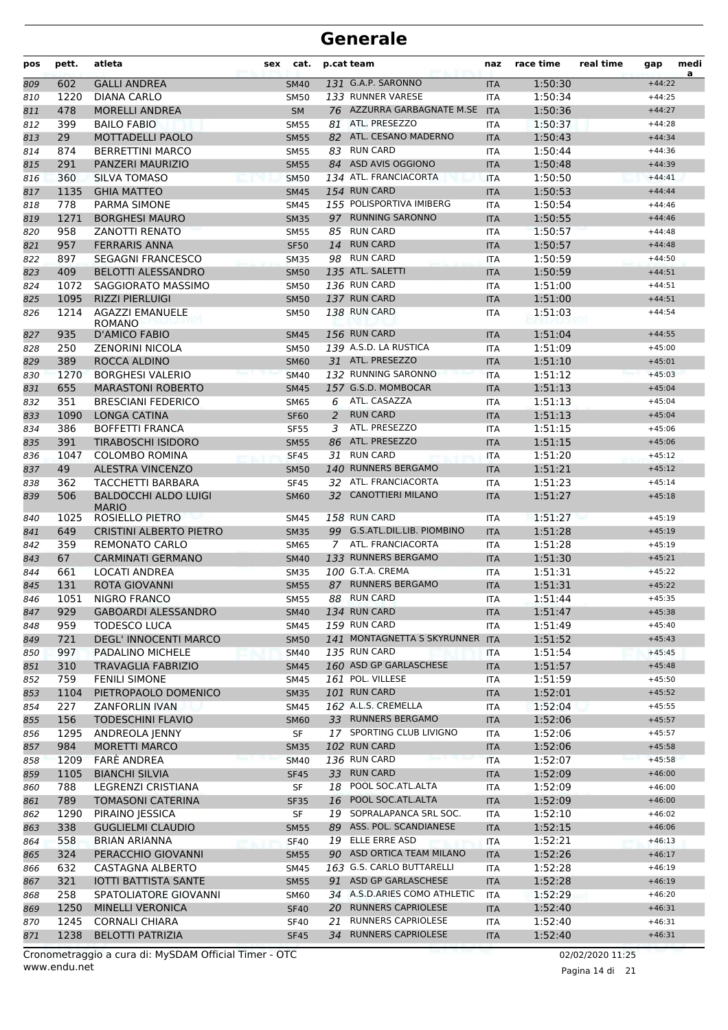| pos        | pett.       | atleta                                | sex | cat.                       |    | p.cat team                               | naz                      | race time          | real time | gap                  | medi<br>a |
|------------|-------------|---------------------------------------|-----|----------------------------|----|------------------------------------------|--------------------------|--------------------|-----------|----------------------|-----------|
| 809        | 602         | <b>GALLI ANDREA</b>                   |     | <b>SM40</b>                |    | 131 G.A.P. SARONNO                       | <b>ITA</b>               | 1:50:30            |           | $+44:22$             |           |
| 810        | 1220        | DIANA CARLO                           |     | <b>SM50</b>                |    | 133 RUNNER VARESE                        | <b>ITA</b>               | 1:50:34            |           | $+44:25$             |           |
| 811        | 478         | <b>MORELLI ANDREA</b>                 |     | <b>SM</b>                  |    | 76 AZZURRA GARBAGNATE M.SE               | <b>ITA</b>               | 1:50:36            |           | $+44:27$             |           |
| 812        | 399         | <b>BAILO FABIO</b>                    |     | <b>SM55</b>                | 81 | ATL. PRESEZZO                            | <b>ITA</b>               | 1:50:37            |           | $+44:28$             |           |
| 813        | 29          | <b>MOTTADELLI PAOLO</b>               |     | <b>SM55</b>                |    | 82 ATL. CESANO MADERNO                   | <b>ITA</b>               | 1:50:43            |           | $+44:34$             |           |
| 814        | 874         | <b>BERRETTINI MARCO</b>               |     | <b>SM55</b>                |    | 83 RUN CARD                              | <b>ITA</b>               | 1:50:44            |           | $+44:36$             |           |
| 815        | 291         | PANZERI MAURIZIO                      |     | <b>SM55</b>                |    | 84 ASD AVIS OGGIONO                      | <b>ITA</b>               | 1:50:48            |           | $+44:39$             |           |
| 816        | 360         | <b>SILVA TOMASO</b>                   |     | <b>SM50</b>                |    | 134 ATL. FRANCIACORTA                    | <b>ITA</b>               | 1:50:50            |           | $+44:41$             |           |
| 817        | 1135        | <b>GHIA MATTEO</b>                    |     | <b>SM45</b>                |    | 154 RUN CARD<br>155 POLISPORTIVA IMIBERG | <b>ITA</b>               | 1:50:53            |           | $+44:44$             |           |
| 818        | 778         | PARMA SIMONE<br><b>BORGHESI MAURO</b> |     | <b>SM45</b>                |    | 97 RUNNING SARONNO                       | <b>ITA</b>               | 1:50:54<br>1:50:55 |           | $+44:46$             |           |
| 819<br>820 | 1271<br>958 | <b>ZANOTTI RENATO</b>                 |     | <b>SM35</b><br><b>SM55</b> |    | 85 RUN CARD                              | <b>ITA</b><br><b>ITA</b> | 1:50:57            |           | $+44:46$<br>$+44:48$ |           |
|            | 957         | <b>FERRARIS ANNA</b>                  |     | <b>SF50</b>                | 14 | <b>RUN CARD</b>                          | <b>ITA</b>               | 1:50:57            |           | $+44:48$             |           |
| 821<br>822 | 897         | <b>SEGAGNI FRANCESCO</b>              |     | <b>SM35</b>                |    | 98 RUN CARD                              | <b>ITA</b>               | 1:50:59            |           | $+44:50$             |           |
| 823        | 409         | <b>BELOTTI ALESSANDRO</b>             |     | <b>SM50</b>                |    | 135 ATL. SALETTI                         | <b>ITA</b>               | 1:50:59            |           | $+44:51$             |           |
| 824        | 1072        | SAGGIORATO MASSIMO                    |     | <b>SM50</b>                |    | 136 RUN CARD                             | ITA                      | 1:51:00            |           | $+44:51$             |           |
| 825        | 1095        | <b>RIZZI PIERLUIGI</b>                |     | <b>SM50</b>                |    | 137 RUN CARD                             | <b>ITA</b>               | 1:51:00            |           | $+44:51$             |           |
| 826        | 1214        | <b>AGAZZI EMANUELE</b>                |     | <b>SM50</b>                |    | 138 RUN CARD                             | <b>ITA</b>               | 1:51:03            |           | $+44:54$             |           |
|            |             | <b>ROMANO</b>                         |     |                            |    |                                          |                          |                    |           |                      |           |
| 827        | 935         | <b>D'AMICO FABIO</b>                  |     | <b>SM45</b>                |    | 156 RUN CARD                             | <b>ITA</b>               | 1:51:04            |           | $+44:55$             |           |
| 828        | 250         | <b>ZENORINI NICOLA</b>                |     | <b>SM50</b>                |    | 139 A.S.D. LA RUSTICA                    | <b>ITA</b>               | 1:51:09            |           | $+45:00$             |           |
| 829        | 389         | ROCCA ALDINO                          |     | <b>SM60</b>                |    | 31 ATL. PRESEZZO                         | <b>ITA</b>               | 1:51:10            |           | $+45:01$             |           |
| 830        | 1270        | <b>BORGHESI VALERIO</b>               |     | <b>SM40</b>                |    | 132 RUNNING SARONNO                      | <b>ITA</b>               | 1:51:12            |           | $+45:03$             |           |
| 831        | 655         | <b>MARASTONI ROBERTO</b>              |     | <b>SM45</b>                |    | 157 G.S.D. MOMBOCAR                      | <b>ITA</b>               | 1:51:13            |           | $+45:04$             |           |
| 832        | 351         | <b>BRESCIANI FEDERICO</b>             |     | <b>SM65</b>                | 6  | ATL. CASAZZA                             | <b>ITA</b>               | 1:51:13            |           | $+45:04$             |           |
| 833        | 1090        | LONGA CATINA                          |     | <b>SF60</b>                | 2  | <b>RUN CARD</b>                          | <b>ITA</b>               | 1:51:13            |           | $+45:04$             |           |
| 834        | 386         | <b>BOFFETTI FRANCA</b>                |     | <b>SF55</b>                | 3  | ATL. PRESEZZO                            | <b>ITA</b>               | 1:51:15            |           | $+45:06$             |           |
| 835        | 391         | <b>TIRABOSCHI ISIDORO</b>             |     | <b>SM55</b>                |    | 86 ATL. PRESEZZO                         | <b>ITA</b>               | 1:51:15            |           | $+45:06$             |           |
| 836        | 1047        | <b>COLOMBO ROMINA</b>                 |     | <b>SF45</b>                | 31 | <b>RUN CARD</b>                          | <b>ITA</b>               | 1:51:20            |           | $+45:12$             |           |
| 837        | 49          | <b>ALESTRA VINCENZO</b>               |     | <b>SM50</b>                |    | 140 RUNNERS BERGAMO                      | <b>ITA</b>               | 1:51:21            |           | $+45:12$             |           |
| 838        | 362         | TACCHETTI BARBARA                     |     | <b>SF45</b>                |    | 32 ATL. FRANCIACORTA                     | <b>ITA</b>               | 1:51:23            |           | $+45:14$             |           |
| 839        | 506         | BALDOCCHI ALDO LUIGI                  |     | <b>SM60</b>                | 32 | <b>CANOTTIERI MILANO</b>                 | <b>ITA</b>               | 1:51:27            |           | $+45:18$             |           |
| 840        | 1025        | <b>MARIO</b><br>ROSIELLO PIETRO       |     | <b>SM45</b>                |    | 158 RUN CARD                             | <b>ITA</b>               | 1:51:27            |           | $+45:19$             |           |
| 841        | 649         | <b>CRISTINI ALBERTO PIETRO</b>        |     | <b>SM35</b>                |    | 99 G.S.ATL.DIL.LIB. PIOMBINO             | <b>ITA</b>               | 1:51:28            |           | $+45:19$             |           |
| 842        | 359         | REMONATO CARLO                        |     | <b>SM65</b>                |    | 7 ATL. FRANCIACORTA                      | <b>ITA</b>               | 1:51:28            |           | $+45:19$             |           |
| 843        | 67          | <b>CARMINATI GERMANO</b>              |     | <b>SM40</b>                |    | 133 RUNNERS BERGAMO                      | <b>ITA</b>               | 1:51:30            |           | $+45:21$             |           |
| 844        | 661         | <b>LOCATI ANDREA</b>                  |     | <b>SM35</b>                |    | 100 G.T.A. CREMA                         | <b>ITA</b>               | 1:51:31            |           | $+45:22$             |           |
| 845        | 131         | <b>ROTA GIOVANNI</b>                  |     | <b>SM55</b>                | 87 | <b>RUNNERS BERGAMO</b>                   | <b>ITA</b>               | 1:51:31            |           | $+45:22$             |           |
| 846        | 1051        | NIGRO FRANCO                          |     | <b>SM55</b>                |    | 88 RUN CARD                              | <b>ITA</b>               | 1:51:44            |           | $+45:35$             |           |
| 847        | 929         | <b>GABOARDI ALESSANDRO</b>            |     | <b>SM40</b>                |    | 134 RUN CARD                             | <b>ITA</b>               | 1:51:47            |           | $+45:38$             |           |
| 848        | 959         | <b>TODESCO LUCA</b>                   |     | SM45                       |    | 159 RUN CARD                             | ITA                      | 1:51:49            |           | $+45:40$             |           |
| 849        | 721         | <b>DEGL' INNOCENTI MARCO</b>          |     | <b>SM50</b>                |    | 141 MONTAGNETTA S SKYRUNNER ITA          |                          | 1:51:52            |           | $+45:43$             |           |
| 850        | 997         | <b>PADALINO MICHELE</b>               |     | <b>SM40</b>                |    | 135 RUN CARD                             | ITA                      | 1:51:54            |           | $+45:45$             |           |
| 851        | 310         | <b>TRAVAGLIA FABRIZIO</b>             |     | <b>SM45</b>                |    | 160 ASD GP GARLASCHESE                   | <b>ITA</b>               | 1:51:57            |           | $+45:48$             |           |
| 852        | 759         | <b>FENILI SIMONE</b>                  |     | <b>SM45</b>                |    | 161 POL. VILLESE                         | ITA                      | 1:51:59            |           | $+45:50$             |           |
| 853        | 1104        | PIETROPAOLO DOMENICO                  |     | <b>SM35</b>                |    | <b>101 RUN CARD</b>                      | <b>ITA</b>               | 1:52:01            |           | $+45:52$             |           |
| 854        | 227         | <b>ZANFORLIN IVAN</b>                 |     | <b>SM45</b>                |    | 162 A.L.S. CREMELLA                      | ITA                      | 1:52:04            |           | $+45:55$             |           |
| 855        | 156         | <b>TODESCHINI FLAVIO</b>              |     | <b>SM60</b>                |    | 33 RUNNERS BERGAMO                       | <b>ITA</b>               | 1:52:06            |           | $+45:57$             |           |
| 856        | 1295        | ANDREOLA JENNY                        |     | SF                         |    | 17 SPORTING CLUB LIVIGNO                 | ITA                      | 1:52:06            |           | $+45:57$             |           |
| 857        | 984         | <b>MORETTI MARCO</b>                  |     | <b>SM35</b>                |    | 102 RUN CARD                             | <b>ITA</b>               | 1:52:06            |           | $+45:58$             |           |
| 858        | 1209        | <b>FARÈ ANDREA</b>                    |     | <b>SM40</b>                |    | 136 RUN CARD                             | ITA                      | 1:52:07            |           | $+45:58$             |           |
| 859        | 1105        | <b>BIANCHI SILVIA</b>                 |     | <b>SF45</b>                |    | 33 RUN CARD                              | <b>ITA</b>               | 1:52:09            |           | $+46:00$             |           |
| 860        | 788         | LEGRENZI CRISTIANA                    |     | SF                         |    | 18 POOL SOC.ATL.ALTA                     | <b>ITA</b>               | 1:52:09            |           | $+46:00$             |           |
| 861        | 789         | <b>TOMASONI CATERINA</b>              |     | <b>SF35</b>                | 16 | POOL SOC.ATL.ALTA                        | <b>ITA</b>               | 1:52:09            |           | $+46:00$             |           |
| 862        | 1290        | PIRAINO JESSICA                       |     | SF                         |    | 19 SOPRALAPANCA SRL SOC.                 | ITA                      | 1:52:10            |           | $+46:02$             |           |
| 863        | 338         | <b>GUGLIELMI CLAUDIO</b>              |     | <b>SM55</b>                |    | 89 ASS. POL. SCANDIANESE                 | <b>ITA</b>               | 1:52:15            |           | $+46:06$             |           |
| 864        | 558         | <b>BRIAN ARIANNA</b>                  |     | <b>SF40</b>                |    | 19 ELLE ERRE ASD                         | ITA                      | 1:52:21            |           | $+46:13$             |           |
| 865        | 324         | PERACCHIO GIOVANNI                    |     | <b>SM55</b>                |    | 90 ASD ORTICA TEAM MILANO                | <b>ITA</b>               | 1:52:26            |           | $+46:17$             |           |
| 866        | 632         | CASTAGNA ALBERTO                      |     | <b>SM45</b>                |    | 163 G.S. CARLO BUTTARELLI                | ITA                      | 1:52:28            |           | $+46:19$             |           |
| 867        | 321         | IOTTI BATTISTA SANTE                  |     | <b>SM55</b>                |    | 91 ASD GP GARLASCHESE                    | <b>ITA</b>               | 1:52:28            |           | $+46:19$             |           |
| 868        | 258         | SPATOLIATORE GIOVANNI                 |     | <b>SM60</b>                |    | 34 A.S.D.ARIES COMO ATHLETIC             | <b>ITA</b>               | 1:52:29            |           | $+46:20$             |           |
| 869        | 1250        | <b>MINELLI VERONICA</b>               |     | <b>SF40</b>                |    | 20 RUNNERS CAPRIOLESE                    | <b>ITA</b>               | 1:52:40            |           | $+46:31$             |           |
| 870        | 1245        | <b>CORNALI CHIARA</b>                 |     | <b>SF40</b>                | 21 | RUNNERS CAPRIOLESE                       | ITA                      | 1:52:40            |           | $+46:31$             |           |
| 871        | 1238        | <b>BELOTTI PATRIZIA</b>               |     | <b>SF45</b>                |    | 34 RUNNERS CAPRIOLESE                    | <b>ITA</b>               | 1:52:40            |           | $+46:31$             |           |

Pagina 14 di 21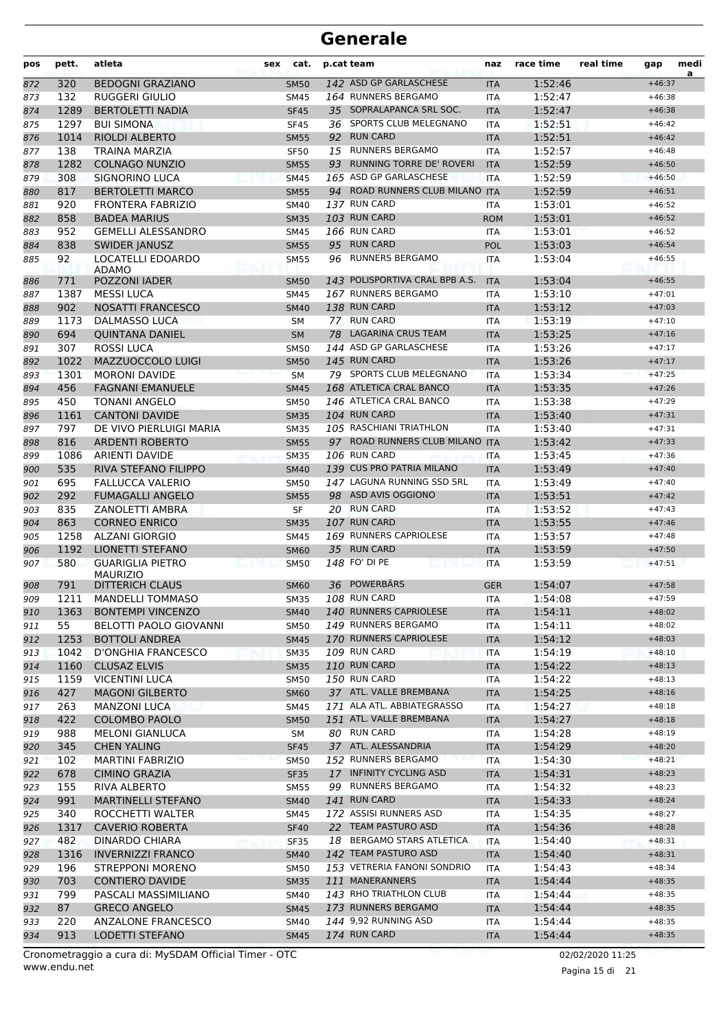| pos        | pett.       | atleta                                             | sex | cat.                       |    | p.cat team                                         | naz                      | race time          | real time | gap                  | medi<br>a |
|------------|-------------|----------------------------------------------------|-----|----------------------------|----|----------------------------------------------------|--------------------------|--------------------|-----------|----------------------|-----------|
| 872        | 320         | <b>BEDOGNI GRAZIANO</b>                            |     | <b>SM50</b>                |    | 142 ASD GP GARLASCHESE                             | <b>ITA</b>               | 1:52:46            |           | $+46:37$             |           |
| 873        | 132         | <b>RUGGERI GIULIO</b>                              |     | <b>SM45</b>                |    | 164 RUNNERS BERGAMO                                | <b>ITA</b>               | 1:52:47            |           | $+46:38$             |           |
| 874        | 1289        | <b>BERTOLETTI NADIA</b>                            |     | <b>SF45</b>                |    | 35 SOPRALAPANCA SRL SOC.                           | <b>ITA</b>               | 1:52:47            |           | $+46:38$             |           |
| 875        | 1297        | <b>BUI SIMONA</b>                                  |     | <b>SF45</b>                |    | 36 SPORTS CLUB MELEGNANO                           | <b>ITA</b>               | 1:52:51            |           | $+46:42$             |           |
| 876        | 1014        | <b>RIOLDI ALBERTO</b>                              |     | <b>SM55</b>                |    | 92 RUN CARD                                        | <b>ITA</b>               | 1:52:51            |           | $+46:42$             |           |
| 877        | 138         | TRAINA MARZIA                                      |     | <b>SF50</b>                |    | 15 RUNNERS BERGAMO                                 | <b>ITA</b>               | 1:52:57            |           | $+46:48$             |           |
| 878        | 1282        | <b>COLNAGO NUNZIO</b>                              |     | <b>SM55</b>                |    | 93 RUNNING TORRE DE' ROVERI                        | <b>ITA</b>               | 1:52:59            |           | $+46:50$             |           |
| 879        | 308         | <b>SIGNORINO LUCA</b>                              |     | <b>SM45</b>                |    | 165 ASD GP GARLASCHESE                             | <b>ITA</b>               | 1:52:59            |           | $+46:50$             |           |
| 880        | 817         | <b>BERTOLETTI MARCO</b>                            |     | <b>SM55</b>                |    | 94 ROAD RUNNERS CLUB MILANO ITA                    |                          | 1:52:59            |           | $+46:51$             |           |
| 881        | 920         | <b>FRONTERA FABRIZIO</b>                           |     | <b>SM40</b>                |    | 137 RUN CARD                                       | <b>ITA</b>               | 1:53:01            |           | $+46:52$             |           |
| 882        | 858         | <b>BADEA MARIUS</b>                                |     | <b>SM35</b>                |    | 103 RUN CARD                                       | <b>ROM</b>               | 1:53:01            |           | $+46:52$             |           |
| 883        | 952         | <b>GEMELLI ALESSANDRO</b>                          |     | SM45                       |    | 166 RUN CARD                                       | <b>ITA</b>               | 1:53:01            |           | $+46:52$             |           |
| 884        | 838         | <b>SWIDER JANUSZ</b>                               |     | <b>SM55</b>                |    | 95 RUN CARD                                        | POL                      | 1:53:03            |           | $+46:54$             |           |
| 885        | 92          | LOCATELLI EDOARDO                                  |     | <b>SM55</b>                | 96 | <b>RUNNERS BERGAMO</b>                             | <b>ITA</b>               | 1:53:04            |           | $+46:55$             |           |
|            |             | <b>ADAMO</b>                                       |     |                            |    | 143 POLISPORTIVA CRAL BPB A.S.                     |                          |                    |           |                      |           |
| 886        | 771         | POZZONI IADER                                      |     | <b>SM50</b>                |    | 167 RUNNERS BERGAMO                                | <b>ITA</b>               | 1:53:04<br>1:53:10 |           | $+46:55$             |           |
| 887        | 1387        | <b>MESSI LUCA</b>                                  |     | <b>SM45</b>                |    | 138 RUN CARD                                       | ITA                      | 1:53:12            |           | $+47:01$<br>$+47:03$ |           |
| 888        | 902<br>1173 | <b>NOSATTI FRANCESCO</b><br><b>DALMASSO LUCA</b>   |     | <b>SM40</b>                |    | 77 RUN CARD                                        | <b>ITA</b>               | 1:53:19            |           | $+47:10$             |           |
| 889        | 694         | <b>OUINTANA DANIEL</b>                             |     | <b>SM</b>                  |    | 78 LAGARINA CRUS TEAM                              | <b>ITA</b>               | 1:53:25            |           | $+47:16$             |           |
| 890        |             |                                                    |     | <b>SM</b>                  |    | 144 ASD GP GARLASCHESE                             | <b>ITA</b>               |                    |           |                      |           |
| 891        | 307         | <b>ROSSI LUCA</b>                                  |     | <b>SM50</b>                |    | 145 RUN CARD                                       | <b>ITA</b>               | 1:53:26            |           | $+47:17$<br>$+47:17$ |           |
| 892        | 1022        | MAZZUOCCOLO LUIGI                                  |     | <b>SM50</b>                |    | 79 SPORTS CLUB MELEGNANO                           | <b>ITA</b>               | 1:53:26            |           |                      |           |
| 893        | 1301        | <b>MORONI DAVIDE</b>                               |     | <b>SM</b>                  |    |                                                    | <b>ITA</b>               | 1:53:34            |           | $+47:25$             |           |
| 894        | 456         | <b>FAGNANI EMANUELE</b>                            |     | <b>SM45</b>                |    | 168 ATLETICA CRAL BANCO<br>146 ATLETICA CRAL BANCO | <b>ITA</b>               | 1:53:35            |           | $+47:26$             |           |
| 895        | 450         | TONANI ANGELO                                      |     | <b>SM50</b>                |    | 104 RUN CARD                                       | <b>ITA</b>               | 1:53:38            |           | $+47:29$             |           |
| 896        | 1161        | <b>CANTONI DAVIDE</b>                              |     | <b>SM35</b>                |    | 105 RASCHIANI TRIATHLON                            | <b>ITA</b>               | 1:53:40            |           | $+47:31$             |           |
| 897        | 797<br>816  | DE VIVO PIERLUIGI MARIA<br><b>ARDENTI ROBERTO</b>  |     | <b>SM35</b>                |    | 97 ROAD RUNNERS CLUB MILANO ITA                    | <b>ITA</b>               | 1:53:40<br>1:53:42 |           | $+47:31$             |           |
| 898        |             |                                                    |     | <b>SM55</b>                |    | 106 RUN CARD                                       |                          |                    |           | $+47:33$<br>$+47:36$ |           |
| 899        | 1086<br>535 | <b>ARIENTI DAVIDE</b><br>RIVA STEFANO FILIPPO      |     | <b>SM35</b>                |    | 139 CUS PRO PATRIA MILANO                          | ITA                      | 1:53:45<br>1:53:49 |           | $+47:40$             |           |
| 900        | 695         |                                                    |     | <b>SM40</b><br><b>SM50</b> |    | 147 LAGUNA RUNNING SSD SRL                         | <b>ITA</b>               | 1:53:49            |           | $+47:40$             |           |
| 901        | 292         | <b>FALLUCCA VALERIO</b><br><b>FUMAGALLI ANGELO</b> |     |                            |    | 98 ASD AVIS OGGIONO                                | <b>ITA</b>               | 1:53:51            |           | $+47:42$             |           |
| 902<br>903 | 835         | <b>ZANOLETTI AMBRA</b>                             |     | <b>SM55</b><br><b>SF</b>   |    | 20 RUN CARD                                        | <b>ITA</b><br><b>ITA</b> | 1:53:52            |           | $+47:43$             |           |
| 904        | 863         | <b>CORNEO ENRICO</b>                               |     | <b>SM35</b>                |    | 107 RUN CARD                                       | <b>ITA</b>               | 1:53:55            |           | $+47:46$             |           |
| 905        | 1258        | <b>ALZANI GIORGIO</b>                              |     | <b>SM45</b>                |    | 169 RUNNERS CAPRIOLESE                             | <b>ITA</b>               | 1:53:57            |           | $+47:48$             |           |
| 906        | 1192        | <b>LIONETTI STEFANO</b>                            |     | <b>SM60</b>                |    | 35 RUN CARD                                        | <b>ITA</b>               | 1:53:59            |           | $+47:50$             |           |
| 907        | 580         | <b>GUARIGLIA PIETRO</b>                            |     | <b>SM50</b>                |    | 148 FO' DI PE                                      | <b>ITA</b>               | 1:53:59            |           | $+47:51$             |           |
|            |             | <b>MAURIZIO</b>                                    |     |                            |    |                                                    |                          |                    |           |                      |           |
| 908        | 791         | <b>DITTERICH CLAUS</b>                             |     | <b>SM60</b>                |    | 36 POWERBÄRS                                       | <b>GER</b>               | 1:54:07            |           | $+47:58$             |           |
| 909        | 1211        | <b>MANDELLI TOMMASO</b>                            |     | <b>SM35</b>                |    | 108 RUN CARD                                       | <b>ITA</b>               | 1:54:08            |           | $+47:59$             |           |
| 910        | 1363        | <b>BONTEMPI VINCENZO</b>                           |     | <b>SM40</b>                |    | 140 RUNNERS CAPRIOLESE                             | <b>ITA</b>               | 1:54:11            |           | $+48:02$             |           |
| 911        | 55          | BELOTTI PAOLO GIOVANNI                             |     | SM50                       |    | 149 RUNNERS BERGAMO                                | ITA                      | 1:54:11            |           | $+48:02$             |           |
| 912        | 1253        | <b>BOTTOLI ANDREA</b>                              |     | <b>SM45</b>                |    | 170 RUNNERS CAPRIOLESE                             | <b>ITA</b>               | 1:54:12            |           | $+48:03$             |           |
| 913        | 1042        | D'ONGHIA FRANCESCO                                 |     | <b>SM35</b>                |    | <b>109 RUN CARD</b>                                | ITA                      | 1:54:19            |           | $+48:10$             |           |
| 914        | 1160        | <b>CLUSAZ ELVIS</b>                                |     | <b>SM35</b>                |    | <b>110 RUN CARD</b>                                | <b>ITA</b>               | 1:54:22            |           | $+48:13$             |           |
| 915        | 1159        | <b>VICENTINI LUCA</b>                              |     | SM50                       |    | 150 RUN CARD                                       | ITA                      | 1:54:22            |           | $+48:13$             |           |
| 916        | 427         | <b>MAGONI GILBERTO</b>                             |     | <b>SM60</b>                |    | 37 ATL. VALLE BREMBANA                             | <b>ITA</b>               | 1:54:25            |           | $+48:16$             |           |
| 917        | 263         | <b>MANZONI LUCA</b>                                |     | SM45                       |    | 171 ALA ATL. ABBIATEGRASSO                         | ITA                      | 1:54:27            |           | $+48:18$             |           |
| 918        | 422         | <b>COLOMBO PAOLO</b>                               |     | <b>SM50</b>                |    | 151 ATL. VALLE BREMBANA                            | <b>ITA</b>               | 1:54:27            |           | $+48:18$             |           |
| 919        | 988         | <b>MELONI GIANLUCA</b>                             |     | SM                         |    | 80 RUN CARD                                        | ITA                      | 1:54:28            |           | $+48:19$             |           |
| 920        | 345         | <b>CHEN YALING</b>                                 |     | <b>SF45</b>                |    | 37 ATL. ALESSANDRIA                                | <b>ITA</b>               | 1:54:29            |           | $+48:20$             |           |
| 921        | 102         | <b>MARTINI FABRIZIO</b>                            |     | <b>SM50</b>                |    | 152 RUNNERS BERGAMO                                | ITA                      | 1:54:30            |           | $+48:21$             |           |
| 922        | 678         | <b>CIMINO GRAZIA</b>                               |     | <b>SF35</b>                |    | 17 INFINITY CYCLING ASD                            | <b>ITA</b>               | 1:54:31            |           | $+48:23$             |           |
| 923        | 155         | RIVA ALBERTO                                       |     | SM55                       |    | 99 RUNNERS BERGAMO                                 | ITA                      | 1:54:32            |           | $+48:23$             |           |
| 924        | 991         | <b>MARTINELLI STEFANO</b>                          |     | <b>SM40</b>                |    | 141 RUN CARD                                       | <b>ITA</b>               | 1:54:33            |           | $+48:24$             |           |
| 925        | 340         | ROCCHETTI WALTER                                   |     | SM45                       |    | 172 ASSISI RUNNERS ASD                             | ITA                      | 1:54:35            |           | $+48:27$             |           |
| 926        | 1317        | <b>CAVERIO ROBERTA</b>                             |     | <b>SF40</b>                |    | 22 TEAM PASTURO ASD                                | <b>ITA</b>               | 1:54:36            |           | $+48:28$             |           |
| 927        | 482         | DINARDO CHIARA                                     |     | <b>SF35</b>                |    | 18 BERGAMO STARS ATLETICA                          | ITA                      | 1:54:40            |           | $+48:31$             |           |
| 928        | 1316        | <b>INVERNIZZI FRANCO</b>                           |     | <b>SM40</b>                |    | 142 TEAM PASTURO ASD                               | <b>ITA</b>               | 1:54:40            |           | $+48:31$             |           |
| 929        | 196         | <b>STREPPONI MORENO</b>                            |     | <b>SM50</b>                |    | 153 VETRERIA FANONI SONDRIO                        | ITA                      | 1:54:43            |           | $+48:34$             |           |
| 930        | 703         | <b>CONTIERO DAVIDE</b>                             |     | <b>SM35</b>                |    | 111 MANERANNERS                                    | <b>ITA</b>               | 1:54:44            |           | $+48:35$             |           |
| 931        | 799         | PASCALI MASSIMILIANO                               |     | SM40                       |    | 143 RHO TRIATHLON CLUB                             | ITA                      | 1:54:44            |           | $+48:35$             |           |
| 932        | 87          | <b>GRECO ANGELO</b>                                |     | <b>SM45</b>                |    | 173 RUNNERS BERGAMO                                | <b>ITA</b>               | 1:54:44            |           | $+48:35$             |           |
| 933        | 220         | ANZALONE FRANCESCO                                 |     | SM40                       |    | 144 9,92 RUNNING ASD                               | ITA                      | 1:54:44            |           | $+48:35$             |           |
| 934        | 913         | LODETTI STEFANO                                    |     | <b>SM45</b>                |    | 174 RUN CARD                                       | <b>ITA</b>               | 1:54:44            |           | $+48:35$             |           |

Pagina 15 di 21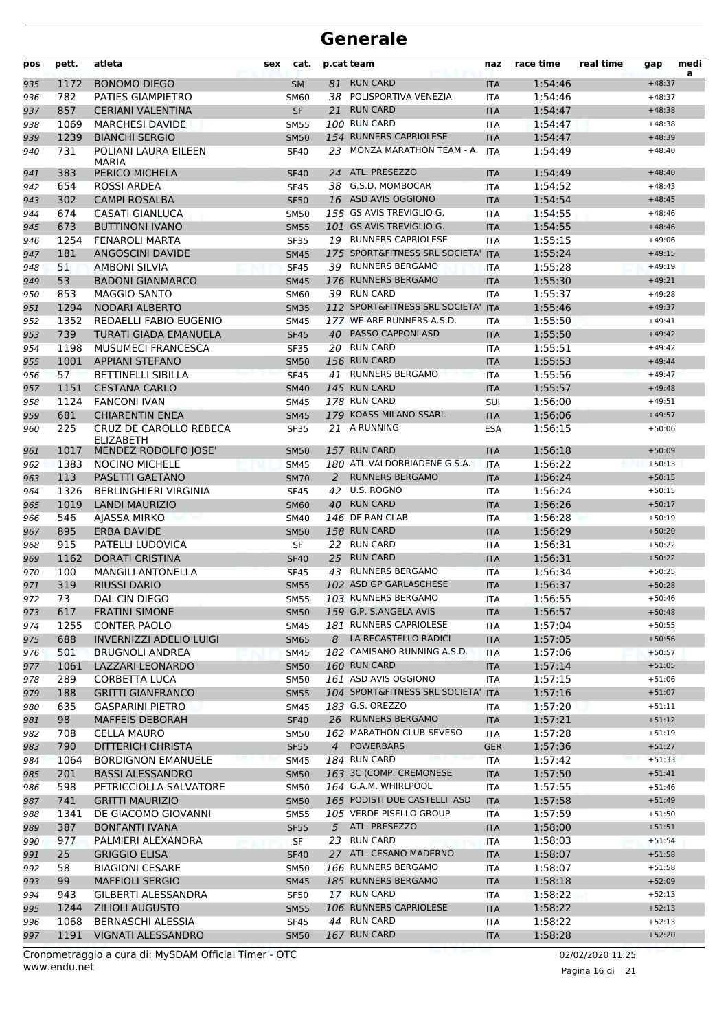| pos        | pett.      | atleta                                          | <b>sex</b>          | cat. | p.cat team                            | naz                      | race time          | real time | gap                  | medi<br>a |
|------------|------------|-------------------------------------------------|---------------------|------|---------------------------------------|--------------------------|--------------------|-----------|----------------------|-----------|
| 935        | 1172       | <b>BONOMO DIEGO</b>                             | <b>SM</b>           | 81   | <b>RUN CARD</b>                       | <b>ITA</b>               | 1:54:46            |           | $+48:37$             |           |
| 936        | 782        | <b>PATIES GIAMPIETRO</b>                        | <b>SM60</b>         |      | 38 POLISPORTIVA VENEZIA               | <b>ITA</b>               | 1:54:46            |           | $+48:37$             |           |
| 937        | 857        | <b>CERIANI VALENTINA</b>                        | <b>SF</b>           | 21   | <b>RUN CARD</b>                       | <b>ITA</b>               | 1:54:47            |           | $+48:38$             |           |
| 938        | 1069       | <b>MARCHESI DAVIDE</b>                          | <b>SM55</b>         |      | 100 RUN CARD                          | ITA                      | 1:54:47            |           | $+48:38$             |           |
| 939        | 1239       | <b>BIANCHI SERGIO</b>                           | <b>SM50</b>         |      | 154 RUNNERS CAPRIOLESE                | <b>ITA</b>               | 1:54:47            |           | $+48:39$             |           |
| 940        | 731        | POLIANI LAURA EILEEN<br><b>MARIA</b>            | <b>SF40</b>         |      | 23 MONZA MARATHON TEAM - A.           | <b>ITA</b>               | 1:54:49            |           | $+48:40$             |           |
| 941        | 383        | PERICO MICHELA                                  | <b>SF40</b>         |      | 24 ATL. PRESEZZO                      | <b>ITA</b>               | 1:54:49            |           | $+48:40$             |           |
| 942        | 654        | ROSSI ARDEA                                     | <b>SF45</b>         |      | 38 G.S.D. MOMBOCAR                    | <b>ITA</b>               | 1:54:52            |           | $+48:43$             |           |
| 943        | 302        | <b>CAMPI ROSALBA</b>                            | <b>SF50</b>         |      | 16 ASD AVIS OGGIONO                   | <b>ITA</b>               | 1:54:54            |           | $+48:45$             |           |
| 944        | 674        | CASATI GIANLUCA                                 | <b>SM50</b>         |      | 155 GS AVIS TREVIGLIO G.              | ITA                      | 1:54:55            |           | $+48:46$             |           |
| 945        | 673        | <b>BUTTINONI IVANO</b>                          | <b>SM55</b>         |      | 101 GS AVIS TREVIGLIO G.              | <b>ITA</b>               | 1:54:55            |           | $+48:46$             |           |
| 946        | 1254       | <b>FENAROLI MARTA</b>                           | <b>SF35</b>         |      | 19 RUNNERS CAPRIOLESE                 | <b>ITA</b>               | 1:55:15            |           | $+49:06$             |           |
| 947        | 181        | <b>ANGOSCINI DAVIDE</b>                         | <b>SM45</b>         |      | 175 SPORT&FITNESS SRL SOCIETA'        | <b>ITA</b>               | 1:55:24            |           | $+49:15$             |           |
| 948        | 51         | <b>AMBONI SILVIA</b>                            | <b>SF45</b>         |      | 39 RUNNERS BERGAMO                    | <b>ITA</b>               | 1:55:28            |           | $+49:19$             |           |
| 949        | 53         | <b>BADONI GIANMARCO</b>                         | <b>SM45</b>         |      | 176 RUNNERS BERGAMO                   | <b>ITA</b>               | 1:55:30            |           | $+49:21$             |           |
| 950        | 853        | <b>MAGGIO SANTO</b>                             | SM60                |      | 39 RUN CARD                           | ITA                      | 1:55:37            |           | $+49:28$             |           |
| 951        | 1294       | <b>NODARI ALBERTO</b>                           | <b>SM35</b>         |      | 112 SPORT&FITNESS SRL SOCIETA'        | <b>ITA</b>               | 1:55:46            |           | $+49:37$             |           |
| 952        | 1352       | REDAELLI FABIO EUGENIO                          | <b>SM45</b>         |      | 177 WE ARE RUNNERS A.S.D.             | <b>ITA</b>               | 1:55:50            |           | $+49:41$             |           |
| 953        | 739        | <b>TURATI GIADA EMANUELA</b>                    | <b>SF45</b>         |      | 40 PASSO CAPPONI ASD                  | <b>ITA</b>               | 1:55:50            |           | $+49:42$             |           |
| 954        | 1198       | <b>MUSUMECI FRANCESCA</b>                       | <b>SF35</b>         |      | 20 RUN CARD                           | <b>ITA</b>               | 1:55:51            |           | $+49:42$             |           |
| 955        | 1001       | <b>APPIANI STEFANO</b>                          | <b>SM50</b>         |      | 156 RUN CARD                          | <b>ITA</b>               | 1:55:53            |           | $+49:44$             |           |
| 956        | 57         | <b>BETTINELLI SIBILLA</b>                       | <b>SF45</b>         |      | 41 RUNNERS BERGAMO                    | <b>ITA</b>               | 1:55:56            |           | $+49:47$             |           |
| 957        | 1151       | <b>CESTANA CARLO</b>                            | <b>SM40</b>         |      | 145 RUN CARD                          | <b>ITA</b>               | 1:55:57            |           | $+49:48$             |           |
| 958        | 1124       | <b>FANCONI IVAN</b>                             | <b>SM45</b>         |      | 178 RUN CARD                          | <b>SUI</b>               | 1:56:00            |           | $+49:51$             |           |
| 959        | 681        | <b>CHIARENTIN ENEA</b>                          | <b>SM45</b>         |      | 179 KOASS MILANO SSARL                | <b>ITA</b>               | 1:56:06            |           | $+49:57$             |           |
| 960        | 225        | CRUZ DE CAROLLO REBECA<br><b>ELIZABETH</b>      | <b>SF35</b>         |      | 21 A RUNNING                          | <b>ESA</b>               | 1:56:15            |           | $+50:06$             |           |
| 961        | 1017       | MENDEZ RODOLFO JOSE'                            | <b>SM50</b>         |      | 157 RUN CARD                          | <b>ITA</b>               | 1:56:18            |           | $+50:09$             |           |
| 962        | 1383       | <b>NOCINO MICHELE</b>                           | <b>SM45</b>         |      | 180 ATL.VALDOBBIADENE G.S.A.          | <b>ITA</b>               | 1:56:22            |           | $+50:13$             |           |
| 963        | 113        | PASETTI GAETANO                                 | <b>SM70</b>         | 2    | <b>RUNNERS BERGAMO</b>                | <b>ITA</b>               | 1:56:24            |           | $+50:15$             |           |
| 964        | 1326       | <b>BERLINGHIERI VIRGINIA</b>                    | <b>SF45</b>         | 42   | U.S. ROGNO                            | ITA                      | 1:56:24            |           | $+50:15$             |           |
| 965        | 1019       | <b>LANDI MAURIZIO</b>                           | <b>SM60</b>         |      | 40 RUN CARD                           | <b>ITA</b>               | 1:56:26            |           | $+50:17$             |           |
| 966        | 546        | AJASSA MIRKO                                    | <b>SM40</b>         |      | 146 DE RAN CLAB                       | <b>ITA</b>               | 1:56:28            |           | $+50:19$             |           |
| 967        | 895        | <b>ERBA DAVIDE</b>                              | <b>SM50</b>         |      | 158 RUN CARD                          | <b>ITA</b>               | 1:56:29            |           | $+50:20$             |           |
| 968        | 915        | <b>PATELLI LUDOVICA</b>                         | SF                  |      | 22 RUN CARD                           | <b>ITA</b>               | 1:56:31            |           | $+50:22$             |           |
| 969        | 1162       | <b>DORATI CRISTINA</b>                          | <b>SF40</b>         | 25   | <b>RUN CARD</b><br>43 RUNNERS BERGAMO | <b>ITA</b>               | 1:56:31            |           | $+50:22$             |           |
| 970        | 100<br>319 | <b>MANGILI ANTONELLA</b><br><b>RIUSSI DARIO</b> | <b>SF45</b>         |      | 102 ASD GP GARLASCHESE                | <b>ITA</b>               | 1:56:34<br>1:56:37 |           | $+50:25$<br>$+50:28$ |           |
| 971        | 73         | DAL CIN DIEGO                                   | <b>SM55</b>         |      | 103 RUNNERS BERGAMO                   | <b>ITA</b>               | 1:56:55            |           | $+50:46$             |           |
| 972        | 617        | <b>FRATINI SIMONE</b>                           | <b>SM55</b>         |      | 159 G.P. S.ANGELA AVIS                | <b>ITA</b>               | 1:56:57            |           |                      |           |
| 973<br>974 | 1255       | <b>CONTER PAOLO</b>                             | <b>SM50</b><br>SM45 |      | 181 RUNNERS CAPRIOLESE                | <b>ITA</b><br><b>ITA</b> | 1:57:04            |           | $+50:48$<br>$+50:55$ |           |
|            | 688        | <b>INVERNIZZI ADELIO LUIGI</b>                  | <b>SM65</b>         |      | 8 LA RECASTELLO RADICI                | <b>ITA</b>               | 1:57:05            |           | $+50:56$             |           |
| 975<br>976 | 501        | BRUGNOLI ANDREA                                 | <b>SM45</b>         |      | 182 CAMISANO RUNNING A.S.D.           | ITA                      | 1:57:06            |           | $+50:57$             |           |
| 977        | 1061       | LAZZARI LEONARDO                                | <b>SM50</b>         |      | 160 RUN CARD                          | <b>ITA</b>               | 1:57:14            |           | $+51:05$             |           |
| 978        | 289        | CORBETTA LUCA                                   | <b>SM50</b>         |      | 161 ASD AVIS OGGIONO                  | <b>ITA</b>               | 1:57:15            |           | $+51:06$             |           |
| 979        | 188        | <b>GRITTI GIANFRANCO</b>                        | <b>SM55</b>         |      | 104 SPORT&FITNESS SRL SOCIETA' ITA    |                          | 1:57:16            |           | $+51:07$             |           |
| 980        | 635        | <b>GASPARINI PIETRO</b>                         | SM45                |      | 183 G.S. OREZZO                       | ITA                      | 1:57:20            |           | $+51:11$             |           |
| 981        | 98         | <b>MAFFEIS DEBORAH</b>                          | <b>SF40</b>         |      | 26 RUNNERS BERGAMO                    | <b>ITA</b>               | 1:57:21            |           | $+51:12$             |           |
| 982        | 708        | CELLA MAURO                                     | <b>SM50</b>         |      | 162 MARATHON CLUB SEVESO              | ITA                      | 1:57:28            |           | $+51:19$             |           |
| 983        | 790        | <b>DITTERICH CHRISTA</b>                        | <b>SF55</b>         |      | 4 POWERBARS                           | <b>GER</b>               | 1:57:36            |           | $+51:27$             |           |
| 984        | 1064       | <b>BORDIGNON EMANUELE</b>                       | <b>SM45</b>         |      | 184 RUN CARD                          | <b>ITA</b>               | 1:57:42            |           | $+51:33$             |           |
| 985        | 201        | <b>BASSI ALESSANDRO</b>                         | <b>SM50</b>         |      | 163 3C (COMP. CREMONESE               | <b>ITA</b>               | 1:57:50            |           | $+51:41$             |           |
| 986        | 598        | PETRICCIOLLA SALVATORE                          | <b>SM50</b>         |      | 164 G.A.M. WHIRLPOOL                  | ITA                      | 1:57:55            |           | $+51:46$             |           |
| 987        | 741        | <b>GRITTI MAURIZIO</b>                          | <b>SM50</b>         |      | 165 PODISTI DUE CASTELLI ASD          | <b>ITA</b>               | 1:57:58            |           | $+51:49$             |           |
| 988        | 1341       | DE GIACOMO GIOVANNI                             | <b>SM55</b>         |      | 105 VERDE PISELLO GROUP               | ITA                      | 1:57:59            |           | $+51:50$             |           |
| 989        | 387        | <b>BONFANTI IVANA</b>                           | <b>SF55</b>         |      | 5 ATL. PRESEZZO                       | <b>ITA</b>               | 1:58:00            |           | $+51:51$             |           |
| 990        | 977        | PALMIERI ALEXANDRA                              | SF.                 |      | 23 RUN CARD                           | ITA                      | 1:58:03            |           | $+51:54$             |           |
| 991        | 25         | <b>GRIGGIO ELISA</b>                            | <b>SF40</b>         |      | 27 ATL. CESANO MADERNO                | <b>ITA</b>               | 1:58:07            |           | $+51:58$             |           |
| 992        | 58         | <b>BIAGIONI CESARE</b>                          | <b>SM50</b>         |      | 166 RUNNERS BERGAMO                   | ITA                      | 1:58:07            |           | $+51:58$             |           |
| 993        | 99         | <b>MAFFIOLI SERGIO</b>                          | <b>SM45</b>         |      | 185 RUNNERS BERGAMO                   | <b>ITA</b>               | 1:58:18            |           | $+52:09$             |           |
| 994        | 943        | GILBERTI ALESSANDRA                             | <b>SF50</b>         |      | 17 RUN CARD                           | ITA                      | 1:58:22            |           | $+52:13$             |           |
| 995        | 1244       | <b>ZILIOLI AUGUSTO</b>                          | <b>SM55</b>         |      | 106 RUNNERS CAPRIOLESE                | <b>ITA</b>               | 1:58:22            |           | $+52:13$             |           |
| 996        | 1068       | BERNASCHI ALESSIA                               | <b>SF45</b>         |      | 44 RUN CARD                           | ITA                      | 1:58:22            |           | $+52:13$             |           |
| 997        | 1191       | VIGNATI ALESSANDRO                              | <b>SM50</b>         |      | 167 RUN CARD                          | <b>ITA</b>               | 1:58:28            |           | $+52:20$             |           |
|            |            |                                                 |                     |      |                                       |                          |                    |           |                      |           |

www.endu.net Cronometraggio a cura di: MySDAM Official Timer - OTC 02/02/2020 11:25

Pagina 16 di 21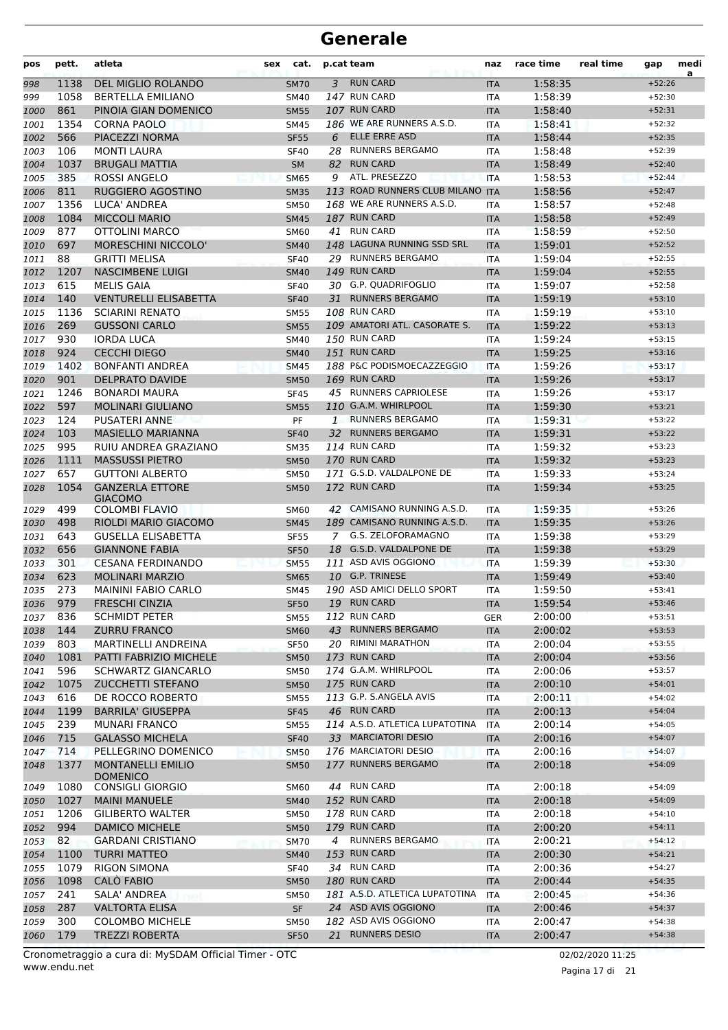| pos  | pett. | atleta                                   | sex | cat.        |              | p.cat team                       | naz        | race time | real time | gap      | medi<br>a |
|------|-------|------------------------------------------|-----|-------------|--------------|----------------------------------|------------|-----------|-----------|----------|-----------|
| 998  | 1138  | DEL MIGLIO ROLANDO                       |     | <b>SM70</b> | 3            | <b>RUN CARD</b>                  | <b>ITA</b> | 1:58:35   |           | $+52:26$ |           |
| 999  | 1058  | <b>BERTELLA EMILIANO</b>                 |     | <b>SM40</b> |              | 147 RUN CARD                     | <b>ITA</b> | 1:58:39   |           | $+52:30$ |           |
| 1000 | 861   | PINOIA GIAN DOMENICO                     |     | <b>SM55</b> |              | 107 RUN CARD                     | <b>ITA</b> | 1:58:40   |           | $+52:31$ |           |
| 1001 | 1354  | <b>CORNA PAOLO</b>                       |     | <b>SM45</b> |              | 186 WE ARE RUNNERS A.S.D.        | <b>ITA</b> | 1:58:41   |           | $+52:32$ |           |
| 1002 | 566   | PIACEZZI NORMA                           |     | <b>SF55</b> | 6            | ELLE ERRE ASD                    | <b>ITA</b> | 1:58:44   |           | $+52:35$ |           |
| 1003 | 106   | <b>MONTI LAURA</b>                       |     | <b>SF40</b> |              | 28 RUNNERS BERGAMO               | <b>ITA</b> | 1:58:48   |           | $+52:39$ |           |
| 1004 | 1037  | <b>BRUGALI MATTIA</b>                    |     | <b>SM</b>   |              | 82 RUN CARD                      | <b>ITA</b> | 1:58:49   |           | $+52:40$ |           |
| 1005 | 385   | <b>ROSSI ANGELO</b>                      |     | <b>SM65</b> | 9            | ATL. PRESEZZO                    | <b>ITA</b> | 1:58:53   |           | $+52:44$ |           |
| 1006 | 811   | RUGGIERO AGOSTINO                        |     | <b>SM35</b> |              | 113 ROAD RUNNERS CLUB MILANO ITA |            | 1:58:56   |           | $+52:47$ |           |
| 1007 | 1356  | LUCA' ANDREA                             |     | <b>SM50</b> |              | 168 WE ARE RUNNERS A.S.D.        | <b>ITA</b> | 1:58:57   |           | $+52:48$ |           |
| 1008 | 1084  | <b>MICCOLI MARIO</b>                     |     | <b>SM45</b> |              | 187 RUN CARD                     | <b>ITA</b> | 1:58:58   |           | $+52:49$ |           |
| 1009 | 877   | OTTOLINI MARCO                           |     | <b>SM60</b> |              | 41 RUN CARD                      | <b>ITA</b> | 1:58:59   |           | $+52:50$ |           |
| 1010 | 697   | MORESCHINI NICCOLO'                      |     | <b>SM40</b> |              | 148 LAGUNA RUNNING SSD SRL       | <b>ITA</b> | 1:59:01   |           | $+52:52$ |           |
| 1011 | 88    | <b>GRITTI MELISA</b>                     |     | <b>SF40</b> |              | 29 RUNNERS BERGAMO               | <b>ITA</b> | 1:59:04   |           | $+52:55$ |           |
| 1012 | 1207  | <b>NASCIMBENE LUIGI</b>                  |     | <b>SM40</b> |              | 149 RUN CARD                     | <b>ITA</b> | 1:59:04   |           | $+52:55$ |           |
| 1013 | 615   | <b>MELIS GAIA</b>                        |     | <b>SF40</b> |              | 30 G.P. QUADRIFOGLIO             | <b>ITA</b> | 1:59:07   |           | $+52:58$ |           |
| 1014 | 140   | <b>VENTURELLI ELISABETTA</b>             |     | <b>SF40</b> |              | 31 RUNNERS BERGAMO               | <b>ITA</b> | 1:59:19   |           | $+53:10$ |           |
| 1015 | 1136  | <b>SCIARINI RENATO</b>                   |     | <b>SM55</b> |              | 108 RUN CARD                     | <b>ITA</b> | 1:59:19   |           | $+53:10$ |           |
| 1016 | 269   | <b>GUSSONI CARLO</b>                     |     | <b>SM55</b> |              | 109 AMATORI ATL. CASORATE S.     | <b>ITA</b> | 1:59:22   |           | $+53:13$ |           |
| 1017 | 930   | <b>IORDA LUCA</b>                        |     | <b>SM40</b> |              | 150 RUN CARD                     | <b>ITA</b> | 1:59:24   |           | $+53:15$ |           |
|      | 924   | <b>CECCHI DIEGO</b>                      |     |             |              | 151 RUN CARD                     |            | 1:59:25   |           | $+53:16$ |           |
| 1018 |       | <b>BONFANTI ANDREA</b>                   |     | <b>SM40</b> |              | 188 P&C PODISMOECAZZEGGIO        | <b>ITA</b> |           |           | $+53:17$ |           |
| 1019 | 1402  |                                          |     | <b>SM45</b> |              |                                  | <b>ITA</b> | 1:59:26   |           |          |           |
| 1020 | 901   | <b>DELPRATO DAVIDE</b>                   |     | <b>SM50</b> |              | 169 RUN CARD                     | <b>ITA</b> | 1:59:26   |           | $+53:17$ |           |
| 1021 | 1246  | <b>BONARDI MAURA</b>                     |     | <b>SF45</b> |              | 45 RUNNERS CAPRIOLESE            | <b>ITA</b> | 1:59:26   |           | $+53:17$ |           |
| 1022 | 597   | <b>MOLINARI GIULIANO</b>                 |     | <b>SM55</b> |              | 110 G.A.M. WHIRLPOOL             | <b>ITA</b> | 1:59:30   |           | $+53:21$ |           |
| 1023 | 124   | <b>PUSATERI ANNE</b>                     |     | PF          | $\mathbf{1}$ | <b>RUNNERS BERGAMO</b>           | <b>ITA</b> | 1:59:31   |           | $+53:22$ |           |
| 1024 | 103   | <b>MASIELLO MARIANNA</b>                 |     | <b>SF40</b> |              | 32 RUNNERS BERGAMO               | <b>ITA</b> | 1:59:31   |           | $+53:22$ |           |
| 1025 | 995   | RUIU ANDREA GRAZIANO                     |     | <b>SM35</b> |              | 114 RUN CARD                     | <b>ITA</b> | 1:59:32   |           | $+53:23$ |           |
| 1026 | 1111  | <b>MASSUSSI PIETRO</b>                   |     | <b>SM50</b> |              | 170 RUN CARD                     | <b>ITA</b> | 1:59:32   |           | $+53:23$ |           |
| 1027 | 657   | <b>GUTTONI ALBERTO</b>                   |     | <b>SM50</b> |              | 171 G.S.D. VALDALPONE DE         | <b>ITA</b> | 1:59:33   |           | $+53:24$ |           |
| 1028 | 1054  | <b>GANZERLA ETTORE</b><br><b>GIACOMO</b> |     | <b>SM50</b> |              | 172 RUN CARD                     | <b>ITA</b> | 1:59:34   |           | $+53:25$ |           |
| 1029 | 499   | <b>COLOMBI FLAVIO</b>                    |     | SM60        |              | 42 CAMISANO RUNNING A.S.D.       | <b>ITA</b> | 1:59:35   |           | $+53:26$ |           |
| 1030 | 498   | RIOLDI MARIO GIACOMO                     |     | <b>SM45</b> |              | 189 CAMISANO RUNNING A.S.D.      | <b>ITA</b> | 1:59:35   |           | $+53:26$ |           |
| 1031 | 643   | <b>GUSELLA ELISABETTA</b>                |     | <b>SF55</b> | 7            | G.S. ZELOFORAMAGNO               | <b>ITA</b> | 1:59:38   |           | $+53:29$ |           |
| 1032 | 656   | <b>GIANNONE FABIA</b>                    |     | <b>SF50</b> |              | 18 G.S.D. VALDALPONE DE          | <b>ITA</b> | 1:59:38   |           | $+53:29$ |           |
| 1033 | 301   | <b>CESANA FERDINANDO</b>                 |     | <b>SM55</b> |              | 111 ASD AVIS OGGIONO             | <b>ITA</b> | 1:59:39   |           | $+53:30$ |           |
| 1034 | 623   | MOLINARI MARZIO                          |     | <b>SM65</b> |              | 10 G.P. TRINESE                  | <b>ITA</b> | 1:59:49   |           | $+53:40$ |           |
| 1035 | 273   | <b>MAININI FABIO CARLO</b>               |     | <b>SM45</b> |              | 190 ASD AMICI DELLO SPORT        | <b>ITA</b> | 1:59:50   |           | $+53:41$ |           |
| 1036 | 979   | <b>FRESCHI CINZIA</b>                    |     | <b>SF50</b> |              | 19 RUN CARD                      | <b>ITA</b> | 1:59:54   |           | $+53:46$ |           |
| 1037 | 836   | <b>SCHMIDT PETER</b>                     |     | <b>SM55</b> |              | 112 RUN CARD                     | GER        | 2:00:00   |           | $+53:51$ |           |
| 1038 | 144   | <b>ZURRU FRANCO</b>                      |     | <b>SM60</b> |              | 43 RUNNERS BERGAMO               | <b>ITA</b> | 2:00:02   |           | $+53:53$ |           |
| 1039 | 803   | MARTINELLI ANDREINA                      |     | <b>SF50</b> |              | 20 RIMINI MARATHON               | ITA        | 2:00:04   |           | $+53:55$ |           |
| 1040 | 1081  | PATTI FABRIZIO MICHELE                   |     | <b>SM50</b> |              | 173 RUN CARD                     | <b>ITA</b> | 2:00:04   |           | $+53:56$ |           |
| 1041 | 596   | SCHWARTZ GIANCARLO                       |     | <b>SM50</b> |              | 174 G.A.M. WHIRLPOOL             | ITA        | 2:00:06   |           | $+53:57$ |           |
| 1042 | 1075  | <b>ZUCCHETTI STEFANO</b>                 |     | <b>SM50</b> |              | 175 RUN CARD                     | <b>ITA</b> | 2:00:10   |           | $+54:01$ |           |
| 1043 | 616   | DE ROCCO ROBERTO                         |     | <b>SM55</b> |              | 113 G.P. S.ANGELA AVIS           | ITA        | 2:00:11   |           | $+54:02$ |           |
| 1044 | 1199  | <b>BARRILA' GIUSEPPA</b>                 |     | <b>SF45</b> |              | 46 RUN CARD                      | <b>ITA</b> | 2:00:13   |           | $+54:04$ |           |
| 1045 | 239   | MUNARI FRANCO                            |     | <b>SM55</b> |              | 114 A.S.D. ATLETICA LUPATOTINA   | <b>ITA</b> | 2:00:14   |           | $+54:05$ |           |
| 1046 | 715   | <b>GALASSO MICHELA</b>                   |     | <b>SF40</b> |              | 33 MARCIATORI DESIO              | <b>ITA</b> | 2:00:16   |           | $+54:07$ |           |
| 1047 | 714   | PELLEGRINO DOMENICO                      |     | <b>SM50</b> |              | 176 MARCIATORI DESIO             | ITA        | 2:00:16   |           | $+54:07$ |           |
| 1048 | 1377  | <b>MONTANELLI EMILIO</b>                 |     | <b>SM50</b> |              | 177 RUNNERS BERGAMO              | <b>ITA</b> | 2:00:18   |           | $+54:09$ |           |
|      |       | <b>DOMENICO</b>                          |     |             |              |                                  |            |           |           |          |           |
| 1049 | 1080  | <b>CONSIGLI GIORGIO</b>                  |     | SM60        |              | 44 RUN CARD                      | ITA        | 2:00:18   |           | $+54:09$ |           |
| 1050 | 1027  | <b>MAINI MANUELE</b>                     |     | <b>SM40</b> |              | 152 RUN CARD                     | <b>ITA</b> | 2:00:18   |           | $+54:09$ |           |
| 1051 | 1206  | <b>GILIBERTO WALTER</b>                  |     | <b>SM50</b> |              | 178 RUN CARD                     | ITA        | 2:00:18   |           | $+54:10$ |           |
| 1052 | 994   | <b>DAMICO MICHELE</b>                    |     | <b>SM50</b> |              | 179 RUN CARD                     | <b>ITA</b> | 2:00:20   |           | $+54:11$ |           |
| 1053 | 82    | <b>GARDANI CRISTIANO</b>                 |     | <b>SM70</b> | 4            | <b>RUNNERS BERGAMO</b>           | <b>ITA</b> | 2:00:21   |           | $+54:12$ |           |
| 1054 | 1100  | <b>TURRI MATTEO</b>                      |     | <b>SM40</b> |              | 153 RUN CARD                     | <b>ITA</b> | 2:00:30   |           | $+54:21$ |           |
| 1055 | 1079  | <b>RIGON SIMONA</b>                      |     | <b>SF40</b> |              | 34 RUN CARD                      | ITA        | 2:00:36   |           | $+54:27$ |           |
| 1056 | 1098  | <b>CALO FABIO</b>                        |     | <b>SM50</b> |              | 180 RUN CARD                     | <b>ITA</b> | 2:00:44   |           | $+54:35$ |           |
| 1057 | 241   | SALA' ANDREA                             |     | <b>SM50</b> |              | 181 A.S.D. ATLETICA LUPATOTINA   | ITA        | 2:00:45   |           | $+54:36$ |           |
| 1058 | 287   | VALTORTA ELISA                           |     | <b>SF</b>   |              | 24 ASD AVIS OGGIONO              | <b>ITA</b> | 2:00:46   |           | $+54:37$ |           |
| 1059 | 300   | <b>COLOMBO MICHELE</b>                   |     | <b>SM50</b> |              | 182 ASD AVIS OGGIONO             | <b>ITA</b> | 2:00:47   |           | $+54:38$ |           |
| 1060 | 179   | <b>TREZZI ROBERTA</b>                    |     | <b>SF50</b> |              | 21 RUNNERS DESIO                 | <b>ITA</b> | 2:00:47   |           | $+54:38$ |           |

Pagina 17 di 21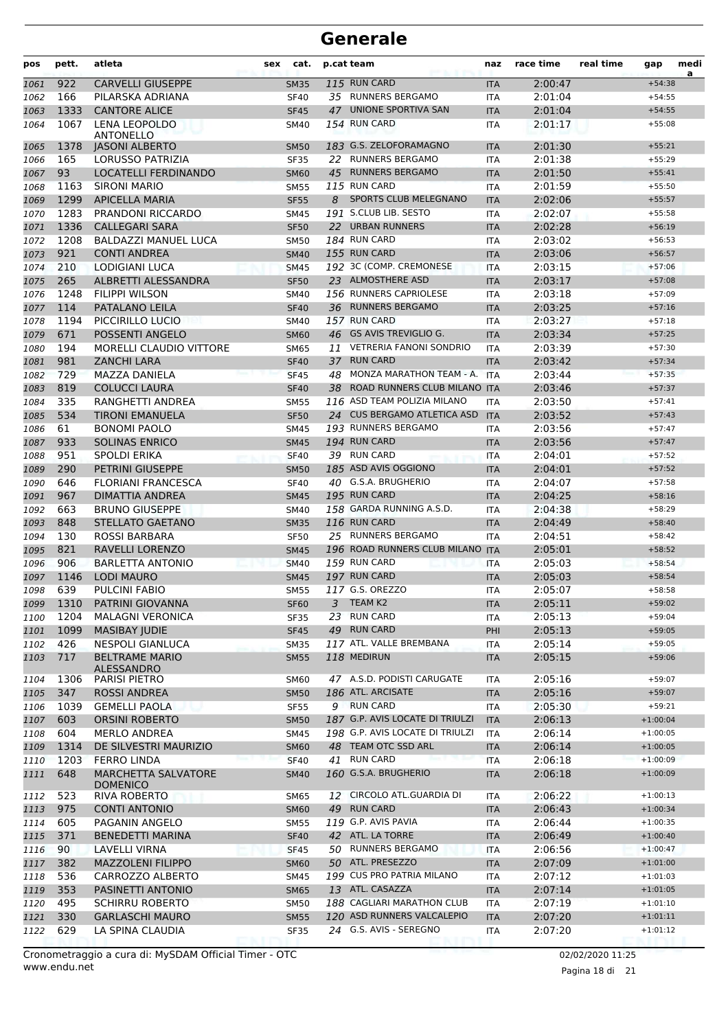| pos          | pett.        | atleta                                        | sex | cat.                       | p.cat team |                                           | naz                      | race time          | real time | gap                      | medi<br>a |
|--------------|--------------|-----------------------------------------------|-----|----------------------------|------------|-------------------------------------------|--------------------------|--------------------|-----------|--------------------------|-----------|
| 1061         | 922          | <b>CARVELLI GIUSEPPE</b>                      |     | <b>SM35</b>                |            | 115 RUN CARD                              | <b>ITA</b>               | 2:00:47            |           | $+54:38$                 |           |
| 1062         | 166          | PILARSKA ADRIANA                              |     | <b>SF40</b>                |            | 35 RUNNERS BERGAMO                        | ITA                      | 2:01:04            |           | $+54:55$                 |           |
| 1063         | 1333         | <b>CANTORE ALICE</b>                          |     | <b>SF45</b>                |            | 47 UNIONE SPORTIVA SAN                    | <b>ITA</b>               | 2:01:04            |           | $+54:55$                 |           |
| 1064         | 1067         | <b>LENA LEOPOLDO</b><br>ANTONELLO             |     | <b>SM40</b>                |            | 154 RUN CARD                              | <b>ITA</b>               | 2:01:17            |           | $+55:08$                 |           |
| 1065         | 1378         | <b>JASONI ALBERTO</b>                         |     | <b>SM50</b>                |            | 183 G.S. ZELOFORAMAGNO                    | <b>ITA</b>               | 2:01:30            |           | $+55:21$                 |           |
| 1066         | 165          | LORUSSO PATRIZIA                              |     | <b>SF35</b>                | 22         | <b>RUNNERS BERGAMO</b>                    | ITA                      | 2:01:38            |           | $+55:29$                 |           |
| 1067         | 93           | <b>LOCATELLI FERDINANDO</b>                   |     | <b>SM60</b>                | 45         | <b>RUNNERS BERGAMO</b>                    | <b>ITA</b>               | 2:01:50            |           | $+55:41$                 |           |
| 1068         | 1163         | <b>SIRONI MARIO</b>                           |     | <b>SM55</b>                |            | 115 RUN CARD                              | <b>ITA</b>               | 2:01:59            |           | $+55:50$                 |           |
| 1069         | 1299         | <b>APICELLA MARIA</b>                         |     | <b>SF55</b>                | 8          | SPORTS CLUB MELEGNANO                     | <b>ITA</b>               | 2:02:06            |           | $+55:57$                 |           |
| 1070         | 1283<br>1336 | PRANDONI RICCARDO<br><b>CALLEGARI SARA</b>    |     | <b>SM45</b>                |            | 191 S.CLUB LIB. SESTO<br>22 URBAN RUNNERS | <b>ITA</b>               | 2:02:07<br>2:02:28 |           | $+55:58$<br>$+56:19$     |           |
| 1071<br>1072 | 1208         | BALDAZZI MANUEL LUCA                          |     | <b>SF50</b>                |            | 184 RUN CARD                              | <b>ITA</b>               | 2:03:02            |           | $+56:53$                 |           |
| 1073         | 921          | <b>CONTI ANDREA</b>                           |     | <b>SM50</b><br><b>SM40</b> |            | 155 RUN CARD                              | ITA<br><b>ITA</b>        | 2:03:06            |           | $+56:57$                 |           |
| 1074         | 210          | LODIGIANI LUCA                                |     | <b>SM45</b>                |            | 192 3C (COMP. CREMONESE                   | <b>ITA</b>               | 2:03:15            |           | $+57:06$                 |           |
| 1075         | 265          | ALBRETTI ALESSANDRA                           |     | <b>SF50</b>                |            | 23 ALMOSTHERE ASD                         | <b>ITA</b>               | 2:03:17            |           | $+57:08$                 |           |
| 1076         | 1248         | <b>FILIPPI WILSON</b>                         |     | <b>SM40</b>                |            | 156 RUNNERS CAPRIOLESE                    | <b>ITA</b>               | 2:03:18            |           | $+57:09$                 |           |
| 1077         | 114          | PATALANO LEILA                                |     | <b>SF40</b>                |            | 36 RUNNERS BERGAMO                        | <b>ITA</b>               | 2:03:25            |           | $+57:16$                 |           |
| 1078         | 1194         | PICCIRILLO LUCIO                              |     | <b>SM40</b>                |            | 157 RUN CARD                              | ITA                      | 2:03:27            |           | $+57:18$                 |           |
| 1079         | 671          | POSSENTI ANGELO                               |     | <b>SM60</b>                |            | 46 GS AVIS TREVIGLIO G.                   | <b>ITA</b>               | 2:03:34            |           | $+57:25$                 |           |
| 1080         | 194          | <b>MORELLI CLAUDIO VITTORE</b>                |     | <b>SM65</b>                | 11         | <b>VETRERIA FANONI SONDRIO</b>            | <b>ITA</b>               | 2:03:39            |           | $+57:30$                 |           |
| 1081         | 981          | <b>ZANCHI LARA</b>                            |     | <b>SF40</b>                | 37         | <b>RUN CARD</b>                           | <b>ITA</b>               | 2:03:42            |           | $+57:34$                 |           |
| 1082         | 729          | MAZZA DANIELA                                 |     | <b>SF45</b>                |            | 48 MONZA MARATHON TEAM - A.               | <b>ITA</b>               | 2:03:44            |           | $+57:35$                 |           |
| 1083         | 819          | <b>COLUCCI LAURA</b>                          |     | <b>SF40</b>                | 38         | ROAD RUNNERS CLUB MILANO ITA              |                          | 2:03:46            |           | $+57:37$                 |           |
| 1084         | 335          | RANGHETTI ANDREA                              |     | <b>SM55</b>                |            | 116 ASD TEAM POLIZIA MILANO               | <b>ITA</b>               | 2:03:50            |           | $+57:41$                 |           |
| 1085         | 534          | TIRONI EMANUELA                               |     | <b>SF50</b>                |            | 24 CUS BERGAMO ATLETICA ASD               | <b>ITA</b>               | 2:03:52            |           | $+57:43$                 |           |
| 1086         | 61           | <b>BONOMI PAOLO</b>                           |     | <b>SM45</b>                |            | 193 RUNNERS BERGAMO                       | ITA                      | 2:03:56            |           | $+57:47$                 |           |
| 1087         | 933          | <b>SOLINAS ENRICO</b>                         |     | <b>SM45</b>                |            | 194 RUN CARD                              | <b>ITA</b>               | 2:03:56            |           | $+57:47$                 |           |
| 1088         | 951          | SPOLDI ERIKA                                  |     | <b>SF40</b>                |            | 39 RUN CARD                               | <b>ITA</b>               | 2:04:01            |           | $+57:52$                 |           |
| 1089         | 290          | <b>PETRINI GIUSEPPE</b>                       |     | <b>SM50</b>                |            | 185 ASD AVIS OGGIONO                      | <b>ITA</b>               | 2:04:01            |           | $+57:52$                 |           |
| 1090         | 646          | <b>FLORIANI FRANCESCA</b>                     |     | <b>SF40</b>                |            | 40 G.S.A. BRUGHERIO                       | ITA                      | 2:04:07            |           | $+57:58$                 |           |
| 1091         | 967          | DIMATTIA ANDREA                               |     | <b>SM45</b>                |            | 195 RUN CARD<br>158 GARDA RUNNING A.S.D.  | <b>ITA</b>               | 2:04:25            |           | $+58:16$                 |           |
| 1092         | 663          | <b>BRUNO GIUSEPPE</b>                         |     | <b>SM40</b>                |            | 116 RUN CARD                              | <b>ITA</b>               | 2:04:38            |           | $+58:29$                 |           |
| 1093         | 848<br>130   | <b>STELLATO GAETANO</b><br>ROSSI BARBARA      |     | <b>SM35</b><br><b>SF50</b> |            | 25 RUNNERS BERGAMO                        | <b>ITA</b>               | 2:04:49<br>2:04:51 |           | $+58:40$<br>$+58:42$     |           |
| 1094<br>1095 | 821          | RAVELLI LORENZO                               |     | <b>SM45</b>                |            | 196 ROAD RUNNERS CLUB MILANO              | <b>ITA</b><br><b>ITA</b> | 2:05:01            |           | $+58:52$                 |           |
| 1096         | 906          | <b>BARLETTA ANTONIO</b>                       |     | <b>SM40</b>                |            | 159 RUN CARD                              | ITA                      | 2:05:03            |           | $+58:54$                 |           |
| 1097         | 1146         | <b>LODI MAURO</b>                             |     | <b>SM45</b>                |            | 197 RUN CARD                              | <b>ITA</b>               | 2:05:03            |           | $+58:54$                 |           |
| 1098         | 639          | <b>PULCINI FABIO</b>                          |     | <b>SM55</b>                |            | 117 G.S. OREZZO                           | <b>ITA</b>               | 2:05:07            |           | $+58:58$                 |           |
| 1099         | 1310         | PATRINI GIOVANNA                              |     | SF <sub>60</sub>           | 3.         | TEAM K2                                   | ITA                      | 2:05:11            |           | $+59:02$                 |           |
| 1100         | 1204         | <b>MALAGNI VERONICA</b>                       |     | <b>SF35</b>                |            | 23 RUN CARD                               | ITA                      | 2:05:13            |           | $+59:04$                 |           |
| 1101         | 1099         | <b>MASIBAY JUDIE</b>                          |     | <b>SF45</b>                |            | 49 RUN CARD                               | PHI                      | 2:05:13            |           | $+59:05$                 |           |
| 1102         | 426          | <b>NESPOLI GIANLUCA</b>                       |     | <b>SM35</b>                |            | 117 ATL. VALLE BREMBANA                   | ITA                      | 2:05:14            |           | $+59:05$                 |           |
| 1103         | 717          | <b>BELTRAME MARIO</b><br><b>ALESSANDRO</b>    |     | <b>SM55</b>                |            | 118 MEDIRUN                               | <b>ITA</b>               | 2:05:15            |           | $+59:06$                 |           |
| 1104         | 1306         | PARISI PIETRO                                 |     | <b>SM60</b>                |            | 47 A.S.D. PODISTI CARUGATE                | <b>ITA</b>               | 2:05:16            |           | $+59:07$                 |           |
| 1105         | 347          | <b>ROSSI ANDREA</b>                           |     | <b>SM50</b>                |            | 186 ATL. ARCISATE                         | <b>ITA</b>               | 2:05:16            |           | $+59:07$                 |           |
| 1106         | 1039         | <b>GEMELLI PAOLA</b>                          |     | <b>SF55</b>                |            | 9 RUN CARD                                | ITA                      | 2:05:30            |           | $+59:21$                 |           |
| 1107         | 603          | <b>ORSINI ROBERTO</b>                         |     | <b>SM50</b>                |            | 187 G.P. AVIS LOCATE DI TRIULZI           | <b>ITA</b>               | 2:06:13            |           | $+1:00:04$               |           |
| 1108         | 604          | <b>MERLO ANDREA</b>                           |     | SM45                       |            | 198 G.P. AVIS LOCATE DI TRIULZI           | ITA                      | 2:06:14            |           | $+1:00:05$               |           |
| 1109         | 1314         | DE SILVESTRI MAURIZIO                         |     | <b>SM60</b>                |            | 48 TEAM OTC SSD ARL                       | <b>ITA</b>               | 2:06:14            |           | $+1:00:05$               |           |
| 1110         | 1203         | <b>FERRO LINDA</b>                            |     | <b>SF40</b>                | 41         | <b>RUN CARD</b>                           | <b>ITA</b>               | 2:06:18            |           | $+1:00:09$               |           |
| 1111         | 648          | <b>MARCHETTA SALVATORE</b><br><b>DOMENICO</b> |     | <b>SM40</b>                |            | 160 G.S.A. BRUGHERIO                      | <b>ITA</b>               | 2:06:18            |           | $+1:00:09$               |           |
| 1112         | 523          | <b>RIVA ROBERTO</b>                           |     | SM65                       |            | 12 CIRCOLO ATL.GUARDIA DI                 | ITA                      | 2:06:22            |           | $+1:00:13$               |           |
| 1113         | 975          | <b>CONTI ANTONIO</b>                          |     | <b>SM60</b>                | 49         | <b>RUN CARD</b>                           | <b>ITA</b>               | 2:06:43            |           | $+1:00:34$               |           |
| 1114         | 605          | PAGANIN ANGELO                                |     | <b>SM55</b>                |            | 119 G.P. AVIS PAVIA                       | ITA                      | 2:06:44            |           | $+1:00:35$               |           |
| 1115         | 371          | <b>BENEDETTI MARINA</b>                       |     | <b>SF40</b>                |            | 42 ATL. LA TORRE                          | <b>ITA</b>               | 2:06:49            |           | $+1:00:40$               |           |
| 1116         | 90           | LAVELLI VIRNA<br><b>MAZZOLENI FILIPPO</b>     |     | <b>SF45</b>                |            | 50 RUNNERS BERGAMO<br>50 ATL. PRESEZZO    | ITA                      | 2:06:56            |           | $+1:00:47$<br>$+1:01:00$ |           |
| 1117<br>1118 | 382<br>536   | CARROZZO ALBERTO                              |     | <b>SM60</b><br>SM45        |            | 199 CUS PRO PATRIA MILANO                 | <b>ITA</b><br>ITA        | 2:07:09<br>2:07:12 |           | $+1:01:03$               |           |
| 1119         | 353          | PASINETTI ANTONIO                             |     | <b>SM65</b>                |            | 13 ATL. CASAZZA                           | <b>ITA</b>               | 2:07:14            |           | $+1:01:05$               |           |
| 1120         | 495          | <b>SCHIRRU ROBERTO</b>                        |     | <b>SM50</b>                |            | 188 CAGLIARI MARATHON CLUB                | <b>ITA</b>               | 2:07:19            |           | $+1:01:10$               |           |
| 1121         | 330          | <b>GARLASCHI MAURO</b>                        |     | <b>SM55</b>                |            | 120 ASD RUNNERS VALCALEPIO                | <b>ITA</b>               | 2:07:20            |           | $+1:01:11$               |           |
| 1122         | 629          | LA SPINA CLAUDIA                              |     | <b>SF35</b>                |            | 24 G.S. AVIS - SEREGNO                    | ITA                      | 2:07:20            |           | $+1:01:12$               |           |
|              |              |                                               |     |                            |            |                                           |                          |                    |           |                          |           |

www.endu.net Cronometraggio a cura di: MySDAM Official Timer - OTC 02/02/2020 11:25

Pagina 18 di 21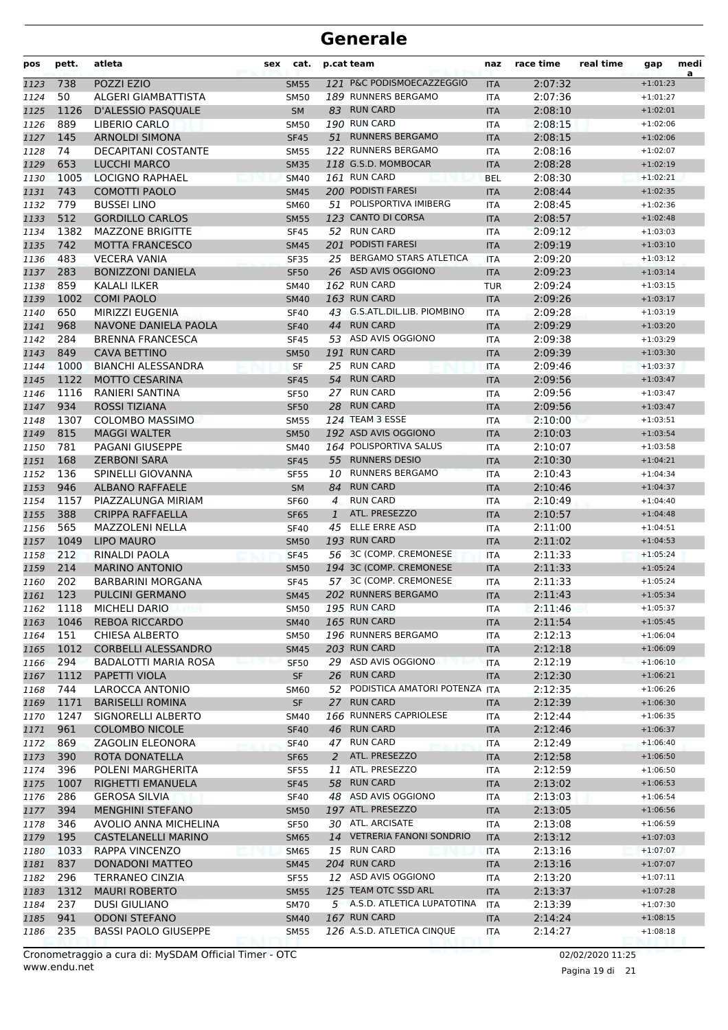| pos          | pett.       | atleta                                   | sex | cat.                       |              | p.cat team                                       | naz                      | race time          | real time | gap                      | medi<br>a |
|--------------|-------------|------------------------------------------|-----|----------------------------|--------------|--------------------------------------------------|--------------------------|--------------------|-----------|--------------------------|-----------|
| 1123         | 738         | POZZI EZIO                               |     | <b>SM55</b>                |              | 121 P&C PODISMOECAZZEGGIO                        | <b>ITA</b>               | 2:07:32            |           | $+1:01:23$               |           |
| 1124         | 50          | ALGERI GIAMBATTISTA                      |     | <b>SM50</b>                |              | 189 RUNNERS BERGAMO                              | <b>ITA</b>               | 2:07:36            |           | $+1:01:27$               |           |
| 1125         | 1126        | D'ALESSIO PASQUALE                       |     | <b>SM</b>                  |              | 83 RUN CARD                                      | <b>ITA</b>               | 2:08:10            |           | $+1:02:01$               |           |
| 1126         | 889         | LIBERIO CARLO                            |     | <b>SM50</b>                |              | 190 RUN CARD                                     | <b>ITA</b>               | 2:08:15            |           | $+1:02:06$               |           |
| 1127         | 145         | <b>ARNOLDI SIMONA</b>                    |     | <b>SF45</b>                |              | 51 RUNNERS BERGAMO                               | <b>ITA</b>               | 2:08:15            |           | $+1:02:06$               |           |
| 1128         | 74          | <b>DECAPITANI COSTANTE</b>               |     | <b>SM55</b>                |              | 122 RUNNERS BERGAMO                              | <b>ITA</b>               | 2:08:16            |           | $+1:02:07$               |           |
| 1129         | 653         | <b>LUCCHI MARCO</b>                      |     | <b>SM35</b>                |              | 118 G.S.D. MOMBOCAR                              | <b>ITA</b>               | 2:08:28            |           | $+1:02:19$               |           |
| 1130         | 1005        | <b>LOCIGNO RAPHAEL</b>                   |     | <b>SM40</b>                |              | 161 RUN CARD                                     | <b>BEL</b>               | 2:08:30            |           | $+1:02:21$               |           |
| 1131         | 743         | <b>COMOTTI PAOLO</b>                     |     | <b>SM45</b>                |              | 200 PODISTI FARESI                               | <b>ITA</b>               | 2:08:44            |           | $+1:02:35$               |           |
| 1132         | 779         | <b>BUSSEI LINO</b>                       |     | <b>SM60</b>                | 51           | POLISPORTIVA IMIBERG                             | <b>ITA</b>               | 2:08:45            |           | $+1:02:36$               |           |
| 1133         | 512         | <b>GORDILLO CARLOS</b>                   |     | <b>SM55</b>                |              | 123 CANTO DI CORSA                               | <b>ITA</b>               | 2:08:57            |           | $+1:02:48$               |           |
| 1134         | 1382        | <b>MAZZONE BRIGITTE</b>                  |     | <b>SF45</b>                |              | 52 RUN CARD                                      | <b>ITA</b>               | 2:09:12            |           | $+1:03:03$               |           |
| 1135         | 742         | <b>MOTTA FRANCESCO</b>                   |     | <b>SM45</b>                |              | 201 PODISTI FARESI                               | <b>ITA</b>               | 2:09:19            |           | $+1:03:10$               |           |
| 1136         | 483         | <b>VECERA VANIA</b>                      |     | <b>SF35</b>                |              | 25 BERGAMO STARS ATLETICA<br>26 ASD AVIS OGGIONO | <b>ITA</b>               | 2:09:20            |           | $+1:03:12$               |           |
| 1137         | 283         | <b>BONIZZONI DANIELA</b>                 |     | <b>SF50</b>                |              | 162 RUN CARD                                     | <b>ITA</b>               | 2:09:23            |           | $+1:03:14$               |           |
| 1138         | 859         | KALALI ILKER                             |     | SM40                       |              | 163 RUN CARD                                     | <b>TUR</b>               | 2:09:24            |           | $+1:03:15$<br>$+1:03:17$ |           |
| 1139         | 1002<br>650 | <b>COMI PAOLO</b><br>MIRIZZI EUGENIA     |     | <b>SM40</b>                |              | 43 G.S.ATL.DIL.LIB. PIOMBINO                     | <b>ITA</b>               | 2:09:26<br>2:09:28 |           | $+1:03:19$               |           |
| 1140         | 968         | NAVONE DANIELA PAOLA                     |     | <b>SF40</b>                | 44           | <b>RUN CARD</b>                                  | <b>ITA</b>               | 2:09:29            |           | $+1:03:20$               |           |
| 1141<br>1142 | 284         | <b>BRENNA FRANCESCA</b>                  |     | <b>SF40</b><br><b>SF45</b> |              | 53 ASD AVIS OGGIONO                              | <b>ITA</b><br><b>ITA</b> | 2:09:38            |           | $+1:03:29$               |           |
|              | 849         | <b>CAVA BETTINO</b>                      |     | <b>SM50</b>                |              | 191 RUN CARD                                     |                          | 2:09:39            |           | $+1:03:30$               |           |
| 1143         | 1000        | <b>BIANCHI ALESSANDRA</b>                |     | SF                         | 25           | <b>RUN CARD</b>                                  | <b>ITA</b><br><b>ITA</b> | 2:09:46            |           | $+1:03:37$               |           |
| 1144<br>1145 | 1122        | <b>MOTTO CESARINA</b>                    |     | <b>SF45</b>                | 54           | <b>RUN CARD</b>                                  | <b>ITA</b>               | 2:09:56            |           | $+1:03:47$               |           |
| 1146         | 1116        | RANIERI SANTINA                          |     | <b>SF50</b>                | 27           | <b>RUN CARD</b>                                  | <b>ITA</b>               | 2:09:56            |           | $+1:03:47$               |           |
| 1147         | 934         | <b>ROSSI TIZIANA</b>                     |     | <b>SF50</b>                | 28           | <b>RUN CARD</b>                                  | <b>ITA</b>               | 2:09:56            |           | $+1:03:47$               |           |
| 1148         | 1307        | <b>COLOMBO MASSIMO</b>                   |     | <b>SM55</b>                |              | 124 TEAM 3 ESSE                                  | <b>ITA</b>               | 2:10:00            |           | $+1:03:51$               |           |
| 1149         | 815         | <b>MAGGI WALTER</b>                      |     | <b>SM50</b>                |              | 192 ASD AVIS OGGIONO                             | <b>ITA</b>               | 2:10:03            |           | $+1:03:54$               |           |
| 1150         | 781         | PAGANI GIUSEPPE                          |     | SM40                       |              | 164 POLISPORTIVA SALUS                           | <b>ITA</b>               | 2:10:07            |           | $+1:03:58$               |           |
| 1151         | 168         | <b>ZERBONI SARA</b>                      |     | <b>SF45</b>                |              | 55 RUNNERS DESIO                                 | <b>ITA</b>               | 2:10:30            |           | $+1:04:21$               |           |
| 1152         | 136         | SPINELLI GIOVANNA                        |     | <b>SF55</b>                |              | 10 RUNNERS BERGAMO                               | <b>ITA</b>               | 2:10:43            |           | $+1:04:34$               |           |
| 1153         | 946         | <b>ALBANO RAFFAELE</b>                   |     | <b>SM</b>                  | 84           | <b>RUN CARD</b>                                  | <b>ITA</b>               | 2:10:46            |           | $+1:04:37$               |           |
| 1154         | 1157        | PIAZZALUNGA MIRIAM                       |     | <b>SF60</b>                | 4            | <b>RUN CARD</b>                                  | <b>ITA</b>               | 2:10:49            |           | $+1:04:40$               |           |
| 1155         | 388         | <b>CRIPPA RAFFAELLA</b>                  |     | <b>SF65</b>                | $\mathbf{1}$ | ATL. PRESEZZO                                    | <b>ITA</b>               | 2:10:57            |           | $+1:04:48$               |           |
| 1156         | 565         | <b>MAZZOLENI NELLA</b>                   |     | <b>SF40</b>                | 45           | <b>ELLE ERRE ASD</b>                             | <b>ITA</b>               | 2:11:00            |           | $+1:04:51$               |           |
| 1157         | 1049        | <b>LIPO MAURO</b>                        |     | <b>SM50</b>                |              | 193 RUN CARD                                     | <b>ITA</b>               | 2:11:02            |           | $+1:04:53$               |           |
| 1158         | 212         | RINALDI PAOLA                            |     | <b>SF45</b>                |              | 56 3C (COMP. CREMONESE                           | <b>ITA</b>               | 2:11:33            |           | $+1:05:24$               |           |
| 1159         | 214         | <b>MARINO ANTONIO</b>                    |     | <b>SM50</b>                |              | 194 3C (COMP. CREMONESE                          | <b>ITA</b>               | 2:11:33            |           | $+1:05:24$               |           |
| 1160         | 202         | <b>BARBARINI MORGANA</b>                 |     | <b>SF45</b>                |              | 57 3C (COMP. CREMONESE                           | <b>ITA</b>               | 2:11:33            |           | $+1:05:24$               |           |
| 1161         | 123         | <b>PULCINI GERMANO</b>                   |     | <b>SM45</b>                |              | 202 RUNNERS BERGAMO                              | <b>ITA</b>               | 2:11:43            |           | $+1:05:34$               |           |
| 1162         | 1118        | <b>MICHELI DARIO</b>                     |     | <b>SM50</b>                |              | 195 RUN CARD                                     | ITA                      | 2:11:46            |           | $+1:05:37$               |           |
| 1163         | 1046        | <b>REBOA RICCARDO</b>                    |     | <b>SM40</b>                |              | 165 RUN CARD                                     | <b>ITA</b>               | 2:11:54            |           | $+1:05:45$               |           |
| 1164         | 151         | <b>CHIESA ALBERTO</b>                    |     | <b>SM50</b>                |              | 196 RUNNERS BERGAMO                              | <b>ITA</b>               | 2:12:13            |           | $+1:06:04$               |           |
| 1165         | 1012        | <b>CORBELLI ALESSANDRO</b>               |     | <b>SM45</b>                |              | 203 RUN CARD                                     | <b>ITA</b>               | 2:12:18            |           | $+1:06:09$               |           |
| 1166         | 294         | BADALOTTI MARIA ROSA                     |     | <b>SF50</b>                |              | 29 ASD AVIS OGGIONO                              | <b>ITA</b>               | 2:12:19            |           | $+1:06:10$               |           |
| 1167         | 1112        | PAPETTI VIOLA                            |     | <b>SF</b>                  |              | 26 RUN CARD                                      | <b>ITA</b>               | 2:12:30            |           | $+1:06:21$               |           |
| 1168         | 744         | LAROCCA ANTONIO                          |     | SM60                       | 52           | PODISTICA AMATORI POTENZA ITA                    |                          | 2:12:35            |           | $+1:06:26$               |           |
| 1169         | 1171        | <b>BARISELLI ROMINA</b>                  |     | SF                         |              | 27 RUN CARD                                      | <b>ITA</b>               | 2:12:39            |           | $+1:06:30$               |           |
| 1170         | 1247        | SIGNORELLI ALBERTO                       |     | SM40                       |              | 166 RUNNERS CAPRIOLESE                           | ITA                      | 2:12:44            |           | $+1:06:35$               |           |
| 1171         | 961         | <b>COLOMBO NICOLE</b>                    |     | <b>SF40</b>                |              | 46 RUN CARD                                      | <b>ITA</b>               | 2:12:46            |           | $+1:06:37$               |           |
| 1172         | 869         | ZAGOLIN ELEONORA                         |     | <b>SF40</b>                |              | 47 RUN CARD                                      | <b>ITA</b>               | 2:12:49            |           | $+1:06:40$               |           |
| 1173         | 390         | ROTA DONATELLA                           |     | <b>SF65</b>                | 2            | ATL. PRESEZZO                                    | <b>ITA</b>               | 2:12:58            |           | $+1:06:50$               |           |
| 1174         | 396         | POLENI MARGHERITA                        |     | SF55                       | 11           | ATL. PRESEZZO                                    | ITA                      | 2:12:59            |           | $+1:06:50$               |           |
| 1175         | 1007        | RIGHETTI EMANUELA                        |     | <b>SF45</b>                |              | 58 RUN CARD                                      | <b>ITA</b>               | 2:13:02            |           | $+1:06:53$               |           |
| 1176         | 286         | <b>GEROSA SILVIA</b>                     |     | <b>SF40</b>                |              | 48 ASD AVIS OGGIONO                              | ITA                      | 2:13:03            |           | $+1:06:54$               |           |
| 1177         | 394         | <b>MENGHINI STEFANO</b>                  |     | <b>SM50</b>                |              | 197 ATL. PRESEZZO<br>30 ATL. ARCISATE            | <b>ITA</b>               | 2:13:05            |           | $+1:06:56$               |           |
| 1178         | 346         | AVOLIO ANNA MICHELINA                    |     | <b>SF50</b>                |              | 14 VETRERIA FANONI SONDRIO                       | ITA                      | 2:13:08            |           | $+1:06:59$               |           |
| 1179         | 195         | <b>CASTELANELLI MARINO</b>               |     | <b>SM65</b>                |              | 15 RUN CARD                                      | <b>ITA</b>               | 2:13:12            |           | $+1:07:03$               |           |
| 1180         | 1033<br>837 | <b>RAPPA VINCENZO</b><br>DONADONI MATTEO |     | <b>SM65</b><br><b>SM45</b> |              | 204 RUN CARD                                     | ITA                      | 2:13:16<br>2:13:16 |           | $+1:07:07$<br>$+1:07:07$ |           |
| 1181<br>1182 | 296         | TERRANEO CINZIA                          |     | <b>SF55</b>                |              | 12 ASD AVIS OGGIONO                              | <b>ITA</b><br>ITA        | 2:13:20            |           | $+1:07:11$               |           |
| 1183         | 1312        | <b>MAURI ROBERTO</b>                     |     | <b>SM55</b>                |              | 125 TEAM OTC SSD ARL                             | <b>ITA</b>               | 2:13:37            |           | $+1:07:28$               |           |
| 1184         | 237         | <b>DUSI GIULIANO</b>                     |     | <b>SM70</b>                |              | 5 A.S.D. ATLETICA LUPATOTINA                     | ITA                      | 2:13:39            |           | $+1:07:30$               |           |
| 1185         | 941         | <b>ODONI STEFANO</b>                     |     | <b>SM40</b>                |              | 167 RUN CARD                                     | <b>ITA</b>               | 2:14:24            |           | $+1:08:15$               |           |
| 1186         | 235         | <b>BASSI PAOLO GIUSEPPE</b>              |     | <b>SM55</b>                |              | 126 A.S.D. ATLETICA CINQUE                       | ITA                      | 2:14:27            |           | $+1:08:18$               |           |
|              |             |                                          |     |                            |              |                                                  |                          |                    |           |                          |           |

www.endu.net Cronometraggio a cura di: MySDAM Official Timer - OTC 02/02/2020 11:25

Pagina 19 di 21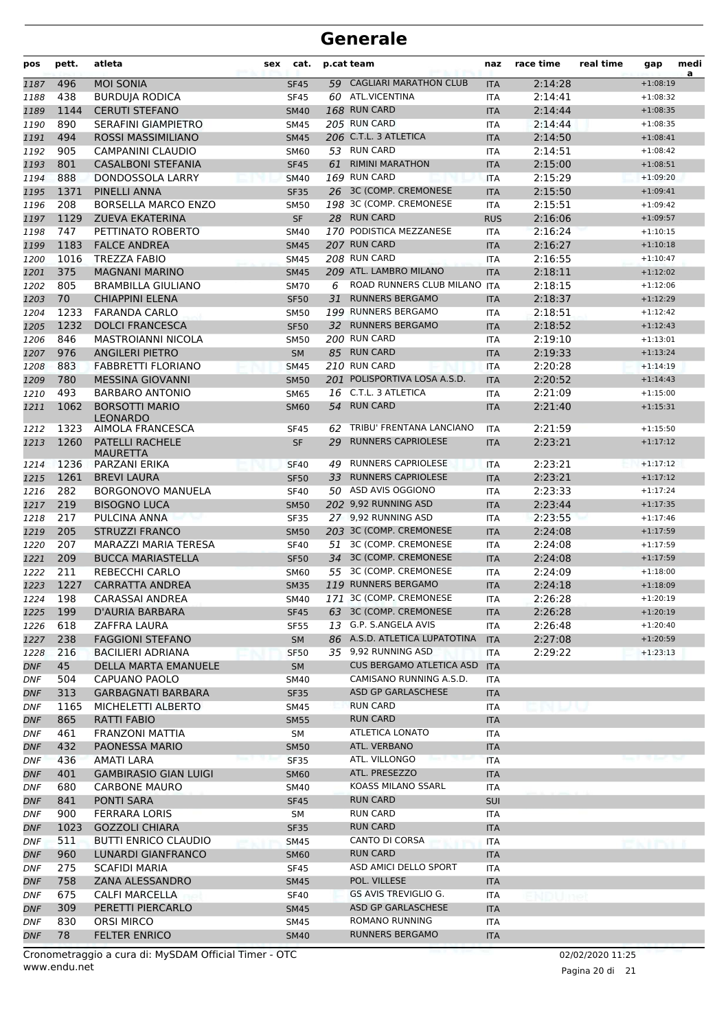| pos               | pett.     | atleta                                          | sex | cat.              |    | p.cat team                                              | naz               | race time | real time | gap        | medi<br>a |
|-------------------|-----------|-------------------------------------------------|-----|-------------------|----|---------------------------------------------------------|-------------------|-----------|-----------|------------|-----------|
| 1187              | 496       | <b>MOI SONIA</b>                                |     | <b>SF45</b>       | 59 | <b>CAGLIARI MARATHON CLUB</b>                           | <b>ITA</b>        | 2:14:28   |           | $+1:08:19$ |           |
| 1188              | 438       | <b>BURDUJA RODICA</b>                           |     | <b>SF45</b>       |    | 60 ATL.VICENTINA                                        | <b>ITA</b>        | 2:14:41   |           | $+1:08:32$ |           |
| 1189              | 1144      | <b>CERUTI STEFANO</b>                           |     | <b>SM40</b>       |    | 168 RUN CARD                                            | <b>ITA</b>        | 2:14:44   |           | $+1:08:35$ |           |
| 1190              | 890       | <b>SERAFINI GIAMPIETRO</b>                      |     | <b>SM45</b>       |    | 205 RUN CARD                                            | <b>ITA</b>        | 2:14:44   |           | $+1:08:35$ |           |
| 1191              | 494       | ROSSI MASSIMILIANO                              |     | <b>SM45</b>       |    | 206 C.T.L. 3 ATLETICA                                   | <b>ITA</b>        | 2:14:50   |           | $+1:08:41$ |           |
| 1192              | 905       | CAMPANINI CLAUDIO                               |     | <b>SM60</b>       |    | 53 RUN CARD                                             | <b>ITA</b>        | 2:14:51   |           | $+1:08:42$ |           |
| 1193              | 801       | <b>CASALBONI STEFANIA</b>                       |     | <b>SF45</b>       | 61 | <b>RIMINI MARATHON</b>                                  | <b>ITA</b>        | 2:15:00   |           | $+1:08:51$ |           |
| 1194              | 888       | <b>DONDOSSOLA LARRY</b>                         |     | <b>SM40</b>       |    | 169 RUN CARD                                            | <b>ITA</b>        | 2:15:29   |           | $+1:09:20$ |           |
| 1195              | 1371      | PINELLI ANNA                                    |     | <b>SF35</b>       |    | 26 3C (COMP. CREMONESE                                  | <b>ITA</b>        | 2:15:50   |           | $+1:09:41$ |           |
| 1196              | 208       | <b>BORSELLA MARCO ENZO</b>                      |     | <b>SM50</b>       |    | 198 3C (COMP. CREMONESE                                 | <b>ITA</b>        | 2:15:51   |           | $+1:09:42$ |           |
| 1197              | 1129      | ZUEVA EKATERINA                                 |     | <b>SF</b>         | 28 | <b>RUN CARD</b>                                         | <b>RUS</b>        | 2:16:06   |           | $+1:09:57$ |           |
| 1198              | 747       | PETTINATO ROBERTO                               |     | <b>SM40</b>       |    | 170 PODISTICA MEZZANESE                                 | <b>ITA</b>        | 2:16:24   |           | $+1:10:15$ |           |
| 1199              | 1183      | <b>FALCE ANDREA</b>                             |     | <b>SM45</b>       |    | 207 RUN CARD                                            | <b>ITA</b>        | 2:16:27   |           | $+1:10:18$ |           |
| 1200              | 1016      | <b>TREZZA FABIO</b>                             |     | <b>SM45</b>       |    | 208 RUN CARD                                            | <b>ITA</b>        | 2:16:55   |           | $+1:10:47$ |           |
| 1201              | 375       | <b>MAGNANI MARINO</b>                           |     | <b>SM45</b>       |    | 209 ATL. LAMBRO MILANO                                  | <b>ITA</b>        | 2:18:11   |           | $+1:12:02$ |           |
| 1202              | 805       | <b>BRAMBILLA GIULIANO</b>                       |     | <b>SM70</b>       | 6  | ROAD RUNNERS CLUB MILANO                                | <b>ITA</b>        | 2:18:15   |           | $+1:12:06$ |           |
| 1203              | 70        | <b>CHIAPPINI ELENA</b>                          |     | <b>SF50</b>       | 31 | <b>RUNNERS BERGAMO</b>                                  | <b>ITA</b>        | 2:18:37   |           | $+1:12:29$ |           |
| 1204              | 1233      | <b>FARANDA CARLO</b>                            |     | <b>SM50</b>       |    | 199 RUNNERS BERGAMO                                     | <b>ITA</b>        | 2:18:51   |           | $+1:12:42$ |           |
| 1205              | 1232      | <b>DOLCI FRANCESCA</b>                          |     | <b>SF50</b>       | 32 | <b>RUNNERS BERGAMO</b>                                  | <b>ITA</b>        | 2:18:52   |           | $+1:12:43$ |           |
| 1206              | 846       | <b>MASTROIANNI NICOLA</b>                       |     | <b>SM50</b>       |    | 200 RUN CARD                                            | <b>ITA</b>        | 2:19:10   |           | $+1:13:01$ |           |
| 1207              | 976       | <b>ANGILERI PIETRO</b>                          |     | <b>SM</b>         | 85 | <b>RUN CARD</b><br>210 RUN CARD                         | <b>ITA</b>        | 2:19:33   |           | $+1:13:24$ |           |
| 1208              | 883       | <b>FABBRETTI FLORIANO</b>                       |     | <b>SM45</b>       |    |                                                         | <b>ITA</b>        | 2:20:28   |           | $+1:14:19$ |           |
| 1209              | 780       | <b>MESSINA GIOVANNI</b>                         |     | <b>SM50</b>       |    | 201 POLISPORTIVA LOSA A.S.D.                            | <b>ITA</b>        | 2:20:52   |           | $+1:14:43$ |           |
| 1210              | 493       | <b>BARBARO ANTONIO</b><br><b>BORSOTTI MARIO</b> |     | <b>SM65</b>       |    | 16 C.T.L. 3 ATLETICA<br><b>RUN CARD</b>                 | <b>ITA</b>        | 2:21:09   |           | $+1:15:00$ |           |
| 1211              | 1062      | <b>LEONARDO</b>                                 |     | <b>SM60</b>       | 54 |                                                         | <b>ITA</b>        | 2:21:40   |           | $+1:15:31$ |           |
| 1212              | 1323      | AIMOLA FRANCESCA                                |     | <b>SF45</b>       | 62 | TRIBU' FRENTANA LANCIANO                                | ITA               | 2:21:59   |           | $+1:15:50$ |           |
| 1213              | 1260      | <b>PATELLI RACHELE</b>                          |     | <b>SF</b>         | 29 | <b>RUNNERS CAPRIOLESE</b>                               | <b>ITA</b>        | 2:23:21   |           | $+1:17:12$ |           |
|                   |           | <b>MAURETTA</b>                                 |     |                   |    |                                                         |                   |           |           |            |           |
| 1214              | 1236      | PARZANI ERIKA                                   |     | <b>SF40</b>       | 49 | <b>RUNNERS CAPRIOLESE</b>                               | <b>ITA</b>        | 2:23:21   |           | $+1:17:12$ |           |
| 1215              | 1261      | <b>BREVI LAURA</b>                              |     | <b>SF50</b>       | 33 | RUNNERS CAPRIOLESE                                      | <b>ITA</b>        | 2:23:21   |           | $+1:17:12$ |           |
| 1216              | 282       | <b>BORGONOVO MANUELA</b>                        |     | <b>SF40</b>       | 50 | ASD AVIS OGGIONO                                        | ITA               | 2:23:33   |           | $+1:17:24$ |           |
| 1217              | 219       | <b>BISOGNO LUCA</b>                             |     | <b>SM50</b>       |    | 202 9,92 RUNNING ASD                                    | <b>ITA</b>        | 2:23:44   |           | $+1:17:35$ |           |
| 1218              | 217       | PULCINA ANNA                                    |     | <b>SF35</b>       |    | 27 9,92 RUNNING ASD                                     | <b>ITA</b>        | 2:23:55   |           | $+1:17:46$ |           |
| 1219              | 205       | <b>STRUZZI FRANCO</b>                           |     | <b>SM50</b>       |    | 203 3C (COMP. CREMONESE                                 | <b>ITA</b>        | 2:24:08   |           | $+1:17:59$ |           |
| 1220              | 207       | MARAZZI MARIA TERESA                            |     | <b>SF40</b>       |    | 51 3C (COMP. CREMONESE                                  | <b>ITA</b>        | 2:24:08   |           | $+1:17:59$ |           |
| 1221              | 209       | <b>BUCCA MARIASTELLA</b>                        |     | <b>SF50</b>       | 34 | 3C (COMP. CREMONESE                                     | <b>ITA</b>        | 2:24:08   |           | $+1:17:59$ |           |
| 1222              | 211       | REBECCHI CARLO                                  |     | <b>SM60</b>       | 55 | <b>3C (COMP, CREMONESE</b>                              | <b>ITA</b>        | 2:24:09   |           | $+1:18:00$ |           |
| 1223              | 1227      | <b>CARRATTA ANDREA</b>                          |     | <b>SM35</b>       |    | 119 RUNNERS BERGAMO                                     | <b>ITA</b>        | 2:24:18   |           | $+1:18:09$ |           |
| 1224              | 198       | <b>CARASSAI ANDREA</b>                          |     | SM40              |    | 171 3C (COMP. CREMONESE                                 | <b>ITA</b>        | 2:26:28   |           | $+1:20:19$ |           |
| 1225              | 199       | D'AURIA BARBARA                                 |     | <b>SF45</b>       |    | 63 3C (COMP. CREMONESE                                  | <b>ITA</b>        | 2:26:28   |           | $+1:20:19$ |           |
| 1226              | 618       | ZAFFRA LAURA                                    |     | <b>SF55</b>       |    | 13 G.P. S.ANGELA AVIS<br>86 A.S.D. ATLETICA LUPATOTINA  | ITA               | 2:26:48   |           | $+1:20:40$ |           |
| 1227              | 238       | <b>FAGGIONI STEFANO</b>                         |     | <b>SM</b>         |    | 35 9,92 RUNNING ASD                                     | <b>ITA</b>        | 2:27:08   |           | $+1:20:59$ |           |
| 1228              | 216       | BACILIERI ADRIANA                               |     | <b>SF50</b>       |    |                                                         | ITA               | 2:29:22   |           | $+1:23:13$ |           |
| <b>DNF</b>        | 45<br>504 | DELLA MARTA EMANUELE<br>CAPUANO PAOLO           |     | <b>SM</b><br>SM40 |    | CUS BERGAMO ATLETICA ASD ITA<br>CAMISANO RUNNING A.S.D. |                   |           |           |            |           |
| DNF               | 313       | <b>GARBAGNATI BARBARA</b>                       |     | <b>SF35</b>       |    | ASD GP GARLASCHESE                                      | ITA<br><b>ITA</b> |           |           |            |           |
| <b>DNF</b><br>DNF | 1165      | MICHELETTI ALBERTO                              |     | SM45              |    | <b>RUN CARD</b>                                         | ITA               |           |           |            |           |
| <b>DNF</b>        | 865       | <b>RATTI FABIO</b>                              |     | <b>SM55</b>       |    | <b>RUN CARD</b>                                         | <b>ITA</b>        |           |           |            |           |
| DNF               | 461       | <b>FRANZONI MATTIA</b>                          |     | SM                |    | <b>ATLETICA LONATO</b>                                  | ITA               |           |           |            |           |
| <b>DNF</b>        | 432       | PAONESSA MARIO                                  |     | <b>SM50</b>       |    | ATL. VERBANO                                            | <b>ITA</b>        |           |           |            |           |
| DNF               | 436       | AMATI LARA                                      |     | <b>SF35</b>       |    | ATL. VILLONGO                                           | ITA               |           |           |            |           |
| <b>DNF</b>        | 401       | <b>GAMBIRASIO GIAN LUIGI</b>                    |     | <b>SM60</b>       |    | ATL. PRESEZZO                                           | <b>ITA</b>        |           |           |            |           |
| DNF               | 680       | <b>CARBONE MAURO</b>                            |     | <b>SM40</b>       |    | KOASS MILANO SSARL                                      | <b>ITA</b>        |           |           |            |           |
| <b>DNF</b>        | 841       | PONTI SARA                                      |     | <b>SF45</b>       |    | <b>RUN CARD</b>                                         | <b>SUI</b>        |           |           |            |           |
| DNF               | 900       | <b>FERRARA LORIS</b>                            |     | SM                |    | <b>RUN CARD</b>                                         | ITA               |           |           |            |           |
| <b>DNF</b>        | 1023      | <b>GOZZOLI CHIARA</b>                           |     | <b>SF35</b>       |    | <b>RUN CARD</b>                                         | <b>ITA</b>        |           |           |            |           |
| DNF               | 511       | <b>BUTTI ENRICO CLAUDIO</b>                     |     | <b>SM45</b>       |    | CANTO DI CORSA                                          | ITA               |           |           |            |           |
| <b>DNF</b>        | 960       | LUNARDI GIANFRANCO                              |     | <b>SM60</b>       |    | <b>RUN CARD</b>                                         | <b>ITA</b>        |           |           |            |           |
| DNF               | 275       | SCAFIDI MARIA                                   |     | <b>SF45</b>       |    | ASD AMICI DELLO SPORT                                   | ITA               |           |           |            |           |
| <b>DNF</b>        | 758       | ZANA ALESSANDRO                                 |     | <b>SM45</b>       |    | POL. VILLESE                                            | <b>ITA</b>        |           |           |            |           |
| DNF               | 675       | CALFI MARCELLA                                  |     | <b>SF40</b>       |    | GS AVIS TREVIGLIO G.                                    | ITA               |           |           |            |           |
| <b>DNF</b>        | 309       | PERETTI PIERCARLO                               |     | <b>SM45</b>       |    | ASD GP GARLASCHESE                                      | <b>ITA</b>        |           |           |            |           |
| DNF               | 830       | <b>ORSI MIRCO</b>                               |     | <b>SM45</b>       |    | ROMANO RUNNING                                          | ITA               |           |           |            |           |
| <b>DNF</b>        | 78        | <b>FELTER ENRICO</b>                            |     | <b>SM40</b>       |    | <b>RUNNERS BERGAMO</b>                                  | <b>ITA</b>        |           |           |            |           |
|                   |           |                                                 |     |                   |    |                                                         |                   |           |           |            |           |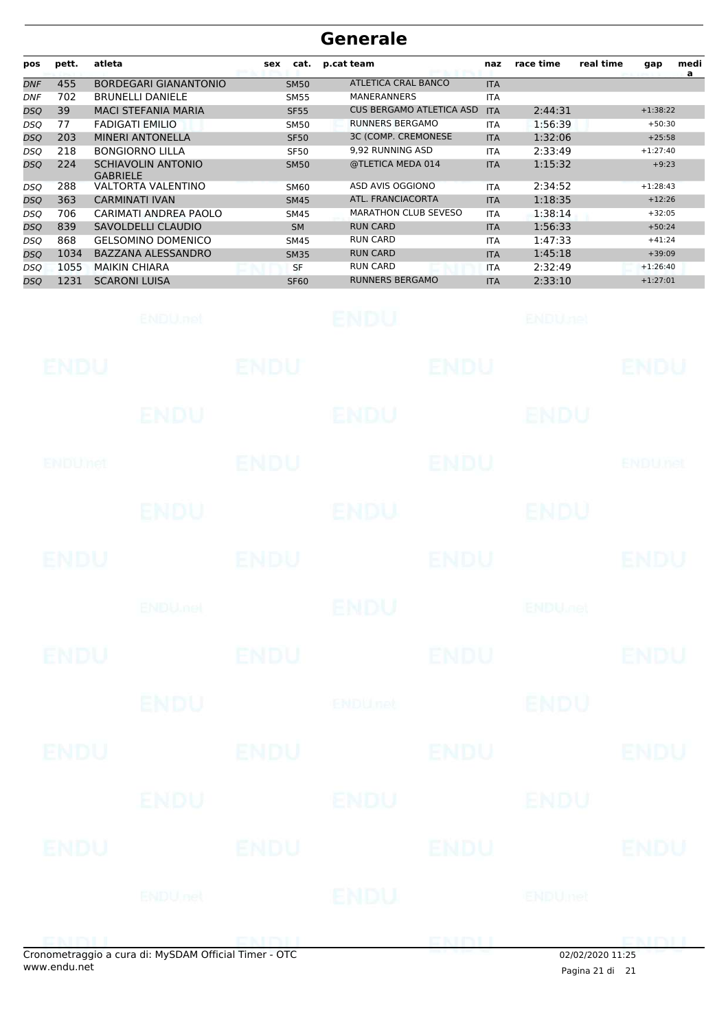| pos        | pett.       | atleta                                       | cat.<br><b>sex</b> | p.cat team                      | naz        | race time                 | real time | gap             | medi<br>a |
|------------|-------------|----------------------------------------------|--------------------|---------------------------------|------------|---------------------------|-----------|-----------------|-----------|
| <b>DNF</b> | 455         | <b>BORDEGARI GIANANTONIO</b>                 | <b>SM50</b>        | <b>ATLETICA CRAL BANCO</b>      | <b>ITA</b> |                           |           |                 |           |
| DNF        | 702         | <b>BRUNELLI DANIELE</b>                      | <b>SM55</b>        | <b>MANERANNERS</b>              | <b>ITA</b> |                           |           |                 |           |
| DSQ        | 39          | <b>MACI STEFANIA MARIA</b>                   | <b>SF55</b>        | <b>CUS BERGAMO ATLETICA ASD</b> | <b>ITA</b> | 2:44:31                   |           | $+1:38:22$      |           |
| DSO        | 77          | <b>FADIGATI EMILIO</b>                       | <b>SM50</b>        | <b>RUNNERS BERGAMO</b>          | <b>ITA</b> | 1:56:39                   |           | $+50:30$        |           |
| DSQ        | 203         | <b>MINERI ANTONELLA</b>                      | <b>SF50</b>        | <b>3C (COMP. CREMONESE</b>      | <b>ITA</b> | 1:32:06                   |           | $+25:58$        |           |
| DSQ        | 218         | <b>BONGIORNO LILLA</b>                       | <b>SF50</b>        | 9,92 RUNNING ASD                | <b>ITA</b> | 2:33:49                   |           | $+1:27:40$      |           |
| DSQ        | 224         | <b>SCHIAVOLIN ANTONIO</b><br><b>GABRIELE</b> | <b>SM50</b>        | @TLETICA MEDA 014               | <b>ITA</b> | 1:15:32                   |           | $+9:23$         |           |
| DSO        | 288         | <b>VALTORTA VALENTINO</b>                    | <b>SM60</b>        | ASD AVIS OGGIONO                | <b>ITA</b> | 2:34:52                   |           | $+1:28:43$      |           |
| DSQ        | 363         | <b>CARMINATI IVAN</b>                        | <b>SM45</b>        | ATL. FRANCIACORTA               | <b>ITA</b> | 1:18:35                   |           | $+12:26$        |           |
| DSQ        | 706         | CARIMATI ANDREA PAOLO                        | <b>SM45</b>        | <b>MARATHON CLUB SEVESO</b>     | <b>ITA</b> | 1:38:14                   |           | $+32:05$        |           |
| DSQ        | 839         | SAVOLDELLI CLAUDIO                           | <b>SM</b>          | <b>RUN CARD</b>                 | <b>ITA</b> | 1:56:33                   |           | $+50:24$        |           |
| DSO        | 868         | <b>GELSOMINO DOMENICO</b>                    | <b>SM45</b>        | <b>RUN CARD</b>                 | <b>ITA</b> | 1:47:33                   |           | $+41:24$        |           |
| DSQ        | 1034        | BAZZANA ALESSANDRO                           | <b>SM35</b>        | <b>RUN CARD</b>                 | <b>ITA</b> | 1:45:18                   |           | $+39:09$        |           |
| DSO        | 1055        | <b>MAIKIN CHIARA</b>                         | <b>SF</b>          | <b>RUN CARD</b>                 | <b>ITA</b> | 2:32:49                   |           | $+1:26:40$      |           |
| DSO        | 1231        | <b>SCARONI LUISA</b>                         | <b>SF60</b>        | <b>RUNNERS BERGAMO</b>          | <b>ITA</b> | 2:33:10                   |           | $+1:27:01$      |           |
|            |             | ENDU, nel                                    |                    | ENDU                            |            | <b>ENDUnet</b>            |           |                 |           |
|            |             |                                              |                    |                                 |            |                           |           |                 |           |
|            | ENDU        |                                              | ENDU               | ENDU                            |            |                           |           | ENDU            |           |
|            |             |                                              |                    |                                 |            |                           |           |                 |           |
|            |             | ENDU                                         |                    | ENDU                            |            | ENDU                      |           |                 |           |
|            | ENDUMet     |                                              | <b>ENDU</b>        | ENDU                            |            |                           |           | <b>ENDUTIEL</b> |           |
|            |             |                                              |                    |                                 |            |                           |           |                 |           |
|            |             | ENDU                                         |                    | <b>ENDU</b>                     |            | ENDU                      |           |                 |           |
|            |             |                                              |                    |                                 |            |                           |           |                 |           |
|            | ENDU        |                                              | ENDU               | ENDU                            |            |                           |           | ENDU            |           |
|            |             |                                              |                    |                                 |            |                           |           |                 |           |
|            |             | <b>ENDUMBL</b>                               |                    | ENDU                            |            | <b>ENDU<sub>JI</sub>E</b> |           |                 |           |
|            |             |                                              |                    |                                 |            |                           |           |                 |           |
|            |             |                                              |                    |                                 |            |                           |           |                 |           |
|            | <b>ENDU</b> |                                              | <b>ENDU</b>        | <b>ENDU</b>                     |            |                           |           | <b>ENDU</b>     |           |
|            |             |                                              |                    |                                 |            |                           |           |                 |           |
|            |             |                                              |                    |                                 |            |                           |           |                 |           |
|            |             | <b>ENDU</b>                                  |                    | ENDUnet                         |            | <b>ENDU</b>               |           |                 |           |
|            |             |                                              |                    |                                 |            |                           |           |                 |           |
|            |             |                                              |                    |                                 |            |                           |           |                 |           |
|            | <b>ENDU</b> |                                              | <b>ENDU</b>        | <b>ENDU</b>                     |            |                           |           | <b>ENDU</b>     |           |
|            |             |                                              |                    |                                 |            |                           |           |                 |           |
|            |             |                                              |                    |                                 |            |                           |           |                 |           |
|            |             | ENDU                                         |                    | ENDU                            |            | ENDU                      |           |                 |           |
|            |             |                                              |                    |                                 |            |                           |           |                 |           |
|            |             |                                              |                    |                                 |            |                           |           |                 |           |
|            | ENDU        |                                              | <b>ENDU</b>        | <b>ENDU</b>                     |            |                           |           | <b>ENDU</b>     |           |
|            |             |                                              |                    |                                 |            |                           |           |                 |           |
|            |             |                                              |                    |                                 |            |                           |           |                 |           |
|            |             | <b>ENDUnet</b>                               |                    | ENDU                            |            | <b>ENDUmet</b>            |           |                 |           |
|            |             |                                              |                    |                                 |            |                           |           |                 |           |
|            |             |                                              |                    |                                 |            |                           |           |                 |           |
|            | ENEMI       |                                              | ENDIJ              | ENDU                            |            |                           |           | <b>EMDLI</b>    |           |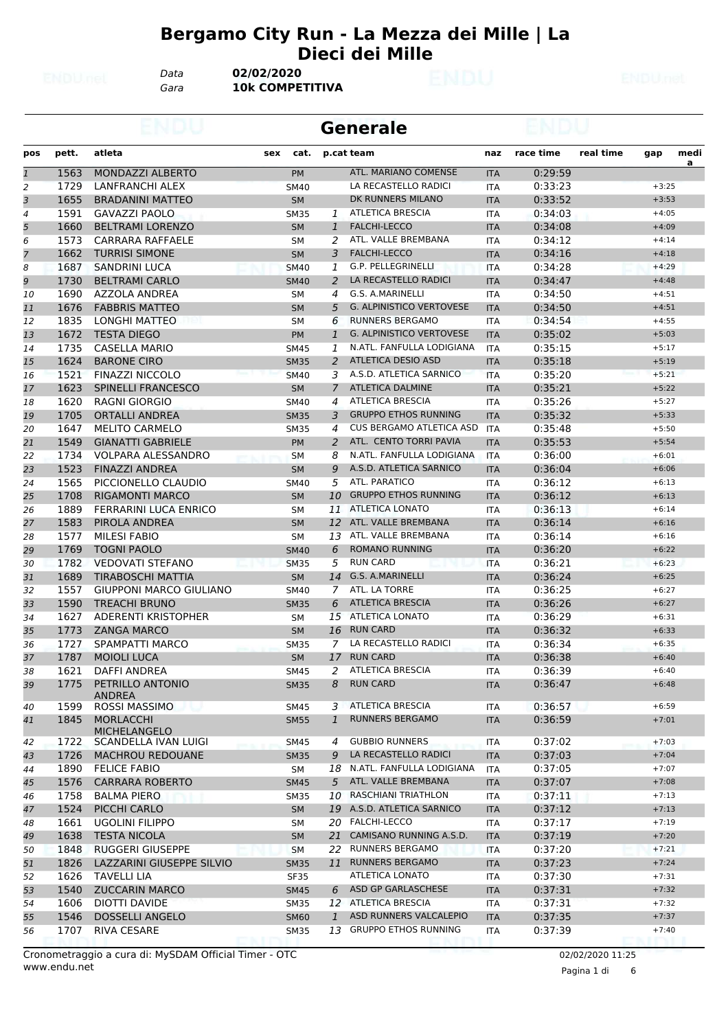#### **Bergamo City Run - La Mezza dei Mille | La Dieci dei Mille**

*Data* **02/02/2020**

*Gara* **10k COMPETITIVA**

|                |       |                                   |     |             |                | <b>Generale</b>                 |            |           |           |         |                |
|----------------|-------|-----------------------------------|-----|-------------|----------------|---------------------------------|------------|-----------|-----------|---------|----------------|
| pos            | pett. | atleta                            | sex | cat.        |                | p.cat team                      | naz        | race time | real time | gap     | medi           |
| $\mathbf{1}$   | 1563  | MONDAZZI ALBERTO                  |     | <b>PM</b>   |                | ATL. MARIANO COMENSE            | <b>ITA</b> | 0:29:59   |           |         | $\overline{a}$ |
| 2              | 1729  | <b>LANFRANCHI ALEX</b>            |     | <b>SM40</b> |                | LA RECASTELLO RADICI            | <b>ITA</b> | 0:33:23   |           | $+3:25$ |                |
| 3              | 1655  | <b>BRADANINI MATTEO</b>           |     | <b>SM</b>   |                | DK RUNNERS MILANO               | <b>ITA</b> | 0:33:52   |           | $+3:53$ |                |
| $\overline{4}$ | 1591  | <b>GAVAZZI PAOLO</b>              |     | <b>SM35</b> | 1              | <b>ATLETICA BRESCIA</b>         | <b>ITA</b> | 0:34:03   |           | $+4:05$ |                |
| 5              | 1660  | <b>BELTRAMI LORENZO</b>           |     | <b>SM</b>   | $\mathbf{1}$   | <b>FALCHI-LECCO</b>             | <b>ITA</b> | 0:34:08   |           | $+4:09$ |                |
| 6              | 1573  | CARRARA RAFFAELE                  |     | SM          | 2              | ATL. VALLE BREMBANA             | ITA        | 0:34:12   |           | $+4:14$ |                |
| $\overline{z}$ | 1662  | <b>TURRISI SIMONE</b>             |     | <b>SM</b>   | 3              | <b>FALCHI-LECCO</b>             | <b>ITA</b> | 0:34:16   |           | $+4:18$ |                |
| 8              | 1687  | <b>SANDRINI LUCA</b>              |     | <b>SM40</b> | 1              | G.P. PELLEGRINELLI              | <b>ITA</b> | 0:34:28   |           | $+4:29$ |                |
| 9              | 1730  | <b>BELTRAMI CARLO</b>             |     | <b>SM40</b> | 2              | LA RECASTELLO RADICI            | <b>ITA</b> | 0:34:47   |           | $+4:48$ |                |
| 10             | 1690  | AZZOLA ANDREA                     |     | SM          | 4              | G.S. A.MARINELLI                | <b>ITA</b> | 0:34:50   |           | $+4:51$ |                |
| 11             | 1676  | <b>FABBRIS MATTEO</b>             |     | <b>SM</b>   | 5              | <b>G. ALPINISTICO VERTOVESE</b> | <b>ITA</b> | 0:34:50   |           | $+4:51$ |                |
| 12             | 1835  | LONGHI MATTEO                     |     | SM          | 6              | <b>RUNNERS BERGAMO</b>          | <b>ITA</b> | 0:34:54   |           | $+4:55$ |                |
| 13             | 1672  | <b>TESTA DIEGO</b>                |     | <b>PM</b>   | $\mathbf{1}$   | <b>G. ALPINISTICO VERTOVESE</b> | <b>ITA</b> | 0:35:02   |           | $+5:03$ |                |
| 14             | 1735  | <b>CASELLA MARIO</b>              |     | <b>SM45</b> | 1              | N.ATL. FANFULLA LODIGIANA       | <b>ITA</b> | 0:35:15   |           | $+5:17$ |                |
| 15             | 1624  | <b>BARONE CIRO</b>                |     | <b>SM35</b> | 2              | <b>ATLETICA DESIO ASD</b>       | <b>ITA</b> | 0:35:18   |           | $+5:19$ |                |
| 16             | 1521  | <b>FINAZZI NICCOLO</b>            |     | <b>SM40</b> | 3              | A.S.D. ATLETICA SARNICO         | <b>ITA</b> | 0:35:20   |           | $+5:21$ |                |
| 17             | 1623  | <b>SPINELLI FRANCESCO</b>         |     | <b>SM</b>   | $\overline{7}$ | <b>ATLETICA DALMINE</b>         | <b>ITA</b> | 0:35:21   |           | $+5:22$ |                |
| 18             | 1620  | <b>RAGNI GIORGIO</b>              |     | <b>SM40</b> | $\overline{4}$ | <b>ATLETICA BRESCIA</b>         | ITA        | 0:35:26   |           | $+5:27$ |                |
| 19             | 1705  | <b>ORTALLI ANDREA</b>             |     | <b>SM35</b> | 3              | <b>GRUPPO ETHOS RUNNING</b>     | <b>ITA</b> | 0:35:32   |           | $+5:33$ |                |
| 20             | 1647  | <b>MELITO CARMELO</b>             |     | <b>SM35</b> | $\overline{4}$ | CUS BERGAMO ATLETICA ASD        | ITA        | 0:35:48   |           | $+5:50$ |                |
| 21             | 1549  | <b>GIANATTI GABRIELE</b>          |     | PM          | 2              | ATL. CENTO TORRI PAVIA          | <b>ITA</b> | 0:35:53   |           | $+5:54$ |                |
| 22             | 1734  | <b>VOLPARA ALESSANDRO</b>         |     | <b>SM</b>   | 8              | N.ATL. FANFULLA LODIGIANA       | <b>ITA</b> | 0:36:00   |           | $+6:01$ |                |
| 23             | 1523  | <b>FINAZZI ANDREA</b>             |     | <b>SM</b>   | 9              | A.S.D. ATLETICA SARNICO         | <b>ITA</b> | 0:36:04   |           | $+6:06$ |                |
| 24             | 1565  | PICCIONELLO CLAUDIO               |     | <b>SM40</b> | 5              | ATL. PARATICO                   | ITA        | 0:36:12   |           | $+6:13$ |                |
| 25             | 1708  | <b>RIGAMONTI MARCO</b>            |     | <b>SM</b>   | 10             | <b>GRUPPO ETHOS RUNNING</b>     | <b>ITA</b> | 0:36:12   |           | $+6:13$ |                |
| 26             | 1889  | FERRARINI LUCA ENRICO             |     | SM          | 11             | <b>ATLETICA LONATO</b>          | <b>ITA</b> | 0:36:13   |           | $+6:14$ |                |
| 27             | 1583  | PIROLA ANDREA                     |     | <b>SM</b>   | 12             | ATL. VALLE BREMBANA             | <b>ITA</b> | 0:36:14   |           | $+6:16$ |                |
| 28             | 1577  | <b>MILESI FABIO</b>               |     | SM          | 13             | ATL. VALLE BREMBANA             | <b>ITA</b> | 0:36:14   |           | $+6:16$ |                |
| 29             | 1769  | <b>TOGNI PAOLO</b>                |     | <b>SM40</b> | 6              | <b>ROMANO RUNNING</b>           | <b>ITA</b> | 0:36:20   |           | $+6:22$ |                |
| 30             | 1782  | <b>VEDOVATI STEFANO</b>           |     | <b>SM35</b> | 5              | <b>RUN CARD</b>                 | <b>ITA</b> | 0:36:21   |           | $+6:23$ |                |
| 31             | 1689  | <b>TIRABOSCHI MATTIA</b>          |     | <b>SM</b>   | 14             | G.S. A.MARINELLI                | <b>ITA</b> | 0:36:24   |           | $+6:25$ |                |
| 32             | 1557  | <b>GIUPPONI MARCO GIULIANO</b>    |     | <b>SM40</b> | $\overline{7}$ | ATL. LA TORRE                   | <b>ITA</b> | 0:36:25   |           | $+6:27$ |                |
| 33             | 1590  | <b>TREACHI BRUNO</b>              |     | <b>SM35</b> | 6              | <b>ATLETICA BRESCIA</b>         | <b>ITA</b> | 0:36:26   |           | $+6:27$ |                |
| 34             | 1627  | ADERENTI KRISTOPHER               |     | SM          |                | 15 ATLETICA LONATO              | <b>ITA</b> | 0:36:29   |           | $+6:31$ |                |
| 35             | 1773  | <b>ZANGA MARCO</b>                |     | <b>SM</b>   | 16             | <b>RUN CARD</b>                 | <b>ITA</b> | 0:36:32   |           | $+6:33$ |                |
| 36             | 1727  | SPAMPATTI MARCO                   |     | <b>SM35</b> | 7              | LA RECASTELLO RADICI            | ITA        | 0:36:34   |           | $+6:35$ |                |
| 37             | 1787  | <b>MOIOLI LUCA</b>                |     | <b>SM</b>   |                | 17 RUN CARD                     | <b>ITA</b> | 0:36:38   |           | $+6:40$ |                |
| 38             | 1621  | <b>DAFFI ANDREA</b>               |     | <b>SM45</b> |                | 2 ATLETICA BRESCIA              | <b>ITA</b> | 0:36:39   |           | $+6:40$ |                |
| 39             | 1775  | PETRILLO ANTONIO<br><b>ANDREA</b> |     | <b>SM35</b> | 8              | <b>RUN CARD</b>                 | <b>ITA</b> | 0:36:47   |           | $+6:48$ |                |
| 40             | 1599  | <b>ROSSI MASSIMO</b>              |     | <b>SM45</b> | 3              | <b>ATLETICA BRESCIA</b>         | ITA        | 0:36:57   |           | $+6:59$ |                |
| 41             | 1845  | <b>MORLACCHI</b><br>MICHELANGELO  |     | <b>SM55</b> | 1              | <b>RUNNERS BERGAMO</b>          | <b>ITA</b> | 0:36:59   |           | $+7:01$ |                |
| 42             | 1722  | SCANDELLA IVAN LUIGI              |     | SM45        | $\overline{4}$ | <b>GUBBIO RUNNERS</b>           | <b>ITA</b> | 0:37:02   |           | $+7:03$ |                |
| 43             | 1726  | <b>MACHROU REDOUANE</b>           |     | <b>SM35</b> | 9              | LA RECASTELLO RADICI            | <b>ITA</b> | 0:37:03   |           | $+7:04$ |                |
| 44             | 1890  | <b>FELICE FABIO</b>               |     | SM          |                | 18 N.ATL. FANFULLA LODIGIANA    | ITA        | 0:37:05   |           | $+7:07$ |                |
| 45             | 1576  | <b>CARRARA ROBERTO</b>            |     | <b>SM45</b> | 5 <sup>1</sup> | ATL. VALLE BREMBANA             | <b>ITA</b> | 0:37:07   |           | $+7:08$ |                |
| 46             | 1758  | <b>BALMA PIERO</b>                |     | <b>SM35</b> |                | 10 RASCHIANI TRIATHLON          | <b>ITA</b> | 0:37:11   |           | $+7:13$ |                |
| 47             | 1524  | PICCHI CARLO                      |     | <b>SM</b>   |                | 19 A.S.D. ATLETICA SARNICO      | <b>ITA</b> | 0:37:12   |           | $+7:13$ |                |
| 48             | 1661  | <b>UGOLINI FILIPPO</b>            |     | SМ          |                | 20 FALCHI-LECCO                 | <b>ITA</b> | 0:37:17   |           | $+7:19$ |                |
| 49             | 1638  | <b>TESTA NICOLA</b>               |     | <b>SM</b>   | 21             | CAMISANO RUNNING A.S.D.         | <b>ITA</b> | 0:37:19   |           | $+7:20$ |                |
| 50             | 1848  | <b>RUGGERI GIUSEPPE</b>           |     | SΜ          |                | 22 RUNNERS BERGAMO              | ITA        | 0:37:20   |           | $+7:21$ |                |
| 51             | 1826  | LAZZARINI GIUSEPPE SILVIO         |     | <b>SM35</b> |                | 11 RUNNERS BERGAMO              | <b>ITA</b> | 0:37:23   |           | $+7:24$ |                |
| 52             | 1626  | <b>TAVELLI LIA</b>                |     | <b>SF35</b> |                | ATLETICA LONATO                 | <b>ITA</b> | 0:37:30   |           | $+7:31$ |                |
| 53             | 1540  | <b>ZUCCARIN MARCO</b>             |     | <b>SM45</b> |                | 6 ASD GP GARLASCHESE            | <b>ITA</b> | 0:37:31   |           | $+7:32$ |                |
| 54             | 1606  | DIOTTI DAVIDE                     |     | <b>SM35</b> |                | 12 ATLETICA BRESCIA             | <b>ITA</b> | 0:37:31   |           | $+7:32$ |                |
| 55             | 1546  | <b>DOSSELLI ANGELO</b>            |     | <b>SM60</b> | $\mathbf{1}$   | ASD RUNNERS VALCALEPIO          | <b>ITA</b> | 0:37:35   |           | $+7:37$ |                |
| 56             | 1707  | RIVA CESARE                       |     | SM35        |                | 13 GRUPPO ETHOS RUNNING         | ITA        | 0:37:39   |           | $+7:40$ |                |
|                |       |                                   |     |             |                |                                 |            |           |           |         |                |

Pagina 1 di 6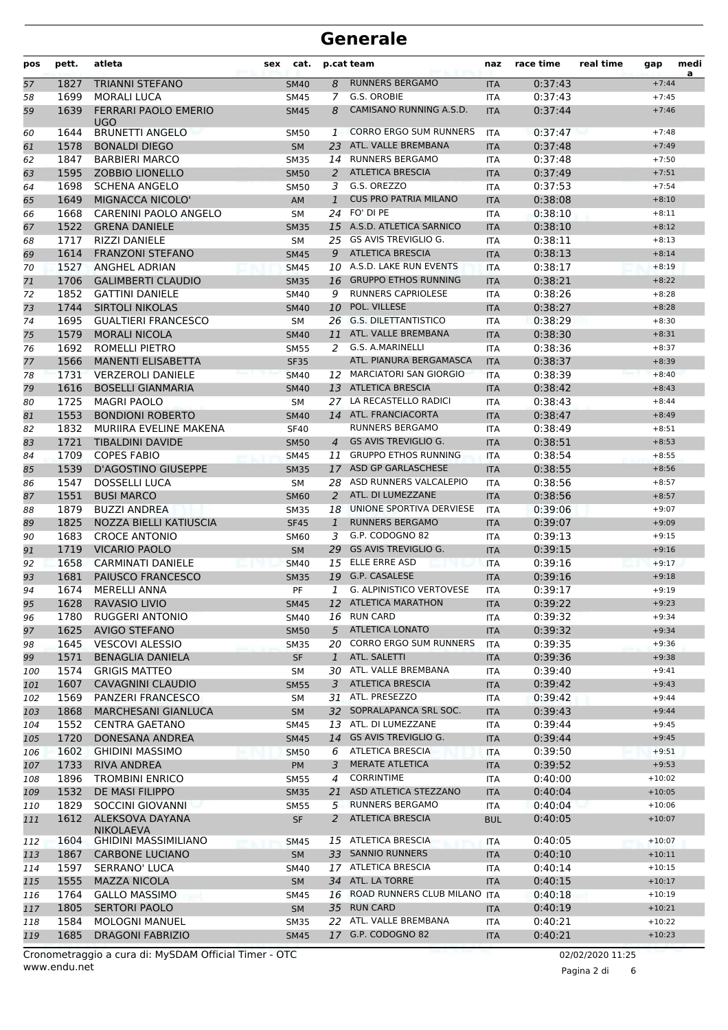| pos | pett. | atleta                                    | sex | cat.        |                | p.cat team                      | naz        | race time | real time | gap                | medi<br>a |
|-----|-------|-------------------------------------------|-----|-------------|----------------|---------------------------------|------------|-----------|-----------|--------------------|-----------|
| 57  | 1827  | <b>TRIANNI STEFANO</b>                    |     | <b>SM40</b> | 8              | <b>RUNNERS BERGAMO</b>          | <b>ITA</b> | 0:37:43   |           | $+7:44$            |           |
| 58  | 1699  | <b>MORALI LUCA</b>                        |     | SM45        | 7              | G.S. OROBIE                     | <b>ITA</b> | 0:37:43   |           | $+7:45$            |           |
| 59  | 1639  | <b>FERRARI PAOLO EMERIO</b><br>UGO        |     | <b>SM45</b> | 8              | CAMISANO RUNNING A.S.D.         | <b>ITA</b> | 0:37:44   |           | $+7:46$            |           |
| 60  | 1644  | <b>BRUNETTI ANGELO</b>                    |     | <b>SM50</b> | 1              | <b>CORRO ERGO SUM RUNNERS</b>   | ITA        | 0:37:47   |           | $+7:48$            |           |
| 61  | 1578  | <b>BONALDI DIEGO</b>                      |     | <b>SM</b>   | 23             | ATL. VALLE BREMBANA             | <b>ITA</b> | 0:37:48   |           | $+7:49$            |           |
| 62  | 1847  | <b>BARBIERI MARCO</b>                     |     | <b>SM35</b> | 14             | <b>RUNNERS BERGAMO</b>          | <b>ITA</b> | 0:37:48   |           | $+7:50$            |           |
| 63  | 1595  | <b>ZOBBIO LIONELLO</b>                    |     | <b>SM50</b> | 2              | <b>ATLETICA BRESCIA</b>         | <b>ITA</b> | 0:37:49   |           | $+7:51$            |           |
| 64  | 1698  | <b>SCHENA ANGELO</b>                      |     | <b>SM50</b> | 3              | G.S. OREZZO                     | <b>ITA</b> | 0:37:53   |           | $+7:54$            |           |
| 65  | 1649  | MIGNACCA NICOLO'                          |     | AM          | $\mathbf{1}$   | <b>CUS PRO PATRIA MILANO</b>    | <b>ITA</b> | 0:38:08   |           | $+8:10$            |           |
| 66  | 1668  | CARENINI PAOLO ANGELO                     |     | <b>SM</b>   |                | 24 FO' DI PE                    | ITA        | 0:38:10   |           | $+8:11$            |           |
| 67  | 1522  | <b>GRENA DANIELE</b>                      |     | <b>SM35</b> |                | 15 A.S.D. ATLETICA SARNICO      | <b>ITA</b> | 0:38:10   |           | $+8:12$            |           |
| 68  | 1717  | <b>RIZZI DANIELE</b>                      |     | <b>SM</b>   | 25             | GS AVIS TREVIGLIO G.            | <b>ITA</b> | 0:38:11   |           | $+8:13$            |           |
| 69  | 1614  | <b>FRANZONI STEFANO</b>                   |     | <b>SM45</b> | 9              | <b>ATLETICA BRESCIA</b>         | <b>ITA</b> | 0:38:13   |           | $+8:14$            |           |
| 70  | 1527  | <b>ANGHEL ADRIAN</b>                      |     | <b>SM45</b> |                | 10 A.S.D. LAKE RUN EVENTS       | <b>ITA</b> | 0:38:17   |           | $+8:19$            |           |
| 71  | 1706  | <b>GALIMBERTI CLAUDIO</b>                 |     | <b>SM35</b> |                | 16 GRUPPO ETHOS RUNNING         | <b>ITA</b> | 0:38:21   |           | $+8:22$            |           |
| 72  | 1852  | <b>GATTINI DANIELE</b>                    |     | SM40        | 9              | <b>RUNNERS CAPRIOLESE</b>       | ITA        | 0:38:26   |           | $+8:28$            |           |
| 73  | 1744  | <b>SIRTOLI NIKOLAS</b>                    |     | <b>SM40</b> | 10             | POL. VILLESE                    | <b>ITA</b> | 0:38:27   |           | $+8:28$            |           |
| 74  | 1695  | <b>GUALTIERI FRANCESCO</b>                |     | <b>SM</b>   | 26             | <b>G.S. DILETTANTISTICO</b>     | <b>ITA</b> | 0:38:29   |           | $+8:30$            |           |
| 75  | 1579  | <b>MORALI NICOLA</b>                      |     | <b>SM40</b> |                | 11 ATL. VALLE BREMBANA          | <b>ITA</b> | 0:38:30   |           | $+8:31$            |           |
| 76  | 1692  | ROMELLI PIETRO                            |     | <b>SM55</b> | 2              | G.S. A.MARINELLI                | <b>ITA</b> | 0:38:36   |           | $+8:37$            |           |
| 77  | 1566  | <b>MANENTI ELISABETTA</b>                 |     | <b>SF35</b> |                | ATL. PIANURA BERGAMASCA         | <b>ITA</b> | 0:38:37   |           | $+8:39$            |           |
| 78  | 1731  | <b>VERZEROLI DANIELE</b>                  |     | <b>SM40</b> |                | 12 MARCIATORI SAN GIORGIO       | <b>ITA</b> | 0:38:39   |           | $+8:40$            |           |
| 79  | 1616  | <b>BOSELLI GIANMARIA</b>                  |     | <b>SM40</b> |                | 13 ATLETICA BRESCIA             | <b>ITA</b> | 0:38:42   |           | $+8:43$            |           |
| 80  | 1725  | <b>MAGRI PAOLO</b>                        |     | <b>SM</b>   | 27             | LA RECASTELLO RADICI            | <b>ITA</b> | 0:38:43   |           | $+8:44$            |           |
| 81  | 1553  | <b>BONDIONI ROBERTO</b>                   |     | <b>SM40</b> |                | 14 ATL. FRANCIACORTA            | <b>ITA</b> | 0:38:47   |           | $+8:49$            |           |
| 82  | 1832  | MURIIRA EVELINE MAKENA                    |     | <b>SF40</b> |                | <b>RUNNERS BERGAMO</b>          | <b>ITA</b> | 0:38:49   |           | $+8:51$            |           |
| 83  | 1721  | <b>TIBALDINI DAVIDE</b>                   |     | <b>SM50</b> | $\overline{4}$ | <b>GS AVIS TREVIGLIO G.</b>     | <b>ITA</b> | 0:38:51   |           | $+8:53$            |           |
|     | 1709  | <b>COPES FABIO</b>                        |     |             | 11             | <b>GRUPPO ETHOS RUNNING</b>     |            | 0:38:54   |           | $+8:55$            |           |
| 84  | 1539  | <b>D'AGOSTINO GIUSEPPE</b>                |     | <b>SM45</b> |                | ASD GP GARLASCHESE              | ITA        | 0:38:55   |           | $+8:56$            |           |
| 85  | 1547  |                                           |     | <b>SM35</b> | 17             | ASD RUNNERS VALCALEPIO          | <b>ITA</b> |           |           |                    |           |
| 86  | 1551  | <b>DOSSELLI LUCA</b><br><b>BUSI MARCO</b> |     | <b>SM</b>   | 28<br>2        | ATL. DI LUMEZZANE               | <b>ITA</b> | 0:38:56   |           | $+8:57$<br>$+8:57$ |           |
| 87  |       |                                           |     | <b>SM60</b> |                | UNIONE SPORTIVA DERVIESE        | <b>ITA</b> | 0:38:56   |           |                    |           |
| 88  | 1879  | <b>BUZZI ANDREA</b>                       |     | <b>SM35</b> | 18             | <b>RUNNERS BERGAMO</b>          | <b>ITA</b> | 0:39:06   |           | $+9:07$            |           |
| 89  | 1825  | NOZZA BIELLI KATIUSCIA                    |     | <b>SF45</b> | $\mathbf{1}$   | G.P. CODOGNO 82                 | <b>ITA</b> | 0:39:07   |           | $+9:09$            |           |
| 90  | 1683  | <b>CROCE ANTONIO</b>                      |     | <b>SM60</b> | 3              | <b>GS AVIS TREVIGLIO G.</b>     | <b>ITA</b> | 0:39:13   |           | $+9:15$            |           |
| 91  | 1719  | <b>VICARIO PAOLO</b>                      |     | <b>SM</b>   | 29             |                                 | <b>ITA</b> | 0:39:15   |           | $+9:16$            |           |
| 92  | 1658  | <b>CARMINATI DANIELE</b>                  |     | <b>SM40</b> | 15             | ELLE ERRE ASD                   | <b>ITA</b> | 0:39:16   |           | $+9:17$            |           |
| 93  | 1681  | PAIUSCO FRANCESCO                         |     | <b>SM35</b> | 19             | G.P. CASALESE                   | <b>ITA</b> | 0:39:16   |           | $+9:18$            |           |
| 94  | 1674  | <b>MERELLI ANNA</b>                       |     | PF          | 1              | <b>G. ALPINISTICO VERTOVESE</b> | <b>ITA</b> | 0:39:17   |           | $+9:19$            |           |
| 95  | 1628  | RAVASIO LIVIO                             |     | <b>SM45</b> |                | 12 ATLETICA MARATHON            | <b>ITA</b> | 0:39:22   |           | $+9:23$            |           |
| 96  | 1780  | <b>RUGGERI ANTONIO</b>                    |     | SM40        |                | 16 RUN CARD                     | <b>ITA</b> | 0:39:32   |           | $+9:34$            |           |
| 97  | 1625  | <b>AVIGO STEFANO</b>                      |     | <b>SM50</b> |                | 5 ATLETICA LONATO               | <b>ITA</b> | 0:39:32   |           | $+9:34$            |           |
| 98  | 1645  | <b>VESCOVI ALESSIO</b>                    |     | <b>SM35</b> |                | 20 CORRO ERGO SUM RUNNERS       | ITA        | 0:39:35   |           | $+9:36$            |           |
| 99  | 1571  | <b>BENAGLIA DANIELA</b>                   |     | <b>SF</b>   | $\mathbf{1}$   | ATL. SALETTI                    | <b>ITA</b> | 0:39:36   |           | $+9:38$            |           |
| 100 | 1574  | <b>GRIGIS MATTEO</b>                      |     | SΜ          |                | 30 ATL. VALLE BREMBANA          | ITA        | 0:39:40   |           | $+9:41$            |           |
| 101 | 1607  | <b>CAVAGNINI CLAUDIO</b>                  |     | <b>SM55</b> | 3              | <b>ATLETICA BRESCIA</b>         | <b>ITA</b> | 0:39:42   |           | $+9:43$            |           |
| 102 | 1569  | PANZERI FRANCESCO                         |     | SM          |                | 31 ATL. PRESEZZO                | ITA        | 0:39:42   |           | $+9:44$            |           |
| 103 | 1868  | <b>MARCHESANI GIANLUCA</b>                |     | <b>SM</b>   |                | 32 SOPRALAPANCA SRL SOC.        | <b>ITA</b> | 0:39:43   |           | $+9:44$            |           |
| 104 | 1552  | <b>CENTRA GAETANO</b>                     |     | SM45        |                | 13 ATL. DI LUMEZZANE            | ITA        | 0:39:44   |           | $+9:45$            |           |
| 105 | 1720  | DONESANA ANDREA                           |     | <b>SM45</b> | 14             | GS AVIS TREVIGLIO G.            | <b>ITA</b> | 0:39:44   |           | $+9:45$            |           |
| 106 | 1602  | <b>GHIDINI MASSIMO</b>                    |     | <b>SM50</b> | 6              | <b>ATLETICA BRESCIA</b>         | ITA        | 0:39:50   |           | $+9:51$            |           |
| 107 | 1733  | <b>RIVA ANDREA</b>                        |     | PM          | 3              | <b>MERATE ATLETICA</b>          | <b>ITA</b> | 0:39:52   |           | $+9:53$            |           |
| 108 | 1896  | <b>TROMBINI ENRICO</b>                    |     | <b>SM55</b> | 4              | <b>CORRINTIME</b>               | ITA        | 0:40:00   |           | $+10:02$           |           |
| 109 | 1532  | DE MASI FILIPPO                           |     | <b>SM35</b> | 21             | ASD ATLETICA STEZZANO           | <b>ITA</b> | 0:40:04   |           | $+10:05$           |           |
| 110 | 1829  | SOCCINI GIOVANNI                          |     | <b>SM55</b> | 5              | <b>RUNNERS BERGAMO</b>          | ITA        | 0:40:04   |           | $+10:06$           |           |
| 111 | 1612  | ALEKSOVA DAYANA<br><b>NIKOLAEVA</b>       |     | SF          | 2              | <b>ATLETICA BRESCIA</b>         | <b>BUL</b> | 0:40:05   |           | $+10:07$           |           |
| 112 | 1604  | <b>GHIDINI MASSIMILIANO</b>               |     | SM45        |                | 15 ATLETICA BRESCIA             | ITA        | 0:40:05   |           | $+10:07$           |           |
| 113 | 1867  | <b>CARBONE LUCIANO</b>                    |     | <b>SM</b>   |                | 33 SANNIO RUNNERS               | <b>ITA</b> | 0:40:10   |           | $+10:11$           |           |
| 114 | 1597  | SERRANO' LUCA                             |     | SM40        |                | 17 ATLETICA BRESCIA             | ITA        | 0:40:14   |           | $+10:15$           |           |
| 115 | 1555  | <b>MAZZA NICOLA</b>                       |     | SM          |                | 34 ATL. LA TORRE                | <b>ITA</b> | 0:40:15   |           | $+10:17$           |           |
| 116 | 1764  | <b>GALLO MASSIMO</b>                      |     | SM45        |                | 16 ROAD RUNNERS CLUB MILANO ITA |            | 0:40:18   |           | $+10:19$           |           |
| 117 | 1805  | <b>SERTORI PAOLO</b>                      |     | <b>SM</b>   |                | 35 RUN CARD                     | <b>ITA</b> | 0:40:19   |           | $+10:21$           |           |
| 118 | 1584  | <b>MOLOGNI MANUEL</b>                     |     | <b>SM35</b> |                | 22 ATL. VALLE BREMBANA          | ITA        | 0:40:21   |           | $+10:22$           |           |
| 119 | 1685  | <b>DRAGONI FABRIZIO</b>                   |     | <b>SM45</b> |                | 17 G.P. CODOGNO 82              | <b>ITA</b> | 0:40:21   |           | $+10:23$           |           |
|     |       |                                           |     |             |                |                                 |            |           |           |                    |           |

www.endu.net Cronometraggio a cura di: MySDAM Official Timer - OTC 02/02/2020 11:25

Pagina 2 di 6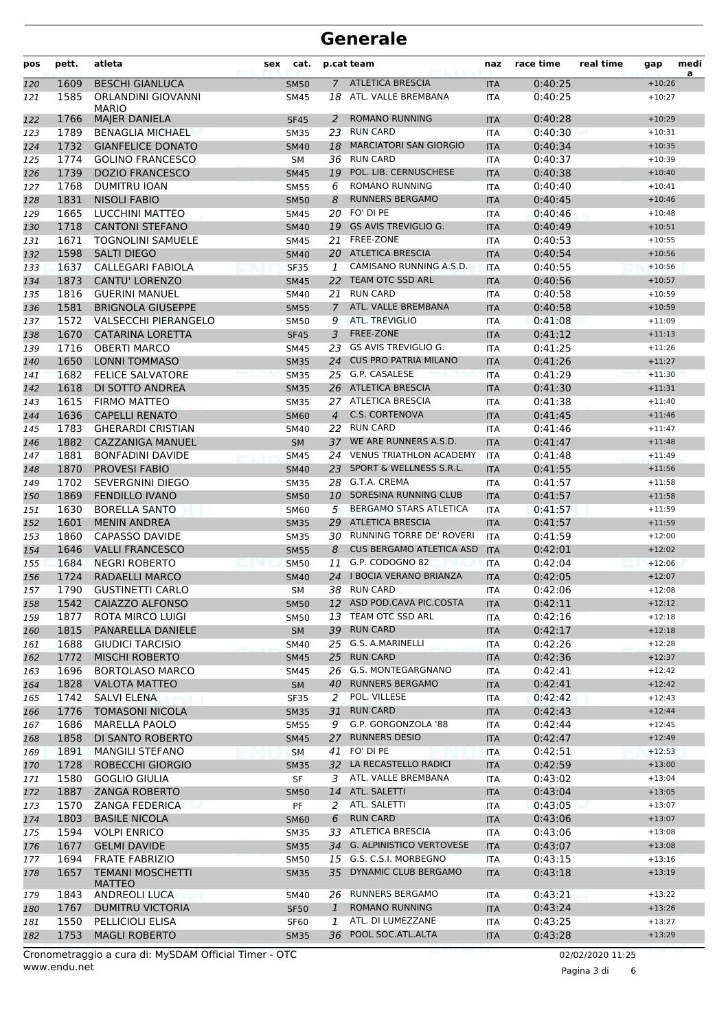| pos | pett.        | atleta                                       | sex | cat.                       |                | p.cat team                                       | naz               | race time          | real time | gap                  | medi |
|-----|--------------|----------------------------------------------|-----|----------------------------|----------------|--------------------------------------------------|-------------------|--------------------|-----------|----------------------|------|
| 120 | 1609         | <b>BESCHI GIANLUCA</b>                       |     | <b>SM50</b>                | $\overline{7}$ | <b>ATLETICA BRESCIA</b>                          | <b>ITA</b>        | 0:40:25            |           | $+10:26$             | a    |
| 121 | 1585         | ORLANDINI GIOVANNI                           |     | <b>SM45</b>                |                | 18 ATL. VALLE BREMBANA                           | <b>ITA</b>        | 0:40:25            |           | $+10:27$             |      |
| 122 | 1766         | <b>MARIO</b><br><b>MAJER DANIELA</b>         |     | <b>SF45</b>                | 2              | <b>ROMANO RUNNING</b>                            | <b>ITA</b>        | 0:40:28            |           | $+10:29$             |      |
| 123 | 1789         | <b>BENAGLIA MICHAEL</b>                      |     | <b>SM35</b>                | 23             | <b>RUN CARD</b>                                  | <b>ITA</b>        | 0:40:30            |           | $+10:31$             |      |
| 124 | 1732         | <b>GIANFELICE DONATO</b>                     |     | <b>SM40</b>                | 18             | <b>MARCIATORI SAN GIORGIO</b>                    | <b>ITA</b>        | 0:40:34            |           | $+10:35$             |      |
| 125 | 1774         | <b>GOLINO FRANCESCO</b>                      |     | <b>SM</b>                  | 36             | <b>RUN CARD</b>                                  | <b>ITA</b>        | 0:40:37            |           | $+10:39$             |      |
| 126 | 1739         | <b>DOZIO FRANCESCO</b>                       |     | <b>SM45</b>                | 19             | POL. LIB. CERNUSCHESE                            | <b>ITA</b>        | 0:40:38            |           | $+10:40$             |      |
| 127 | 1768         | <b>DUMITRU IOAN</b>                          |     | <b>SM55</b>                | 6              | <b>ROMANO RUNNING</b>                            | <b>ITA</b>        | 0:40:40            |           | $+10:41$             |      |
| 128 | 1831         | <b>NISOLI FABIO</b>                          |     | <b>SM50</b>                | 8              | <b>RUNNERS BERGAMO</b>                           | <b>ITA</b>        | 0:40:45            |           | $+10:46$             |      |
| 129 | 1665         | <b>LUCCHINI MATTEO</b>                       |     | SM45                       |                | 20 FO' DI PE                                     | <b>ITA</b>        | 0:40:46            |           | $+10:48$             |      |
| 130 | 1718         | <b>CANTONI STEFANO</b>                       |     | <b>SM40</b>                | 19             | <b>GS AVIS TREVIGLIO G.</b>                      | <b>ITA</b>        | 0:40:49            |           | $+10:51$             |      |
| 131 | 1671         | <b>TOGNOLINI SAMUELE</b>                     |     | <b>SM45</b>                | 21             | <b>FREE-ZONE</b>                                 | <b>ITA</b>        | 0:40:53            |           | $+10:55$             |      |
| 132 | 1598         | <b>SALTI DIEGO</b>                           |     | <b>SM40</b>                |                | 20 ATLETICA BRESCIA                              | <b>ITA</b>        | 0:40:54            |           | $+10:56$             |      |
| 133 | 1637         | CALLEGARI FABIOLA                            |     | <b>SF35</b>                | 1              | CAMISANO RUNNING A.S.D.                          | <b>ITA</b>        | 0:40:55            |           | $+10:56$             |      |
| 134 | 1873         | <b>CANTU' LORENZO</b>                        |     | <b>SM45</b>                | 22             | TEAM OTC SSD ARL                                 | <b>ITA</b>        | 0:40:56            |           | $+10:57$             |      |
| 135 | 1816         | <b>GUERINI MANUEL</b>                        |     | SM40                       | 21             | <b>RUN CARD</b>                                  | <b>ITA</b>        | 0:40:58            |           | $+10:59$             |      |
| 136 | 1581         | <b>BRIGNOLA GIUSEPPE</b>                     |     | <b>SM55</b>                | $\overline{7}$ | ATL. VALLE BREMBANA                              | <b>ITA</b>        | 0:40:58            |           | $+10:59$             |      |
| 137 | 1572         | <b>VALSECCHI PIERANGELO</b>                  |     | <b>SM50</b>                | 9              | ATL. TREVIGLIO                                   | <b>ITA</b>        | 0:41:08            |           | $+11:09$             |      |
| 138 | 1670         | <b>CATARINA LORETTA</b>                      |     | <b>SF45</b>                | 3              | <b>FREE-ZONE</b>                                 | <b>ITA</b>        | 0:41:12            |           | $+11:13$             |      |
| 139 | 1716         | <b>OBERTI MARCO</b>                          |     | SM45                       | 23             | <b>GS AVIS TREVIGLIO G.</b>                      | <b>ITA</b>        | 0:41:25            |           | $+11:26$             |      |
|     | 1650         | <b>LONNI TOMMASO</b>                         |     | <b>SM35</b>                | 24             | <b>CUS PRO PATRIA MILANO</b>                     | <b>ITA</b>        | 0:41:26            |           | $+11:27$             |      |
| 140 | 1682         | <b>FELICE SALVATORE</b>                      |     |                            | 25             | G.P. CASALESE                                    |                   | 0:41:29            |           | $+11:30$             |      |
| 141 | 1618         |                                              |     | <b>SM35</b>                |                | 26 ATLETICA BRESCIA                              | <b>ITA</b>        |                    |           | $+11:31$             |      |
| 142 | 1615         | DI SOTTO ANDREA                              |     | <b>SM35</b>                |                | 27 ATLETICA BRESCIA                              | <b>ITA</b>        | 0:41:30            |           |                      |      |
| 143 | 1636         | <b>FIRMO MATTEO</b>                          |     | <b>SM35</b>                |                | <b>C.S. CORTENOVA</b>                            | <b>ITA</b>        | 0:41:38            |           | $+11:40$             |      |
| 144 |              | <b>CAPELLI RENATO</b>                        |     | <b>SM60</b>                | 4              | 22 RUN CARD                                      | <b>ITA</b>        | 0:41:45            |           | $+11:46$             |      |
| 145 | 1783         | <b>GHERARDI CRISTIAN</b>                     |     | SM40                       |                | WE ARE RUNNERS A.S.D.                            | <b>ITA</b>        | 0:41:46            |           | $+11:47$             |      |
| 146 | 1882         | <b>CAZZANIGA MANUEL</b>                      |     | <b>SM</b>                  | 37             | <b>VENUS TRIATHLON ACADEMY</b>                   | <b>ITA</b>        | 0:41:47            |           | $+11:48$             |      |
| 147 | 1881         | <b>BONFADINI DAVIDE</b>                      |     | <b>SM45</b>                | 24             | SPORT & WELLNESS S.R.L.                          | <b>ITA</b>        | 0:41:48            |           | $+11:49$             |      |
| 148 | 1870         | PROVESI FABIO                                |     | <b>SM40</b>                | 23             |                                                  | <b>ITA</b>        | 0:41:55            |           | $+11:56$             |      |
| 149 | 1702         | SEVERGNINI DIEGO                             |     | <b>SM35</b>                |                | 28 G.T.A. CREMA<br>SORESINA RUNNING CLUB         | <b>ITA</b>        | 0:41:57            |           | $+11:58$             |      |
| 150 | 1869         | <b>FENDILLO IVANO</b>                        |     | <b>SM50</b>                | 10             | <b>BERGAMO STARS ATLETICA</b>                    | <b>ITA</b>        | 0:41:57            |           | $+11:58$             |      |
| 151 | 1630         | <b>BORELLA SANTO</b>                         |     | <b>SM60</b>                | 5              | <b>ATLETICA BRESCIA</b>                          | <b>ITA</b>        | 0:41:57            |           | $+11:59$             |      |
| 152 | 1601<br>1860 | <b>MENIN ANDREA</b>                          |     | <b>SM35</b>                | 29             | 30 RUNNING TORRE DE' ROVERI                      | <b>ITA</b>        | 0:41:57            |           | $+11:59$             |      |
| 153 |              | <b>CAPASSO DAVIDE</b>                        |     | <b>SM35</b>                |                | <b>CUS BERGAMO ATLETICA ASD</b>                  | <b>ITA</b>        | 0:41:59            |           | $+12:00$             |      |
| 154 | 1646         | <b>VALLI FRANCESCO</b>                       |     | <b>SM55</b>                | 8              | G.P. CODOGNO 82                                  | <b>ITA</b>        | 0:42:01            |           | $+12:02$             |      |
| 155 | 1684         | <b>NEGRI ROBERTO</b>                         |     | <b>SM50</b>                | 11             | <b>I BOCIA VERANO BRIANZA</b>                    | <b>ITA</b>        | 0:42:04            |           | $+12:06$             |      |
| 156 | 1724         | <b>RADAELLI MARCO</b>                        |     | <b>SM40</b>                | 24             | 38 RUN CARD                                      | <b>ITA</b>        | 0:42:05            |           | $+12:07$             |      |
| 157 | 1790         | <b>GUSTINETTI CARLO</b>                      |     | <b>SM</b>                  |                |                                                  | <b>ITA</b>        | 0:42:06            |           | $+12:08$<br>$+12:12$ |      |
| 158 | 1542         | CAIAZZO ALFONSO                              |     | <b>SM50</b>                |                | 12 ASD POD.CAVA PIC.COSTA<br>13 TEAM OTC SSD ARL | <b>ITA</b>        | 0:42:11            |           | $+12:18$             |      |
| 159 | 1877         | <b>ROTA MIRCO LUIGI</b>                      |     | <b>SM50</b>                |                | 39 RUN CARD                                      | ITA               | 0:42:16            |           |                      |      |
| 160 | 1815<br>1688 | PANARELLA DANIELE<br><b>GIUDICI TARCISIO</b> |     | SM                         |                | 25 G.S. A.MARINELLI                              | <b>ITA</b>        | 0:42:17<br>0:42:26 |           | $+12:18$<br>$+12:28$ |      |
| 161 |              | <b>MISCHI ROBERTO</b>                        |     | <b>SM40</b>                | 25             | <b>RUN CARD</b>                                  | ITA               |                    |           | $+12:37$             |      |
| 162 | 1772         | <b>BORTOLASO MARCO</b>                       |     | <b>SM45</b>                |                | 26 G.S. MONTEGARGNANO                            | <b>ITA</b>        | 0:42:36            |           | $+12:42$             |      |
| 163 | 1696<br>1828 | <b>VALOTA MATTEO</b>                         |     | SM45                       |                | 40 RUNNERS BERGAMO                               | ITA               | 0:42:41<br>0:42:41 |           | $+12:42$             |      |
| 164 | 1742         |                                              |     | <b>SM</b>                  | 2              | POL. VILLESE                                     | <b>ITA</b>        |                    |           | $+12:43$             |      |
| 165 | 1776         | SALVI ELENA<br><b>TOMASONI NICOLA</b>        |     | <b>SF35</b><br><b>SM35</b> | 31             | <b>RUN CARD</b>                                  | ITA               | 0:42:42<br>0:42:43 |           | $+12:44$             |      |
| 166 | 1686         | MARELLA PAOLO                                |     | <b>SM55</b>                | 9              | G.P. GORGONZOLA '88                              | <b>ITA</b><br>ITA | 0:42:44            |           | $+12:45$             |      |
| 167 | 1858         | DI SANTO ROBERTO                             |     |                            | 27             | <b>RUNNERS DESIO</b>                             |                   | 0:42:47            |           | $+12:49$             |      |
| 168 | 1891         | <b>MANGILI STEFANO</b>                       |     | <b>SM45</b>                |                | 41 FO' DI PE                                     | <b>ITA</b>        | 0:42:51            |           | $+12:53$             |      |
| 169 |              |                                              |     | <b>SM</b>                  |                | 32 LA RECASTELLO RADICI                          | ITA               |                    |           | $+13:00$             |      |
| 170 | 1728         | ROBECCHI GIORGIO                             |     | <b>SM35</b>                |                | ATL. VALLE BREMBANA                              | <b>ITA</b>        | 0:42:59            |           |                      |      |
| 171 | 1580         | <b>GOGLIO GIULIA</b>                         |     | SF                         | 3              | 14 ATL. SALETTI                                  | ITA               | 0:43:02            |           | $+13:04$             |      |
| 172 | 1887         | <b>ZANGA ROBERTO</b>                         |     | <b>SM50</b>                |                | 2 ATL. SALETTI                                   | <b>ITA</b>        | 0:43:04            |           | $+13:05$             |      |
| 173 | 1570         | <b>ZANGA FEDERICA</b>                        |     | PF                         |                |                                                  | ITA               | 0:43:05            |           | $+13:07$             |      |
| 174 | 1803         | <b>BASILE NICOLA</b>                         |     | <b>SM60</b>                | 6              | <b>RUN CARD</b>                                  | <b>ITA</b>        | 0:43:06            |           | $+13:07$             |      |
| 175 | 1594         | <b>VOLPI ENRICO</b>                          |     | SM35                       |                | 33 ATLETICA BRESCIA                              | ITA               | 0:43:06            |           | $+13:08$             |      |
| 176 | 1677         | <b>GELMI DAVIDE</b>                          |     | <b>SM35</b>                |                | 34 G. ALPINISTICO VERTOVESE                      | <b>ITA</b>        | 0:43:07            |           | $+13:08$             |      |
| 177 | 1694         | <b>FRATE FABRIZIO</b>                        |     | <b>SM50</b>                |                | 15 G.S. C.S.I. MORBEGNO                          | <b>ITA</b>        | 0:43:15            |           | $+13:16$             |      |
| 178 | 1657         | <b>TEMANI MOSCHETTI</b><br><b>MATTEO</b>     |     | <b>SM35</b>                | 35             | DYNAMIC CLUB BERGAMO                             | <b>ITA</b>        | 0:43:18            |           | $+13:19$             |      |
| 179 | 1843         | ANDREOLI LUCA                                |     | SM40                       |                | 26 RUNNERS BERGAMO                               | ITA               | 0:43:21            |           | $+13:22$             |      |
| 180 | 1767         | <b>DUMITRU VICTORIA</b>                      |     | <b>SF50</b>                | $\mathbf{1}$   | <b>ROMANO RUNNING</b>                            | <b>ITA</b>        | 0:43:24            |           | $+13:26$             |      |
| 181 | 1550         | PELLICIOLI ELISA                             |     | <b>SF60</b>                | 1              | ATL. DI LUMEZZANE                                | <b>ITA</b>        | 0:43:25            |           | $+13:27$             |      |
| 182 | 1753         | <b>MAGLI ROBERTO</b>                         |     | <b>SM35</b>                | 36             | POOL SOC.ATL.ALTA                                | <b>ITA</b>        | 0:43:28            |           | $+13:29$             |      |
|     |              |                                              |     |                            |                |                                                  |                   |                    |           |                      |      |

Pagina 3 di 6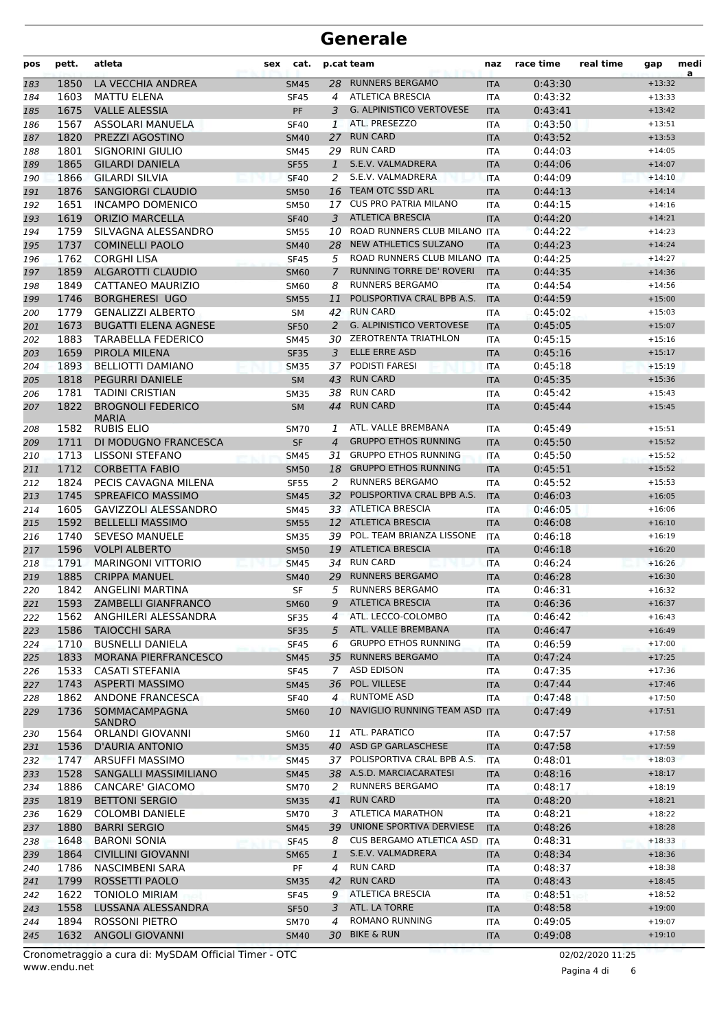| pos | pett. | atleta                                   | cat.<br>sex |                | p.cat team                      | naz        | race time | real time | gap      | medi<br>a |
|-----|-------|------------------------------------------|-------------|----------------|---------------------------------|------------|-----------|-----------|----------|-----------|
| 183 | 1850  | LA VECCHIA ANDREA                        | <b>SM45</b> | 28             | <b>RUNNERS BERGAMO</b>          | <b>ITA</b> | 0:43:30   |           | $+13:32$ |           |
| 184 | 1603  | <b>MATTU ELENA</b>                       | <b>SF45</b> | 4              | <b>ATLETICA BRESCIA</b>         | <b>ITA</b> | 0:43:32   |           | $+13:33$ |           |
| 185 | 1675  | <b>VALLE ALESSIA</b>                     | <b>PF</b>   | 3              | <b>G. ALPINISTICO VERTOVESE</b> | <b>ITA</b> | 0:43:41   |           | $+13:42$ |           |
| 186 | 1567  | ASSOLARI MANUELA                         | <b>SF40</b> | 1              | ATL. PRESEZZO                   | <b>ITA</b> | 0:43:50   |           | $+13:51$ |           |
| 187 | 1820  | PREZZI AGOSTINO                          | <b>SM40</b> | 27             | <b>RUN CARD</b>                 | <b>ITA</b> | 0:43:52   |           | $+13:53$ |           |
| 188 | 1801  | SIGNORINI GIULIO                         | SM45        |                | 29 RUN CARD                     | <b>ITA</b> | 0:44:03   |           | $+14:05$ |           |
| 189 | 1865  | <b>GILARDI DANIELA</b>                   | <b>SF55</b> | 1              | S.E.V. VALMADRERA               | <b>ITA</b> | 0:44:06   |           | $+14:07$ |           |
| 190 | 1866  | <b>GILARDI SILVIA</b>                    | <b>SF40</b> | 2              | S.E.V. VALMADRERA               | <b>ITA</b> | 0:44:09   |           | $+14:10$ |           |
| 191 | 1876  | <b>SANGIORGI CLAUDIO</b>                 | <b>SM50</b> | 16             | <b>TEAM OTC SSD ARL</b>         | <b>ITA</b> | 0:44:13   |           | $+14:14$ |           |
| 192 | 1651  | <b>INCAMPO DOMENICO</b>                  | <b>SM50</b> | 17             | <b>CUS PRO PATRIA MILANO</b>    | <b>ITA</b> | 0:44:15   |           | $+14:16$ |           |
| 193 | 1619  | <b>ORIZIO MARCELLA</b>                   | <b>SF40</b> | 3              | <b>ATLETICA BRESCIA</b>         | <b>ITA</b> | 0:44:20   |           | $+14:21$ |           |
| 194 | 1759  | SILVAGNA ALESSANDRO                      | <b>SM55</b> | 10             | ROAD RUNNERS CLUB MILANO ITA    |            | 0:44:22   |           | $+14:23$ |           |
| 195 | 1737  | <b>COMINELLI PAOLO</b>                   | <b>SM40</b> | 28             | NEW ATHLETICS SULZANO           | <b>ITA</b> | 0:44:23   |           | $+14:24$ |           |
| 196 | 1762  | <b>CORGHI LISA</b>                       | <b>SF45</b> | 5              | ROAD RUNNERS CLUB MILANO ITA    |            | 0:44:25   |           | $+14:27$ |           |
| 197 | 1859  | ALGAROTTI CLAUDIO                        | <b>SM60</b> | 7              | RUNNING TORRE DE' ROVERI        | <b>ITA</b> | 0:44:35   |           | $+14:36$ |           |
| 198 | 1849  | CATTANEO MAURIZIO                        | <b>SM60</b> | 8              | <b>RUNNERS BERGAMO</b>          | <b>ITA</b> | 0:44:54   |           | $+14:56$ |           |
| 199 | 1746  | <b>BORGHERESI UGO</b>                    | <b>SM55</b> | 11             | POLISPORTIVA CRAL BPB A.S.      | <b>ITA</b> | 0:44:59   |           | $+15:00$ |           |
| 200 | 1779  | <b>GENALIZZI ALBERTO</b>                 | SM          |                | 42 RUN CARD                     | <b>ITA</b> | 0:45:02   |           | $+15:03$ |           |
| 201 | 1673  | <b>BUGATTI ELENA AGNESE</b>              | <b>SF50</b> | 2              | <b>G. ALPINISTICO VERTOVESE</b> | <b>ITA</b> | 0:45:05   |           | $+15:07$ |           |
| 202 | 1883  | <b>TARABELLA FEDERICO</b>                | <b>SM45</b> | 30             | <b>ZEROTRENTA TRIATHLON</b>     | <b>ITA</b> | 0:45:15   |           | $+15:16$ |           |
| 203 | 1659  | PIROLA MILENA                            | <b>SF35</b> | 3              | ELLE ERRE ASD                   | <b>ITA</b> | 0:45:16   |           | $+15:17$ |           |
| 204 | 1893  | <b>BELLIOTTI DAMIANO</b>                 | <b>SM35</b> | 37             | <b>PODISTI FARESI</b>           | <b>ITA</b> | 0:45:18   |           | $+15:19$ |           |
| 205 | 1818  | <b>PEGURRI DANIELE</b>                   | <b>SM</b>   | 43             | <b>RUN CARD</b>                 | <b>ITA</b> | 0:45:35   |           | $+15:36$ |           |
| 206 | 1781  | <b>TADINI CRISTIAN</b>                   | <b>SM35</b> | 38             | <b>RUN CARD</b>                 | <b>ITA</b> | 0:45:42   |           | $+15:43$ |           |
| 207 | 1822  | <b>BROGNOLI FEDERICO</b><br><b>MARIA</b> | <b>SM</b>   | 44             | <b>RUN CARD</b>                 | <b>ITA</b> | 0:45:44   |           | $+15:45$ |           |
| 208 | 1582  | <b>RUBIS ELIO</b>                        | <b>SM70</b> | 1              | ATL. VALLE BREMBANA             | <b>ITA</b> | 0:45:49   |           | $+15:51$ |           |
| 209 | 1711  | DI MODUGNO FRANCESCA                     | <b>SF</b>   | $\overline{4}$ | <b>GRUPPO ETHOS RUNNING</b>     | <b>ITA</b> | 0:45:50   |           | $+15:52$ |           |
| 210 | 1713  | <b>LISSONI STEFANO</b>                   | <b>SM45</b> | 31             | <b>GRUPPO ETHOS RUNNING</b>     | <b>ITA</b> | 0:45:50   |           | $+15:52$ |           |
| 211 | 1712  | <b>CORBETTA FABIO</b>                    | <b>SM50</b> | 18             | <b>GRUPPO ETHOS RUNNING</b>     | <b>ITA</b> | 0:45:51   |           | $+15:52$ |           |
| 212 | 1824  | PECIS CAVAGNA MILENA                     | <b>SF55</b> | 2              | <b>RUNNERS BERGAMO</b>          | <b>ITA</b> | 0:45:52   |           | $+15:53$ |           |
| 213 | 1745  | <b>SPREAFICO MASSIMO</b>                 | <b>SM45</b> | 32             | POLISPORTIVA CRAL BPB A.S.      | <b>ITA</b> | 0:46:03   |           | $+16:05$ |           |
| 214 | 1605  | <b>GAVIZZOLI ALESSANDRO</b>              | SM45        |                | 33 ATLETICA BRESCIA             | <b>ITA</b> | 0:46:05   |           | $+16:06$ |           |
| 215 | 1592  | <b>BELLELLI MASSIMO</b>                  | <b>SM55</b> |                | 12 ATLETICA BRESCIA             | <b>ITA</b> | 0:46:08   |           | $+16:10$ |           |
| 216 | 1740  | <b>SEVESO MANUELE</b>                    | <b>SM35</b> | 39             | POL. TEAM BRIANZA LISSONE       | <b>ITA</b> | 0:46:18   |           | $+16:19$ |           |
| 217 | 1596  | <b>VOLPI ALBERTO</b>                     | <b>SM50</b> | 19             | <b>ATLETICA BRESCIA</b>         | <b>ITA</b> | 0:46:18   |           | $+16:20$ |           |
| 218 | 1791  | <b>MARINGONI VITTORIO</b>                | <b>SM45</b> | 34             | <b>RUN CARD</b>                 | <b>ITA</b> | 0:46:24   |           | $+16:26$ |           |
| 219 | 1885  | <b>CRIPPA MANUEL</b>                     | <b>SM40</b> | 29             | <b>RUNNERS BERGAMO</b>          | <b>ITA</b> | 0:46:28   |           | $+16:30$ |           |
| 220 | 1842  | ANGELINI MARTINA                         | SF          | 5              | <b>RUNNERS BERGAMO</b>          | <b>ITA</b> | 0:46:31   |           | $+16:32$ |           |
| 221 | 1593  | ZAMBELLI GIANFRANCO                      | SM60        | 9              | <b>ATLETICA BRESCIA</b>         | <b>ITA</b> | 0:46:36   |           | $+16:37$ |           |
| 222 | 1562  | ANGHILERI ALESSANDRA                     | SF35        | 4              | ATL. LECCO-COLOMBO              | ITA        | 0:46:42   |           | $+16:43$ |           |
| 223 | 1586  | <b>TAIOCCHI SARA</b>                     | <b>SF35</b> | 5              | ATL. VALLE BREMBANA             | <b>ITA</b> | 0:46:47   |           | $+16:49$ |           |
| 224 | 1710  | <b>BUSNELLI DANIELA</b>                  | <b>SF45</b> | 6              | <b>GRUPPO ETHOS RUNNING</b>     | ITA        | 0:46:59   |           | $+17:00$ |           |
| 225 | 1833  | <b>MORANA PIERFRANCESCO</b>              | <b>SM45</b> | 35             | <b>RUNNERS BERGAMO</b>          | <b>ITA</b> | 0:47:24   |           | $+17:25$ |           |
| 226 | 1533  | <b>CASATI STEFANIA</b>                   | <b>SF45</b> | 7              | ASD EDISON                      | <b>ITA</b> | 0:47:35   |           | $+17:36$ |           |
| 227 | 1743  | <b>ASPERTI MASSIMO</b>                   | <b>SM45</b> | 36             | POL. VILLESE                    | <b>ITA</b> | 0:47:44   |           | $+17:46$ |           |
| 228 | 1862  | ANDONE FRANCESCA                         | <b>SF40</b> | $\overline{4}$ | <b>RUNTOME ASD</b>              | ITA        | 0:47:48   |           | $+17:50$ |           |
| 229 | 1736  | SOMMACAMPAGNA<br><b>SANDRO</b>           | <b>SM60</b> | 10             | NAVIGLIO RUNNING TEAM ASD ITA   |            | 0:47:49   |           | $+17:51$ |           |
| 230 | 1564  | ORLANDI GIOVANNI                         | <b>SM60</b> | 11             | ATL. PARATICO                   | ITA        | 0:47:57   |           | $+17:58$ |           |
| 231 | 1536  | <b>D'AURIA ANTONIO</b>                   | <b>SM35</b> |                | 40 ASD GP GARLASCHESE           | <b>ITA</b> | 0:47:58   |           | $+17:59$ |           |
| 232 | 1747  | ARSUFFI MASSIMO                          | <b>SM45</b> |                | 37 POLISPORTIVA CRAL BPB A.S.   | <b>ITA</b> | 0:48:01   |           | $+18:03$ |           |
| 233 | 1528  | SANGALLI MASSIMILIANO                    | <b>SM45</b> |                | 38 A.S.D. MARCIACARATESI        | <b>ITA</b> | 0:48:16   |           | $+18:17$ |           |
| 234 | 1886  | CANCARE' GIACOMO                         | <b>SM70</b> | 2              | <b>RUNNERS BERGAMO</b>          | ITA        | 0:48:17   |           | $+18:19$ |           |
| 235 | 1819  | <b>BETTONI SERGIO</b>                    | <b>SM35</b> | 41             | <b>RUN CARD</b>                 | <b>ITA</b> | 0:48:20   |           | $+18:21$ |           |
| 236 | 1629  | <b>COLOMBI DANIELE</b>                   | <b>SM70</b> | 3              | <b>ATLETICA MARATHON</b>        | ITA        | 0:48:21   |           | $+18:22$ |           |
| 237 | 1880  | <b>BARRI SERGIO</b>                      | <b>SM45</b> | 39             | UNIONE SPORTIVA DERVIESE        | <b>ITA</b> | 0:48:26   |           | $+18:28$ |           |
| 238 | 1648  | <b>BARONI SONIA</b>                      | <b>SF45</b> | 8              | CUS BERGAMO ATLETICA ASD        | <b>ITA</b> | 0:48:31   |           | $+18:33$ |           |
| 239 | 1864  | <b>CIVILLINI GIOVANNI</b>                | <b>SM65</b> | $\mathbf{1}$   | S.E.V. VALMADRERA               | <b>ITA</b> | 0:48:34   |           | $+18:36$ |           |
| 240 | 1786  | <b>NASCIMBENI SARA</b>                   | PF          | $\overline{4}$ | <b>RUN CARD</b>                 | ITA        | 0:48:37   |           | $+18:38$ |           |
| 241 | 1799  | ROSSETTI PAOLO                           | <b>SM35</b> | 42             | <b>RUN CARD</b>                 | <b>ITA</b> | 0:48:43   |           | $+18:45$ |           |
| 242 | 1622  | <b>TONIOLO MIRIAM</b>                    | SF45        | 9              | <b>ATLETICA BRESCIA</b>         | ITA        | 0:48:51   |           | $+18:52$ |           |
| 243 | 1558  | LUSSANA ALESSANDRA                       | <b>SF50</b> | 3              | ATL. LA TORRE                   | <b>ITA</b> | 0:48:58   |           | $+19:00$ |           |
| 244 | 1894  | ROSSONI PIETRO                           | <b>SM70</b> | 4              | ROMANO RUNNING                  | ITA        | 0:49:05   |           | $+19:07$ |           |
| 245 | 1632  | <b>ANGOLI GIOVANNI</b>                   | <b>SM40</b> |                | 30 BIKE & RUN                   | <b>ITA</b> | 0:49:08   |           | $+19:10$ |           |

www.endu.net Cronometraggio a cura di: MySDAM Official Timer - OTC 02/02/2020 11:25

Pagina 4 di 6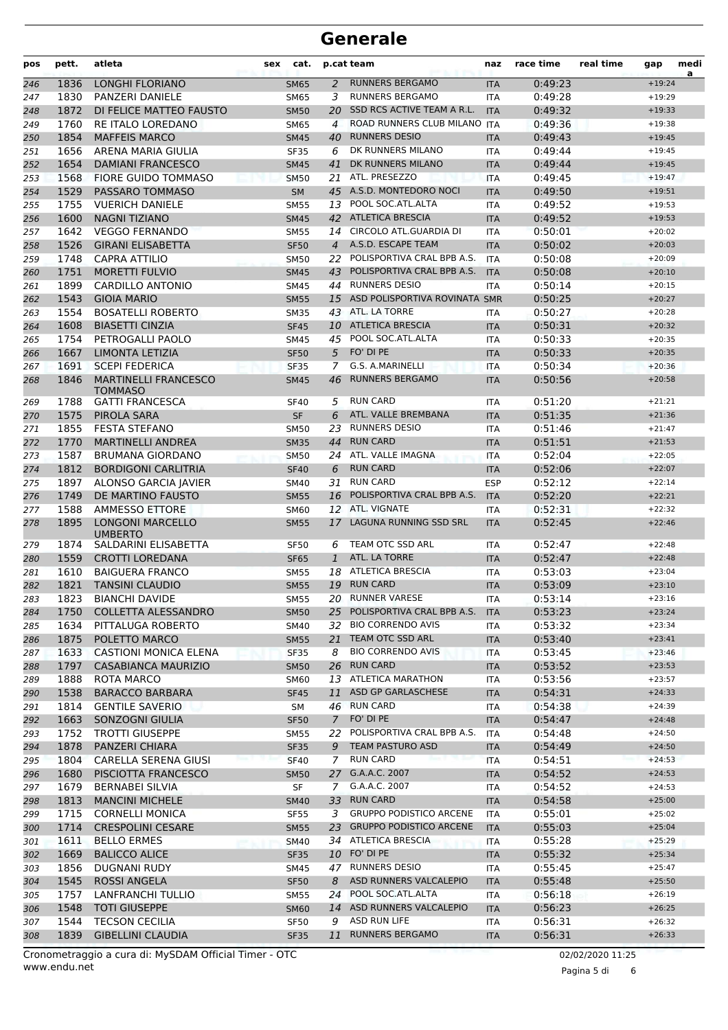| pos        | pett.        | atleta                                             | cat.<br>sex                |                | p.cat team                                      | naz               | race time          | real time | gap                  | medi<br>a |
|------------|--------------|----------------------------------------------------|----------------------------|----------------|-------------------------------------------------|-------------------|--------------------|-----------|----------------------|-----------|
| 246        | 1836         | <b>LONGHI FLORIANO</b>                             | <b>SM65</b>                | 2              | <b>RUNNERS BERGAMO</b>                          | <b>ITA</b>        | 0:49:23            |           | $+19:24$             |           |
| 247        | 1830         | PANZERI DANIELE                                    | <b>SM65</b>                | 3              | <b>RUNNERS BERGAMO</b>                          | <b>ITA</b>        | 0:49:28            |           | $+19:29$             |           |
| 248        | 1872         | DI FELICE MATTEO FAUSTO                            | <b>SM50</b>                | 20             | SSD RCS ACTIVE TEAM A R.L.                      | <b>ITA</b>        | 0:49:32            |           | $+19:33$             |           |
| 249        | 1760         | RE ITALO LOREDANO                                  | <b>SM65</b>                | 4              | ROAD RUNNERS CLUB MILANO ITA                    |                   | 0:49:36            |           | $+19:38$             |           |
| 250        | 1854         | <b>MAFFEIS MARCO</b>                               | <b>SM45</b>                | 40             | <b>RUNNERS DESIO</b>                            | <b>ITA</b>        | 0:49:43            |           | $+19:45$             |           |
| 251        | 1656         | ARENA MARIA GIULIA                                 | <b>SF35</b>                | 6              | DK RUNNERS MILANO                               | <b>ITA</b>        | 0:49:44            |           | $+19:45$             |           |
| 252        | 1654         | <b>DAMIANI FRANCESCO</b>                           | <b>SM45</b>                | 41             | DK RUNNERS MILANO                               | <b>ITA</b>        | 0:49:44            |           | $+19:45$             |           |
| 253        | 1568         | <b>FIORE GUIDO TOMMASO</b>                         | <b>SM50</b>                | 21             | ATL. PRESEZZO                                   | <b>ITA</b>        | 0:49:45            |           | $+19:47$             |           |
| 254        | 1529         | PASSARO TOMMASO                                    | <b>SM</b>                  |                | 45 A.S.D. MONTEDORO NOCI                        | <b>ITA</b>        | 0:49:50            |           | $+19:51$             |           |
| 255        | 1755         | <b>VUERICH DANIELE</b>                             | <b>SM55</b>                |                | 13 POOL SOC.ATL.ALTA                            | <b>ITA</b>        | 0:49:52            |           | $+19:53$             |           |
| 256        | 1600         | <b>NAGNI TIZIANO</b>                               | <b>SM45</b>                |                | 42 ATLETICA BRESCIA                             | <b>ITA</b>        | 0:49:52            |           | $+19:53$             |           |
| 257        | 1642         | <b>VEGGO FERNANDO</b>                              | <b>SM55</b>                |                | 14 CIRCOLO ATL.GUARDIA DI<br>A.S.D. ESCAPE TEAM | <b>ITA</b>        | 0:50:01            |           | $+20:02$             |           |
| 258        | 1526         | <b>GIRANI ELISABETTA</b>                           | <b>SF50</b>                | $\overline{4}$ | POLISPORTIVA CRAL BPB A.S.                      | <b>ITA</b>        | 0:50:02            |           | $+20:03$             |           |
| 259        | 1748<br>1751 | <b>CAPRA ATTILIO</b>                               | <b>SM50</b>                | 22<br>43       | POLISPORTIVA CRAL BPB A.S.                      | <b>ITA</b>        | 0:50:08            |           | $+20:09$<br>$+20:10$ |           |
| 260        | 1899         | <b>MORETTI FULVIO</b><br><b>CARDILLO ANTONIO</b>   | <b>SM45</b>                | 44             | <b>RUNNERS DESIO</b>                            | <b>ITA</b>        | 0:50:08<br>0:50:14 |           | $+20:15$             |           |
| 261        | 1543         | <b>GIOIA MARIO</b>                                 | <b>SM45</b>                |                | 15 ASD POLISPORTIVA ROVINATA SMR                | <b>ITA</b>        | 0:50:25            |           | $+20:27$             |           |
| 262<br>263 | 1554         | <b>BOSATELLI ROBERTO</b>                           | <b>SM55</b><br><b>SM35</b> |                | 43 ATL, LA TORRE                                | <b>ITA</b>        | 0:50:27            |           | $+20:28$             |           |
| 264        | 1608         | <b>BIASETTI CINZIA</b>                             | <b>SF45</b>                |                | 10 ATLETICA BRESCIA                             | <b>ITA</b>        | 0:50:31            |           | $+20:32$             |           |
| 265        | 1754         | PETROGALLI PAOLO                                   | <b>SM45</b>                |                | 45 POOL SOC.ATL.ALTA                            | <b>ITA</b>        | 0:50:33            |           | $+20:35$             |           |
| 266        | 1667         | LIMONTA LETIZIA                                    | <b>SF50</b>                | 5              | FO' DI PE                                       | <b>ITA</b>        | 0:50:33            |           | $+20:35$             |           |
| 267        | 1691         | <b>SCEPI FEDERICA</b>                              | <b>SF35</b>                | 7              | G.S. A.MARINELLI                                | <b>ITA</b>        | 0:50:34            |           | $+20:36$             |           |
| 268        | 1846         | <b>MARTINELLI FRANCESCO</b>                        | <b>SM45</b>                | 46             | <b>RUNNERS BERGAMO</b>                          | <b>ITA</b>        | 0:50:56            |           | $+20:58$             |           |
|            |              | <b>TOMMASO</b>                                     |                            |                |                                                 |                   |                    |           |                      |           |
| 269        | 1788         | <b>GATTI FRANCESCA</b>                             | <b>SF40</b>                | 5              | <b>RUN CARD</b>                                 | <b>ITA</b>        | 0:51:20            |           | $+21:21$             |           |
| 270        | 1575         | PIROLA SARA                                        | <b>SF</b>                  | 6              | ATL. VALLE BREMBANA                             | <b>ITA</b>        | 0:51:35            |           | $+21:36$             |           |
| 271        | 1855         | <b>FESTA STEFANO</b>                               | <b>SM50</b>                | 23             | <b>RUNNERS DESIO</b>                            | <b>ITA</b>        | 0:51:46            |           | $+21:47$             |           |
| 272        | 1770         | <b>MARTINELLI ANDREA</b>                           | <b>SM35</b>                | 44             | <b>RUN CARD</b>                                 | <b>ITA</b>        | 0:51:51            |           | $+21:53$             |           |
| 273        | 1587         | <b>BRUMANA GIORDANO</b>                            | <b>SM50</b>                |                | 24 ATL. VALLE IMAGNA                            | ITA               | 0:52:04            |           | $+22:05$             |           |
| 274        | 1812         | <b>BORDIGONI CARLITRIA</b>                         | <b>SF40</b>                | 6              | <b>RUN CARD</b>                                 | <b>ITA</b>        | 0:52:06            |           | $+22:07$             |           |
| 275        | 1897         | ALONSO GARCIA JAVIER                               | SM40                       | 31             | <b>RUN CARD</b>                                 | <b>ESP</b>        | 0:52:12            |           | $+22:14$             |           |
| 276        | 1749         | DE MARTINO FAUSTO                                  | <b>SM55</b>                | 16             | POLISPORTIVA CRAL BPB A.S.                      | <b>ITA</b>        | 0:52:20            |           | $+22:21$             |           |
| 277        | 1588         | <b>AMMESSO ETTORE</b>                              | <b>SM60</b>                |                | 12 ATL. VIGNATE                                 | <b>ITA</b>        | 0:52:31            |           | $+22:32$             |           |
| 278        | 1895         | <b>LONGONI MARCELLO</b><br><b>UMBERTO</b>          | <b>SM55</b>                | 17             | <b>LAGUNA RUNNING SSD SRL</b>                   | <b>ITA</b>        | 0:52:45            |           | $+22:46$             |           |
| 279        | 1874         | SALDARINI ELISABETTA                               | SF50                       | 6              | TEAM OTC SSD ARL                                | ITA               | 0:52:47            |           | $+22:48$             |           |
| 280        | 1559         | <b>CROTTI LOREDANA</b>                             | <b>SF65</b>                | $\mathbf{1}$   | ATL. LA TORRE                                   | <b>ITA</b>        | 0:52:47            |           | $+22:48$             |           |
| 281        | 1610         | <b>BAIGUERA FRANCO</b>                             | <b>SM55</b>                |                | 18 ATLETICA BRESCIA                             | <b>ITA</b>        | 0:53:03            |           | $+23:04$             |           |
| 282        | 1821         | <b>TANSINI CLAUDIO</b>                             | <b>SM55</b>                |                | 19 RUN CARD                                     | <b>ITA</b>        | 0:53:09            |           | $+23:10$             |           |
| 283        | 1823         | <b>BIANCHI DAVIDE</b>                              | <b>SM55</b>                |                | 20 RUNNER VARESE                                | <b>ITA</b>        | 0:53:14            |           | $+23:16$             |           |
| 284        | 1750         | <b>COLLETTA ALESSANDRO</b>                         | <b>SM50</b>                |                | 25 POLISPORTIVA CRAL BPB A.S.                   | <b>ITA</b>        | 0:53:23            |           | $+23:24$             |           |
| 285        | 1634         | PITTALUGA ROBERTO                                  | SM40                       |                | 32 BIO CORRENDO AVIS                            | ITA               | 0:53:32            |           | $+23:34$             |           |
| 286        | 1875         | POLETTO MARCO                                      | <b>SM55</b>                | 21             | TEAM OTC SSD ARL                                | <b>ITA</b>        | 0:53:40            |           | $+23:41$             |           |
| 287        | 1633         | <b>CASTIONI MONICA ELENA</b>                       | <b>SF35</b>                | 8              | <b>BIO CORRENDO AVIS</b>                        | ITA               | 0:53:45            |           | $+23:46$             |           |
| 288        | 1797         | CASABIANCA MAURIZIO                                | <b>SM50</b>                |                | 26 RUN CARD                                     | <b>ITA</b>        | 0:53:52            |           | $+23:53$             |           |
| 289        | 1888         | ROTA MARCO                                         | <b>SM60</b>                |                | 13 ATLETICA MARATHON                            | ITA               | 0:53:56            |           | $+23:57$             |           |
| 290        | 1538         | <b>BARACCO BARBARA</b>                             | <b>SF45</b>                |                | 11 ASD GP GARLASCHESE                           | <b>ITA</b>        | 0:54:31            |           | $+24:33$             |           |
| 291        | 1814         | <b>GENTILE SAVERIO</b>                             | SM                         |                | 46 RUN CARD                                     | ITA               | 0:54:38            |           | $+24:39$             |           |
| 292        | 1663         | SONZOGNI GIULIA                                    | <b>SF50</b>                | $7^{\circ}$    | FO' DI PE                                       | <b>ITA</b>        | 0:54:47            |           | $+24:48$             |           |
| 293        | 1752         | <b>TROTTI GIUSEPPE</b>                             | SM55                       |                | 22 POLISPORTIVA CRAL BPB A.S.                   | ITA               | 0:54:48            |           | $+24:50$             |           |
| 294        | 1878         | PANZERI CHIARA                                     | <b>SF35</b>                | 9              | <b>TEAM PASTURO ASD</b>                         | <b>ITA</b>        | 0:54:49            |           | $+24:50$             |           |
| 295        | 1804         | CARELLA SERENA GIUSI                               | <b>SF40</b>                | 7              | <b>RUN CARD</b>                                 | <b>ITA</b>        | 0:54:51            |           | $+24:53$             |           |
| 296        | 1680         | PISCIOTTA FRANCESCO                                | <b>SM50</b>                |                | 27 G.A.A.C. 2007                                | <b>ITA</b>        | 0:54:52            |           | $+24:53$             |           |
| 297        | 1679         | BERNABEI SILVIA                                    | SF                         | 7              | G.A.A.C. 2007<br>33 RUN CARD                    | ITA               | 0:54:52            |           | $+24:53$<br>$+25:00$ |           |
| 298        | 1813         | <b>MANCINI MICHELE</b>                             | <b>SM40</b>                |                | <b>GRUPPO PODISTICO ARCENE</b>                  | <b>ITA</b>        | 0:54:58            |           |                      |           |
| 299        | 1715<br>1714 | <b>CORNELLI MONICA</b><br><b>CRESPOLINI CESARE</b> | SF55                       | 3              | 23 GRUPPO PODISTICO ARCENE                      | ITA               | 0:55:01<br>0:55:03 |           | $+25:02$<br>$+25:04$ |           |
| 300        | 1611         | <b>BELLO ERMES</b>                                 | <b>SM55</b>                |                | 34 ATLETICA BRESCIA                             | <b>ITA</b>        | 0:55:28            |           | $+25:29$             |           |
| 301        | 1669         | <b>BALICCO ALICE</b>                               | <b>SM40</b>                |                | 10 FO' DI PE                                    | ITA               | 0:55:32            |           | $+25:34$             |           |
| 302        | 1856         | DUGNANI RUDY                                       | <b>SF35</b>                |                | 47 RUNNERS DESIO                                | <b>ITA</b>        | 0:55:45            |           | $+25:47$             |           |
| 303<br>304 | 1545         | <b>ROSSI ANGELA</b>                                | SM45<br><b>SF50</b>        | 8              | ASD RUNNERS VALCALEPIO                          | ITA<br><b>ITA</b> | 0:55:48            |           | $+25:50$             |           |
| 305        | 1757         | LANFRANCHI TULLIO                                  | SM55                       |                | 24 POOL SOC.ATL.ALTA                            | ITA               | 0:56:18            |           | $+26:19$             |           |
| 306        | 1548         | <b>TOTI GIUSEPPE</b>                               | <b>SM60</b>                |                | 14 ASD RUNNERS VALCALEPIO                       | <b>ITA</b>        | 0:56:23            |           | $+26:25$             |           |
| 307        | 1544         | <b>TECSON CECILIA</b>                              | SF50                       | 9              | ASD RUN LIFE                                    | <b>ITA</b>        | 0:56:31            |           | $+26:32$             |           |
| 308        | 1839         | <b>GIBELLINI CLAUDIA</b>                           | <b>SF35</b>                |                | 11 RUNNERS BERGAMO                              | <b>ITA</b>        | 0:56:31            |           | $+26:33$             |           |
|            |              |                                                    |                            |                |                                                 |                   |                    |           |                      |           |

www.endu.net Cronometraggio a cura di: MySDAM Official Timer - OTC 02/02/2020 11:25

Pagina 5 di 6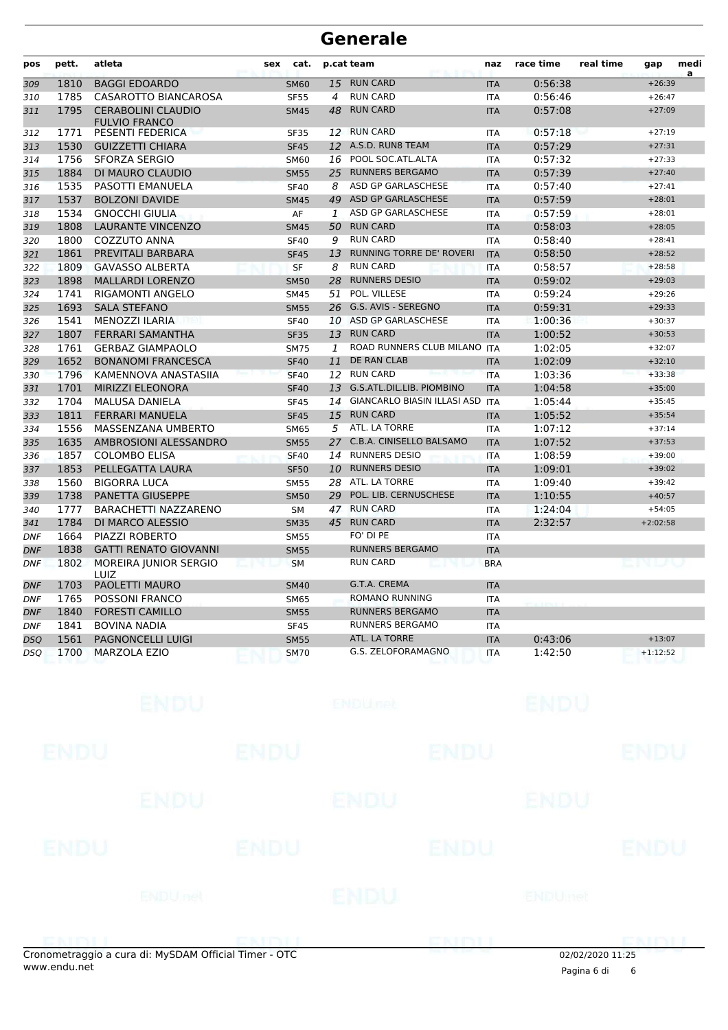| pos        | pett. | atleta                                            | cat.<br>sex |    | p.cat team                      | naz        | race time | real time | gap             | medi |
|------------|-------|---------------------------------------------------|-------------|----|---------------------------------|------------|-----------|-----------|-----------------|------|
| 309        | 1810  | <b>BAGGI EDOARDO</b>                              | <b>SM60</b> |    | 15 RUN CARD                     | <b>ITA</b> | 0:56:38   |           | $+26:39$        | a    |
| 310        | 1785  | CASAROTTO BIANCAROSA                              | <b>SF55</b> | 4  | <b>RUN CARD</b>                 | <b>ITA</b> | 0:56:46   |           | $+26:47$        |      |
| 311        | 1795  | <b>CERABOLINI CLAUDIO</b><br><b>FULVIO FRANCO</b> | <b>SM45</b> | 48 | <b>RUN CARD</b>                 | <b>ITA</b> | 0:57:08   |           | $+27:09$        |      |
| 312        | 1771  | <b>PESENTI FEDERICA</b>                           | <b>SF35</b> | 12 | <b>RUN CARD</b>                 | <b>ITA</b> | 0:57:18   |           | $+27:19$        |      |
| 313        | 1530  | <b>GUIZZETTI CHIARA</b>                           | <b>SF45</b> | 12 | A.S.D. RUN8 TEAM                | <b>ITA</b> | 0:57:29   |           | $+27:31$        |      |
| 314        | 1756  | <b>SFORZA SERGIO</b>                              | <b>SM60</b> | 16 | POOL SOC.ATL.ALTA               | <b>ITA</b> | 0:57:32   |           | $+27:33$        |      |
| 315        | 1884  | DI MAURO CLAUDIO                                  | <b>SM55</b> | 25 | <b>RUNNERS BERGAMO</b>          | <b>ITA</b> | 0:57:39   |           | $+27:40$        |      |
| 316        | 1535  | PASOTTI EMANUELA                                  | <b>SF40</b> | 8  | ASD GP GARLASCHESE              | <b>ITA</b> | 0:57:40   |           | $+27:41$        |      |
| 317        | 1537  | <b>BOLZONI DAVIDE</b>                             | <b>SM45</b> | 49 | ASD GP GARLASCHESE              | <b>ITA</b> | 0:57:59   |           | $+28:01$        |      |
| 318        | 1534  | <b>GNOCCHI GIULIA</b>                             | AF          | 1  | ASD GP GARLASCHESE              | <b>ITA</b> | 0:57:59   |           | $+28:01$        |      |
| 319        | 1808  | <b>LAURANTE VINCENZO</b>                          | <b>SM45</b> | 50 | <b>RUN CARD</b>                 | <b>ITA</b> | 0:58:03   |           | $+28:05$        |      |
| 320        | 1800  | COZZUTO ANNA                                      | <b>SF40</b> | 9  | <b>RUN CARD</b>                 | <b>ITA</b> | 0:58:40   |           | $+28:41$        |      |
| 321        | 1861  | PREVITALI BARBARA                                 | <b>SF45</b> | 13 | <b>RUNNING TORRE DE' ROVERI</b> | <b>ITA</b> | 0:58:50   |           | $+28:52$        |      |
| 322        | 1809  | <b>GAVASSO ALBERTA</b>                            | SF          | 8  | <b>RUN CARD</b>                 | <b>ITA</b> | 0:58:57   |           | $+28:58$        |      |
| 323        | 1898  | <b>MALLARDI LORENZO</b>                           | <b>SM50</b> | 28 | <b>RUNNERS DESIO</b>            | <b>ITA</b> | 0:59:02   |           | $+29:03$        |      |
| 324        | 1741  | <b>RIGAMONTI ANGELO</b>                           | <b>SM45</b> | 51 | POL. VILLESE                    | <b>ITA</b> | 0:59:24   |           | $+29:26$        |      |
| 325        | 1693  | <b>SALA STEFANO</b>                               | <b>SM55</b> | 26 | G.S. AVIS - SEREGNO             | <b>ITA</b> | 0:59:31   |           | $+29:33$        |      |
| 326        | 1541  | <b>MENOZZI ILARIA</b>                             | <b>SF40</b> | 10 | ASD GP GARLASCHESE              | <b>ITA</b> | 1:00:36   |           | $+30:37$        |      |
| 327        | 1807  | <b>FERRARI SAMANTHA</b>                           | <b>SF35</b> | 13 | <b>RUN CARD</b>                 | <b>ITA</b> | 1:00:52   |           | $+30:53$        |      |
| 328        | 1761  | <b>GERBAZ GIAMPAOLO</b>                           | <b>SM75</b> | 1  | ROAD RUNNERS CLUB MILANO        | <b>ITA</b> | 1:02:05   |           | $+32:07$        |      |
| 329        | 1652  | <b>BONANOMI FRANCESCA</b>                         | <b>SF40</b> | 11 | <b>DE RAN CLAB</b>              | <b>ITA</b> | 1:02:09   |           | $+32:10$        |      |
| 330        | 1796  | KAMENNOVA ANASTASIIA                              | <b>SF40</b> | 12 | <b>RUN CARD</b>                 | <b>ITA</b> | 1:03:36   |           | $+33:38$        |      |
| 331        | 1701  | <b>MIRIZZI ELEONORA</b>                           | <b>SF40</b> | 13 | G.S.ATL.DIL.LIB. PIOMBINO       | <b>ITA</b> | 1:04:58   |           | $+35:00$        |      |
| 332        | 1704  | <b>MALUSA DANIELA</b>                             | <b>SF45</b> | 14 | GIANCARLO BIASIN ILLASI ASD ITA |            | 1:05:44   |           | $+35:45$        |      |
| 333        | 1811  | <b>FERRARI MANUELA</b>                            | <b>SF45</b> | 15 | <b>RUN CARD</b>                 | <b>ITA</b> | 1:05:52   |           | $+35:54$        |      |
| 334        | 1556  | MASSENZANA UMBERTO                                | <b>SM65</b> | 5  | ATL. LA TORRE                   | <b>ITA</b> | 1:07:12   |           | $+37:14$        |      |
| 335        | 1635  | AMBROSIONI ALESSANDRO                             | <b>SM55</b> |    | 27 C.B.A. CINISELLO BALSAMO     | <b>ITA</b> | 1:07:52   |           | $+37:53$        |      |
| 336        | 1857  | <b>COLOMBO ELISA</b>                              | <b>SF40</b> | 14 | <b>RUNNERS DESIO</b>            | <b>ITA</b> | 1:08:59   |           | $+39:00$        |      |
| 337        | 1853  | PELLEGATTA LAURA                                  | <b>SF50</b> | 10 | <b>RUNNERS DESIO</b>            | <b>ITA</b> | 1:09:01   |           | $+39:02$        |      |
| 338        | 1560  | <b>BIGORRA LUCA</b>                               | <b>SM55</b> | 28 | ATL. LA TORRE                   | <b>ITA</b> | 1:09:40   |           | $+39:42$        |      |
| 339        | 1738  | <b>PANETTA GIUSEPPE</b>                           | <b>SM50</b> | 29 | POL. LIB. CERNUSCHESE           | <b>ITA</b> | 1:10:55   |           | $+40:57$        |      |
| 340        | 1777  | <b>BARACHETTI NAZZARENO</b>                       | <b>SM</b>   |    | 47 RUN CARD                     | <b>ITA</b> | 1:24:04   |           | $+54:05$        |      |
| 341        | 1784  | DI MARCO ALESSIO                                  | <b>SM35</b> | 45 | <b>RUN CARD</b>                 | <b>ITA</b> | 2:32:57   |           | $+2:02:58$      |      |
| <b>DNF</b> | 1664  | <b>PIAZZI ROBERTO</b>                             | <b>SM55</b> |    | FO' DI PE                       | <b>ITA</b> |           |           |                 |      |
| <b>DNF</b> | 1838  | <b>GATTI RENATO GIOVANNI</b>                      | <b>SM55</b> |    | <b>RUNNERS BERGAMO</b>          | <b>ITA</b> |           |           |                 |      |
| <b>DNF</b> | 1802  | MOREIRA JUNIOR SERGIO<br>LUIZ                     | <b>SM</b>   |    | <b>RUN CARD</b>                 | <b>BRA</b> |           |           | ف المسلم الأولي |      |
| <b>DNF</b> | 1703  | PAOLETTI MAURO                                    | <b>SM40</b> |    | G.T.A. CREMA                    | <b>ITA</b> |           |           |                 |      |
| <b>DNF</b> | 1765  | <b>POSSONI FRANCO</b>                             | <b>SM65</b> |    | <b>ROMANO RUNNING</b>           | <b>ITA</b> |           |           |                 |      |
| <b>DNF</b> | 1840  | <b>FORESTI CAMILLO</b>                            | <b>SM55</b> |    | <b>RUNNERS BERGAMO</b>          | <b>ITA</b> |           |           |                 |      |
| <b>DNF</b> | 1841  | <b>BOVINA NADIA</b>                               | <b>SF45</b> |    | <b>RUNNERS BERGAMO</b>          | <b>ITA</b> |           |           |                 |      |
| DSQ        | 1561  | <b>PAGNONCELLI LUIGI</b>                          | <b>SM55</b> |    | ATL. LA TORRE                   | <b>ITA</b> | 0:43:06   |           | $+13:07$        |      |
| DSQ        | 1700  | <b>MARZOLA EZIO</b>                               | <b>SM70</b> |    | G.S. ZELOFORAMAGNO              | <b>ITA</b> | 1:42:50   |           | $+1:12:52$      |      |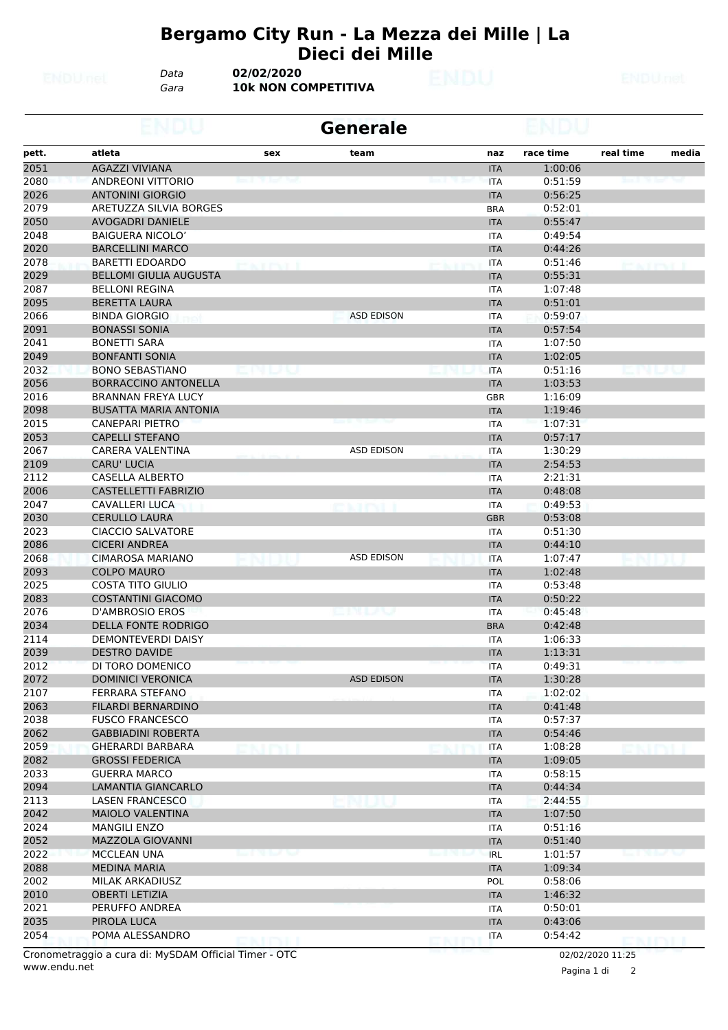#### **Bergamo City Run - La Mezza dei Mille | La Dieci dei Mille**

*Data* **02/02/2020**

*Gara* **10k NON COMPETITIVA**

|              |                                                     |           | <b>Generale</b>   |     |                          |                    |                   |       |
|--------------|-----------------------------------------------------|-----------|-------------------|-----|--------------------------|--------------------|-------------------|-------|
| pett.        | atleta                                              | sex       | team              |     | naz                      | race time          | real time         | media |
| 2051         | <b>AGAZZI VIVIANA</b>                               |           |                   |     | <b>ITA</b>               | 1:00:06            |                   |       |
| 2080         | <b>ANDREONI VITTORIO</b>                            |           |                   |     | <b>ITA</b>               | 0:51:59            |                   |       |
| 2026         | <b>ANTONINI GIORGIO</b>                             |           |                   |     | <b>ITA</b>               | 0:56:25            |                   |       |
| 2079         | ARETUZZA SILVIA BORGES                              |           |                   |     | <b>BRA</b>               | 0:52:01            |                   |       |
| 2050         | <b>AVOGADRI DANIELE</b>                             |           |                   |     | <b>ITA</b>               | 0:55:47            |                   |       |
| 2048         | <b>BAIGUERA NICOLO'</b>                             |           |                   |     | <b>ITA</b>               | 0:49:54            |                   |       |
| 2020         | <b>BARCELLINI MARCO</b>                             |           |                   |     | <b>ITA</b>               | 0:44:26            |                   |       |
| 2078         | <b>BARETTI EDOARDO</b>                              | ACT PAT   |                   |     | <b>ITA</b>               | 0:51:46            |                   |       |
| 2029         | <b>BELLOMI GIULIA AUGUSTA</b>                       |           |                   |     | <b>ITA</b>               | 0:55:31            |                   |       |
| 2087         | <b>BELLONI REGINA</b>                               |           |                   |     | <b>ITA</b>               | 1:07:48            |                   |       |
| 2095         | <b>BERETTA LAURA</b>                                |           |                   |     | <b>ITA</b>               | 0:51:01            |                   |       |
| 2066         | <b>BINDA GIORGIO</b>                                |           | <b>ASD EDISON</b> |     | <b>ITA</b>               | 0:59:07            |                   |       |
| 2091         | <b>BONASSI SONIA</b>                                |           |                   |     | <b>ITA</b>               | 0:57:54            |                   |       |
| 2041         | <b>BONETTI SARA</b>                                 |           |                   |     | <b>ITA</b>               | 1:07:50            |                   |       |
| 2049         | <b>BONFANTI SONIA</b>                               |           |                   |     | <b>ITA</b>               | 1:02:05            |                   |       |
| 2032         | <b>BONO SEBASTIANO</b>                              | . M. LANG |                   |     | <b>ITA</b>               | 0:51:16            | يتواجبوا الأرابات |       |
| 2056         | <b>BORRACCINO ANTONELLA</b>                         |           |                   |     | <b>ITA</b>               | 1:03:53            |                   |       |
| 2016         | <b>BRANNAN FREYA LUCY</b>                           |           |                   |     | <b>GBR</b>               | 1:16:09            |                   |       |
| 2098         | <b>BUSATTA MARIA ANTONIA</b>                        |           |                   |     | <b>ITA</b>               | 1:19:46            |                   |       |
| 2015         | <b>CANEPARI PIETRO</b>                              |           |                   |     | <b>ITA</b>               | 1:07:31            |                   |       |
| 2053         | <b>CAPELLI STEFANO</b>                              |           |                   |     | <b>ITA</b>               | 0:57:17            |                   |       |
| 2067         | CARERA VALENTINA                                    |           | <b>ASD EDISON</b> |     | <b>ITA</b>               | 1:30:29            |                   |       |
| 2109         | <b>CARU' LUCIA</b>                                  |           |                   |     | <b>ITA</b>               | 2:54:53            |                   |       |
| 2112         | CASELLA ALBERTO                                     |           |                   |     | <b>ITA</b>               | 2:21:31            |                   |       |
| 2006         | <b>CASTELLETTI FABRIZIO</b>                         |           |                   |     | <b>ITA</b>               | 0:48:08            |                   |       |
| 2047         | CAVALLERI LUCA                                      |           |                   |     | <b>ITA</b>               | 0:49:53            |                   |       |
| 2030         | <b>CERULLO LAURA</b>                                |           |                   |     | <b>GBR</b>               | 0:53:08            |                   |       |
| 2023         | <b>CIACCIO SALVATORE</b>                            |           |                   |     | ITA                      | 0:51:30            |                   |       |
| 2086         | <b>CICERI ANDREA</b>                                |           |                   |     | <b>ITA</b>               | 0:44:10            |                   |       |
| 2068         | <b>CIMAROSA MARIANO</b>                             |           | <b>ASD EDISON</b> |     | <b>ITA</b>               | 1:07:47            |                   |       |
| 2093         | <b>COLPO MAURO</b><br><b>COSTA TITO GIULIO</b>      |           |                   |     | <b>ITA</b>               | 1:02:48            |                   |       |
| 2025         |                                                     |           |                   |     | <b>ITA</b>               | 0:53:48            |                   |       |
| 2083<br>2076 | <b>COSTANTINI GIACOMO</b><br><b>D'AMBROSIO EROS</b> |           | <u>bin la</u> v   |     | <b>ITA</b>               | 0:50:22            |                   |       |
|              | <b>DELLA FONTE RODRIGO</b>                          |           |                   |     | <b>ITA</b>               | 0:45:48<br>0:42:48 |                   |       |
| 2034         |                                                     |           |                   |     | <b>BRA</b>               |                    |                   |       |
| 2114<br>2039 | <b>DEMONTEVERDI DAISY</b><br><b>DESTRO DAVIDE</b>   |           |                   |     | <b>ITA</b>               | 1:06:33<br>1:13:31 |                   |       |
| 2012         | DI TORO DOMENICO                                    |           |                   |     | <b>ITA</b><br><b>ITA</b> | 0:49:31            |                   |       |
|              | <b>DOMINICI VERONICA</b>                            |           | <b>ASD EDISON</b> |     |                          |                    |                   |       |
| 2072<br>2107 | FERRARA STEFANO                                     |           |                   |     | <b>ITA</b>               | 1:30:28<br>1:02:02 |                   |       |
| 2063         | FILARDI BERNARDINO                                  |           |                   |     | ITA<br><b>ITA</b>        | 0:41:48            |                   |       |
| 2038         | <b>FUSCO FRANCESCO</b>                              |           |                   |     | ITA                      | 0:57:37            |                   |       |
| 2062         | <b>GABBIADINI ROBERTA</b>                           |           |                   |     | <b>ITA</b>               | 0:54:46            |                   |       |
| 2059         | <b>GHERARDI BARBARA</b>                             |           |                   |     | ITA                      | 1:08:28            |                   |       |
| 2082         | <b>GROSSI FEDERICA</b>                              |           |                   |     | <b>ITA</b>               | 1:09:05            |                   |       |
| 2033         | <b>GUERRA MARCO</b>                                 |           |                   |     | <b>ITA</b>               | 0:58:15            |                   |       |
| 2094         | LAMANTIA GIANCARLO                                  |           |                   |     | <b>ITA</b>               | 0:44:34            |                   |       |
| 2113         | <b>LASEN FRANCESCO</b>                              |           |                   |     | ITA                      | 2:44:55            |                   |       |
| 2042         | MAIOLO VALENTINA                                    |           |                   |     | <b>ITA</b>               | 1:07:50            |                   |       |
| 2024         | <b>MANGILI ENZO</b>                                 |           |                   |     | ITA                      | 0:51:16            |                   |       |
| 2052         | MAZZOLA GIOVANNI                                    |           |                   |     | <b>ITA</b>               | 0:51:40            |                   |       |
| 2022         | <b>MCCLEAN UNA</b>                                  |           |                   |     | <b>IRL</b>               | 1:01:57            |                   |       |
| 2088         | <b>MEDINA MARIA</b>                                 |           |                   |     | <b>ITA</b>               | 1:09:34            |                   |       |
| 2002         | <b>MILAK ARKADIUSZ</b>                              |           |                   |     | POL                      | 0:58:06            |                   |       |
| 2010         | <b>OBERTI LETIZIA</b>                               |           |                   |     | <b>ITA</b>               | 1:46:32            |                   |       |
| 2021         | PERUFFO ANDREA                                      |           |                   |     | ITA                      | 0:50:01            |                   |       |
| 2035         | PIROLA LUCA                                         |           |                   |     | <b>ITA</b>               | 0:43:06            |                   |       |
| 2054         | POMA ALESSANDRO                                     |           |                   |     | <b>ITA</b>               | 0:54:42            |                   |       |
|              |                                                     | ENDIL     |                   | ENT |                          |                    | <b>CMDLI</b>      |       |

www.endu.net Cronometraggio a cura di: MySDAM Official Timer - OTC 02/02/2020 11:25

Pagina 1 di 2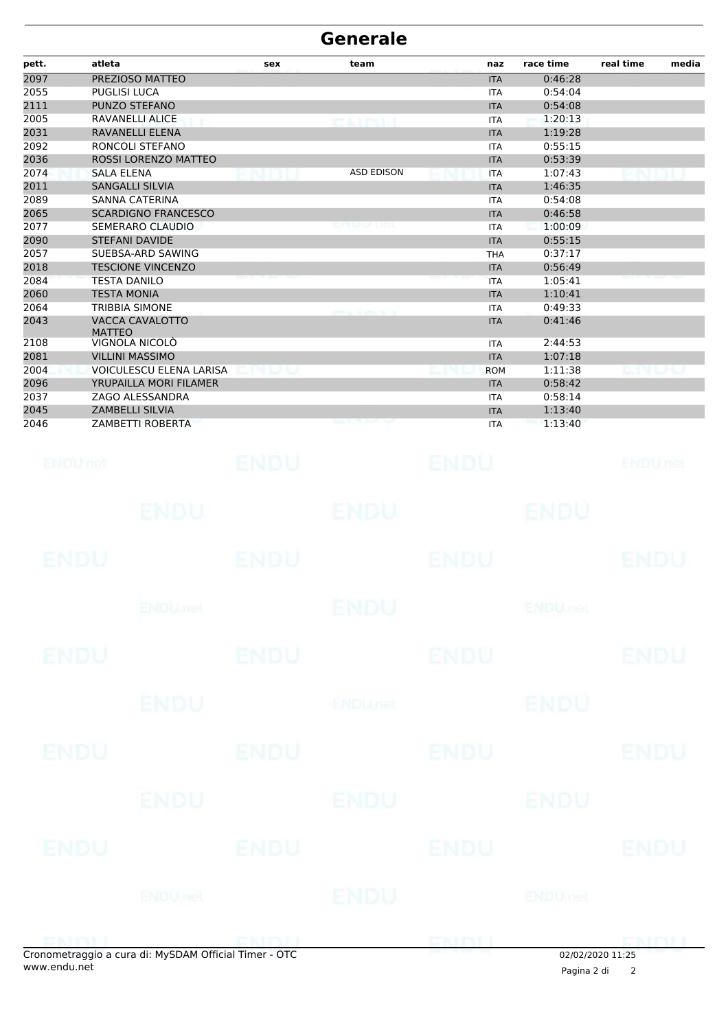| PREZIOSO MATTEO<br>0:46:28<br><b>ITA</b><br>PUGLISI LUCA<br>0:54:04<br><b>ITA</b><br>PUNZO STEFANO<br>0:54:08<br><b>ITA</b><br>2005<br>RAVANELLI ALICE<br>1:20:13<br><b>ITA</b><br>ea ifni i<br>2031<br>RAVANELLI ELENA<br><b>ITA</b><br>1:19:28<br>2092<br>0:55:15<br>RONCOLI STEFANO<br><b>ITA</b><br>2036<br>ROSSI LORENZO MATTEO<br>0:53:39<br><b>ITA</b><br>2074<br><b>ASD EDISON</b><br><b>SALA ELENA</b><br>1:07:43<br><b>ITA</b><br>2011<br><b>SANGALLI SILVIA</b><br>1:46:35<br><b>ITA</b><br>2089<br><b>SANNA CATERINA</b><br>0:54:08<br><b>ITA</b><br>2065<br><b>SCARDIGNO FRANCESCO</b><br><b>ITA</b><br>0:46:58<br>2077<br>SEMERARO CLAUDIO<br>1:00:09<br><b>ITA</b><br>2090<br><b>STEFANI DAVIDE</b><br>0:55:15<br><b>ITA</b><br>0:37:17<br>SUEBSA-ARD SAWING<br><b>THA</b><br><b>TESCIONE VINCENZO</b><br>0:56:49<br><b>ITA</b><br><b>TESTA DANILO</b><br>1:05:41<br><b>ITA</b><br><b>TESTA MONIA</b><br>1:10:41<br><b>ITA</b><br><b>TRIBBIA SIMONE</b><br>0:49:33<br><b>ITA</b><br>VACCA CAVALOTTO<br>0:41:46<br><b>ITA</b><br><b>MATTEO</b><br>VIGNOLA NICOLÒ<br>2108<br>2:44:53<br><b>ITA</b><br><b>VILLINI MASSIMO</b><br>1:07:18<br><b>ITA</b><br>VOICULESCU ELENA LARISA<br>1:11:38<br><b>ROM</b><br>LP U<br>YRUPAILLA MORI FILAMER<br>0:58:42<br><b>ITA</b><br>ZAGO ALESSANDRA<br>0:58:14<br><b>ITA</b><br><b>ZAMBELLI SILVIA</b><br><b>ITA</b><br>1:13:40<br><b>ZAMBETTI ROBERTA</b><br>1:13:40<br>ITA<br>ENDU<br>ENDU<br>ENDUMet<br>ENDUnet<br>ENDU<br>ENDU.<br>ENDU<br>ENDU<br><b>ENDU</b><br>ENDU<br>ENDU<br>ENDU<br><b>ENDUmet</b><br><b>ENDU<sub>DER</sub></b><br><b>ENDU</b><br><b>ENDU</b><br><b>ENDU</b><br><b>ENDU</b><br><b>ENDU</b><br><b>ENDU</b><br><b>ENDUnet</b><br><b>ENDU</b><br><b>ENDU</b><br><b>ENDU</b><br><b>ENDU</b><br><b>ENDU</b><br>ENDU<br>ENDU<br><b>ENDU</b><br><b>ENDU</b><br>ENDU<br><b>ENDU</b><br>ENDU<br><b>ENDU</b> nel<br><b>ENDUmet</b><br>ENDU | pett. | atleta | sex | team | naz | race time | media<br>real time |
|-------------------------------------------------------------------------------------------------------------------------------------------------------------------------------------------------------------------------------------------------------------------------------------------------------------------------------------------------------------------------------------------------------------------------------------------------------------------------------------------------------------------------------------------------------------------------------------------------------------------------------------------------------------------------------------------------------------------------------------------------------------------------------------------------------------------------------------------------------------------------------------------------------------------------------------------------------------------------------------------------------------------------------------------------------------------------------------------------------------------------------------------------------------------------------------------------------------------------------------------------------------------------------------------------------------------------------------------------------------------------------------------------------------------------------------------------------------------------------------------------------------------------------------------------------------------------------------------------------------------------------------------------------------------------------------------------------------------------------------------------------------------------------------------------------------------------------------------------------------------------------------------------------------|-------|--------|-----|------|-----|-----------|--------------------|
|                                                                                                                                                                                                                                                                                                                                                                                                                                                                                                                                                                                                                                                                                                                                                                                                                                                                                                                                                                                                                                                                                                                                                                                                                                                                                                                                                                                                                                                                                                                                                                                                                                                                                                                                                                                                                                                                                                             | 2097  |        |     |      |     |           |                    |
|                                                                                                                                                                                                                                                                                                                                                                                                                                                                                                                                                                                                                                                                                                                                                                                                                                                                                                                                                                                                                                                                                                                                                                                                                                                                                                                                                                                                                                                                                                                                                                                                                                                                                                                                                                                                                                                                                                             | 2055  |        |     |      |     |           |                    |
|                                                                                                                                                                                                                                                                                                                                                                                                                                                                                                                                                                                                                                                                                                                                                                                                                                                                                                                                                                                                                                                                                                                                                                                                                                                                                                                                                                                                                                                                                                                                                                                                                                                                                                                                                                                                                                                                                                             | 2111  |        |     |      |     |           |                    |
|                                                                                                                                                                                                                                                                                                                                                                                                                                                                                                                                                                                                                                                                                                                                                                                                                                                                                                                                                                                                                                                                                                                                                                                                                                                                                                                                                                                                                                                                                                                                                                                                                                                                                                                                                                                                                                                                                                             |       |        |     |      |     |           |                    |
|                                                                                                                                                                                                                                                                                                                                                                                                                                                                                                                                                                                                                                                                                                                                                                                                                                                                                                                                                                                                                                                                                                                                                                                                                                                                                                                                                                                                                                                                                                                                                                                                                                                                                                                                                                                                                                                                                                             |       |        |     |      |     |           |                    |
|                                                                                                                                                                                                                                                                                                                                                                                                                                                                                                                                                                                                                                                                                                                                                                                                                                                                                                                                                                                                                                                                                                                                                                                                                                                                                                                                                                                                                                                                                                                                                                                                                                                                                                                                                                                                                                                                                                             |       |        |     |      |     |           |                    |
|                                                                                                                                                                                                                                                                                                                                                                                                                                                                                                                                                                                                                                                                                                                                                                                                                                                                                                                                                                                                                                                                                                                                                                                                                                                                                                                                                                                                                                                                                                                                                                                                                                                                                                                                                                                                                                                                                                             |       |        |     |      |     |           |                    |
|                                                                                                                                                                                                                                                                                                                                                                                                                                                                                                                                                                                                                                                                                                                                                                                                                                                                                                                                                                                                                                                                                                                                                                                                                                                                                                                                                                                                                                                                                                                                                                                                                                                                                                                                                                                                                                                                                                             |       |        |     |      |     |           |                    |
|                                                                                                                                                                                                                                                                                                                                                                                                                                                                                                                                                                                                                                                                                                                                                                                                                                                                                                                                                                                                                                                                                                                                                                                                                                                                                                                                                                                                                                                                                                                                                                                                                                                                                                                                                                                                                                                                                                             |       |        |     |      |     |           |                    |
|                                                                                                                                                                                                                                                                                                                                                                                                                                                                                                                                                                                                                                                                                                                                                                                                                                                                                                                                                                                                                                                                                                                                                                                                                                                                                                                                                                                                                                                                                                                                                                                                                                                                                                                                                                                                                                                                                                             |       |        |     |      |     |           |                    |
|                                                                                                                                                                                                                                                                                                                                                                                                                                                                                                                                                                                                                                                                                                                                                                                                                                                                                                                                                                                                                                                                                                                                                                                                                                                                                                                                                                                                                                                                                                                                                                                                                                                                                                                                                                                                                                                                                                             |       |        |     |      |     |           |                    |
|                                                                                                                                                                                                                                                                                                                                                                                                                                                                                                                                                                                                                                                                                                                                                                                                                                                                                                                                                                                                                                                                                                                                                                                                                                                                                                                                                                                                                                                                                                                                                                                                                                                                                                                                                                                                                                                                                                             |       |        |     |      |     |           |                    |
|                                                                                                                                                                                                                                                                                                                                                                                                                                                                                                                                                                                                                                                                                                                                                                                                                                                                                                                                                                                                                                                                                                                                                                                                                                                                                                                                                                                                                                                                                                                                                                                                                                                                                                                                                                                                                                                                                                             | 2057  |        |     |      |     |           |                    |
|                                                                                                                                                                                                                                                                                                                                                                                                                                                                                                                                                                                                                                                                                                                                                                                                                                                                                                                                                                                                                                                                                                                                                                                                                                                                                                                                                                                                                                                                                                                                                                                                                                                                                                                                                                                                                                                                                                             | 2018  |        |     |      |     |           |                    |
|                                                                                                                                                                                                                                                                                                                                                                                                                                                                                                                                                                                                                                                                                                                                                                                                                                                                                                                                                                                                                                                                                                                                                                                                                                                                                                                                                                                                                                                                                                                                                                                                                                                                                                                                                                                                                                                                                                             | 2084  |        |     |      |     |           |                    |
|                                                                                                                                                                                                                                                                                                                                                                                                                                                                                                                                                                                                                                                                                                                                                                                                                                                                                                                                                                                                                                                                                                                                                                                                                                                                                                                                                                                                                                                                                                                                                                                                                                                                                                                                                                                                                                                                                                             | 2060  |        |     |      |     |           |                    |
|                                                                                                                                                                                                                                                                                                                                                                                                                                                                                                                                                                                                                                                                                                                                                                                                                                                                                                                                                                                                                                                                                                                                                                                                                                                                                                                                                                                                                                                                                                                                                                                                                                                                                                                                                                                                                                                                                                             | 2064  |        |     |      |     |           |                    |
|                                                                                                                                                                                                                                                                                                                                                                                                                                                                                                                                                                                                                                                                                                                                                                                                                                                                                                                                                                                                                                                                                                                                                                                                                                                                                                                                                                                                                                                                                                                                                                                                                                                                                                                                                                                                                                                                                                             | 2043  |        |     |      |     |           |                    |
|                                                                                                                                                                                                                                                                                                                                                                                                                                                                                                                                                                                                                                                                                                                                                                                                                                                                                                                                                                                                                                                                                                                                                                                                                                                                                                                                                                                                                                                                                                                                                                                                                                                                                                                                                                                                                                                                                                             |       |        |     |      |     |           |                    |
|                                                                                                                                                                                                                                                                                                                                                                                                                                                                                                                                                                                                                                                                                                                                                                                                                                                                                                                                                                                                                                                                                                                                                                                                                                                                                                                                                                                                                                                                                                                                                                                                                                                                                                                                                                                                                                                                                                             | 2081  |        |     |      |     |           |                    |
|                                                                                                                                                                                                                                                                                                                                                                                                                                                                                                                                                                                                                                                                                                                                                                                                                                                                                                                                                                                                                                                                                                                                                                                                                                                                                                                                                                                                                                                                                                                                                                                                                                                                                                                                                                                                                                                                                                             | 2004  |        |     |      |     |           |                    |
|                                                                                                                                                                                                                                                                                                                                                                                                                                                                                                                                                                                                                                                                                                                                                                                                                                                                                                                                                                                                                                                                                                                                                                                                                                                                                                                                                                                                                                                                                                                                                                                                                                                                                                                                                                                                                                                                                                             | 2096  |        |     |      |     |           |                    |
|                                                                                                                                                                                                                                                                                                                                                                                                                                                                                                                                                                                                                                                                                                                                                                                                                                                                                                                                                                                                                                                                                                                                                                                                                                                                                                                                                                                                                                                                                                                                                                                                                                                                                                                                                                                                                                                                                                             | 2037  |        |     |      |     |           |                    |
|                                                                                                                                                                                                                                                                                                                                                                                                                                                                                                                                                                                                                                                                                                                                                                                                                                                                                                                                                                                                                                                                                                                                                                                                                                                                                                                                                                                                                                                                                                                                                                                                                                                                                                                                                                                                                                                                                                             | 2045  |        |     |      |     |           |                    |
|                                                                                                                                                                                                                                                                                                                                                                                                                                                                                                                                                                                                                                                                                                                                                                                                                                                                                                                                                                                                                                                                                                                                                                                                                                                                                                                                                                                                                                                                                                                                                                                                                                                                                                                                                                                                                                                                                                             | 2046  |        |     |      |     |           |                    |
|                                                                                                                                                                                                                                                                                                                                                                                                                                                                                                                                                                                                                                                                                                                                                                                                                                                                                                                                                                                                                                                                                                                                                                                                                                                                                                                                                                                                                                                                                                                                                                                                                                                                                                                                                                                                                                                                                                             |       |        |     |      |     |           |                    |
|                                                                                                                                                                                                                                                                                                                                                                                                                                                                                                                                                                                                                                                                                                                                                                                                                                                                                                                                                                                                                                                                                                                                                                                                                                                                                                                                                                                                                                                                                                                                                                                                                                                                                                                                                                                                                                                                                                             |       |        |     |      |     |           |                    |
|                                                                                                                                                                                                                                                                                                                                                                                                                                                                                                                                                                                                                                                                                                                                                                                                                                                                                                                                                                                                                                                                                                                                                                                                                                                                                                                                                                                                                                                                                                                                                                                                                                                                                                                                                                                                                                                                                                             |       |        |     |      |     |           |                    |
|                                                                                                                                                                                                                                                                                                                                                                                                                                                                                                                                                                                                                                                                                                                                                                                                                                                                                                                                                                                                                                                                                                                                                                                                                                                                                                                                                                                                                                                                                                                                                                                                                                                                                                                                                                                                                                                                                                             |       |        |     |      |     |           |                    |
|                                                                                                                                                                                                                                                                                                                                                                                                                                                                                                                                                                                                                                                                                                                                                                                                                                                                                                                                                                                                                                                                                                                                                                                                                                                                                                                                                                                                                                                                                                                                                                                                                                                                                                                                                                                                                                                                                                             |       |        |     |      |     |           |                    |
|                                                                                                                                                                                                                                                                                                                                                                                                                                                                                                                                                                                                                                                                                                                                                                                                                                                                                                                                                                                                                                                                                                                                                                                                                                                                                                                                                                                                                                                                                                                                                                                                                                                                                                                                                                                                                                                                                                             |       |        |     |      |     |           |                    |
|                                                                                                                                                                                                                                                                                                                                                                                                                                                                                                                                                                                                                                                                                                                                                                                                                                                                                                                                                                                                                                                                                                                                                                                                                                                                                                                                                                                                                                                                                                                                                                                                                                                                                                                                                                                                                                                                                                             |       |        |     |      |     |           |                    |
|                                                                                                                                                                                                                                                                                                                                                                                                                                                                                                                                                                                                                                                                                                                                                                                                                                                                                                                                                                                                                                                                                                                                                                                                                                                                                                                                                                                                                                                                                                                                                                                                                                                                                                                                                                                                                                                                                                             |       |        |     |      |     |           |                    |
|                                                                                                                                                                                                                                                                                                                                                                                                                                                                                                                                                                                                                                                                                                                                                                                                                                                                                                                                                                                                                                                                                                                                                                                                                                                                                                                                                                                                                                                                                                                                                                                                                                                                                                                                                                                                                                                                                                             |       |        |     |      |     |           |                    |
|                                                                                                                                                                                                                                                                                                                                                                                                                                                                                                                                                                                                                                                                                                                                                                                                                                                                                                                                                                                                                                                                                                                                                                                                                                                                                                                                                                                                                                                                                                                                                                                                                                                                                                                                                                                                                                                                                                             |       |        |     |      |     |           |                    |
|                                                                                                                                                                                                                                                                                                                                                                                                                                                                                                                                                                                                                                                                                                                                                                                                                                                                                                                                                                                                                                                                                                                                                                                                                                                                                                                                                                                                                                                                                                                                                                                                                                                                                                                                                                                                                                                                                                             |       |        |     |      |     |           |                    |
|                                                                                                                                                                                                                                                                                                                                                                                                                                                                                                                                                                                                                                                                                                                                                                                                                                                                                                                                                                                                                                                                                                                                                                                                                                                                                                                                                                                                                                                                                                                                                                                                                                                                                                                                                                                                                                                                                                             |       |        |     |      |     |           |                    |
|                                                                                                                                                                                                                                                                                                                                                                                                                                                                                                                                                                                                                                                                                                                                                                                                                                                                                                                                                                                                                                                                                                                                                                                                                                                                                                                                                                                                                                                                                                                                                                                                                                                                                                                                                                                                                                                                                                             |       |        |     |      |     |           |                    |
|                                                                                                                                                                                                                                                                                                                                                                                                                                                                                                                                                                                                                                                                                                                                                                                                                                                                                                                                                                                                                                                                                                                                                                                                                                                                                                                                                                                                                                                                                                                                                                                                                                                                                                                                                                                                                                                                                                             |       |        |     |      |     |           |                    |
|                                                                                                                                                                                                                                                                                                                                                                                                                                                                                                                                                                                                                                                                                                                                                                                                                                                                                                                                                                                                                                                                                                                                                                                                                                                                                                                                                                                                                                                                                                                                                                                                                                                                                                                                                                                                                                                                                                             |       |        |     |      |     |           |                    |
|                                                                                                                                                                                                                                                                                                                                                                                                                                                                                                                                                                                                                                                                                                                                                                                                                                                                                                                                                                                                                                                                                                                                                                                                                                                                                                                                                                                                                                                                                                                                                                                                                                                                                                                                                                                                                                                                                                             |       |        |     |      |     |           |                    |
|                                                                                                                                                                                                                                                                                                                                                                                                                                                                                                                                                                                                                                                                                                                                                                                                                                                                                                                                                                                                                                                                                                                                                                                                                                                                                                                                                                                                                                                                                                                                                                                                                                                                                                                                                                                                                                                                                                             |       |        |     |      |     |           |                    |
|                                                                                                                                                                                                                                                                                                                                                                                                                                                                                                                                                                                                                                                                                                                                                                                                                                                                                                                                                                                                                                                                                                                                                                                                                                                                                                                                                                                                                                                                                                                                                                                                                                                                                                                                                                                                                                                                                                             |       |        |     |      |     |           |                    |
|                                                                                                                                                                                                                                                                                                                                                                                                                                                                                                                                                                                                                                                                                                                                                                                                                                                                                                                                                                                                                                                                                                                                                                                                                                                                                                                                                                                                                                                                                                                                                                                                                                                                                                                                                                                                                                                                                                             |       |        |     |      |     |           |                    |
|                                                                                                                                                                                                                                                                                                                                                                                                                                                                                                                                                                                                                                                                                                                                                                                                                                                                                                                                                                                                                                                                                                                                                                                                                                                                                                                                                                                                                                                                                                                                                                                                                                                                                                                                                                                                                                                                                                             |       |        |     |      |     |           |                    |
|                                                                                                                                                                                                                                                                                                                                                                                                                                                                                                                                                                                                                                                                                                                                                                                                                                                                                                                                                                                                                                                                                                                                                                                                                                                                                                                                                                                                                                                                                                                                                                                                                                                                                                                                                                                                                                                                                                             |       |        |     |      |     |           |                    |
|                                                                                                                                                                                                                                                                                                                                                                                                                                                                                                                                                                                                                                                                                                                                                                                                                                                                                                                                                                                                                                                                                                                                                                                                                                                                                                                                                                                                                                                                                                                                                                                                                                                                                                                                                                                                                                                                                                             |       |        |     |      |     |           |                    |
|                                                                                                                                                                                                                                                                                                                                                                                                                                                                                                                                                                                                                                                                                                                                                                                                                                                                                                                                                                                                                                                                                                                                                                                                                                                                                                                                                                                                                                                                                                                                                                                                                                                                                                                                                                                                                                                                                                             |       |        |     |      |     |           |                    |
|                                                                                                                                                                                                                                                                                                                                                                                                                                                                                                                                                                                                                                                                                                                                                                                                                                                                                                                                                                                                                                                                                                                                                                                                                                                                                                                                                                                                                                                                                                                                                                                                                                                                                                                                                                                                                                                                                                             |       |        |     |      |     |           |                    |
|                                                                                                                                                                                                                                                                                                                                                                                                                                                                                                                                                                                                                                                                                                                                                                                                                                                                                                                                                                                                                                                                                                                                                                                                                                                                                                                                                                                                                                                                                                                                                                                                                                                                                                                                                                                                                                                                                                             |       |        |     |      |     |           |                    |
|                                                                                                                                                                                                                                                                                                                                                                                                                                                                                                                                                                                                                                                                                                                                                                                                                                                                                                                                                                                                                                                                                                                                                                                                                                                                                                                                                                                                                                                                                                                                                                                                                                                                                                                                                                                                                                                                                                             |       |        |     |      |     |           |                    |
|                                                                                                                                                                                                                                                                                                                                                                                                                                                                                                                                                                                                                                                                                                                                                                                                                                                                                                                                                                                                                                                                                                                                                                                                                                                                                                                                                                                                                                                                                                                                                                                                                                                                                                                                                                                                                                                                                                             |       |        |     |      |     |           |                    |
|                                                                                                                                                                                                                                                                                                                                                                                                                                                                                                                                                                                                                                                                                                                                                                                                                                                                                                                                                                                                                                                                                                                                                                                                                                                                                                                                                                                                                                                                                                                                                                                                                                                                                                                                                                                                                                                                                                             |       |        |     |      |     |           |                    |
|                                                                                                                                                                                                                                                                                                                                                                                                                                                                                                                                                                                                                                                                                                                                                                                                                                                                                                                                                                                                                                                                                                                                                                                                                                                                                                                                                                                                                                                                                                                                                                                                                                                                                                                                                                                                                                                                                                             |       |        |     |      |     |           |                    |
|                                                                                                                                                                                                                                                                                                                                                                                                                                                                                                                                                                                                                                                                                                                                                                                                                                                                                                                                                                                                                                                                                                                                                                                                                                                                                                                                                                                                                                                                                                                                                                                                                                                                                                                                                                                                                                                                                                             |       |        |     |      |     |           |                    |
|                                                                                                                                                                                                                                                                                                                                                                                                                                                                                                                                                                                                                                                                                                                                                                                                                                                                                                                                                                                                                                                                                                                                                                                                                                                                                                                                                                                                                                                                                                                                                                                                                                                                                                                                                                                                                                                                                                             |       |        |     |      |     |           |                    |
|                                                                                                                                                                                                                                                                                                                                                                                                                                                                                                                                                                                                                                                                                                                                                                                                                                                                                                                                                                                                                                                                                                                                                                                                                                                                                                                                                                                                                                                                                                                                                                                                                                                                                                                                                                                                                                                                                                             |       |        |     |      |     |           |                    |
|                                                                                                                                                                                                                                                                                                                                                                                                                                                                                                                                                                                                                                                                                                                                                                                                                                                                                                                                                                                                                                                                                                                                                                                                                                                                                                                                                                                                                                                                                                                                                                                                                                                                                                                                                                                                                                                                                                             |       |        |     |      |     |           |                    |
|                                                                                                                                                                                                                                                                                                                                                                                                                                                                                                                                                                                                                                                                                                                                                                                                                                                                                                                                                                                                                                                                                                                                                                                                                                                                                                                                                                                                                                                                                                                                                                                                                                                                                                                                                                                                                                                                                                             |       |        |     |      |     |           |                    |
| Cronometraggio a cura di: MyCDAM Official Timor, OTC                                                                                                                                                                                                                                                                                                                                                                                                                                                                                                                                                                                                                                                                                                                                                                                                                                                                                                                                                                                                                                                                                                                                                                                                                                                                                                                                                                                                                                                                                                                                                                                                                                                                                                                                                                                                                                                        |       |        |     |      |     |           |                    |